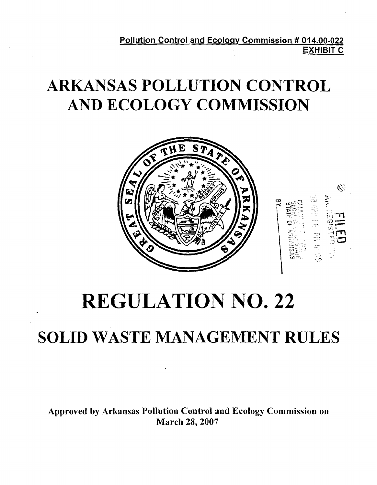**Pollution Control and Ecology Commission # 014.00-022 EXHIBIT C** 

## **ARKANSAS POLLUTION CONTROL AND ECOLOGY COMMISSION**



## **REGULATION NO. 22**

## **SOLID WASTE MANAGEMENT RULES**

#### **Approved by Arkansas Pollution Control and Ecology Commission on March 28,2007**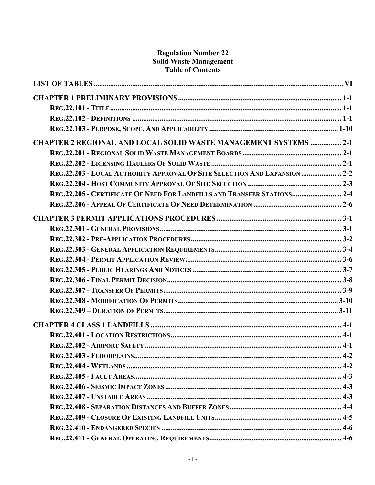# **Regulation Number 22<br>Solid Waste Management<br>Table of Contents**

| <b>CHAPTER 2 REGIONAL AND LOCAL SOLID WASTE MANAGEMENT SYSTEMS  2-1</b>    |  |
|----------------------------------------------------------------------------|--|
|                                                                            |  |
|                                                                            |  |
| REG.22.203 - LOCAL AUTHORITY APPROVAL OF SITE SELECTION AND EXPANSION  2-2 |  |
|                                                                            |  |
| REG.22.205 - CERTIFICATE OF NEED FOR LANDFILLS AND TRANSFER STATIONS 2-4   |  |
|                                                                            |  |
|                                                                            |  |
|                                                                            |  |
|                                                                            |  |
|                                                                            |  |
|                                                                            |  |
|                                                                            |  |
|                                                                            |  |
|                                                                            |  |
|                                                                            |  |
|                                                                            |  |
|                                                                            |  |
|                                                                            |  |
|                                                                            |  |
|                                                                            |  |
|                                                                            |  |
|                                                                            |  |
|                                                                            |  |
|                                                                            |  |
|                                                                            |  |
|                                                                            |  |
|                                                                            |  |
|                                                                            |  |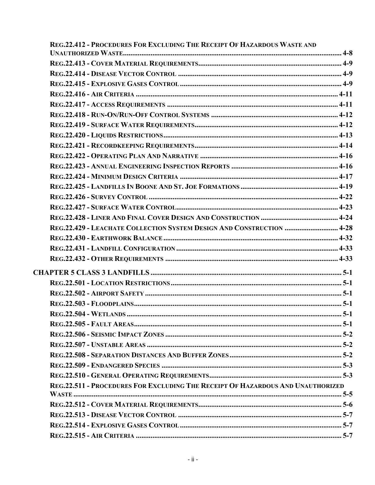| REG.22.412 - PROCEDURES FOR EXCLUDING THE RECEIPT OF HAZARDOUS WASTE AND               |  |
|----------------------------------------------------------------------------------------|--|
|                                                                                        |  |
|                                                                                        |  |
|                                                                                        |  |
|                                                                                        |  |
|                                                                                        |  |
|                                                                                        |  |
|                                                                                        |  |
|                                                                                        |  |
|                                                                                        |  |
|                                                                                        |  |
|                                                                                        |  |
|                                                                                        |  |
|                                                                                        |  |
|                                                                                        |  |
|                                                                                        |  |
|                                                                                        |  |
| REG.22.429 - LEACHATE COLLECTION SYSTEM DESIGN AND CONSTRUCTION  4-28                  |  |
|                                                                                        |  |
|                                                                                        |  |
|                                                                                        |  |
|                                                                                        |  |
|                                                                                        |  |
|                                                                                        |  |
|                                                                                        |  |
|                                                                                        |  |
|                                                                                        |  |
|                                                                                        |  |
|                                                                                        |  |
|                                                                                        |  |
|                                                                                        |  |
|                                                                                        |  |
| <b>REG.22.511 - PROCEDURES FOR EXCLUDING THE RECEIPT OF HAZARDOUS AND UNAUTHORIZED</b> |  |
|                                                                                        |  |
|                                                                                        |  |
|                                                                                        |  |
|                                                                                        |  |
|                                                                                        |  |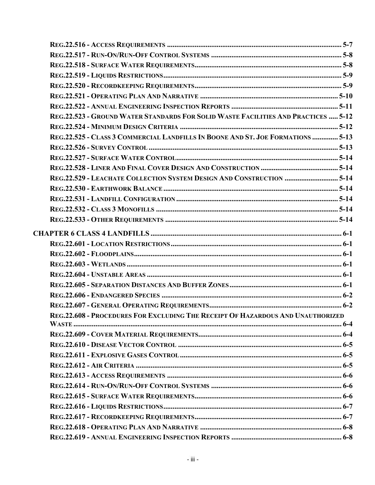| REG.22.523 - GROUND WATER STANDARDS FOR SOLID WASTE FACILITIES AND PRACTICES  5-12 |  |
|------------------------------------------------------------------------------------|--|
|                                                                                    |  |
| REG.22.525 - CLASS 3 COMMERCIAL LANDFILLS IN BOONE AND ST. JOE FORMATIONS  5-13    |  |
|                                                                                    |  |
|                                                                                    |  |
|                                                                                    |  |
| REG.22.529 - LEACHATE COLLECTION SYSTEM DESIGN AND CONSTRUCTION 5-14               |  |
|                                                                                    |  |
|                                                                                    |  |
|                                                                                    |  |
|                                                                                    |  |
|                                                                                    |  |
|                                                                                    |  |
|                                                                                    |  |
|                                                                                    |  |
|                                                                                    |  |
|                                                                                    |  |
|                                                                                    |  |
|                                                                                    |  |
| REG.22.608 - PROCEDURES FOR EXCLUDING THE RECEIPT OF HAZARDOUS AND UNAUTHORIZED    |  |
|                                                                                    |  |
|                                                                                    |  |
|                                                                                    |  |
|                                                                                    |  |
|                                                                                    |  |
|                                                                                    |  |
|                                                                                    |  |
|                                                                                    |  |
|                                                                                    |  |
|                                                                                    |  |
|                                                                                    |  |
|                                                                                    |  |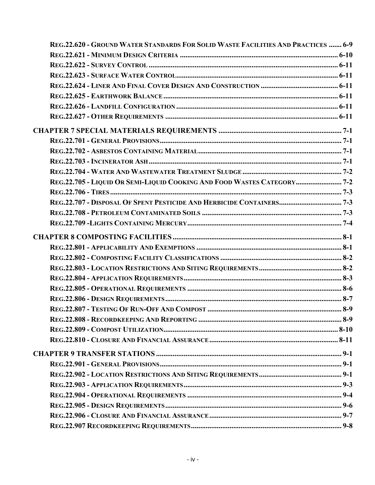| REG.22.620 - GROUND WATER STANDARDS FOR SOLID WASTE FACILITIES AND PRACTICES  6-9 |  |
|-----------------------------------------------------------------------------------|--|
|                                                                                   |  |
|                                                                                   |  |
|                                                                                   |  |
|                                                                                   |  |
|                                                                                   |  |
|                                                                                   |  |
|                                                                                   |  |
|                                                                                   |  |
|                                                                                   |  |
|                                                                                   |  |
|                                                                                   |  |
|                                                                                   |  |
| REG.22.705 - LIQUID OR SEMI-LIQUID COOKING AND FOOD WASTES CATEGORY 7-2           |  |
|                                                                                   |  |
|                                                                                   |  |
|                                                                                   |  |
|                                                                                   |  |
|                                                                                   |  |
|                                                                                   |  |
|                                                                                   |  |
|                                                                                   |  |
|                                                                                   |  |
|                                                                                   |  |
|                                                                                   |  |
|                                                                                   |  |
|                                                                                   |  |
|                                                                                   |  |
|                                                                                   |  |
|                                                                                   |  |
|                                                                                   |  |
|                                                                                   |  |
|                                                                                   |  |
|                                                                                   |  |
|                                                                                   |  |
|                                                                                   |  |
|                                                                                   |  |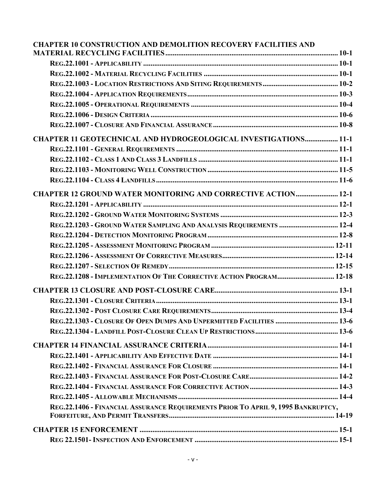| <b>CHAPTER 10 CONSTRUCTION AND DEMOLITION RECOVERY FACILITIES AND</b>             |  |
|-----------------------------------------------------------------------------------|--|
|                                                                                   |  |
|                                                                                   |  |
|                                                                                   |  |
|                                                                                   |  |
|                                                                                   |  |
|                                                                                   |  |
|                                                                                   |  |
| <b>CHAPTER 11 GEOTECHNICAL AND HYDROGEOLOGICAL INVESTIGATIONS 11-1</b>            |  |
|                                                                                   |  |
|                                                                                   |  |
|                                                                                   |  |
|                                                                                   |  |
| <b>CHAPTER 12 GROUND WATER MONITORING AND CORRECTIVE ACTION 12-1</b>              |  |
|                                                                                   |  |
|                                                                                   |  |
| REG.22.1203 - GROUND WATER SAMPLING AND ANALYSIS REQUIREMENTS  12-4               |  |
|                                                                                   |  |
|                                                                                   |  |
|                                                                                   |  |
|                                                                                   |  |
| REG.22.1208 - IMPLEMENTATION OF THE CORRECTIVE ACTION PROGRAM 12-18               |  |
|                                                                                   |  |
|                                                                                   |  |
|                                                                                   |  |
| REG.22.1303 - CLOSURE OF OPEN DUMPS AND UNPERMITTED FACILITIES  13-6              |  |
|                                                                                   |  |
|                                                                                   |  |
|                                                                                   |  |
|                                                                                   |  |
|                                                                                   |  |
|                                                                                   |  |
|                                                                                   |  |
| REG.22.1406 - FINANCIAL ASSURANCE REQUIREMENTS PRIOR TO APRIL 9, 1995 BANKRUPTCY, |  |
|                                                                                   |  |
|                                                                                   |  |
|                                                                                   |  |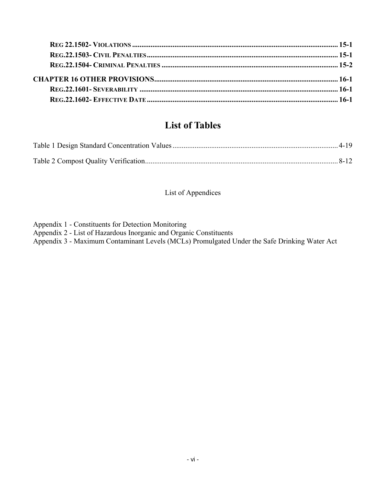#### **List of Tables**

#### List of Appendices

Appendix 1 - Constituents for Detection Monitoring

Appendix 2 - List of Hazardous Inorganic and Organic Constituents

Appendix 3 - Maximum Contaminant Levels (MCLs) Promulgated Under the Safe Drinking Water Act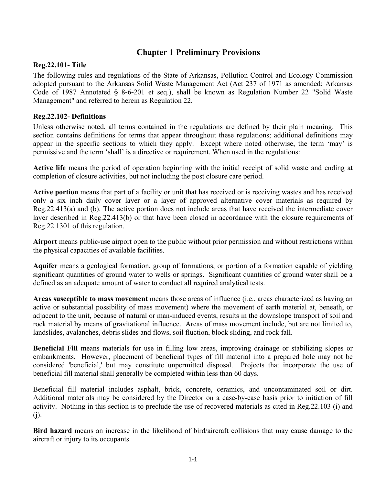#### **Chapter 1 Preliminary Provisions**

#### **Reg.22.101- Title**

The following rules and regulations of the State of Arkansas, Pollution Control and Ecology Commission adopted pursuant to the Arkansas Solid Waste Management Act (Act 237 of 1971 as amended; Arkansas Code of 1987 Annotated § 8-6-201 et seq.), shall be known as Regulation Number 22 "Solid Waste Management" and referred to herein as Regulation 22.

#### **Reg.22.102- Definitions**

Unless otherwise noted, all terms contained in the regulations are defined by their plain meaning. This section contains definitions for terms that appear throughout these regulations; additional definitions may appear in the specific sections to which they apply. Except where noted otherwise, the term 'may' is permissive and the term 'shall' is a directive or requirement. When used in the regulations:

**Active life** means the period of operation beginning with the initial receipt of solid waste and ending at completion of closure activities, but not including the post closure care period.

**Active portion** means that part of a facility or unit that has received or is receiving wastes and has received only a six inch daily cover layer or a layer of approved alternative cover materials as required by Reg.22.413(a) and (b). The active portion does not include areas that have received the intermediate cover layer described in Reg.22.413(b) or that have been closed in accordance with the closure requirements of Reg.22.1301 of this regulation.

**Airport** means public**-**use airport open to the public without prior permission and without restrictions within the physical capacities of available facilities.

**Aquifer** means a geological formation, group of formations, or portion of a formation capable of yielding significant quantities of ground water to wells or springs. Significant quantities of ground water shall be a defined as an adequate amount of water to conduct all required analytical tests.

**Areas susceptible to mass movement** means those areas of influence (i.e., areas characterized as having an active or substantial possibility of mass movement) where the movement of earth material at, beneath, or adjacent to the unit, because of natural or man**-**induced events, results in the downslope transport of soil and rock material by means of gravitational influence. Areas of mass movement include, but are not limited to, landslides, avalanches, debris slides and flows, soil fluction, block sliding, and rock fall.

**Beneficial Fill** means materials for use in filling low areas, improving drainage or stabilizing slopes or embankments. However, placement of beneficial types of fill material into a prepared hole may not be considered 'beneficial,' but may constitute unpermitted disposal. Projects that incorporate the use of beneficial fill material shall generally be completed within less than 60 days.

Beneficial fill material includes asphalt, brick, concrete, ceramics, and uncontaminated soil or dirt. Additional materials may be considered by the Director on a case**-**by**-**case basis prior to initiation of fill activity. Nothing in this section is to preclude the use of recovered materials as cited in Reg.22.103 (i) and (j).

**Bird hazard** means an increase in the likelihood of bird/aircraft collisions that may cause damage to the aircraft or injury to its occupants.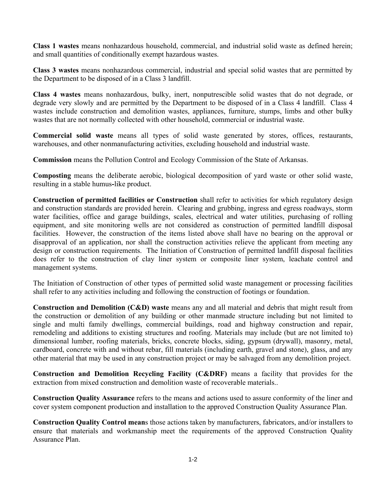**Class 1 wastes** means nonhazardous household, commercial, and industrial solid waste as defined herein; and small quantities of conditionally exempt hazardous wastes.

**Class 3 wastes** means nonhazardous commercial, industrial and special solid wastes that are permitted by the Department to be disposed of in a Class 3 landfill.

**Class 4 wastes** means nonhazardous, bulky, inert, nonputrescible solid wastes that do not degrade, or degrade very slowly and are permitted by the Department to be disposed of in a Class 4 landfill. Class 4 wastes include construction and demolition wastes, appliances, furniture, stumps, limbs and other bulky wastes that are not normally collected with other household, commercial or industrial waste.

**Commercial solid waste** means all types of solid waste generated by stores, offices, restaurants, warehouses, and other nonmanufacturing activities, excluding household and industrial waste.

**Commission** means the Pollution Control and Ecology Commission of the State of Arkansas.

**Composting** means the deliberate aerobic, biological decomposition of yard waste or other solid waste, resulting in a stable humus**-**like product.

**Construction of permitted facilities or Construction** shall refer to activities for which regulatory design and construction standards are provided herein. Clearing and grubbing, ingress and egress roadways, storm water facilities, office and garage buildings, scales, electrical and water utilities, purchasing of rolling equipment, and site monitoring wells are not considered as construction of permitted landfill disposal facilities. However, the construction of the items listed above shall have no bearing on the approval or disapproval of an application, nor shall the construction activities relieve the applicant from meeting any design or construction requirements. The Initiation of Construction of permitted landfill disposal facilities does refer to the construction of clay liner system or composite liner system, leachate control and management systems.

The Initiation of Construction of other types of permitted solid waste management or processing facilities shall refer to any activities including and following the construction of footings or foundation.

**Construction and Demolition (C&D) waste** means any and all material and debris that might result from the construction or demolition of any building or other manmade structure including but not limited to single and multi family dwellings, commercial buildings, road and highway construction and repair, remodeling and additions to existing structures and roofing. Materials may include (but are not limited to) dimensional lumber, roofing materials, bricks, concrete blocks, siding, gypsum (drywall), masonry, metal, cardboard, concrete with and without rebar, fill materials (including earth, gravel and stone), glass, and any other material that may be used in any construction project or may be salvaged from any demolition project.

**Construction and Demolition Recycling Facility (C&DRF)** means a facility that provides for the extraction from mixed construction and demolition waste of recoverable materials..

**Construction Quality Assurance** refers to the means and actions used to assure conformity of the liner and cover system component production and installation to the approved Construction Quality Assurance Plan.

**Construction Quality Control mean**s those actions taken by manufacturers, fabricators, and/or installers to ensure that materials and workmanship meet the requirements of the approved Construction Quality Assurance Plan.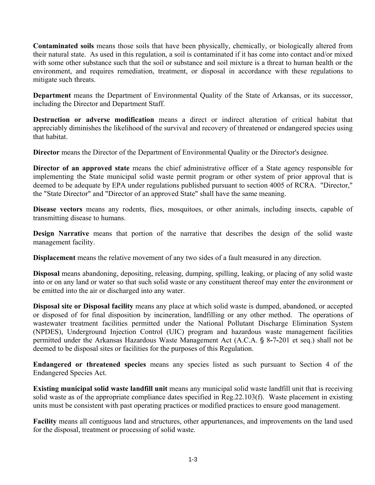**Contaminated soils** means those soils that have been physically, chemically, or biologically altered from their natural state. As used in this regulation, a soil is contaminated if it has come into contact and/or mixed with some other substance such that the soil or substance and soil mixture is a threat to human health or the environment, and requires remediation, treatment, or disposal in accordance with these regulations to mitigate such threats.

**Department** means the Department of Environmental Quality of the State of Arkansas, or its successor, including the Director and Department Staff.

**Destruction or adverse modification** means a direct or indirect alteration of critical habitat that appreciably diminishes the likelihood of the survival and recovery of threatened or endangered species using that habitat.

**Director** means the Director of the Department of Environmental Quality or the Director's designee.

**Director of an approved state** means the chief administrative officer of a State agency responsible for implementing the State municipal solid waste permit program or other system of prior approval that is deemed to be adequate by EPA under regulations published pursuant to section 4005 of RCRA. "Director," the "State Director" and "Director of an approved State" shall have the same meaning.

**Disease vectors** means any rodents, flies, mosquitoes, or other animals, including insects, capable of transmitting disease to humans.

**Design Narrative** means that portion of the narrative that describes the design of the solid waste management facility.

**Displacement** means the relative movement of any two sides of a fault measured in any direction.

**Disposal** means abandoning, depositing, releasing, dumping, spilling, leaking, or placing of any solid waste into or on any land or water so that such solid waste or any constituent thereof may enter the environment or be emitted into the air or discharged into any water.

**Disposal site or Disposal facility** means any place at which solid waste is dumped, abandoned, or accepted or disposed of for final disposition by incineration, landfilling or any other method. The operations of wastewater treatment facilities permitted under the National Pollutant Discharge Elimination System (NPDES), Underground Injection Control (UIC) program and hazardous waste management facilities permitted under the Arkansas Hazardous Waste Management Act (A.C.A. § 8-7-201 et seq.) shall not be deemed to be disposal sites or facilities for the purposes of this Regulation.

**Endangered or threatened species** means any species listed as such pursuant to Section 4 of the Endangered Species Act.

**Existing municipal solid waste landfill unit** means any municipal solid waste landfill unit that is receiving solid waste as of the appropriate compliance dates specified in Reg.22.103(f). Waste placement in existing units must be consistent with past operating practices or modified practices to ensure good management.

**Facility** means all contiguous land and structures, other appurtenances, and improvements on the land used for the disposal, treatment or processing of solid waste.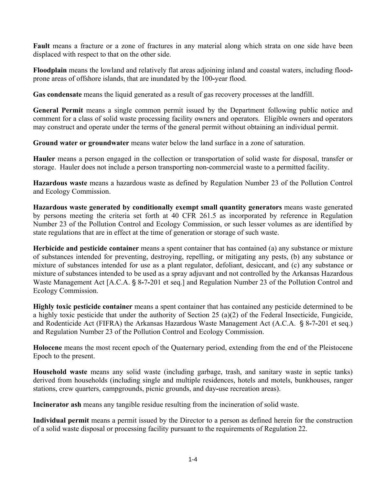**Fault** means a fracture or a zone of fractures in any material along which strata on one side have been displaced with respect to that on the other side.

**Floodplain** means the lowland and relatively flat areas adjoining inland and coastal waters, including floodprone areas of offshore islands, that are inundated by the 100**-**year flood.

**Gas condensate** means the liquid generated as a result of gas recovery processes at the landfill.

**General Permit** means a single common permit issued by the Department following public notice and comment for a class of solid waste processing facility owners and operators. Eligible owners and operators may construct and operate under the terms of the general permit without obtaining an individual permit.

**Ground water or groundwater** means water below the land surface in a zone of saturation.

**Hauler** means a person engaged in the collection or transportation of solid waste for disposal, transfer or storage. Hauler does not include a person transporting non-commercial waste to a permitted facility.

**Hazardous waste** means a hazardous waste as defined by Regulation Number 23 of the Pollution Control and Ecology Commission.

**Hazardous waste generated by conditionally exempt small quantity generators** means waste generated by persons meeting the criteria set forth at 40 CFR 261.5 as incorporated by reference in Regulation Number 23 of the Pollution Control and Ecology Commission, or such lesser volumes as are identified by state regulations that are in effect at the time of generation or storage of such waste.

**Herbicide and pesticide container** means a spent container that has contained (a) any substance or mixture of substances intended for preventing, destroying, repelling, or mitigating any pests, (b) any substance or mixture of substances intended for use as a plant regulator, defoliant, desiccant, and (c) any substance or mixture of substances intended to be used as a spray adjuvant and not controlled by the Arkansas Hazardous Waste Management Act [A.C.A. § 8-7-201 et seq.] and Regulation Number 23 of the Pollution Control and Ecology Commission.

**Highly toxic pesticide container** means a spent container that has contained any pesticide determined to be a highly toxic pesticide that under the authority of Section 25 (a)(2) of the Federal Insecticide, Fungicide, and Rodenticide Act (FIFRA) the Arkansas Hazardous Waste Management Act (A.C.A. § 8-7-201 et seq.) and Regulation Number 23 of the Pollution Control and Ecology Commission.

**Holocene** means the most recent epoch of the Quaternary period, extending from the end of the Pleistocene Epoch to the present.

**Household waste** means any solid waste (including garbage, trash, and sanitary waste in septic tanks) derived from households (including single and multiple residences, hotels and motels, bunkhouses, ranger stations, crew quarters, campgrounds, picnic grounds, and day**-**use recreation areas).

**Incinerator ash** means any tangible residue resulting from the incineration of solid waste.

**Individual permit** means a permit issued by the Director to a person as defined herein for the construction of a solid waste disposal or processing facility pursuant to the requirements of Regulation 22.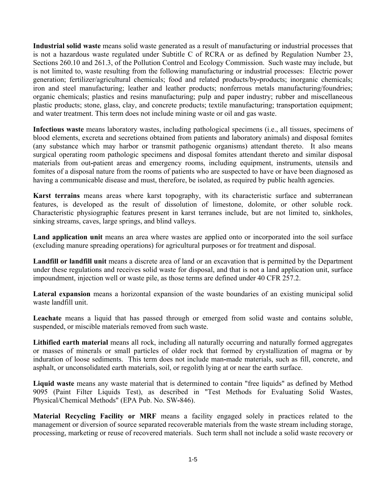**Industrial solid waste** means solid waste generated as a result of manufacturing or industrial processes that is not a hazardous waste regulated under Subtitle C of RCRA or as defined by Regulation Number 23, Sections 260.10 and 261.3, of the Pollution Control and Ecology Commission. Such waste may include, but is not limited to, waste resulting from the following manufacturing or industrial processes: Electric power generation; fertilizer/agricultural chemicals; food and related products/by**-**products; inorganic chemicals; iron and steel manufacturing; leather and leather products; nonferrous metals manufacturing/foundries; organic chemicals; plastics and resins manufacturing; pulp and paper industry; rubber and miscellaneous plastic products; stone, glass, clay, and concrete products; textile manufacturing; transportation equipment; and water treatment. This term does not include mining waste or oil and gas waste.

**Infectious waste** means laboratory wastes, including pathological specimens (i.e., all tissues, specimens of blood elements, excreta and secretions obtained from patients and laboratory animals) and disposal fomites (any substance which may harbor or transmit pathogenic organisms) attendant thereto. It also means surgical operating room pathologic specimens and disposal fomites attendant thereto and similar disposal materials from out**-**patient areas and emergency rooms, including equipment, instruments, utensils and fomites of a disposal nature from the rooms of patients who are suspected to have or have been diagnosed as having a communicable disease and must, therefore, be isolated, as required by public health agencies.

**Karst terrains** means areas where karst topography, with its characteristic surface and subterranean features, is developed as the result of dissolution of limestone, dolomite, or other soluble rock. Characteristic physiographic features present in karst terranes include, but are not limited to, sinkholes, sinking streams, caves, large springs, and blind valleys.

Land application unit means an area where wastes are applied onto or incorporated into the soil surface (excluding manure spreading operations) for agricultural purposes or for treatment and disposal.

**Landfill or landfill unit** means a discrete area of land or an excavation that is permitted by the Department under these regulations and receives solid waste for disposal, and that is not a land application unit, surface impoundment, injection well or waste pile, as those terms are defined under 40 CFR 257.2.

**Lateral expansion** means a horizontal expansion of the waste boundaries of an existing municipal solid waste landfill unit.

Leachate means a liquid that has passed through or emerged from solid waste and contains soluble, suspended, or miscible materials removed from such waste.

Lithified earth material means all rock, including all naturally occurring and naturally formed aggregates or masses of minerals or small particles of older rock that formed by crystallization of magma or by induration of loose sediments. This term does not include man**-**made materials, such as fill, concrete, and asphalt, or unconsolidated earth materials, soil, or regolith lying at or near the earth surface.

**Liquid waste** means any waste material that is determined to contain "free liquids" as defined by Method 9095 (Paint Filter Liquids Test), as described in "Test Methods for Evaluating Solid Wastes, Physical/Chemical Methods" (EPA Pub. No. SW**-**846).

**Material Recycling Facility or MRF** means a facility engaged solely in practices related to the management or diversion of source separated recoverable materials from the waste stream including storage, processing, marketing or reuse of recovered materials. Such term shall not include a solid waste recovery or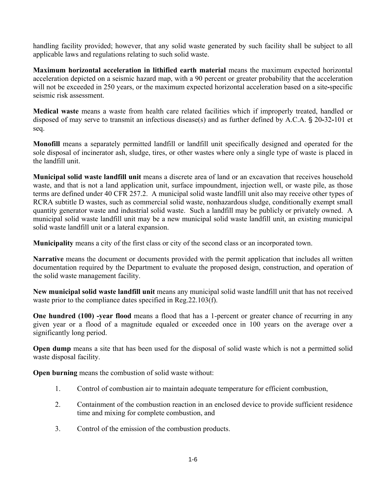handling facility provided; however, that any solid waste generated by such facility shall be subject to all applicable laws and regulations relating to such solid waste.

**Maximum horizontal acceleration in lithified earth material** means the maximum expected horizontal acceleration depicted on a seismic hazard map, with a 90 percent or greater probability that the acceleration will not be exceeded in 250 years, or the maximum expected horizontal acceleration based on a site**-**specific seismic risk assessment.

**Medical waste** means a waste from health care related facilities which if improperly treated, handled or disposed of may serve to transmit an infectious disease(s) and as further defined by A.C.A. § 20-32-101 et seq.

**Monofill** means a separately permitted landfill or landfill unit specifically designed and operated for the sole disposal of incinerator ash, sludge, tires, or other wastes where only a single type of waste is placed in the landfill unit.

**Municipal solid waste landfill unit** means a discrete area of land or an excavation that receives household waste, and that is not a land application unit, surface impoundment, injection well, or waste pile, as those terms are defined under 40 CFR 257.2. A municipal solid waste landfill unit also may receive other types of RCRA subtitle D wastes, such as commercial solid waste, nonhazardous sludge, conditionally exempt small quantity generator waste and industrial solid waste. Such a landfill may be publicly or privately owned. A municipal solid waste landfill unit may be a new municipal solid waste landfill unit, an existing municipal solid waste landfill unit or a lateral expansion.

**Municipality** means a city of the first class or city of the second class or an incorporated town.

**Narrative** means the document or documents provided with the permit application that includes all written documentation required by the Department to evaluate the proposed design, construction, and operation of the solid waste management facility.

New municipal solid waste landfill unit means any municipal solid waste landfill unit that has not received waste prior to the compliance dates specified in Reg.22.103(f).

**One hundred (100) -year flood** means a flood that has a 1-percent or greater chance of recurring in any given year or a flood of a magnitude equaled or exceeded once in 100 years on the average over a significantly long period.

**Open dump** means a site that has been used for the disposal of solid waste which is not a permitted solid waste disposal facility.

**Open burning** means the combustion of solid waste without:

- 1. Control of combustion air to maintain adequate temperature for efficient combustion,
- 2. Containment of the combustion reaction in an enclosed device to provide sufficient residence time and mixing for complete combustion, and
- 3. Control of the emission of the combustion products.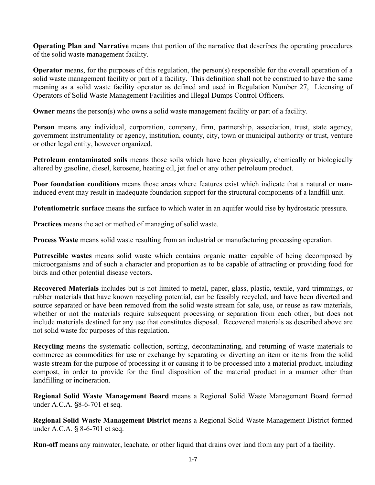**Operating Plan and Narrative** means that portion of the narrative that describes the operating procedures of the solid waste management facility.

**Operator** means, for the purposes of this regulation, the person(s) responsible for the overall operation of a solid waste management facility or part of a facility. This definition shall not be construed to have the same meaning as a solid waste facility operator as defined and used in Regulation Number 27, Licensing of Operators of Solid Waste Management Facilities and Illegal Dumps Control Officers.

**Owner** means the person(s) who owns a solid waste management facility or part of a facility.

Person means any individual, corporation, company, firm, partnership, association, trust, state agency, government instrumentality or agency, institution, county, city, town or municipal authority or trust, venture or other legal entity, however organized.

**Petroleum contaminated soils** means those soils which have been physically, chemically or biologically altered by gasoline, diesel, kerosene, heating oil, jet fuel or any other petroleum product.

**Poor foundation conditions** means those areas where features exist which indicate that a natural or maninduced event may result in inadequate foundation support for the structural components of a landfill unit.

**Potentiometric surface** means the surface to which water in an aquifer would rise by hydrostatic pressure.

**Practices** means the act or method of managing of solid waste.

**Process Waste** means solid waste resulting from an industrial or manufacturing processing operation.

**Putrescible wastes** means solid waste which contains organic matter capable of being decomposed by microorganisms and of such a character and proportion as to be capable of attracting or providing food for birds and other potential disease vectors.

**Recovered Materials** includes but is not limited to metal, paper, glass, plastic, textile, yard trimmings, or rubber materials that have known recycling potential, can be feasibly recycled, and have been diverted and source separated or have been removed from the solid waste stream for sale, use, or reuse as raw materials, whether or not the materials require subsequent processing or separation from each other, but does not include materials destined for any use that constitutes disposal. Recovered materials as described above are not solid waste for purposes of this regulation.

**Recycling** means the systematic collection, sorting, decontaminating, and returning of waste materials to commerce as commodities for use or exchange by separating or diverting an item or items from the solid waste stream for the purpose of processing it or causing it to be processed into a material product, including compost, in order to provide for the final disposition of the material product in a manner other than landfilling or incineration.

**Regional Solid Waste Management Board** means a Regional Solid Waste Management Board formed under A.C.A.  $\S$ 8-6-701 et seq.

**Regional Solid Waste Management District** means a Regional Solid Waste Management District formed under A.C.A.  $\S$  8-6-701 et seq.

**Run-off** means any rainwater, leachate, or other liquid that drains over land from any part of a facility.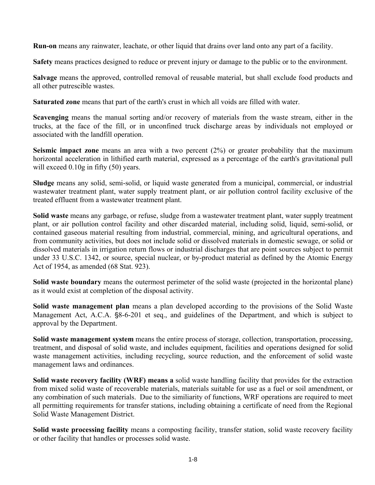**Run-on** means any rainwater, leachate, or other liquid that drains over land onto any part of a facility.

**Safety** means practices designed to reduce or prevent injury or damage to the public or to the environment.

**Salvage** means the approved, controlled removal of reusable material, but shall exclude food products and all other putrescible wastes.

**Saturated zone** means that part of the earth's crust in which all voids are filled with water.

**Scavenging** means the manual sorting and/or recovery of materials from the waste stream, either in the trucks, at the face of the fill, or in unconfined truck discharge areas by individuals not employed or associated with the landfill operation.

**Seismic impact zone** means an area with a two percent (2%) or greater probability that the maximum horizontal acceleration in lithified earth material, expressed as a percentage of the earth's gravitational pull will exceed  $0.10g$  in fifty (50) years.

**Sludge** means any solid, semi-solid, or liquid waste generated from a municipal, commercial, or industrial wastewater treatment plant, water supply treatment plant, or air pollution control facility exclusive of the treated effluent from a wastewater treatment plant.

**Solid waste** means any garbage, or refuse, sludge from a wastewater treatment plant, water supply treatment plant, or air pollution control facility and other discarded material, including solid, liquid, semi-solid, or contained gaseous material resulting from industrial, commercial, mining, and agricultural operations, and from community activities, but does not include solid or dissolved materials in domestic sewage, or solid or dissolved materials in irrigation return flows or industrial discharges that are point sources subject to permit under 33 U.S.C. 1342, or source, special nuclear, or by-product material as defined by the Atomic Energy Act of 1954, as amended (68 Stat. 923).

**Solid waste boundary** means the outermost perimeter of the solid waste (projected in the horizontal plane) as it would exist at completion of the disposal activity.

**Solid waste management plan** means a plan developed according to the provisions of the Solid Waste Management Act, A.C.A.  $\S 8-6-201$  et seq., and guidelines of the Department, and which is subject to approval by the Department.

**Solid waste management system** means the entire process of storage, collection, transportation, processing, treatment, and disposal of solid waste, and includes equipment, facilities and operations designed for solid waste management activities, including recycling, source reduction, and the enforcement of solid waste management laws and ordinances.

**Solid waste recovery facility (WRF) means a** solid waste handling facility that provides for the extraction from mixed solid waste of recoverable materials, materials suitable for use as a fuel or soil amendment, or any combination of such materials. Due to the similiarity of functions, WRF operations are required to meet all permitting requirements for transfer stations, including obtaining a certificate of need from the Regional Solid Waste Management District.

**Solid waste processing facility** means a composting facility, transfer station, solid waste recovery facility or other facility that handles or processes solid waste.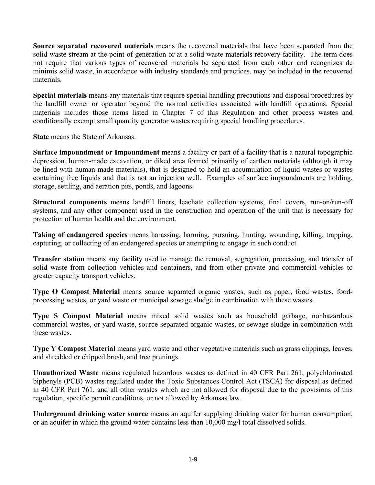**Source separated recovered materials** means the recovered materials that have been separated from the solid waste stream at the point of generation or at a solid waste materials recovery facility. The term does not require that various types of recovered materials be separated from each other and recognizes de minimis solid waste, in accordance with industry standards and practices, may be included in the recovered materials.

**Special materials** means any materials that require special handling precautions and disposal procedures by the landfill owner or operator beyond the normal activities associated with landfill operations. Special materials includes those items listed in Chapter 7 of this Regulation and other process wastes and conditionally exempt small quantity generator wastes requiring special handling procedures.

**State** means the State of Arkansas.

**Surface impoundment or Impoundment** means a facility or part of a facility that is a natural topographic depression, human-made excavation, or diked area formed primarily of earthen materials (although it may be lined with human-made materials), that is designed to hold an accumulation of liquid wastes or wastes containing free liquids and that is not an injection well. Examples of surface impoundments are holding, storage, settling, and aeration pits, ponds, and lagoons.

**Structural components** means landfill liners, leachate collection systems, final covers, run-on/run-off systems, and any other component used in the construction and operation of the unit that is necessary for protection of human health and the environment.

**Taking of endangered species** means harassing, harming, pursuing, hunting, wounding, killing, trapping, capturing, or collecting of an endangered species or attempting to engage in such conduct.

**Transfer station** means any facility used to manage the removal, segregation, processing, and transfer of solid waste from collection vehicles and containers, and from other private and commercial vehicles to greater capacity transport vehicles.

**Type O Compost Material** means source separated organic wastes, such as paper, food wastes, foodprocessing wastes, or yard waste or municipal sewage sludge in combination with these wastes.

**Type S Compost Material** means mixed solid wastes such as household garbage, nonhazardous commercial wastes, or yard waste, source separated organic wastes, or sewage sludge in combination with these wastes.

**Type Y Compost Material** means yard waste and other vegetative materials such as grass clippings, leaves, and shredded or chipped brush, and tree prunings.

**Unauthorized Waste** means regulated hazardous wastes as defined in 40 CFR Part 261, polychlorinated biphenyls (PCB) wastes regulated under the Toxic Substances Control Act (TSCA) for disposal as defined in 40 CFR Part 761, and all other wastes which are not allowed for disposal due to the provisions of this regulation, specific permit conditions, or not allowed by Arkansas law.

**Underground drinking water source** means an aquifer supplying drinking water for human consumption, or an aquifer in which the ground water contains less than 10,000 mg/l total dissolved solids.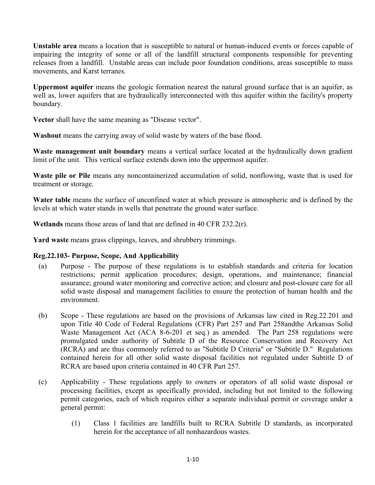**Unstable area** means a location that is susceptible to natural or human-induced events or forces capable of impairing the integrity of some or all of the landfill structural components responsible for preventing releases from a landfill. Unstable areas can include poor foundation conditions, areas susceptible to mass movements, and Karst terranes.

**Uppermost aquifer** means the geologic formation nearest the natural ground surface that is an aquifer, as well as, lower aquifers that are hydraulically interconnected with this aquifer within the facility's property boundary.

**Vector** shall have the same meaning as "Disease vector".

**Washout** means the carrying away of solid waste by waters of the base flood.

**Waste management unit boundary** means a vertical surface located at the hydraulically down gradient limit of the unit. This vertical surface extends down into the uppermost aquifer.

**Waste pile or Pile** means any noncontainerized accumulation of solid, nonflowing, waste that is used for treatment or storage.

Water table means the surface of unconfined water at which pressure is atmospheric and is defined by the levels at which water stands in wells that penetrate the ground water surface.

**Wetlands** means those areas of land that are defined in 40 CFR 232.2(r).

Yard waste means grass clippings, leaves, and shrubbery trimmings.

#### **Reg.22.103- Purpose, Scope, And Applicability**

- (a) Purpose The purpose of these regulations is to establish standards and criteria for location restrictions; permit application procedures; design, operations, and maintenance; financial assurance; ground water monitoring and corrective action; and closure and post-closure care for all solid waste disposal and management facilities to ensure the protection of human health and the environment.
- (b) Scope These regulations are based on the provisions of Arkansas law cited in Reg.22.201 and upon Title 40 Code of Federal Regulations (CFR) Part 257 and Part 258andthe Arkansas Solid Waste Management Act (ACA 8-6-201 et seq.) as amended. The Part 258 regulations were promulgated under authority of Subtitle D of the Resource Conservation and Recovery Act (RCRA) and are thus commonly referred to as "Subtitle D Criteria" or "Subtitle D." Regulations contained herein for all other solid waste disposal facilities not regulated under Subtitle D of RCRA are based upon criteria contained in 40 CFR Part 257.
- (c) Applicability These regulations apply to owners or operators of all solid waste disposal or processing facilities, except as specifically provided, including but not limited to the following permit categories, each of which requires either a separate individual permit or coverage under a general permit:
	- (1) Class 1 facilities are landfills built to RCRA Subtitle D standards, as incorporated herein for the acceptance of all nonhazardous wastes.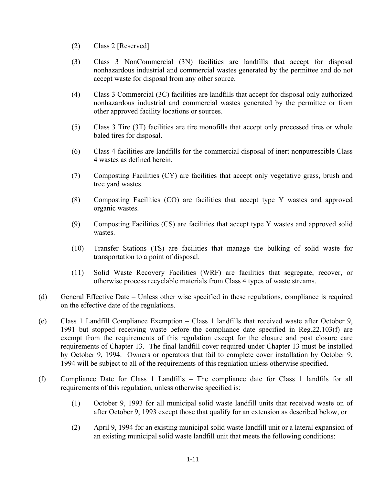- (2) Class 2 [Reserved]
- (3) Class 3 NonCommercial (3N) facilities are landfills that accept for disposal nonhazardous industrial and commercial wastes generated by the permittee and do not accept waste for disposal from any other source.
- (4) Class 3 Commercial (3C) facilities are landfills that accept for disposal only authorized nonhazardous industrial and commercial wastes generated by the permittee or from other approved facility locations or sources.
- (5) Class 3 Tire (3T) facilities are tire monofills that accept only processed tires or whole baled tires for disposal.
- (6) Class 4 facilities are landfills for the commercial disposal of inert nonputrescible Class 4 wastes as defined herein.
- (7) Composting Facilities (CY) are facilities that accept only vegetative grass, brush and tree yard wastes.
- (8) Composting Facilities (CO) are facilities that accept type Y wastes and approved organic wastes.
- (9) Composting Facilities (CS) are facilities that accept type Y wastes and approved solid wastes.
- (10) Transfer Stations (TS) are facilities that manage the bulking of solid waste for transportation to a point of disposal.
- (11) Solid Waste Recovery Facilities (WRF) are facilities that segregate, recover, or otherwise process recyclable materials from Class 4 types of waste streams.
- (d) General Effective Date Unless other wise specified in these regulations, compliance is required on the effective date of the regulations.
- (e) Class 1 Landfill Compliance Exemption Class 1 landfills that received waste after October 9, 1991 but stopped receiving waste before the compliance date specified in Reg.22.103(f) are exempt from the requirements of this regulation except for the closure and post closure care requirements of Chapter 13. The final landfill cover required under Chapter 13 must be installed by October 9, 1994. Owners or operators that fail to complete cover installation by October 9, 1994 will be subject to all of the requirements of this regulation unless otherwise specified.
- (f) Compliance Date for Class 1 Landfills The compliance date for Class 1 landfils for all requirements of this regulation, unless otherwise specified is:
	- (1) October 9, 1993 for all municipal solid waste landfill units that received waste on of after October 9, 1993 except those that qualify for an extension as described below, or
	- (2) April 9, 1994 for an existing municipal solid waste landfill unit or a lateral expansion of an existing municipal solid waste landfill unit that meets the following conditions: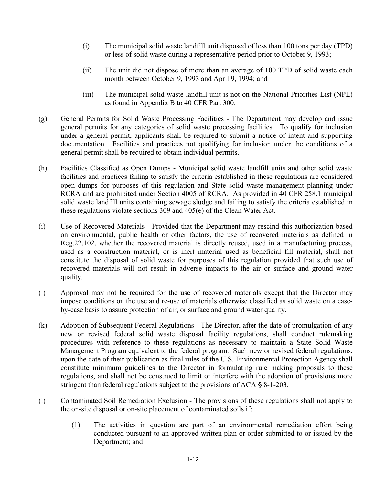- (i) The municipal solid waste landfill unit disposed of less than 100 tons per day (TPD) or less of solid waste during a representative period prior to October 9, 1993;
- (ii) The unit did not dispose of more than an average of 100 TPD of solid waste each month between October 9, 1993 and April 9, 1994; and
- (iii) The municipal solid waste landfill unit is not on the National Priorities List (NPL) as found in Appendix B to 40 CFR Part 300.
- (g) General Permits for Solid Waste Processing Facilities The Department may develop and issue general permits for any categories of solid waste processing facilities. To qualify for inclusion under a general permit, applicants shall be required to submit a notice of intent and supporting documentation. Facilities and practices not qualifying for inclusion under the conditions of a general permit shall be required to obtain individual permits.
- (h) Facilities Classified as Open Dumps Municipal solid waste landfill units and other solid waste facilities and practices failing to satisfy the criteria established in these regulations are considered open dumps for purposes of this regulation and State solid waste management planning under RCRA and are prohibited under Section 4005 of RCRA. As provided in 40 CFR 258.1 municipal solid waste landfill units containing sewage sludge and failing to satisfy the criteria established in these regulations violate sections 309 and 405(e) of the Clean Water Act.
- (i) Use of Recovered Materials Provided that the Department may rescind this authorization based on environmental, public health or other factors, the use of recovered materials as defined in Reg.22.102, whether the recovered material is directly reused, used in a manufacturing process, used as a construction material, or is inert material used as beneficial fill material, shall not constitute the disposal of solid waste for purposes of this regulation provided that such use of recovered materials will not result in adverse impacts to the air or surface and ground water quality.
- (j) Approval may not be required for the use of recovered materials except that the Director may impose conditions on the use and re-use of materials otherwise classified as solid waste on a caseby-case basis to assure protection of air, or surface and ground water quality.
- (k) Adoption of Subsequent Federal Regulations The Director, after the date of promulgation of any new or revised federal solid waste disposal facility regulations, shall conduct rulemaking procedures with reference to these regulations as necessary to maintain a State Solid Waste Management Program equivalent to the federal program. Such new or revised federal regulations, upon the date of their publication as final rules of the U.S. Environmental Protection Agency shall constitute minimum guidelines to the Director in formulating rule making proposals to these regulations, and shall not be construed to limit or interfere with the adoption of provisions more stringent than federal regulations subject to the provisions of  $ACA \S 8-1-203$ .
- (l) Contaminated Soil Remediation Exclusion The provisions of these regulations shall not apply to the on-site disposal or on-site placement of contaminated soils if:
	- (1) The activities in question are part of an environmental remediation effort being conducted pursuant to an approved written plan or order submitted to or issued by the Department; and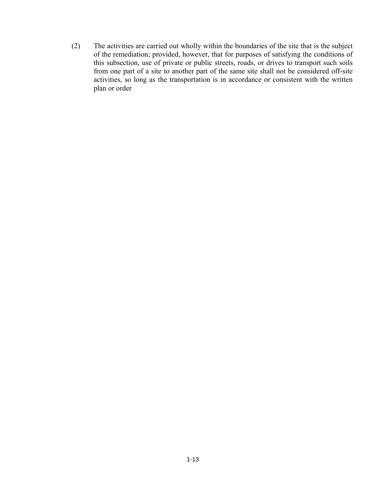(2) The activities are carried out wholly within the boundaries of the site that is the subject of the remediation; provided, however, that for purposes of satisfying the conditions of this subsection, use of private or public streets, roads, or drives to transport such soils from one part of a site to another part of the same site shall not be considered off-site activities, so long as the transportation is in accordance or consistent with the written plan or order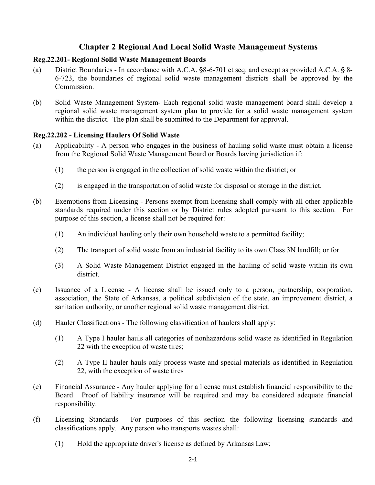#### **Chapter 2 Regional And Local Solid Waste Management Systems**

#### **Reg.22.201- Regional Solid Waste Management Boards**

- (a) District Boundaries In accordance with A.C.A.  $\S$ 8-6-701 et seq. and except as provided A.C.A.  $\S$ 8-6-723, the boundaries of regional solid waste management districts shall be approved by the Commission.
- (b) Solid Waste Management System- Each regional solid waste management board shall develop a regional solid waste management system plan to provide for a solid waste management system within the district. The plan shall be submitted to the Department for approval.

#### **Reg.22.202 - Licensing Haulers Of Solid Waste**

- (a) Applicability A person who engages in the business of hauling solid waste must obtain a license from the Regional Solid Waste Management Board or Boards having jurisdiction if:
	- (1) the person is engaged in the collection of solid waste within the district; or
	- (2) is engaged in the transportation of solid waste for disposal or storage in the district.
- (b) Exemptions from Licensing Persons exempt from licensing shall comply with all other applicable standards required under this section or by District rules adopted pursuant to this section. For purpose of this section, a license shall not be required for:
	- (1) An individual hauling only their own household waste to a permitted facility;
	- (2) The transport of solid waste from an industrial facility to its own Class 3N landfill; or for
	- (3) A Solid Waste Management District engaged in the hauling of solid waste within its own district.
- (c) Issuance of a License A license shall be issued only to a person, partnership, corporation, association, the State of Arkansas, a political subdivision of the state, an improvement district, a sanitation authority, or another regional solid waste management district.
- (d) Hauler Classifications The following classification of haulers shall apply:
	- (1) A Type I hauler hauls all categories of nonhazardous solid waste as identified in Regulation 22 with the exception of waste tires;
	- (2) A Type II hauler hauls only process waste and special materials as identified in Regulation 22, with the exception of waste tires
- (e) Financial Assurance Any hauler applying for a license must establish financial responsibility to the Board. Proof of liability insurance will be required and may be considered adequate financial responsibility.
- (f) Licensing Standards For purposes of this section the following licensing standards and classifications apply. Any person who transports wastes shall:
	- (1) Hold the appropriate driver's license as defined by Arkansas Law;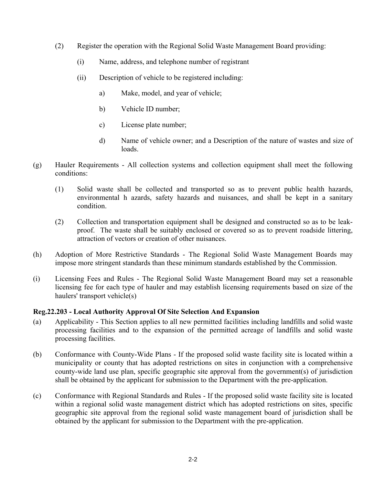- (2) Register the operation with the Regional Solid Waste Management Board providing:
	- (i) Name, address, and telephone number of registrant
	- (ii) Description of vehicle to be registered including:
		- a) Make, model, and year of vehicle;
		- b) Vehicle ID number;
		- c) License plate number;
		- d) Name of vehicle owner; and a Description of the nature of wastes and size of loads.
- (g) Hauler Requirements All collection systems and collection equipment shall meet the following conditions:
	- (1) Solid waste shall be collected and transported so as to prevent public health hazards, environmental h azards, safety hazards and nuisances, and shall be kept in a sanitary condition.
	- (2) Collection and transportation equipment shall be designed and constructed so as to be leakproof. The waste shall be suitably enclosed or covered so as to prevent roadside littering, attraction of vectors or creation of other nuisances.
- (h) Adoption of More Restrictive Standards The Regional Solid Waste Management Boards may impose more stringent standards than these minimum standards established by the Commission.
- (i) Licensing Fees and Rules The Regional Solid Waste Management Board may set a reasonable licensing fee for each type of hauler and may establish licensing requirements based on size of the haulers' transport vehicle(s)

#### **Reg.22.203 - Local Authority Approval Of Site Selection And Expansion**

- (a) Applicability This Section applies to all new permitted facilities including landfills and solid waste processing facilities and to the expansion of the permitted acreage of landfills and solid waste processing facilities.
- (b) Conformance with County-Wide Plans If the proposed solid waste facility site is located within a municipality or county that has adopted restrictions on sites in conjunction with a comprehensive county-wide land use plan, specific geographic site approval from the government(s) of jurisdiction shall be obtained by the applicant for submission to the Department with the pre-application.
- (c) Conformance with Regional Standards and Rules If the proposed solid waste facility site is located within a regional solid waste management district which has adopted restrictions on sites, specific geographic site approval from the regional solid waste management board of jurisdiction shall be obtained by the applicant for submission to the Department with the pre-application.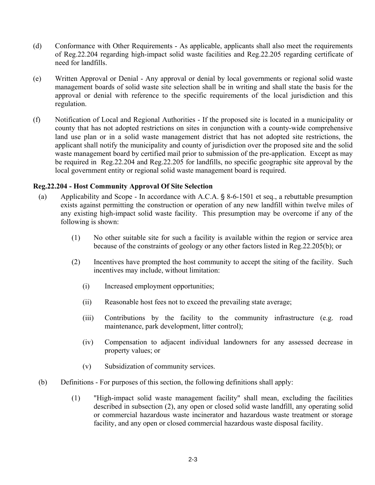- (d) Conformance with Other Requirements As applicable, applicants shall also meet the requirements of Reg.22.204 regarding high-impact solid waste facilities and Reg.22.205 regarding certificate of need for landfills.
- (e) Written Approval or Denial Any approval or denial by local governments or regional solid waste management boards of solid waste site selection shall be in writing and shall state the basis for the approval or denial with reference to the specific requirements of the local jurisdiction and this regulation.
- (f) Notification of Local and Regional Authorities If the proposed site is located in a municipality or county that has not adopted restrictions on sites in conjunction with a county-wide comprehensive land use plan or in a solid waste management district that has not adopted site restrictions, the applicant shall notify the municipality and county of jurisdiction over the proposed site and the solid waste management board by certified mail prior to submission of the pre-application. Except as may be required in Reg.22.204 and Reg.22.205 for landfills, no specific geographic site approval by the local government entity or regional solid waste management board is required.

#### **Reg.22.204 - Host Community Approval Of Site Selection**

- (a) Applicability and Scope In accordance with A.C.A.  $\S$  8-6-1501 et seq., a rebuttable presumption exists against permitting the construction or operation of any new landfill within twelve miles of any existing high-impact solid waste facility. This presumption may be overcome if any of the following is shown:
	- (1) No other suitable site for such a facility is available within the region or service area because of the constraints of geology or any other factors listed in Reg.22.205(b); or
	- (2) Incentives have prompted the host community to accept the siting of the facility. Such incentives may include, without limitation:
		- (i) Increased employment opportunities;
		- (ii) Reasonable host fees not to exceed the prevailing state average;
		- (iii) Contributions by the facility to the community infrastructure (e.g. road maintenance, park development, litter control);
		- (iv) Compensation to adjacent individual landowners for any assessed decrease in property values; or
		- (v) Subsidization of community services.
- (b) Definitions For purposes of this section, the following definitions shall apply:
	- (1) "High-impact solid waste management facility" shall mean, excluding the facilities described in subsection (2), any open or closed solid waste landfill, any operating solid or commercial hazardous waste incinerator and hazardous waste treatment or storage facility, and any open or closed commercial hazardous waste disposal facility.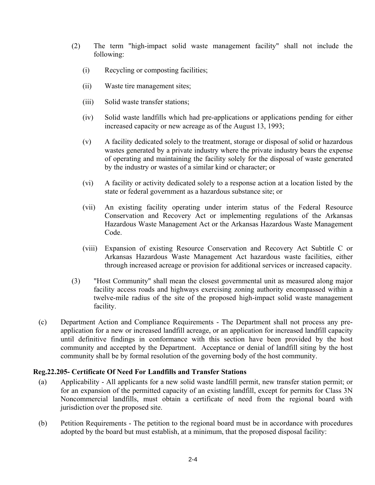- (2) The term "high-impact solid waste management facility" shall not include the following:
	- (i) Recycling or composting facilities;
	- (ii) Waste tire management sites;
	- (iii) Solid waste transfer stations;
	- (iv) Solid waste landfills which had pre-applications or applications pending for either increased capacity or new acreage as of the August 13, 1993;
	- (v) A facility dedicated solely to the treatment, storage or disposal of solid or hazardous wastes generated by a private industry where the private industry bears the expense of operating and maintaining the facility solely for the disposal of waste generated by the industry or wastes of a similar kind or character; or
	- (vi) A facility or activity dedicated solely to a response action at a location listed by the state or federal government as a hazardous substance site; or
	- (vii) An existing facility operating under interim status of the Federal Resource Conservation and Recovery Act or implementing regulations of the Arkansas Hazardous Waste Management Act or the Arkansas Hazardous Waste Management Code.
	- (viii) Expansion of existing Resource Conservation and Recovery Act Subtitle C or Arkansas Hazardous Waste Management Act hazardous waste facilities, either through increased acreage or provision for additional services or increased capacity.
- (3) "Host Community" shall mean the closest governmental unit as measured along major facility access roads and highways exercising zoning authority encompassed within a twelve-mile radius of the site of the proposed high-impact solid waste management facility.
- (c) Department Action and Compliance Requirements The Department shall not process any preapplication for a new or increased landfill acreage, or an application for increased landfill capacity until definitive findings in conformance with this section have been provided by the host community and accepted by the Department. Acceptance or denial of landfill siting by the host community shall be by formal resolution of the governing body of the host community.

#### **Reg.22.205- Certificate Of Need For Landfills and Transfer Stations**

- (a) Applicability All applicants for a new solid waste landfill permit, new transfer station permit; or for an expansion of the permitted capacity of an existing landfill, except for permits for Class 3N Noncommercial landfills, must obtain a certificate of need from the regional board with jurisdiction over the proposed site.
- (b) Petition Requirements The petition to the regional board must be in accordance with procedures adopted by the board but must establish, at a minimum, that the proposed disposal facility: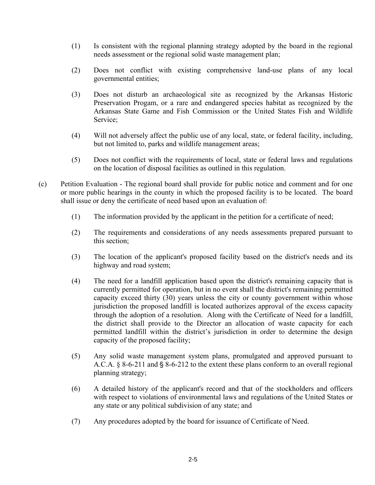- (1) Is consistent with the regional planning strategy adopted by the board in the regional needs assessment or the regional solid waste management plan;
- (2) Does not conflict with existing comprehensive land-use plans of any local governmental entities;
- (3) Does not disturb an archaeological site as recognized by the Arkansas Historic Preservation Progam, or a rare and endangered species habitat as recognized by the Arkansas State Game and Fish Commission or the United States Fish and Wildlife Service;
- (4) Will not adversely affect the public use of any local, state, or federal facility, including, but not limited to, parks and wildlife management areas;
- (5) Does not conflict with the requirements of local, state or federal laws and regulations on the location of disposal facilities as outlined in this regulation.
- (c) Petition Evaluation The regional board shall provide for public notice and comment and for one or more public hearings in the county in which the proposed facility is to be located. The board shall issue or deny the certificate of need based upon an evaluation of:
	- (1) The information provided by the applicant in the petition for a certificate of need;
	- (2) The requirements and considerations of any needs assessments prepared pursuant to this section;
	- (3) The location of the applicant's proposed facility based on the district's needs and its highway and road system;
	- (4) The need for a landfill application based upon the district's remaining capacity that is currently permitted for operation, but in no event shall the district's remaining permitted capacity exceed thirty (30) years unless the city or county government within whose jurisdiction the proposed landfill is located authorizes approval of the excess capacity through the adoption of a resolution. Along with the Certificate of Need for a landfill, the district shall provide to the Director an allocation of waste capacity for each permitted landfill within the district's jurisdiction in order to determine the design capacity of the proposed facility;
	- (5) Any solid waste management system plans, promulgated and approved pursuant to A.C.A.  $\S$  8-6-211 and  $\S$  8-6-212 to the extent these plans conform to an overall regional planning strategy;
	- (6) A detailed history of the applicant's record and that of the stockholders and officers with respect to violations of environmental laws and regulations of the United States or any state or any political subdivision of any state; and
	- (7) Any procedures adopted by the board for issuance of Certificate of Need.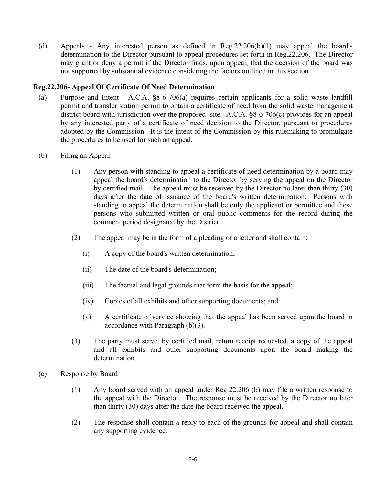(d) Appeals - Any interested person as defined in Reg.22.206(b)(1) may appeal the board's determination to the Director pursuant to appeal procedures set forth in Reg.22.206. The Director may grant or deny a permit if the Director finds, upon appeal, that the decision of the board was not supported by substantial evidence considering the factors outlined in this section.

#### **Reg.22.206- Appeal Of Certificate Of Need Determination**

- (a) Purpose and Intent A.C.A.  $\S$ 8-6-706(a) requires certain applicants for a solid waste landfill permit and transfer station permit to obtain a certificate of need from the solid waste management district board with jurisdiction over the proposed site. A.C.A.  $\S$ 8-6-706(c) provides for an appeal by any interested party of a certificate of need decision to the Director, pursuant to procedures adopted by the Commission. It is the intent of the Commission by this rulemaking to promulgate the procedures to be used for such an appeal.
- (b) Filing an Appeal
	- (1) Any person with standing to appeal a certificate of need determination by a board may appeal the board's determination to the Director by serving the appeal on the Director by certified mail. The appeal must be received by the Director no later than thirty (30) days after the date of issuance of the board's written determination. Persons with standing to appeal the determination shall be only the applicant or permittee and those persons who submitted written or oral public comments for the record during the comment period designated by the District.
	- (2) The appeal may be in the form of a pleading or a letter and shall contain:
		- (i) A copy of the board's written determination;
		- (ii) The date of the board's determination;
		- (iii) The factual and legal grounds that form the basis for the appeal;
		- (iv) Copies of all exhibits and other supporting documents; and
		- (v) A certificate of service showing that the appeal has been served upon the board in accordance with Paragraph (b)(3).
	- (3) The party must serve, by certified mail, return receipt requested, a copy of the appeal and all exhibits and other supporting documents upon the board making the determination.
- (c) Response by Board
	- (1) Any board served with an appeal under Reg.22.206 (b) may file a written response to the appeal with the Director. The response must be received by the Director no later than thirty (30) days after the date the board received the appeal.
	- (2) The response shall contain a reply to each of the grounds for appeal and shall contain any supporting evidence.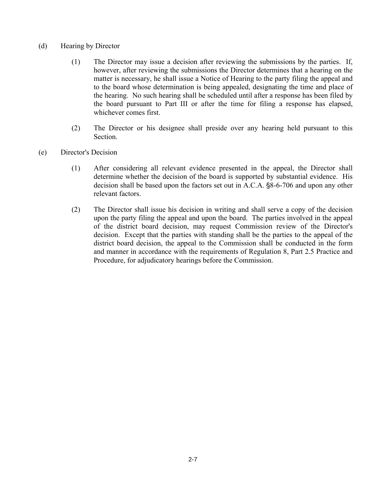#### (d) Hearing by Director

- (1) The Director may issue a decision after reviewing the submissions by the parties. If, however, after reviewing the submissions the Director determines that a hearing on the matter is necessary, he shall issue a Notice of Hearing to the party filing the appeal and to the board whose determination is being appealed, designating the time and place of the hearing. No such hearing shall be scheduled until after a response has been filed by the board pursuant to Part III or after the time for filing a response has elapsed, whichever comes first.
- (2) The Director or his designee shall preside over any hearing held pursuant to this Section.
- (e) Director's Decision
	- (1) After considering all relevant evidence presented in the appeal, the Director shall determine whether the decision of the board is supported by substantial evidence. His decision shall be based upon the factors set out in A.C.A.  $\S$ 8-6-706 and upon any other relevant factors.
	- (2) The Director shall issue his decision in writing and shall serve a copy of the decision upon the party filing the appeal and upon the board. The parties involved in the appeal of the district board decision, may request Commission review of the Director's decision. Except that the parties with standing shall be the parties to the appeal of the district board decision, the appeal to the Commission shall be conducted in the form and manner in accordance with the requirements of Regulation 8, Part 2.5 Practice and Procedure, for adjudicatory hearings before the Commission.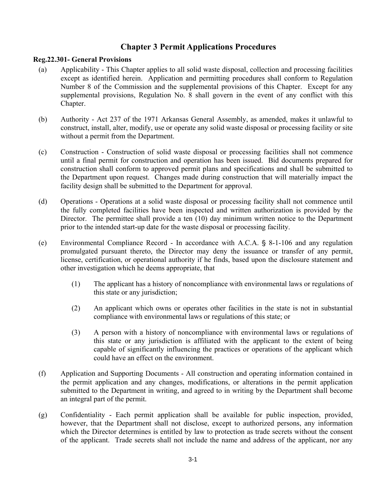#### **Chapter 3 Permit Applications Procedures**

#### **Reg.22.301- General Provisions**

- (a) Applicability This Chapter applies to all solid waste disposal, collection and processing facilities except as identified herein. Application and permitting procedures shall conform to Regulation Number 8 of the Commission and the supplemental provisions of this Chapter. Except for any supplemental provisions, Regulation No. 8 shall govern in the event of any conflict with this Chapter.
- (b) Authority Act 237 of the 1971 Arkansas General Assembly, as amended, makes it unlawful to construct, install, alter, modify, use or operate any solid waste disposal or processing facility or site without a permit from the Department.
- (c) Construction Construction of solid waste disposal or processing facilities shall not commence until a final permit for construction and operation has been issued. Bid documents prepared for construction shall conform to approved permit plans and specifications and shall be submitted to the Department upon request. Changes made during construction that will materially impact the facility design shall be submitted to the Department for approval.
- (d) Operations Operations at a solid waste disposal or processing facility shall not commence until the fully completed facilities have been inspected and written authorization is provided by the Director. The permittee shall provide a ten (10) day minimum written notice to the Department prior to the intended start-up date for the waste disposal or processing facility.
- (e) Environmental Compliance Record In accordance with  $A.C.A. \S$  8-1-106 and any regulation promulgated pursuant thereto, the Director may deny the issuance or transfer of any permit, license, certification, or operational authority if he finds, based upon the disclosure statement and other investigation which he deems appropriate, that
	- (1) The applicant has a history of noncompliance with environmental laws or regulations of this state or any jurisdiction;
	- (2) An applicant which owns or operates other facilities in the state is not in substantial compliance with environmental laws or regulations of this state; or
	- (3) A person with a history of noncompliance with environmental laws or regulations of this state or any jurisdiction is affiliated with the applicant to the extent of being capable of significantly influencing the practices or operations of the applicant which could have an effect on the environment.
- (f) Application and Supporting Documents All construction and operating information contained in the permit application and any changes, modifications, or alterations in the permit application submitted to the Department in writing, and agreed to in writing by the Department shall become an integral part of the permit.
- (g) Confidentiality Each permit application shall be available for public inspection, provided, however, that the Department shall not disclose, except to authorized persons, any information which the Director determines is entitled by law to protection as trade secrets without the consent of the applicant. Trade secrets shall not include the name and address of the applicant, nor any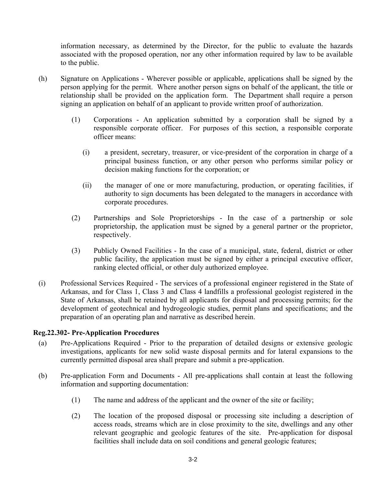information necessary, as determined by the Director, for the public to evaluate the hazards associated with the proposed operation, nor any other information required by law to be available to the public.

- (h) Signature on Applications Wherever possible or applicable, applications shall be signed by the person applying for the permit. Where another person signs on behalf of the applicant, the title or relationship shall be provided on the application form. The Department shall require a person signing an application on behalf of an applicant to provide written proof of authorization.
	- (1) Corporations An application submitted by a corporation shall be signed by a responsible corporate officer. For purposes of this section, a responsible corporate officer means:
		- (i) a president, secretary, treasurer, or vice-president of the corporation in charge of a principal business function, or any other person who performs similar policy or decision making functions for the corporation; or
		- (ii) the manager of one or more manufacturing, production, or operating facilities, if authority to sign documents has been delegated to the managers in accordance with corporate procedures.
	- (2) Partnerships and Sole Proprietorships In the case of a partnership or sole proprietorship, the application must be signed by a general partner or the proprietor, respectively.
	- (3) Publicly Owned Facilities In the case of a municipal, state, federal, district or other public facility, the application must be signed by either a principal executive officer, ranking elected official, or other duly authorized employee.
- (i) Professional Services Required The services of a professional engineer registered in the State of Arkansas, and for Class 1, Class 3 and Class 4 landfills a professional geologist registered in the State of Arkansas, shall be retained by all applicants for disposal and processing permits; for the development of geotechnical and hydrogeologic studies, permit plans and specifications; and the preparation of an operating plan and narrative as described herein.

#### **Reg.22.302- Pre-Application Procedures**

- (a) Pre-Applications Required Prior to the preparation of detailed designs or extensive geologic investigations, applicants for new solid waste disposal permits and for lateral expansions to the currently permitted disposal area shall prepare and submit a pre-application.
- (b) Pre-application Form and Documents All pre-applications shall contain at least the following information and supporting documentation:
	- (1) The name and address of the applicant and the owner of the site or facility;
	- (2) The location of the proposed disposal or processing site including a description of access roads, streams which are in close proximity to the site, dwellings and any other relevant geographic and geologic features of the site. Pre-application for disposal facilities shall include data on soil conditions and general geologic features;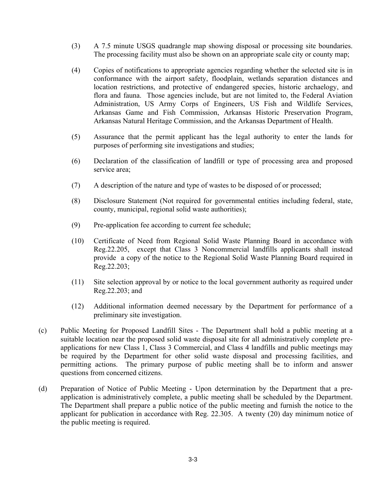- (3) A 7.5 minute USGS quadrangle map showing disposal or processing site boundaries. The processing facility must also be shown on an appropriate scale city or county map;
- (4) Copies of notifications to appropriate agencies regarding whether the selected site is in conformance with the airport safety, floodplain, wetlands separation distances and location restrictions, and protective of endangered species, historic archaelogy, and flora and fauna. Those agencies include, but are not limited to, the Federal Aviation Administration, US Army Corps of Engineers, US Fish and Wildlife Services, Arkansas Game and Fish Commission, Arkansas Historic Preservation Program, Arkansas Natural Heritage Commission, and the Arkansas Department of Health.
- (5) Assurance that the permit applicant has the legal authority to enter the lands for purposes of performing site investigations and studies;
- (6) Declaration of the classification of landfill or type of processing area and proposed service area;
- (7) A description of the nature and type of wastes to be disposed of or processed;
- (8) Disclosure Statement (Not required for governmental entities including federal, state, county, municipal, regional solid waste authorities);
- (9) Pre-application fee according to current fee schedule;
- (10) Certificate of Need from Regional Solid Waste Planning Board in accordance with Reg.22.205, except that Class 3 Noncommercial landfills applicants shall instead provide a copy of the notice to the Regional Solid Waste Planning Board required in Reg.22.203;
- (11) Site selection approval by or notice to the local government authority as required under Reg.22.203; and
- (12) Additional information deemed necessary by the Department for performance of a preliminary site investigation.
- (c) Public Meeting for Proposed Landfill Sites The Department shall hold a public meeting at a suitable location near the proposed solid waste disposal site for all administratively complete preapplications for new Class 1, Class 3 Commercial, and Class 4 landfills and public meetings may be required by the Department for other solid waste disposal and processing facilities, and permitting actions. The primary purpose of public meeting shall be to inform and answer questions from concerned citizens.
- (d) Preparation of Notice of Public Meeting Upon determination by the Department that a preapplication is administratively complete, a public meeting shall be scheduled by the Department. The Department shall prepare a public notice of the public meeting and furnish the notice to the applicant for publication in accordance with Reg. 22.305. A twenty (20) day minimum notice of the public meeting is required.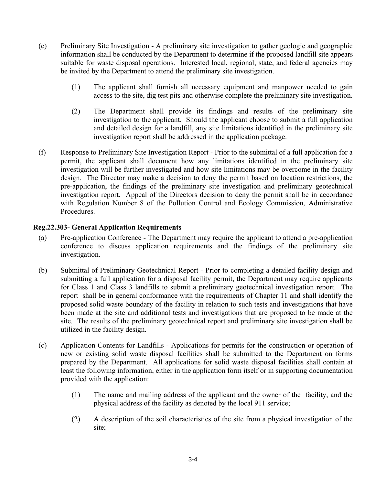- (e) Preliminary Site Investigation A preliminary site investigation to gather geologic and geographic information shall be conducted by the Department to determine if the proposed landfill site appears suitable for waste disposal operations. Interested local, regional, state, and federal agencies may be invited by the Department to attend the preliminary site investigation.
	- (1) The applicant shall furnish all necessary equipment and manpower needed to gain access to the site, dig test pits and otherwise complete the preliminary site investigation.
	- (2) The Department shall provide its findings and results of the preliminary site investigation to the applicant. Should the applicant choose to submit a full application and detailed design for a landfill, any site limitations identified in the preliminary site investigation report shall be addressed in the application package.
- (f) Response to Preliminary Site Investigation Report Prior to the submittal of a full application for a permit, the applicant shall document how any limitations identified in the preliminary site investigation will be further investigated and how site limitations may be overcome in the facility design. The Director may make a decision to deny the permit based on location restrictions, the pre-application, the findings of the preliminary site investigation and preliminary geotechnical investigation report. Appeal of the Directors decision to deny the permit shall be in accordance with Regulation Number 8 of the Pollution Control and Ecology Commission, Administrative Procedures.

#### **Reg.22.303- General Application Requirements**

- (a) Pre-application Conference The Department may require the applicant to attend a pre-application conference to discuss application requirements and the findings of the preliminary site investigation.
- (b) Submittal of Preliminary Geotechnical Report Prior to completing a detailed facility design and submitting a full application for a disposal facility permit, the Department may require applicants for Class 1 and Class 3 landfills to submit a preliminary geotechnical investigation report. The report shall be in general conformance with the requirements of Chapter 11 and shall identify the proposed solid waste boundary of the facility in relation to such tests and investigations that have been made at the site and additional tests and investigations that are proposed to be made at the site. The results of the preliminary geotechnical report and preliminary site investigation shall be utilized in the facility design.
- (c) Application Contents for Landfills Applications for permits for the construction or operation of new or existing solid waste disposal facilities shall be submitted to the Department on forms prepared by the Department. All applications for solid waste disposal facilities shall contain at least the following information, either in the application form itself or in supporting documentation provided with the application:
	- (1) The name and mailing address of the applicant and the owner of the facility, and the physical address of the facility as denoted by the local 911 service;
	- (2) A description of the soil characteristics of the site from a physical investigation of the site;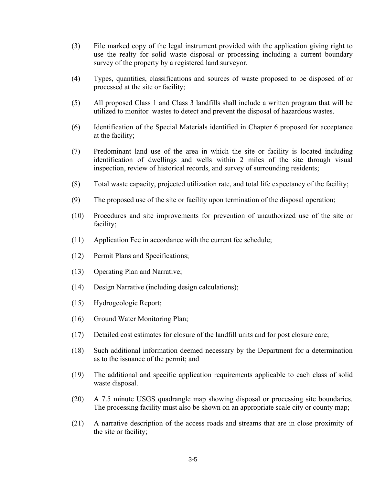- (3) File marked copy of the legal instrument provided with the application giving right to use the realty for solid waste disposal or processing including a current boundary survey of the property by a registered land surveyor.
- (4) Types, quantities, classifications and sources of waste proposed to be disposed of or processed at the site or facility;
- (5) All proposed Class 1 and Class 3 landfills shall include a written program that will be utilized to monitor wastes to detect and prevent the disposal of hazardous wastes.
- (6) Identification of the Special Materials identified in Chapter 6 proposed for acceptance at the facility;
- (7) Predominant land use of the area in which the site or facility is located including identification of dwellings and wells within 2 miles of the site through visual inspection, review of historical records, and survey of surrounding residents;
- (8) Total waste capacity, projected utilization rate, and total life expectancy of the facility;
- (9) The proposed use of the site or facility upon termination of the disposal operation;
- (10) Procedures and site improvements for prevention of unauthorized use of the site or facility;
- (11) Application Fee in accordance with the current fee schedule;
- (12) Permit Plans and Specifications;
- (13) Operating Plan and Narrative;
- (14) Design Narrative (including design calculations);
- (15) Hydrogeologic Report;
- (16) Ground Water Monitoring Plan;
- (17) Detailed cost estimates for closure of the landfill units and for post closure care;
- (18) Such additional information deemed necessary by the Department for a determination as to the issuance of the permit; and
- (19) The additional and specific application requirements applicable to each class of solid waste disposal.
- (20) A 7.5 minute USGS quadrangle map showing disposal or processing site boundaries. The processing facility must also be shown on an appropriate scale city or county map;
- (21) A narrative description of the access roads and streams that are in close proximity of the site or facility;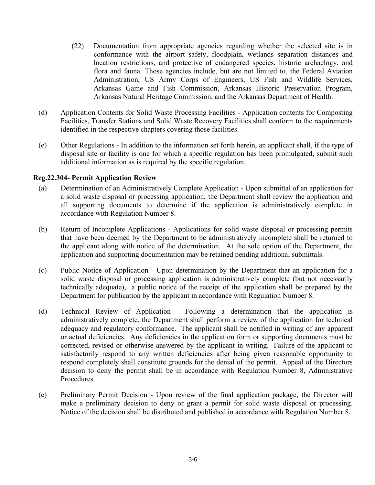- (22) Documentation from appropriate agencies regarding whether the selected site is in conformance with the airport safety, floodplain, wetlands separation distances and location restrictions, and protective of endangered species, historic archaelogy, and flora and fauna. Those agencies include, but are not limited to, the Federal Aviation Administration, US Army Corps of Engineers, US Fish and Wildlife Services, Arkansas Game and Fish Commission, Arkansas Historic Preservation Program, Arkansas Natural Heritage Commission, and the Arkansas Department of Health.
- (d) Application Contents for Solid Waste Processing Facilities Application contents for Composting Facilities, Transfer Stations and Solid Waste Recovery Facilities shall conform to the requirements identified in the respective chapters covering those facilities.
- (e) Other Regulations In addition to the information set forth herein, an applicant shall, if the type of disposal site or facility is one for which a specific regulation has been promulgated, submit such additional information as is required by the specific regulation.

#### **Reg.22.304- Permit Application Review**

- (a) Determination of an Administratively Complete Application Upon submittal of an application for a solid waste disposal or processing application, the Department shall review the application and all supporting documents to determine if the application is administratively complete in accordance with Regulation Number 8.
- (b) Return of Incomplete Applications Applications for solid waste disposal or processing permits that have been deemed by the Department to be administratively incomplete shall be returned to the applicant along with notice of the determination. At the sole option of the Department, the application and supporting documentation may be retained pending additional submittals.
- (c) Public Notice of Application Upon determination by the Department that an application for a solid waste disposal or processing application is administratively complete (but not necessarily technically adequate), a public notice of the receipt of the application shall be prepared by the Department for publication by the applicant in accordance with Regulation Number 8.
- (d) Technical Review of Application Following a determination that the application is administratively complete, the Department shall perform a review of the application for technical adequacy and regulatory conformance. The applicant shall be notified in writing of any apparent or actual deficiencies. Any deficiencies in the application form or supporting documents must be corrected, revised or otherwise answered by the applicant in writing. Failure of the applicant to satisfactorily respond to any written deficiencies after being given reasonable opportunity to respond completely shall constitute grounds for the denial of the permit. Appeal of the Directors decision to deny the permit shall be in accordance with Regulation Number 8, Administrative Procedures.
- (e) Preliminary Permit Decision Upon review of the final application package, the Director will make a preliminary decision to deny or grant a permit for solid waste disposal or processing. Notice of the decision shall be distributed and published in accordance with Regulation Number 8.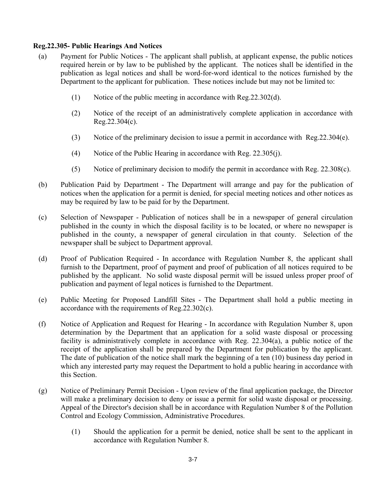#### **Reg.22.305- Public Hearings And Notices**

- (a) Payment for Public Notices The applicant shall publish, at applicant expense, the public notices required herein or by law to be published by the applicant. The notices shall be identified in the publication as legal notices and shall be word-for-word identical to the notices furnished by the Department to the applicant for publication. These notices include but may not be limited to:
	- (1) Notice of the public meeting in accordance with Reg.22.302(d).
	- (2) Notice of the receipt of an administratively complete application in accordance with Reg.22.304(c).
	- (3) Notice of the preliminary decision to issue a permit in accordance with Reg.22.304(e).
	- (4) Notice of the Public Hearing in accordance with Reg. 22.305(j).
	- (5) Notice of preliminary decision to modify the permit in accordance with Reg. 22.308(c).
- (b) Publication Paid by Department The Department will arrange and pay for the publication of notices when the application for a permit is denied, for special meeting notices and other notices as may be required by law to be paid for by the Department.
- (c) Selection of Newspaper Publication of notices shall be in a newspaper of general circulation published in the county in which the disposal facility is to be located, or where no newspaper is published in the county, a newspaper of general circulation in that county. Selection of the newspaper shall be subject to Department approval.
- (d) Proof of Publication Required In accordance with Regulation Number 8, the applicant shall furnish to the Department, proof of payment and proof of publication of all notices required to be published by the applicant. No solid waste disposal permit will be issued unless proper proof of publication and payment of legal notices is furnished to the Department.
- (e) Public Meeting for Proposed Landfill Sites The Department shall hold a public meeting in accordance with the requirements of Reg.22.302(c).
- (f) Notice of Application and Request for Hearing In accordance with Regulation Number 8, upon determination by the Department that an application for a solid waste disposal or processing facility is administratively complete in accordance with Reg. 22.304(a), a public notice of the receipt of the application shall be prepared by the Department for publication by the applicant. The date of publication of the notice shall mark the beginning of a ten (10) business day period in which any interested party may request the Department to hold a public hearing in accordance with this Section.
- (g) Notice of Preliminary Permit Decision Upon review of the final application package, the Director will make a preliminary decision to deny or issue a permit for solid waste disposal or processing. Appeal of the Director's decision shall be in accordance with Regulation Number 8 of the Pollution Control and Ecology Commission, Administrative Procedures.
	- (1) Should the application for a permit be denied, notice shall be sent to the applicant in accordance with Regulation Number 8.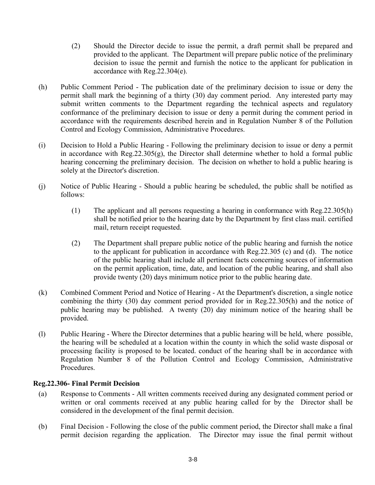- (2) Should the Director decide to issue the permit, a draft permit shall be prepared and provided to the applicant. The Department will prepare public notice of the preliminary decision to issue the permit and furnish the notice to the applicant for publication in accordance with Reg.22.304(e).
- (h) Public Comment Period The publication date of the preliminary decision to issue or deny the permit shall mark the beginning of a thirty (30) day comment period. Any interested party may submit written comments to the Department regarding the technical aspects and regulatory conformance of the preliminary decision to issue or deny a permit during the comment period in accordance with the requirements described herein and in Regulation Number 8 of the Pollution Control and Ecology Commission, Administrative Procedures.
- (i) Decision to Hold a Public Hearing Following the preliminary decision to issue or deny a permit in accordance with  $\text{Reg.}22.305(g)$ , the Director shall determine whether to hold a formal public hearing concerning the preliminary decision. The decision on whether to hold a public hearing is solely at the Director's discretion.
- (j) Notice of Public Hearing Should a public hearing be scheduled, the public shall be notified as follows:
	- (1) The applicant and all persons requesting a hearing in conformance with Reg.22.305(h) shall be notified prior to the hearing date by the Department by first class mail. certified mail, return receipt requested.
	- (2) The Department shall prepare public notice of the public hearing and furnish the notice to the applicant for publication in accordance with Reg.22.305 (c) and (d). The notice of the public hearing shall include all pertinent facts concerning sources of information on the permit application, time, date, and location of the public hearing, and shall also provide twenty (20) days minimum notice prior to the public hearing date.
- (k) Combined Comment Period and Notice of Hearing At the Department's discretion, a single notice combining the thirty (30) day comment period provided for in Reg.22.305(h) and the notice of public hearing may be published. A twenty (20) day minimum notice of the hearing shall be provided.
- (l) Public Hearing Where the Director determines that a public hearing will be held, where possible, the hearing will be scheduled at a location within the county in which the solid waste disposal or processing facility is proposed to be located. conduct of the hearing shall be in accordance with Regulation Number 8 of the Pollution Control and Ecology Commission, Administrative Procedures.

#### **Reg.22.306- Final Permit Decision**

- (a) Response to Comments All written comments received during any designated comment period or written or oral comments received at any public hearing called for by the Director shall be considered in the development of the final permit decision.
- (b) Final Decision Following the close of the public comment period, the Director shall make a final permit decision regarding the application. The Director may issue the final permit without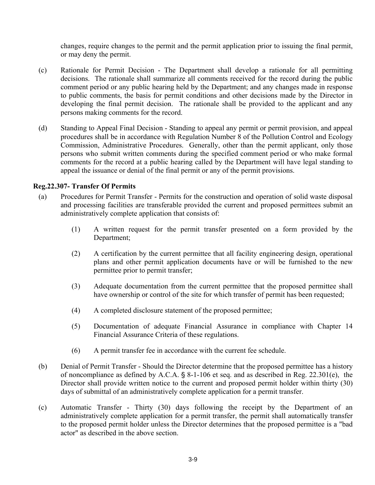changes, require changes to the permit and the permit application prior to issuing the final permit, or may deny the permit.

- (c) Rationale for Permit Decision The Department shall develop a rationale for all permitting decisions. The rationale shall summarize all comments received for the record during the public comment period or any public hearing held by the Department; and any changes made in response to public comments, the basis for permit conditions and other decisions made by the Director in developing the final permit decision. The rationale shall be provided to the applicant and any persons making comments for the record.
- (d) Standing to Appeal Final Decision Standing to appeal any permit or permit provision, and appeal procedures shall be in accordance with Regulation Number 8 of the Pollution Control and Ecology Commission, Administrative Procedures. Generally, other than the permit applicant, only those persons who submit written comments during the specified comment period or who make formal comments for the record at a public hearing called by the Department will have legal standing to appeal the issuance or denial of the final permit or any of the permit provisions.

#### **Reg.22.307- Transfer Of Permits**

- (a) Procedures for Permit Transfer Permits for the construction and operation of solid waste disposal and processing facilities are transferable provided the current and proposed permittees submit an administratively complete application that consists of:
	- (1) A written request for the permit transfer presented on a form provided by the Department;
	- (2) A certification by the current permittee that all facility engineering design, operational plans and other permit application documents have or will be furnished to the new permittee prior to permit transfer;
	- (3) Adequate documentation from the current permittee that the proposed permittee shall have ownership or control of the site for which transfer of permit has been requested;
	- (4) A completed disclosure statement of the proposed permittee;
	- (5) Documentation of adequate Financial Assurance in compliance with Chapter 14 Financial Assurance Criteria of these regulations.
	- (6) A permit transfer fee in accordance with the current fee schedule.
- (b) Denial of Permit Transfer Should the Director determine that the proposed permittee has a history of noncompliance as defined by A.C.A.  $\S$  8-1-106 et seq. and as described in Reg. 22.301(e), the Director shall provide written notice to the current and proposed permit holder within thirty (30) days of submittal of an administratively complete application for a permit transfer.
- (c) Automatic Transfer Thirty (30) days following the receipt by the Department of an administratively complete application for a permit transfer, the permit shall automatically transfer to the proposed permit holder unless the Director determines that the proposed permittee is a "bad actor" as described in the above section.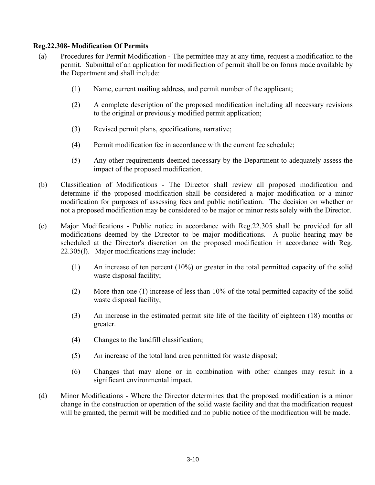### **Reg.22.308- Modification Of Permits**

- (a) Procedures for Permit Modification The permittee may at any time, request a modification to the permit. Submittal of an application for modification of permit shall be on forms made available by the Department and shall include:
	- (1) Name, current mailing address, and permit number of the applicant;
	- (2) A complete description of the proposed modification including all necessary revisions to the original or previously modified permit application;
	- (3) Revised permit plans, specifications, narrative;
	- (4) Permit modification fee in accordance with the current fee schedule;
	- (5) Any other requirements deemed necessary by the Department to adequately assess the impact of the proposed modification.
- (b) Classification of Modifications The Director shall review all proposed modification and determine if the proposed modification shall be considered a major modification or a minor modification for purposes of assessing fees and public notification. The decision on whether or not a proposed modification may be considered to be major or minor rests solely with the Director.
- (c) Major Modifications Public notice in accordance with Reg.22.305 shall be provided for all modifications deemed by the Director to be major modifications. A public hearing may be scheduled at the Director's discretion on the proposed modification in accordance with Reg. 22.305(l). Major modifications may include:
	- (1) An increase of ten percent (10%) or greater in the total permitted capacity of the solid waste disposal facility;
	- (2) More than one (1) increase of less than 10% of the total permitted capacity of the solid waste disposal facility;
	- (3) An increase in the estimated permit site life of the facility of eighteen (18) months or greater.
	- (4) Changes to the landfill classification;
	- (5) An increase of the total land area permitted for waste disposal;
	- (6) Changes that may alone or in combination with other changes may result in a significant environmental impact.
- (d) Minor Modifications Where the Director determines that the proposed modification is a minor change in the construction or operation of the solid waste facility and that the modification request will be granted, the permit will be modified and no public notice of the modification will be made.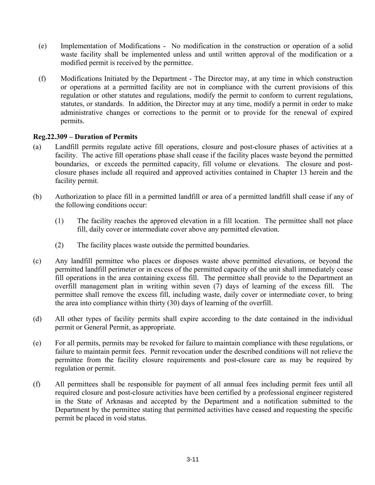- (e) Implementation of Modifications No modification in the construction or operation of a solid waste facility shall be implemented unless and until written approval of the modification or a modified permit is received by the permittee.
- (f) Modifications Initiated by the Department The Director may, at any time in which construction or operations at a permitted facility are not in compliance with the current provisions of this regulation or other statutes and regulations, modify the permit to conform to current regulations, statutes, or standards. In addition, the Director may at any time, modify a permit in order to make administrative changes or corrections to the permit or to provide for the renewal of expired permits.

### **Reg.22.309 – Duration of Permits**

- (a) Landfill permits regulate active fill operations, closure and post-closure phases of activities at a facility. The active fill operations phase shall cease if the facility places waste beyond the permitted boundaries, or exceeds the permitted capacity, fill volume or elevations. The closure and postclosure phases include all required and approved activities contained in Chapter 13 herein and the facility permit.
- (b) Authorization to place fill in a permitted landfill or area of a permitted landfill shall cease if any of the following conditions occur:
	- (1) The facility reaches the approved elevation in a fill location. The permittee shall not place fill, daily cover or intermediate cover above any permitted elevation.
	- (2) The facility places waste outside the permitted boundaries.
- (c) Any landfill permittee who places or disposes waste above permitted elevations, or beyond the permitted landfill perimeter or in excess of the permitted capacity of the unit shall immediately cease fill operations in the area containing excess fill. The permittee shall provide to the Department an overfill management plan in writing within seven (7) days of learning of the excess fill. The permittee shall remove the excess fill, including waste, daily cover or intermediate cover, to bring the area into compliance within thirty (30) days of learning of the overfill.
- (d) All other types of facility permits shall expire according to the date contained in the individual permit or General Permit, as appropriate.
- (e) For all permits, permits may be revoked for failure to maintain compliance with these regulations, or failure to maintain permit fees. Permit revocation under the described conditions will not relieve the permittee from the facility closure requirements and post-closure care as may be required by regulation or permit.
- (f) All permittees shall be responsible for payment of all annual fees including permit fees until all required closure and post-closure activities have been certified by a professional engineer registered in the State of Arknasas and accepted by the Department and a notification submitted to the Department by the permittee stating that permitted activities have ceased and requesting the specific permit be placed in void status.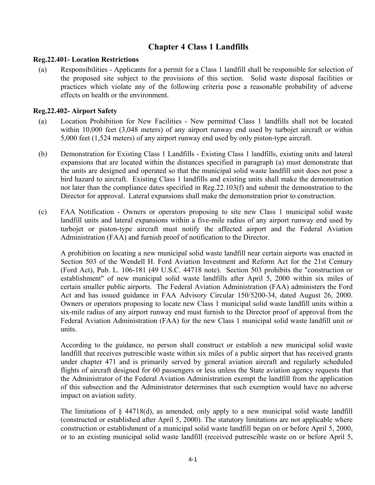# **Chapter 4 Class 1 Landfills**

#### **Reg.22.401- Location Restrictions**

(a) Responsibilities - Applicants for a permit for a Class 1 landfill shall be responsible for selection of the proposed site subject to the provisions of this section. Solid waste disposal facilities or practices which violate any of the following criteria pose a reasonable probability of adverse effects on health or the environment.

### **Reg.22.402- Airport Safety**

- (a) Location Prohibition for New Facilities New permitted Class 1 landfills shall not be located within 10,000 feet (3,048 meters) of any airport runway end used by turbojet aircraft or within 5,000 feet (1,524 meters) of any airport runway end used by only piston-type aircraft.
- (b) Demonstration for Existing Class 1 Landfills Existing Class 1 landfills, existing units and lateral expansions that are located within the distances specified in paragraph (a) must demonstrate that the units are designed and operated so that the municipal solid waste landfill unit does not pose a bird hazard to aircraft. Existing Class 1 landfills and existing units shall make the demonstration not later than the compliance dates specified in Reg.22.103(f) and submit the demonstration to the Director for approval. Lateral expansions shall make the demonstration prior to construction.
- (c) FAA Notification Owners or operators proposing to site new Class 1 municipal solid waste landfill units and lateral expansions within a five-mile radius of any airport runway end used by turbojet or piston-type aircraft must notify the affected airport and the Federal Aviation Administration (FAA) and furnish proof of notification to the Director.

A prohibition on locating a new municipal solid waste landfill near certain airports was enacted in Section 503 of the Wendell H. Ford Aviation Investment and Reform Act for the 21st Century (Ford Act), Pub. L. 106-181 (49 U.S.C. 44718 note). Section 503 prohibits the "construction or establishment" of new municipal solid waste landfills after April 5, 2000 within six miles of certain smaller public airports. The Federal Aviation Administration (FAA) administers the Ford Act and has issued guidance in FAA Advisory Circular 150/5200-34, dated August 26, 2000. Owners or operators proposing to locate new Class 1 municipal solid waste landfill units within a six-mile radius of any airport runway end must furnish to the Director proof of approval from the Federal Aviation Administration (FAA) for the new Class 1 municipal solid waste landfill unit or units.

According to the guidance, no person shall construct or establish a new municipal solid waste landfill that receives putrescible waste within six miles of a public airport that has received grants under chapter 471 and is primarily served by general aviation aircraft and regularly scheduled flights of aircraft designed for 60 passengers or less unless the State aviation agency requests that the Administrator of the Federal Aviation Administration exempt the landfill from the application of this subsection and the Administrator determines that such exemption would have no adverse impact on aviation safety.

The limitations of  $\S$  44718(d), as amended, only apply to a new municipal solid waste landfill (constructed or established after April 5, 2000). The statutory limitations are not applicable where construction or establishment of a municipal solid waste landfill began on or before April 5, 2000, or to an existing municipal solid waste landfill (received putrescible waste on or before April 5,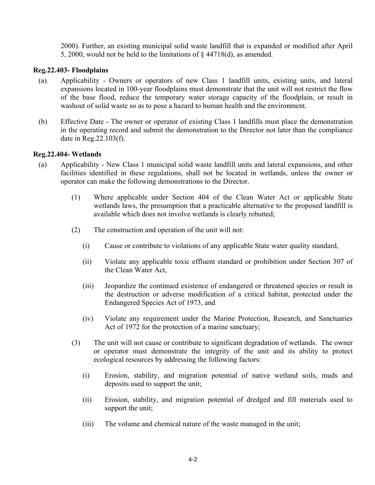2000). Further, an existing municipal solid waste landfill that is expanded or modified after April 5, 2000, would not be held to the limitations of § 44718(d), as amended.

### **Reg.22.403- Floodplains**

- (a) Applicability Owners or operators of new Class 1 landfill units, existing units, and lateral expansions located in 100-year floodplains must demonstrate that the unit will not restrict the flow of the base flood, reduce the temporary water storage capacity of the floodplain, or result in washout of solid waste so as to pose a hazard to human health and the environment.
- (b) Effective Date The owner or operator of existing Class 1 landfills must place the demonstration in the operating record and submit the demonstration to the Director not later than the compliance date in Reg.22.103(f).

### **Reg.22.404- Wetlands**

- (a) Applicability New Class 1 municipal solid waste landfill units and lateral expansions, and other facilities identified in these regulations, shall not be located in wetlands, unless the owner or operator can make the following demonstrations to the Director.
	- (1) Where applicable under Section 404 of the Clean Water Act or applicable State wetlands laws, the presumption that a practicable alternative to the proposed landfill is available which does not involve wetlands is clearly rebutted;
	- (2) The construction and operation of the unit will not:
		- (i) Cause or contribute to violations of any applicable State water quality standard,
		- (ii) Violate any applicable toxic effluent standard or prohibition under Section 307 of the Clean Water Act,
		- (iii) Jeopardize the continued existence of endangered or threatened species or result in the destruction or adverse modification of a critical habitat, protected under the Endangered Species Act of 1973, and
		- (iv) Violate any requirement under the Marine Protection, Research, and Sanctuaries Act of 1972 for the protection of a marine sanctuary;
	- (3) The unit will not cause or contribute to significant degradation of wetlands. The owner or operator must demonstrate the integrity of the unit and its ability to protect ecological resources by addressing the following factors:
		- (i) Erosion, stability, and migration potential of native wetland soils, muds and deposits used to support the unit;
		- (ii) Erosion, stability, and migration potential of dredged and fill materials used to support the unit;
		- (iii) The volume and chemical nature of the waste managed in the unit;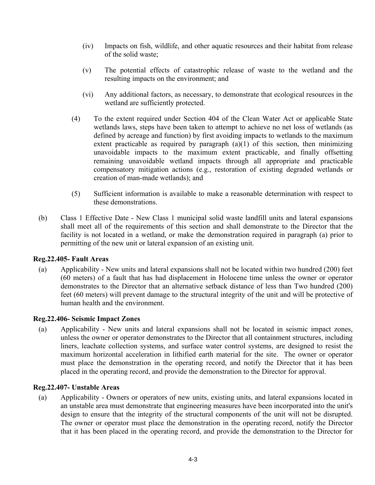- (iv) Impacts on fish, wildlife, and other aquatic resources and their habitat from release of the solid waste;
- (v) The potential effects of catastrophic release of waste to the wetland and the resulting impacts on the environment; and
- (vi) Any additional factors, as necessary, to demonstrate that ecological resources in the wetland are sufficiently protected.
- (4) To the extent required under Section 404 of the Clean Water Act or applicable State wetlands laws, steps have been taken to attempt to achieve no net loss of wetlands (as defined by acreage and function) by first avoiding impacts to wetlands to the maximum extent practicable as required by paragraph  $(a)(1)$  of this section, then minimizing unavoidable impacts to the maximum extent practicable, and finally offsetting remaining unavoidable wetland impacts through all appropriate and practicable compensatory mitigation actions (e.g., restoration of existing degraded wetlands or creation of man-made wetlands); and
- (5) Sufficient information is available to make a reasonable determination with respect to these demonstrations.
- (b) Class 1 Effective Date New Class 1 municipal solid waste landfill units and lateral expansions shall meet all of the requirements of this section and shall demonstrate to the Director that the facility is not located in a wetland, or make the demonstration required in paragraph (a) prior to permitting of the new unit or lateral expansion of an existing unit.

### **Reg.22.405- Fault Areas**

(a) Applicability - New units and lateral expansions shall not be located within two hundred (200) feet (60 meters) of a fault that has had displacement in Holocene time unless the owner or operator demonstrates to the Director that an alternative setback distance of less than Two hundred (200) feet (60 meters) will prevent damage to the structural integrity of the unit and will be protective of human health and the environment.

### **Reg.22.406- Seismic Impact Zones**

(a) Applicability - New units and lateral expansions shall not be located in seismic impact zones, unless the owner or operator demonstrates to the Director that all containment structures, including liners, leachate collection systems, and surface water control systems, are designed to resist the maximum horizontal acceleration in lithified earth material for the site. The owner or operator must place the demonstration in the operating record, and notify the Director that it has been placed in the operating record, and provide the demonstration to the Director for approval.

### **Reg.22.407- Unstable Areas**

(a) Applicability - Owners or operators of new units, existing units, and lateral expansions located in an unstable area must demonstrate that engineering measures have been incorporated into the unit's design to ensure that the integrity of the structural components of the unit will not be disrupted. The owner or operator must place the demonstration in the operating record, notify the Director that it has been placed in the operating record, and provide the demonstration to the Director for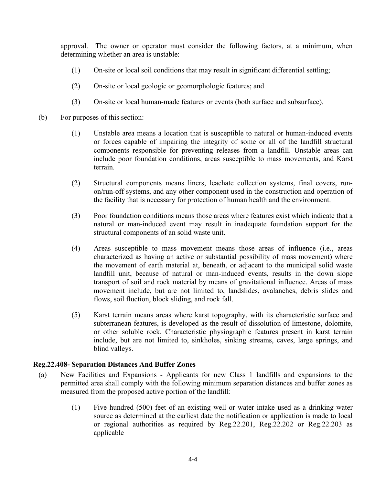approval. The owner or operator must consider the following factors, at a minimum, when determining whether an area is unstable:

- (1) On-site or local soil conditions that may result in significant differential settling;
- (2) On-site or local geologic or geomorphologic features; and
- (3) On-site or local human-made features or events (both surface and subsurface).
- (b) For purposes of this section:
	- (1) Unstable area means a location that is susceptible to natural or human-induced events or forces capable of impairing the integrity of some or all of the landfill structural components responsible for preventing releases from a landfill. Unstable areas can include poor foundation conditions, areas susceptible to mass movements, and Karst terrain.
	- (2) Structural components means liners, leachate collection systems, final covers, runon/run-off systems, and any other component used in the construction and operation of the facility that is necessary for protection of human health and the environment.
	- (3) Poor foundation conditions means those areas where features exist which indicate that a natural or man-induced event may result in inadequate foundation support for the structural components of an solid waste unit.
	- (4) Areas susceptible to mass movement means those areas of influence (i.e., areas characterized as having an active or substantial possibility of mass movement) where the movement of earth material at, beneath, or adjacent to the municipal solid waste landfill unit, because of natural or man-induced events, results in the down slope transport of soil and rock material by means of gravitational influence. Areas of mass movement include, but are not limited to, landslides, avalanches, debris slides and flows, soil fluction, block sliding, and rock fall.
	- (5) Karst terrain means areas where karst topography, with its characteristic surface and subterranean features, is developed as the result of dissolution of limestone, dolomite, or other soluble rock. Characteristic physiographic features present in karst terrain include, but are not limited to, sinkholes, sinking streams, caves, large springs, and blind valleys.

# **Reg.22.408- Separation Distances And Buffer Zones**

- (a) New Facilities and Expansions Applicants for new Class 1 landfills and expansions to the permitted area shall comply with the following minimum separation distances and buffer zones as measured from the proposed active portion of the landfill:
	- (1) Five hundred (500) feet of an existing well or water intake used as a drinking water source as determined at the earliest date the notification or application is made to local or regional authorities as required by Reg.22.201, Reg.22.202 or Reg.22.203 as applicable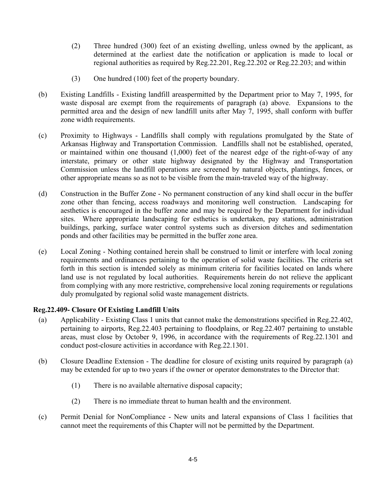- (2) Three hundred (300) feet of an existing dwelling, unless owned by the applicant, as determined at the earliest date the notification or application is made to local or regional authorities as required by Reg.22.201, Reg.22.202 or Reg.22.203; and within
- (3) One hundred (100) feet of the property boundary.
- (b) Existing Landfills Existing landfill areaspermitted by the Department prior to May 7, 1995, for waste disposal are exempt from the requirements of paragraph (a) above. Expansions to the permitted area and the design of new landfill units after May 7, 1995, shall conform with buffer zone width requirements.
- (c) Proximity to Highways Landfills shall comply with regulations promulgated by the State of Arkansas Highway and Transportation Commission. Landfills shall not be established, operated, or maintained within one thousand (1,000) feet of the nearest edge of the right-of-way of any interstate, primary or other state highway designated by the Highway and Transportation Commission unless the landfill operations are screened by natural objects, plantings, fences, or other appropriate means so as not to be visible from the main-traveled way of the highway.
- (d) Construction in the Buffer Zone No permanent construction of any kind shall occur in the buffer zone other than fencing, access roadways and monitoring well construction. Landscaping for aesthetics is encouraged in the buffer zone and may be required by the Department for individual sites. Where appropriate landscaping for esthetics is undertaken, pay stations, administration buildings, parking, surface water control systems such as diversion ditches and sedimentation ponds and other facilities may be permitted in the buffer zone area.
- (e) Local Zoning Nothing contained herein shall be construed to limit or interfere with local zoning requirements and ordinances pertaining to the operation of solid waste facilities. The criteria set forth in this section is intended solely as minimum criteria for facilities located on lands where land use is not regulated by local authorities. Requirements herein do not relieve the applicant from complying with any more restrictive, comprehensive local zoning requirements or regulations duly promulgated by regional solid waste management districts.

# **Reg.22.409- Closure Of Existing Landfill Units**

- (a) Applicability Existing Class 1 units that cannot make the demonstrations specified in Reg.22.402, pertaining to airports, Reg.22.403 pertaining to floodplains, or Reg.22.407 pertaining to unstable areas, must close by October 9, 1996, in accordance with the requirements of Reg.22.1301 and conduct post-closure activities in accordance with Reg.22.1301.
- (b) Closure Deadline Extension The deadline for closure of existing units required by paragraph (a) may be extended for up to two years if the owner or operator demonstrates to the Director that:
	- (1) There is no available alternative disposal capacity;
	- (2) There is no immediate threat to human health and the environment.
- (c) Permit Denial for NonCompliance New units and lateral expansions of Class 1 facilities that cannot meet the requirements of this Chapter will not be permitted by the Department.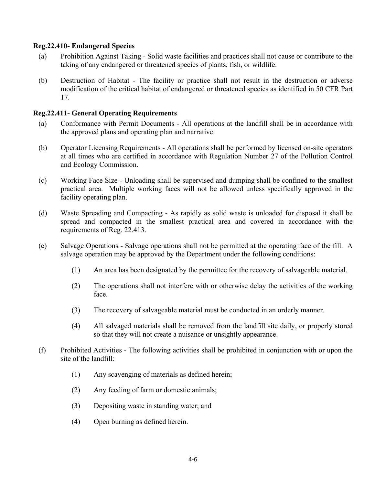# **Reg.22.410- Endangered Species**

- (a) Prohibition Against Taking Solid waste facilities and practices shall not cause or contribute to the taking of any endangered or threatened species of plants, fish, or wildlife.
- (b) Destruction of Habitat The facility or practice shall not result in the destruction or adverse modification of the critical habitat of endangered or threatened species as identified in 50 CFR Part 17.

# **Reg.22.411- General Operating Requirements**

- (a) Conformance with Permit Documents All operations at the landfill shall be in accordance with the approved plans and operating plan and narrative.
- (b) Operator Licensing Requirements All operations shall be performed by licensed on-site operators at all times who are certified in accordance with Regulation Number 27 of the Pollution Control and Ecology Commission.
- (c) Working Face Size Unloading shall be supervised and dumping shall be confined to the smallest practical area. Multiple working faces will not be allowed unless specifically approved in the facility operating plan.
- (d) Waste Spreading and Compacting As rapidly as solid waste is unloaded for disposal it shall be spread and compacted in the smallest practical area and covered in accordance with the requirements of Reg. 22.413.
- (e) Salvage Operations Salvage operations shall not be permitted at the operating face of the fill. A salvage operation may be approved by the Department under the following conditions:
	- (1) An area has been designated by the permittee for the recovery of salvageable material.
	- (2) The operations shall not interfere with or otherwise delay the activities of the working face.
	- (3) The recovery of salvageable material must be conducted in an orderly manner.
	- (4) All salvaged materials shall be removed from the landfill site daily, or properly stored so that they will not create a nuisance or unsightly appearance.
- (f) Prohibited Activities The following activities shall be prohibited in conjunction with or upon the site of the landfill:
	- (1) Any scavenging of materials as defined herein;
	- (2) Any feeding of farm or domestic animals;
	- (3) Depositing waste in standing water; and
	- (4) Open burning as defined herein.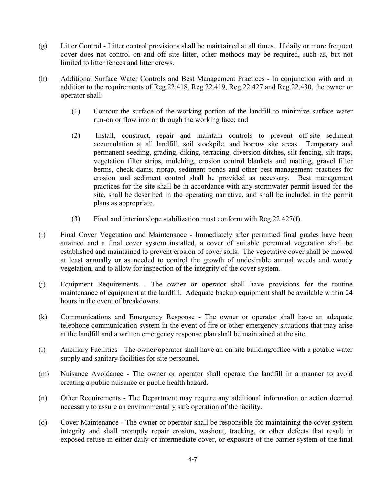- (g) Litter Control Litter control provisions shall be maintained at all times. If daily or more frequent cover does not control on and off site litter, other methods may be required, such as, but not limited to litter fences and litter crews.
- (h) Additional Surface Water Controls and Best Management Practices In conjunction with and in addition to the requirements of Reg.22.418, Reg.22.419, Reg.22.427 and Reg.22.430, the owner or operator shall:
	- (1) Contour the surface of the working portion of the landfill to minimize surface water run-on or flow into or through the working face; and
	- (2) Install, construct, repair and maintain controls to prevent off-site sediment accumulation at all landfill, soil stockpile, and borrow site areas. Temporary and permanent seeding, grading, diking, terracing, diversion ditches, silt fencing, silt traps, vegetation filter strips, mulching, erosion control blankets and matting, gravel filter berms, check dams, riprap, sediment ponds and other best management practices for erosion and sediment control shall be provided as necessary. Best management practices for the site shall be in accordance with any stormwater permit issued for the site, shall be described in the operating narrative, and shall be included in the permit plans as appropriate.
	- (3) Final and interim slope stabilization must conform with Reg.22.427(f).
- (i) Final Cover Vegetation and Maintenance Immediately after permitted final grades have been attained and a final cover system installed, a cover of suitable perennial vegetation shall be established and maintained to prevent erosion of cover soils. The vegetative cover shall be mowed at least annually or as needed to control the growth of undesirable annual weeds and woody vegetation, and to allow for inspection of the integrity of the cover system.
- (j) Equipment Requirements The owner or operator shall have provisions for the routine maintenance of equipment at the landfill. Adequate backup equipment shall be available within 24 hours in the event of breakdowns.
- (k) Communications and Emergency Response The owner or operator shall have an adequate telephone communication system in the event of fire or other emergency situations that may arise at the landfill and a written emergency response plan shall be maintained at the site.
- (l) Ancillary Facilities The owner/operator shall have an on site building/office with a potable water supply and sanitary facilities for site personnel.
- (m) Nuisance Avoidance The owner or operator shall operate the landfill in a manner to avoid creating a public nuisance or public health hazard.
- (n) Other Requirements The Department may require any additional information or action deemed necessary to assure an environmentally safe operation of the facility.
- (o) Cover Maintenance The owner or operator shall be responsible for maintaining the cover system integrity and shall promptly repair erosion, washout, tracking, or other defects that result in exposed refuse in either daily or intermediate cover, or exposure of the barrier system of the final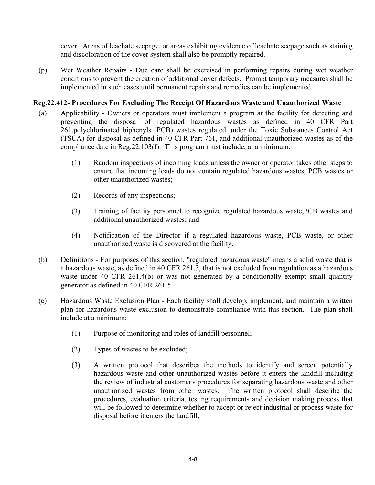cover. Areas of leachate seepage, or areas exhibiting evidence of leachate seepage such as staining and discoloration of the cover system shall also be promptly repaired.

(p) Wet Weather Repairs - Due care shall be exercised in performing repairs during wet weather conditions to prevent the creation of additional cover defects. Prompt temporary measures shall be implemented in such cases until permanent repairs and remedies can be implemented.

# **Reg.22.412- Procedures For Excluding The Receipt Of Hazardous Waste and Unauthorized Waste**

- (a) Applicability Owners or operators must implement a program at the facility for detecting and preventing the disposal of regulated hazardous wastes as defined in 40 CFR Part 261,polychlorinated biphenyls (PCB) wastes regulated under the Toxic Substances Control Act (TSCA) for disposal as defined in 40 CFR Part 761, and additional unauthorized wastes as of the compliance date in Reg.22.103(f). This program must include, at a minimum:
	- (1) Random inspections of incoming loads unless the owner or operator takes other steps to ensure that incoming loads do not contain regulated hazardous wastes, PCB wastes or other unauthorized wastes;
	- (2) Records of any inspections;
	- (3) Training of facility personnel to recognize regulated hazardous waste,PCB wastes and additional unauthorized wastes; and
	- (4) Notification of the Director if a regulated hazardous waste, PCB waste, or other unauthorized waste is discovered at the facility.
- (b) Definitions For purposes of this section, "regulated hazardous waste" means a solid waste that is a hazardous waste, as defined in 40 CFR 261.3, that is not excluded from regulation as a hazardous waste under 40 CFR 261.4(b) or was not generated by a conditionally exempt small quantity generator as defined in 40 CFR 261.5.
- (c) Hazardous Waste Exclusion Plan Each facility shall develop, implement, and maintain a written plan for hazardous waste exclusion to demonstrate compliance with this section. The plan shall include at a minimum:
	- (1) Purpose of monitoring and roles of landfill personnel;
	- (2) Types of wastes to be excluded;
	- (3) A written protocol that describes the methods to identify and screen potentially hazardous waste and other unauthorized wastes before it enters the landfill including the review of industrial customer's procedures for separating hazardous waste and other unauthorized wastes from other wastes. The written protocol shall describe the procedures, evaluation criteria, testing requirements and decision making process that will be followed to determine whether to accept or reject industrial or process waste for disposal before it enters the landfill;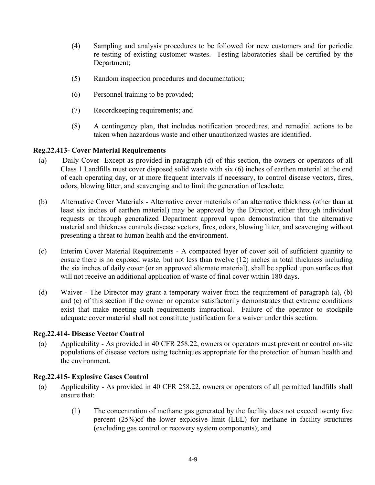- (4) Sampling and analysis procedures to be followed for new customers and for periodic re-testing of existing customer wastes. Testing laboratories shall be certified by the Department;
- (5) Random inspection procedures and documentation;
- (6) Personnel training to be provided;
- (7) Recordkeeping requirements; and
- (8) A contingency plan, that includes notification procedures, and remedial actions to be taken when hazardous waste and other unauthorized wastes are identified.

### **Reg.22.413- Cover Material Requirements**

- (a) Daily Cover- Except as provided in paragraph (d) of this section, the owners or operators of all Class 1 Landfills must cover disposed solid waste with six (6) inches of earthen material at the end of each operating day, or at more frequent intervals if necessary, to control disease vectors, fires, odors, blowing litter, and scavenging and to limit the generation of leachate.
- (b) Alternative Cover Materials Alternative cover materials of an alternative thickness (other than at least six inches of earthen material) may be approved by the Director, either through individual requests or through generalized Department approval upon demonstration that the alternative material and thickness controls disease vectors, fires, odors, blowing litter, and scavenging without presenting a threat to human health and the environment.
- (c) Interim Cover Material Requirements A compacted layer of cover soil of sufficient quantity to ensure there is no exposed waste, but not less than twelve (12) inches in total thickness including the six inches of daily cover (or an approved alternate material), shall be applied upon surfaces that will not receive an additional application of waste of final cover within 180 days.
- (d) Waiver The Director may grant a temporary waiver from the requirement of paragraph (a), (b) and (c) of this section if the owner or operator satisfactorily demonstrates that extreme conditions exist that make meeting such requirements impractical. Failure of the operator to stockpile adequate cover material shall not constitute justification for a waiver under this section.

### **Reg.22.414- Disease Vector Control**

(a) Applicability - As provided in 40 CFR 258.22, owners or operators must prevent or control on-site populations of disease vectors using techniques appropriate for the protection of human health and the environment.

### **Reg.22.415- Explosive Gases Control**

- (a) Applicability As provided in 40 CFR 258.22, owners or operators of all permitted landfills shall ensure that:
	- (1) The concentration of methane gas generated by the facility does not exceed twenty five percent (25%)of the lower explosive limit (LEL) for methane in facility structures (excluding gas control or recovery system components); and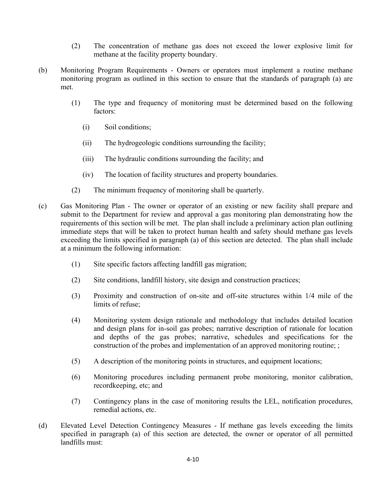- (2) The concentration of methane gas does not exceed the lower explosive limit for methane at the facility property boundary.
- (b) Monitoring Program Requirements Owners or operators must implement a routine methane monitoring program as outlined in this section to ensure that the standards of paragraph (a) are met.
	- (1) The type and frequency of monitoring must be determined based on the following factors:
		- (i) Soil conditions;
		- (ii) The hydrogeologic conditions surrounding the facility;
		- (iii) The hydraulic conditions surrounding the facility; and
		- (iv) The location of facility structures and property boundaries.
	- (2) The minimum frequency of monitoring shall be quarterly.
- (c) Gas Monitoring Plan The owner or operator of an existing or new facility shall prepare and submit to the Department for review and approval a gas monitoring plan demonstrating how the requirements of this section will be met. The plan shall include a preliminary action plan outlining immediate steps that will be taken to protect human health and safety should methane gas levels exceeding the limits specified in paragraph (a) of this section are detected. The plan shall include at a minimum the following information:
	- (1) Site specific factors affecting landfill gas migration;
	- (2) Site conditions, landfill history, site design and construction practices;
	- (3) Proximity and construction of on-site and off-site structures within 1/4 mile of the limits of refuse;
	- (4) Monitoring system design rationale and methodology that includes detailed location and design plans for in-soil gas probes; narrative description of rationale for location and depths of the gas probes; narrative, schedules and specifications for the construction of the probes and implementation of an approved monitoring routine; ;
	- (5) A description of the monitoring points in structures, and equipment locations;
	- (6) Monitoring procedures including permanent probe monitoring, monitor calibration, recordkeeping, etc; and
	- (7) Contingency plans in the case of monitoring results the LEL, notification procedures, remedial actions, etc.
- (d) Elevated Level Detection Contingency Measures If methane gas levels exceeding the limits specified in paragraph (a) of this section are detected, the owner or operator of all permitted landfills must: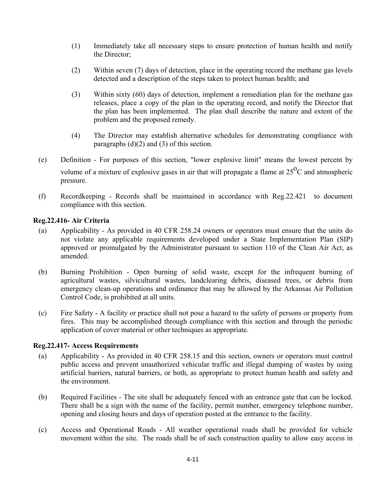- (1) Immediately take all necessary steps to ensure protection of human health and notify the Director;
- (2) Within seven (7) days of detection, place in the operating record the methane gas levels detected and a description of the steps taken to protect human health; and
- (3) Within sixty (60) days of detection, implement a remediation plan for the methane gas releases, place a copy of the plan in the operating record, and notify the Director that the plan has been implemented. The plan shall describe the nature and extent of the problem and the proposed remedy.
- (4) The Director may establish alternative schedules for demonstrating compliance with paragraphs  $(d)(2)$  and  $(3)$  of this section.
- (e) Definition For purposes of this section, "lower explosive limit" means the lowest percent by volume of a mixture of explosive gases in air that will propagate a flame at  $25^{\circ}$ C and atmospheric pressure.
- (f) Recordkeeping Records shall be maintained in accordance with Reg.22.421 to document compliance with this section.

# **Reg.22.416- Air Criteria**

- (a) Applicability As provided in 40 CFR 258.24 owners or operators must ensure that the units do not violate any applicable requirements developed under a State Implementation Plan (SIP) approved or promulgated by the Administrator pursuant to section 110 of the Clean Air Act, as amended.
- (b) Burning Prohibition Open burning of solid waste, except for the infrequent burning of agricultural wastes, silvicultural wastes, landclearing debris, diseased trees, or debris from emergency clean-up operations and ordinance that may be allowed by the Arkansas Air Pollution Control Code, is prohibited at all units.
- (c) Fire Safety A facility or practice shall not pose a hazard to the safety of persons or property from fires. This may be accomplished through compliance with this section and through the periodic application of cover material or other techniques as appropriate.

# **Reg.22.417- Access Requirements**

- (a) Applicability As provided in 40 CFR 258.15 and this section, owners or operators must control public access and prevent unauthorized vehicular traffic and illegal dumping of wastes by using artificial barriers, natural barriers, or both, as appropriate to protect human health and safety and the environment.
- (b) Required Facilities The site shall be adequately fenced with an entrance gate that can be locked. There shall be a sign with the name of the facility, permit number, emergency telephone number, opening and closing hours and days of operation posted at the entrance to the facility.
- (c) Access and Operational Roads All weather operational roads shall be provided for vehicle movement within the site. The roads shall be of such construction quality to allow easy access in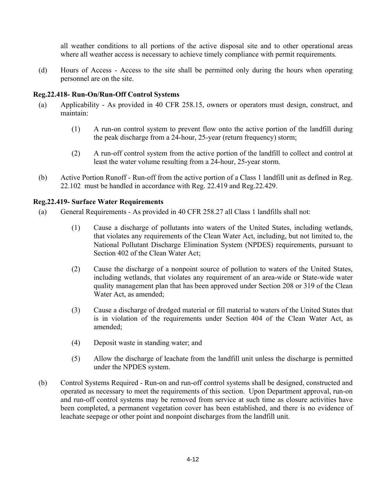all weather conditions to all portions of the active disposal site and to other operational areas where all weather access is necessary to achieve timely compliance with permit requirements.

(d) Hours of Access - Access to the site shall be permitted only during the hours when operating personnel are on the site.

# **Reg.22.418- Run-On/Run-Off Control Systems**

- (a) Applicability As provided in 40 CFR 258.15, owners or operators must design, construct, and maintain:
	- (1) A run-on control system to prevent flow onto the active portion of the landfill during the peak discharge from a 24-hour, 25-year (return frequency) storm;
	- (2) A run-off control system from the active portion of the landfill to collect and control at least the water volume resulting from a 24-hour, 25-year storm.
- (b) Active Portion Runoff Run-off from the active portion of a Class 1 landfill unit as defined in Reg. 22.102 must be handled in accordance with Reg. 22.419 and Reg.22.429.

### **Reg.22.419- Surface Water Requirements**

- (a) General Requirements As provided in 40 CFR 258.27 all Class 1 landfills shall not:
	- (1) Cause a discharge of pollutants into waters of the United States, including wetlands, that violates any requirements of the Clean Water Act, including, but not limited to, the National Pollutant Discharge Elimination System (NPDES) requirements, pursuant to Section 402 of the Clean Water Act;
	- (2) Cause the discharge of a nonpoint source of pollution to waters of the United States, including wetlands, that violates any requirement of an area-wide or State-wide water quality management plan that has been approved under Section 208 or 319 of the Clean Water Act, as amended;
	- (3) Cause a discharge of dredged material or fill material to waters of the United States that is in violation of the requirements under Section 404 of the Clean Water Act, as amended;
	- (4) Deposit waste in standing water; and
	- (5) Allow the discharge of leachate from the landfill unit unless the discharge is permitted under the NPDES system.
- (b) Control Systems Required Run-on and run-off control systems shall be designed, constructed and operated as necessary to meet the requirements of this section. Upon Department approval, run-on and run-off control systems may be removed from service at such time as closure activities have been completed, a permanent vegetation cover has been established, and there is no evidence of leachate seepage or other point and nonpoint discharges from the landfill unit.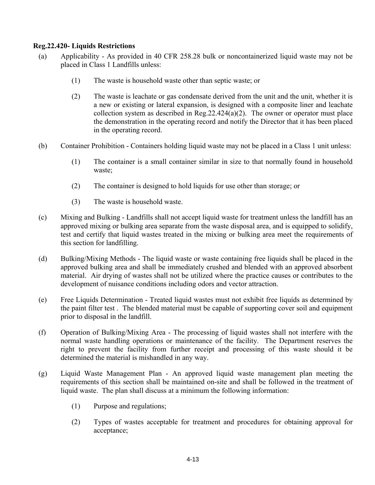### **Reg.22.420- Liquids Restrictions**

- (a) Applicability As provided in 40 CFR 258.28 bulk or noncontainerized liquid waste may not be placed in Class 1 Landfills unless:
	- (1) The waste is household waste other than septic waste; or
	- (2) The waste is leachate or gas condensate derived from the unit and the unit, whether it is a new or existing or lateral expansion, is designed with a composite liner and leachate collection system as described in Reg.22.424(a)(2). The owner or operator must place the demonstration in the operating record and notify the Director that it has been placed in the operating record.
- (b) Container Prohibition Containers holding liquid waste may not be placed in a Class 1 unit unless:
	- (1) The container is a small container similar in size to that normally found in household waste;
	- (2) The container is designed to hold liquids for use other than storage; or
	- (3) The waste is household waste.
- (c) Mixing and Bulking Landfills shall not accept liquid waste for treatment unless the landfill has an approved mixing or bulking area separate from the waste disposal area, and is equipped to solidify, test and certify that liquid wastes treated in the mixing or bulking area meet the requirements of this section for landfilling.
- (d) Bulking/Mixing Methods The liquid waste or waste containing free liquids shall be placed in the approved bulking area and shall be immediately crushed and blended with an approved absorbent material. Air drying of wastes shall not be utilized where the practice causes or contributes to the development of nuisance conditions including odors and vector attraction.
- (e) Free Liquids Determination Treated liquid wastes must not exhibit free liquids as determined by the paint filter test . The blended material must be capable of supporting cover soil and equipment prior to disposal in the landfill.
- (f) Operation of Bulking/Mixing Area The processing of liquid wastes shall not interfere with the normal waste handling operations or maintenance of the facility. The Department reserves the right to prevent the facility from further receipt and processing of this waste should it be determined the material is mishandled in any way.
- (g) Liquid Waste Management Plan An approved liquid waste management plan meeting the requirements of this section shall be maintained on-site and shall be followed in the treatment of liquid waste. The plan shall discuss at a minimum the following information:
	- (1) Purpose and regulations;
	- (2) Types of wastes acceptable for treatment and procedures for obtaining approval for acceptance;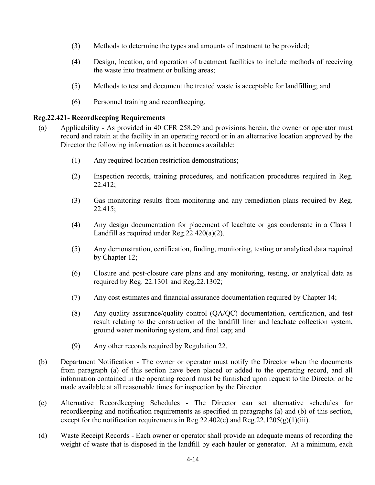- (3) Methods to determine the types and amounts of treatment to be provided;
- (4) Design, location, and operation of treatment facilities to include methods of receiving the waste into treatment or bulking areas;
- (5) Methods to test and document the treated waste is acceptable for landfilling; and
- (6) Personnel training and recordkeeping.

# **Reg.22.421- Recordkeeping Requirements**

- (a) Applicability As provided in 40 CFR 258.29 and provisions herein, the owner or operator must record and retain at the facility in an operating record or in an alternative location approved by the Director the following information as it becomes available:
	- (1) Any required location restriction demonstrations;
	- (2) Inspection records, training procedures, and notification procedures required in Reg. 22.412;
	- (3) Gas monitoring results from monitoring and any remediation plans required by Reg. 22.415;
	- (4) Any design documentation for placement of leachate or gas condensate in a Class 1 Landfill as required under Reg.22.420(a)(2).
	- (5) Any demonstration, certification, finding, monitoring, testing or analytical data required by Chapter 12;
	- (6) Closure and post-closure care plans and any monitoring, testing, or analytical data as required by Reg. 22.1301 and Reg.22.1302;
	- (7) Any cost estimates and financial assurance documentation required by Chapter 14;
	- (8) Any quality assurance/quality control (QA/QC) documentation, certification, and test result relating to the construction of the landfill liner and leachate collection system, ground water monitoring system, and final cap; and
	- (9) Any other records required by Regulation 22.
- (b) Department Notification The owner or operator must notify the Director when the documents from paragraph (a) of this section have been placed or added to the operating record, and all information contained in the operating record must be furnished upon request to the Director or be made available at all reasonable times for inspection by the Director.
- (c) Alternative Recordkeeping Schedules The Director can set alternative schedules for recordkeeping and notification requirements as specified in paragraphs (a) and (b) of this section, except for the notification requirements in Reg.22.402(c) and Reg.22.1205(g)(1)(iii).
- (d) Waste Receipt Records Each owner or operator shall provide an adequate means of recording the weight of waste that is disposed in the landfill by each hauler or generator. At a minimum, each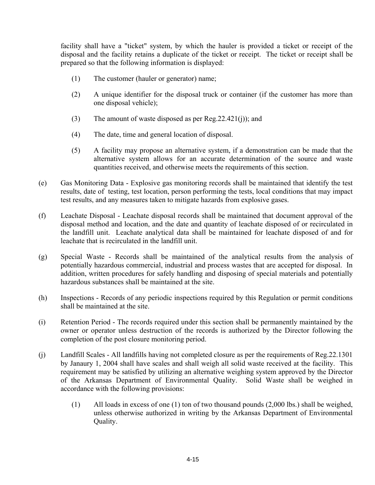facility shall have a "ticket" system, by which the hauler is provided a ticket or receipt of the disposal and the facility retains a duplicate of the ticket or receipt. The ticket or receipt shall be prepared so that the following information is displayed:

- (1) The customer (hauler or generator) name;
- (2) A unique identifier for the disposal truck or container (if the customer has more than one disposal vehicle);
- (3) The amount of waste disposed as per Reg.22.421(j)); and
- (4) The date, time and general location of disposal.
- (5) A facility may propose an alternative system, if a demonstration can be made that the alternative system allows for an accurate determination of the source and waste quantities received, and otherwise meets the requirements of this section.
- (e) Gas Monitoring Data Explosive gas monitoring records shall be maintained that identify the test results, date of testing, test location, person performing the tests, local conditions that may impact test results, and any measures taken to mitigate hazards from explosive gases.
- (f) Leachate Disposal Leachate disposal records shall be maintained that document approval of the disposal method and location, and the date and quantity of leachate disposed of or recirculated in the landfill unit. Leachate analytical data shall be maintained for leachate disposed of and for leachate that is recirculated in the landfill unit.
- (g) Special Waste Records shall be maintained of the analytical results from the analysis of potentially hazardous commercial, industrial and process wastes that are accepted for disposal. In addition, written procedures for safely handling and disposing of special materials and potentially hazardous substances shall be maintained at the site.
- (h) Inspections Records of any periodic inspections required by this Regulation or permit conditions shall be maintained at the site.
- (i) Retention Period The records required under this section shall be permanently maintained by the owner or operator unless destruction of the records is authorized by the Director following the completion of the post closure monitoring period.
- (j) Landfill Scales All landfills having not completed closure as per the requirements of Reg.22.1301 by Janaury 1, 2004 shall have scales and shall weigh all solid waste received at the facility. This requirement may be satisfied by utilizing an alternative weighing system approved by the Director of the Arkansas Department of Environmental Quality. Solid Waste shall be weighed in accordance with the following provisions:
	- (1) All loads in excess of one (1) ton of two thousand pounds (2,000 lbs.) shall be weighed, unless otherwise authorized in writing by the Arkansas Department of Environmental Quality.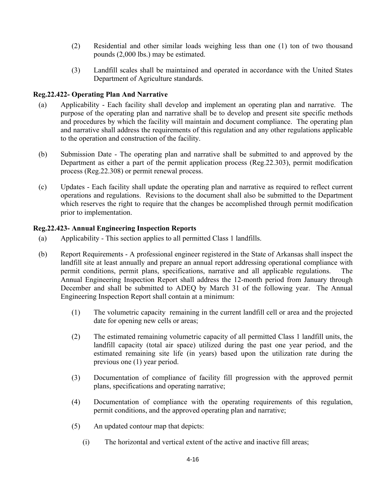- (2) Residential and other similar loads weighing less than one (1) ton of two thousand pounds (2,000 lbs.) may be estimated.
- (3) Landfill scales shall be maintained and operated in accordance with the United States Department of Agriculture standards.

# **Reg.22.422- Operating Plan And Narrative**

- (a) Applicability Each facility shall develop and implement an operating plan and narrative. The purpose of the operating plan and narrative shall be to develop and present site specific methods and procedures by which the facility will maintain and document compliance. The operating plan and narrative shall address the requirements of this regulation and any other regulations applicable to the operation and construction of the facility.
- (b) Submission Date The operating plan and narrative shall be submitted to and approved by the Department as either a part of the permit application process (Reg.22.303), permit modification process (Reg.22.308) or permit renewal process.
- (c) Updates Each facility shall update the operating plan and narrative as required to reflect current operations and regulations. Revisions to the document shall also be submitted to the Department which reserves the right to require that the changes be accomplished through permit modification prior to implementation.

# **Reg.22.423- Annual Engineering Inspection Reports**

- (a) Applicability This section applies to all permitted Class 1 landfills.
- (b) Report Requirements A professional engineer registered in the State of Arkansas shall inspect the landfill site at least annually and prepare an annual report addressing operational compliance with permit conditions, permit plans, specifications, narrative and all applicable regulations. The Annual Engineering Inspection Report shall address the 12-month period from January through December and shall be submitted to ADEQ by March 31 of the following year. The Annual Engineering Inspection Report shall contain at a minimum:
	- (1) The volumetric capacity remaining in the current landfill cell or area and the projected date for opening new cells or areas;
	- (2) The estimated remaining volumetric capacity of all permitted Class 1 landfill units, the landfill capacity (total air space) utilized during the past one year period, and the estimated remaining site life (in years) based upon the utilization rate during the previous one (1) year period.
	- (3) Documentation of compliance of facility fill progression with the approved permit plans, specifications and operating narrative;
	- (4) Documentation of compliance with the operating requirements of this regulation, permit conditions, and the approved operating plan and narrative;
	- (5) An updated contour map that depicts:
		- (i) The horizontal and vertical extent of the active and inactive fill areas;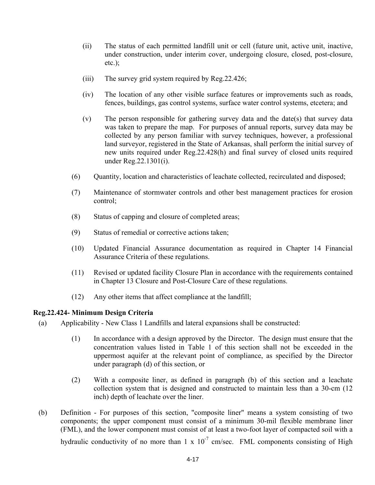- (ii) The status of each permitted landfill unit or cell (future unit, active unit, inactive, under construction, under interim cover, undergoing closure, closed, post-closure, etc.);
- (iii) The survey grid system required by Reg.22.426;
- (iv) The location of any other visible surface features or improvements such as roads, fences, buildings, gas control systems, surface water control systems, etcetera; and
- (v) The person responsible for gathering survey data and the date(s) that survey data was taken to prepare the map. For purposes of annual reports, survey data may be collected by any person familiar with survey techniques, however, a professional land surveyor, registered in the State of Arkansas, shall perform the initial survey of new units required under Reg.22.428(h) and final survey of closed units required under Reg.22.1301(i).
- (6) Quantity, location and characteristics of leachate collected, recirculated and disposed;
- (7) Maintenance of stormwater controls and other best management practices for erosion control;
- (8) Status of capping and closure of completed areas;
- (9) Status of remedial or corrective actions taken;
- (10) Updated Financial Assurance documentation as required in Chapter 14 Financial Assurance Criteria of these regulations.
- (11) Revised or updated facility Closure Plan in accordance with the requirements contained in Chapter 13 Closure and Post-Closure Care of these regulations.
- (12) Any other items that affect compliance at the landfill;

### **Reg.22.424- Minimum Design Criteria**

- (a) Applicability New Class 1 Landfills and lateral expansions shall be constructed:
	- (1) In accordance with a design approved by the Director. The design must ensure that the concentration values listed in Table 1 of this section shall not be exceeded in the uppermost aquifer at the relevant point of compliance, as specified by the Director under paragraph (d) of this section, or
	- (2) With a composite liner, as defined in paragraph (b) of this section and a leachate collection system that is designed and constructed to maintain less than a 30-cm (12 inch) depth of leachate over the liner.
- (b) Definition For purposes of this section, "composite liner" means a system consisting of two components; the upper component must consist of a minimum 30-mil flexible membrane liner (FML), and the lower component must consist of at least a two-foot layer of compacted soil with a

hydraulic conductivity of no more than  $1 \times 10^{-7}$  cm/sec. FML components consisting of High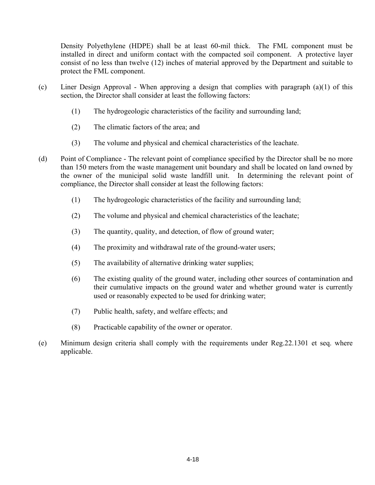Density Polyethylene (HDPE) shall be at least 60-mil thick. The FML component must be installed in direct and uniform contact with the compacted soil component. A protective layer consist of no less than twelve (12) inches of material approved by the Department and suitable to protect the FML component.

- (c) Liner Design Approval When approving a design that complies with paragraph (a)(1) of this section, the Director shall consider at least the following factors:
	- (1) The hydrogeologic characteristics of the facility and surrounding land;
	- (2) The climatic factors of the area; and
	- (3) The volume and physical and chemical characteristics of the leachate.
- (d) Point of Compliance The relevant point of compliance specified by the Director shall be no more than 150 meters from the waste management unit boundary and shall be located on land owned by the owner of the municipal solid waste landfill unit. In determining the relevant point of compliance, the Director shall consider at least the following factors:
	- (1) The hydrogeologic characteristics of the facility and surrounding land;
	- (2) The volume and physical and chemical characteristics of the leachate;
	- (3) The quantity, quality, and detection, of flow of ground water;
	- (4) The proximity and withdrawal rate of the ground-water users;
	- (5) The availability of alternative drinking water supplies;
	- (6) The existing quality of the ground water, including other sources of contamination and their cumulative impacts on the ground water and whether ground water is currently used or reasonably expected to be used for drinking water;
	- (7) Public health, safety, and welfare effects; and
	- (8) Practicable capability of the owner or operator.
- (e) Minimum design criteria shall comply with the requirements under Reg.22.1301 et seq. where applicable.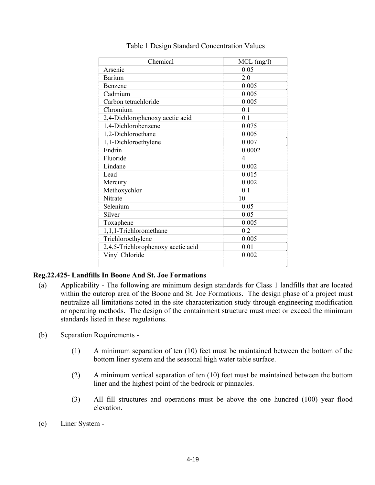| Chemical                           | $MCL$ (mg/l)   |
|------------------------------------|----------------|
| Arsenic                            | 0.05           |
| Barium                             | 20             |
| Benzene                            | 0.005          |
| Cadmium                            | 0.005          |
| Carbon tetrachloride               | 0.005          |
| Chromium                           | 0 <sub>1</sub> |
| 2,4-Dichlorophenoxy acetic acid    | 0.1            |
| 1,4-Dichlorobenzene                | 0.075          |
| 1,2-Dichloroethane                 | 0.005          |
| 1,1-Dichloroethylene               | 0.007          |
| Endrin                             | 0.0002         |
| Fluoride                           | 4              |
| Lindane                            | 0.002          |
| Lead                               | 0.015          |
| Mercury                            | 0.002          |
| Methoxychlor                       | 0.1            |
| Nitrate                            | 10             |
| Selenium                           | 0.05           |
| Silver                             | 0.05           |
| Toxaphene                          | 0.005          |
| 1,1,1-Trichloromethane             | 0.2            |
| Trichloroethylene                  | 0.005          |
| 2,4,5-Trichlorophenoxy acetic acid | 0.01           |
| Vinyl Chloride                     | 0.002          |
|                                    |                |

### Table 1 Design Standard Concentration Values

### **Reg.22.425- Landfills In Boone And St. Joe Formations**

- (a) Applicability The following are minimum design standards for Class 1 landfills that are located within the outcrop area of the Boone and St. Joe Formations. The design phase of a project must neutralize all limitations noted in the site characterization study through engineering modification or operating methods. The design of the containment structure must meet or exceed the minimum standards listed in these regulations.
- (b) Separation Requirements
	- (1) A minimum separation of ten (10) feet must be maintained between the bottom of the bottom liner system and the seasonal high water table surface.
	- (2) A minimum vertical separation of ten (10) feet must be maintained between the bottom liner and the highest point of the bedrock or pinnacles.
	- (3) All fill structures and operations must be above the one hundred (100) year flood elevation.
- (c) Liner System -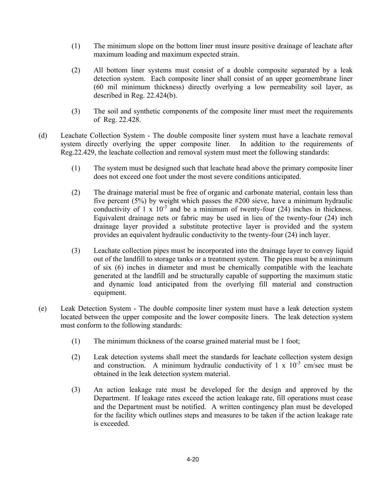- (1) The minimum slope on the bottom liner must insure positive drainage of leachate after maximum loading and maximum expected strain.
- (2) All bottom liner systems must consist of a double composite separated by a leak detection system. Each composite liner shall consist of an upper geomembrane liner (60 mil minimum thickness) directly overlying a low permeability soil layer, as described in Reg. 22.424(b).
- (3) The soil and synthetic components of the composite liner must meet the requirements of Reg. 22.428.
- (d) Leachate Collection System The double composite liner system must have a leachate removal system directly overlying the upper composite liner. In addition to the requirements of Reg.22.429, the leachate collection and removal system must meet the following standards:
	- (1) The system must be designed such that leachate head above the primary composite liner does not exceed one foot under the most severe conditions anticipated.
	- (2) The drainage material must be free of organic and carbonate material, contain less than five percent (5%) by weight which passes the #200 sieve, have a minimum hydraulic conductivity of 1 x  $10^{-3}$  and be a minimum of twenty-four (24) inches in thickness. Equivalent drainage nets or fabric may be used in lieu of the twenty-four (24) inch drainage layer provided a substitute protective layer is provided and the system provides an equivalent hydraulic conductivity to the twenty-four (24) inch layer.
	- (3) Leachate collection pipes must be incorporated into the drainage layer to convey liquid out of the landfill to storage tanks or a treatment system. The pipes must be a minimum of six (6) inches in diameter and must be chemically compatible with the leachate generated at the landfill and be structurally capable of supporting the maximum static and dynamic load anticipated from the overlying fill material and construction equipment.
- (e) Leak Detection System The double composite liner system must have a leak detection system located between the upper composite and the lower composite liners. The leak detection system must conform to the following standards:
	- (1) The minimum thickness of the coarse grained material must be 1 foot;
	- (2) Leak detection systems shall meet the standards for leachate collection system design and construction. A minimum hydraulic conductivity of 1 x  $10^{-3}$  cm/sec must be obtained in the leak detection system material.
	- (3) An action leakage rate must be developed for the design and approved by the Department. If leakage rates exceed the action leakage rate, fill operations must cease and the Department must be notified. A written contingency plan must be developed for the facility which outlines steps and measures to be taken if the action leakage rate is exceeded.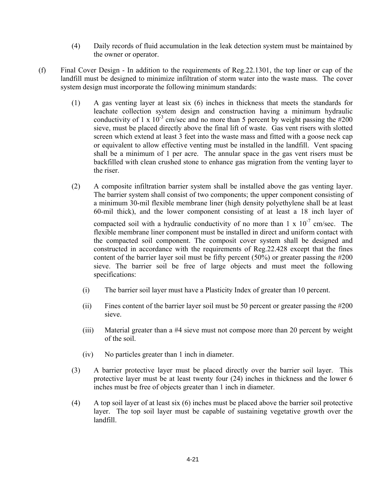- (4) Daily records of fluid accumulation in the leak detection system must be maintained by the owner or operator.
- (f) Final Cover Design In addition to the requirements of Reg.22.1301, the top liner or cap of the landfill must be designed to minimize infiltration of storm water into the waste mass. The cover system design must incorporate the following minimum standards:
	- (1) A gas venting layer at least six (6) inches in thickness that meets the standards for leachate collection system design and construction having a minimum hydraulic conductivity of 1 x  $10^{-3}$  cm/sec and no more than 5 percent by weight passing the #200 sieve, must be placed directly above the final lift of waste. Gas vent risers with slotted screen which extend at least 3 feet into the waste mass and fitted with a goose neck cap or equivalent to allow effective venting must be installed in the landfill. Vent spacing shall be a minimum of 1 per acre. The annular space in the gas vent risers must be backfilled with clean crushed stone to enhance gas migration from the venting layer to the riser.
	- (2) A composite infiltration barrier system shall be installed above the gas venting layer. The barrier system shall consist of two components; the upper component consisting of a minimum 30-mil flexible membrane liner (high density polyethylene shall be at least 60-mil thick), and the lower component consisting of at least a 18 inch layer of

compacted soil with a hydraulic conductivity of no more than  $1 \times 10^{-7}$  cm/sec. The flexible membrane liner component must be installed in direct and uniform contact with the compacted soil component. The composit cover system shall be designed and constructed in accordance with the requirements of Reg.22.428 except that the fines content of the barrier layer soil must be fifty percent (50%) or greater passing the #200 sieve. The barrier soil be free of large objects and must meet the following specifications:

- (i) The barrier soil layer must have a Plasticity Index of greater than 10 percent.
- (ii) Fines content of the barrier layer soil must be 50 percent or greater passing the #200 sieve.
- (iii) Material greater than a #4 sieve must not compose more than 20 percent by weight of the soil.
- (iv) No particles greater than 1 inch in diameter.
- (3) A barrier protective layer must be placed directly over the barrier soil layer. This protective layer must be at least twenty four (24) inches in thickness and the lower 6 inches must be free of objects greater than 1 inch in diameter.
- (4) A top soil layer of at least six (6) inches must be placed above the barrier soil protective layer. The top soil layer must be capable of sustaining vegetative growth over the landfill.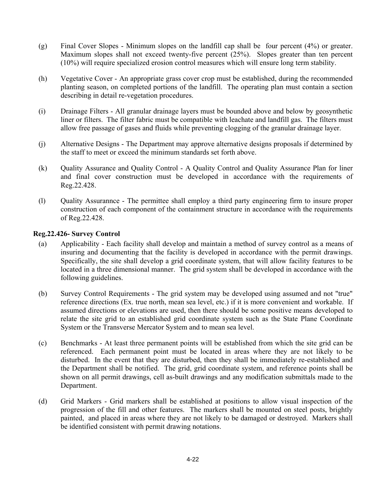- (g) Final Cover Slopes Minimum slopes on the landfill cap shall be four percent (4%) or greater. Maximum slopes shall not exceed twenty-five percent (25%). Slopes greater than ten percent (10%) will require specialized erosion control measures which will ensure long term stability.
- (h) Vegetative Cover An appropriate grass cover crop must be established, during the recommended planting season, on completed portions of the landfill. The operating plan must contain a section describing in detail re-vegetation procedures.
- (i) Drainage Filters All granular drainage layers must be bounded above and below by geosynthetic liner or filters. The filter fabric must be compatible with leachate and landfill gas. The filters must allow free passage of gases and fluids while preventing clogging of the granular drainage layer.
- (j) Alternative Designs The Department may approve alternative designs proposals if determined by the staff to meet or exceed the minimum standards set forth above.
- (k) Quality Assurance and Quality Control A Quality Control and Quality Assurance Plan for liner and final cover construction must be developed in accordance with the requirements of Reg.22.428.
- (l) Quality Assurannce The permittee shall employ a third party engineering firm to insure proper construction of each component of the containment structure in accordance with the requirements of Reg.22.428.

# **Reg.22.426- Survey Control**

- (a) Applicability Each facility shall develop and maintain a method of survey control as a means of insuring and documenting that the facility is developed in accordance with the permit drawings. Specifically, the site shall develop a grid coordinate system, that will allow facility features to be located in a three dimensional manner. The grid system shall be developed in accordance with the following guidelines.
- (b) Survey Control Requirements The grid system may be developed using assumed and not "true" reference directions (Ex. true north, mean sea level, etc.) if it is more convenient and workable. If assumed directions or elevations are used, then there should be some positive means developed to relate the site grid to an established grid coordinate system such as the State Plane Coordinate System or the Transverse Mercator System and to mean sea level.
- (c) Benchmarks At least three permanent points will be established from which the site grid can be referenced. Each permanent point must be located in areas where they are not likely to be disturbed. In the event that they are disturbed, then they shall be immediately re-established and the Department shall be notified. The grid, grid coordinate system, and reference points shall be shown on all permit drawings, cell as-built drawings and any modification submittals made to the Department.
- (d) Grid Markers Grid markers shall be established at positions to allow visual inspection of the progression of the fill and other features. The markers shall be mounted on steel posts, brightly painted, and placed in areas where they are not likely to be damaged or destroyed. Markers shall be identified consistent with permit drawing notations.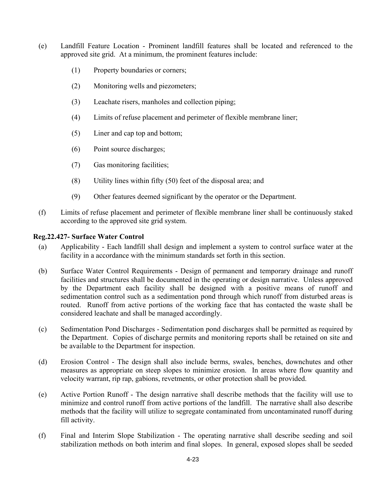- (e) Landfill Feature Location Prominent landfill features shall be located and referenced to the approved site grid. At a minimum, the prominent features include:
	- (1) Property boundaries or corners;
	- (2) Monitoring wells and piezometers;
	- (3) Leachate risers, manholes and collection piping;
	- (4) Limits of refuse placement and perimeter of flexible membrane liner;
	- (5) Liner and cap top and bottom;
	- (6) Point source discharges;
	- (7) Gas monitoring facilities;
	- (8) Utility lines within fifty (50) feet of the disposal area; and
	- (9) Other features deemed significant by the operator or the Department.
- (f) Limits of refuse placement and perimeter of flexible membrane liner shall be continuously staked according to the approved site grid system.

# **Reg.22.427- Surface Water Control**

- (a) Applicability Each landfill shall design and implement a system to control surface water at the facility in a accordance with the minimum standards set forth in this section.
- (b) Surface Water Control Requirements Design of permanent and temporary drainage and runoff facilities and structures shall be documented in the operating or design narrative. Unless approved by the Department each facility shall be designed with a positive means of runoff and sedimentation control such as a sedimentation pond through which runoff from disturbed areas is routed. Runoff from active portions of the working face that has contacted the waste shall be considered leachate and shall be managed accordingly.
- (c) Sedimentation Pond Discharges Sedimentation pond discharges shall be permitted as required by the Department. Copies of discharge permits and monitoring reports shall be retained on site and be available to the Department for inspection.
- (d) Erosion Control The design shall also include berms, swales, benches, downchutes and other measures as appropriate on steep slopes to minimize erosion. In areas where flow quantity and velocity warrant, rip rap, gabions, revetments, or other protection shall be provided.
- (e) Active Portion Runoff The design narrative shall describe methods that the facility will use to minimize and control runoff from active portions of the landfill. The narrative shall also describe methods that the facility will utilize to segregate contaminated from uncontaminated runoff during fill activity.
- (f) Final and Interim Slope Stabilization The operating narrative shall describe seeding and soil stabilization methods on both interim and final slopes. In general, exposed slopes shall be seeded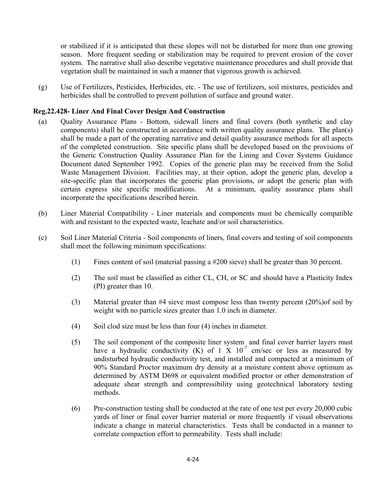or stabilized if it is anticipated that these slopes will not be disturbed for more than one growing season. More frequent seeding or stabilization may be required to prevent erosion of the cover system. The narrative shall also describe vegetative maintenance procedures and shall provide that vegetation shall be maintained in such a manner that vigorous growth is achieved.

(g) Use of Fertilizers, Pesticides, Herbicides, etc. - The use of fertilizers, soil mixtures, pesticides and herbicides shall be controlled to prevent pollution of surface and ground water.

# **Reg.22.428- Liner And Final Cover Design And Construction**

- (a) Quality Assurance Plans Bottom, sidewall liners and final covers (both synthetic and clay components) shall be constructed in accordance with written quality assurance plans. The plan(s) shall be made a part of the operating narrative and detail quality assurance methods for all aspects of the completed construction. Site specific plans shall be developed based on the provisions of the Generic Construction Quality Assurance Plan for the Lining and Cover Systems Guidance Document dated September 1992. Copies of the generic plan may be received from the Solid Waste Management Division. Facilities may, at their option, adopt the generic plan, develop a site-specific plan that incorporates the generic plan provisions, or adopt the generic plan with certain express site specific modifications. At a minimum, quality assurance plans shall incorporate the specifications described herein.
- (b) Liner Material Compatibility Liner materials and components must be chemically compatible with and resistant to the expected waste, leachate and/or soil characteristics.
- (c) Soil Liner Material Criteria Soil components of liners, final covers and testing of soil components shall meet the following minimum specifications:
	- (1) Fines content of soil (material passing a #200 sieve) shall be greater than 30 percent.
	- (2) The soil must be classified as either CL, CH, or SC and should have a Plasticity Index (PI) greater than 10.
	- (3) Material greater than #4 sieve must compose less than twenty percent (20%)of soil by weight with no particle sizes greater than 1.0 inch in diameter.
	- (4) Soil clod size must be less than four (4) inches in diameter.
	- (5) The soil component of the composite liner system and final cover barrier layers must have a hydraulic conductivity (K) of 1 X  $10^{-7}$  cm/sec or less as measured by undisturbed hydraulic conductivity test, and installed and compacted at a minimum of 90% Standard Proctor maximum dry density at a moisture content above optimum as determined by ASTM D698 or equivalent modified proctor or other demonstration of adequate shear strength and compressibility using geotechnical laboratory testing methods.
	- (6) Pre-construction testing shall be conducted at the rate of one test per every 20,000 cubic yards of liner or final cover barrier material or more frequently if visual observations indicate a change in material characteristics. Tests shall be conducted in a manner to correlate compaction effort to permeability. Tests shall include: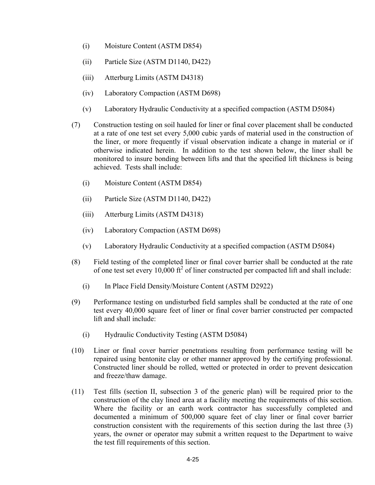- (i) Moisture Content (ASTM D854)
- (ii) Particle Size (ASTM D1140, D422)
- (iii) Atterburg Limits (ASTM D4318)
- (iv) Laboratory Compaction (ASTM D698)
- (v) Laboratory Hydraulic Conductivity at a specified compaction (ASTM D5084)
- (7) Construction testing on soil hauled for liner or final cover placement shall be conducted at a rate of one test set every 5,000 cubic yards of material used in the construction of the liner, or more frequently if visual observation indicate a change in material or if otherwise indicated herein. In addition to the test shown below, the liner shall be monitored to insure bonding between lifts and that the specified lift thickness is being achieved. Tests shall include:
	- (i) Moisture Content (ASTM D854)
	- (ii) Particle Size (ASTM D1140, D422)
	- (iii) Atterburg Limits (ASTM D4318)
	- (iv) Laboratory Compaction (ASTM D698)
	- (v) Laboratory Hydraulic Conductivity at a specified compaction (ASTM D5084)
- (8) Field testing of the completed liner or final cover barrier shall be conducted at the rate of one test set every 10,000  $\text{ft}^2$  of liner constructed per compacted lift and shall include:
	- (i) In Place Field Density/Moisture Content (ASTM D2922)
- (9) Performance testing on undisturbed field samples shall be conducted at the rate of one test every 40,000 square feet of liner or final cover barrier constructed per compacted lift and shall include:
	- (i) Hydraulic Conductivity Testing (ASTM D5084)
- (10) Liner or final cover barrier penetrations resulting from performance testing will be repaired using bentonite clay or other manner approved by the certifying professional. Constructed liner should be rolled, wetted or protected in order to prevent desiccation and freeze/thaw damage.
- (11) Test fills (section II, subsection 3 of the generic plan) will be required prior to the construction of the clay lined area at a facility meeting the requirements of this section. Where the facility or an earth work contractor has successfully completed and documented a minimum of 500,000 square feet of clay liner or final cover barrier construction consistent with the requirements of this section during the last three (3) years, the owner or operator may submit a written request to the Department to waive the test fill requirements of this section.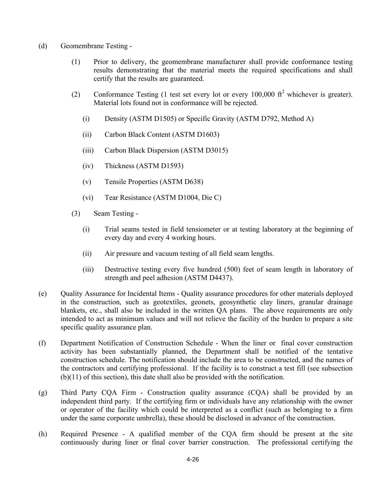- (d) Geomembrane Testing
	- (1) Prior to delivery, the geomembrane manufacturer shall provide conformance testing results demonstrating that the material meets the required specifications and shall certify that the results are guaranteed.
	- (2) Conformance Testing (1 test set every lot or every 100,000  $\text{ft}^2$  whichever is greater). Material lots found not in conformance will be rejected.
		- (i) Density (ASTM D1505) or Specific Gravity (ASTM D792, Method A)
		- (ii) Carbon Black Content (ASTM D1603)
		- (iii) Carbon Black Dispersion (ASTM D3015)
		- (iv) Thickness (ASTM D1593)
		- (v) Tensile Properties (ASTM D638)
		- (vi) Tear Resistance (ASTM D1004, Die C)
	- (3) Seam Testing
		- (i) Trial seams tested in field tensiometer or at testing laboratory at the beginning of every day and every 4 working hours.
		- (ii) Air pressure and vacuum testing of all field seam lengths.
		- (iii) Destructive testing every five hundred (500) feet of seam length in laboratory of strength and peel adhesion (ASTM D4437).
- (e) Quality Assurance for Incidental Items Quality assurance procedures for other materials deployed in the construction, such as geotextiles, geonets, geosynthetic clay liners, granular drainage blankets, etc., shall also be included in the written QA plans. The above requirements are only intended to act as minimum values and will not relieve the facility of the burden to prepare a site specific quality assurance plan.
- (f) Department Notification of Construction Schedule When the liner or final cover construction activity has been substantially planned, the Department shall be notified of the tentative construction schedule. The notification should include the area to be constructed, and the names of the contractors and certifying professional. If the facility is to construct a test fill (see subsection (b)(11) of this section), this date shall also be provided with the notification.
- (g) Third Party CQA Firm Construction quality assurance (CQA) shall be provided by an independent third party. If the certifying firm or individuals have any relationship with the owner or operator of the facility which could be interpreted as a conflict (such as belonging to a firm under the same corporate umbrella), these should be disclosed in advance of the construction.
- (h) Required Presence A qualified member of the CQA firm should be present at the site continuously during liner or final cover barrier construction. The professional certifying the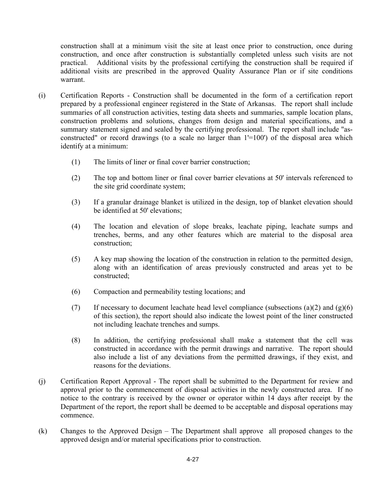construction shall at a minimum visit the site at least once prior to construction, once during construction, and once after construction is substantially completed unless such visits are not practical. Additional visits by the professional certifying the construction shall be required if additional visits are prescribed in the approved Quality Assurance Plan or if site conditions warrant.

- (i) Certification Reports Construction shall be documented in the form of a certification report prepared by a professional engineer registered in the State of Arkansas. The report shall include summaries of all construction activities, testing data sheets and summaries, sample location plans, construction problems and solutions, changes from design and material specifications, and a summary statement signed and sealed by the certifying professional. The report shall include "asconstructed" or record drawings (to a scale no larger than 1'=100') of the disposal area which identify at a minimum:
	- (1) The limits of liner or final cover barrier construction;
	- (2) The top and bottom liner or final cover barrier elevations at 50' intervals referenced to the site grid coordinate system;
	- (3) If a granular drainage blanket is utilized in the design, top of blanket elevation should be identified at 50' elevations;
	- (4) The location and elevation of slope breaks, leachate piping, leachate sumps and trenches, berms, and any other features which are material to the disposal area construction;
	- (5) A key map showing the location of the construction in relation to the permitted design, along with an identification of areas previously constructed and areas yet to be constructed;
	- (6) Compaction and permeability testing locations; and
	- (7) If necessary to document leachate head level compliance (subsections (a)(2) and (g)(6) of this section), the report should also indicate the lowest point of the liner constructed not including leachate trenches and sumps.
	- (8) In addition, the certifying professional shall make a statement that the cell was constructed in accordance with the permit drawings and narrative. The report should also include a list of any deviations from the permitted drawings, if they exist, and reasons for the deviations.
- (j) Certification Report Approval The report shall be submitted to the Department for review and approval prior to the commencement of disposal activities in the newly constructed area. If no notice to the contrary is received by the owner or operator within 14 days after receipt by the Department of the report, the report shall be deemed to be acceptable and disposal operations may commence.
- (k) Changes to the Approved Design The Department shall approve all proposed changes to the approved design and/or material specifications prior to construction.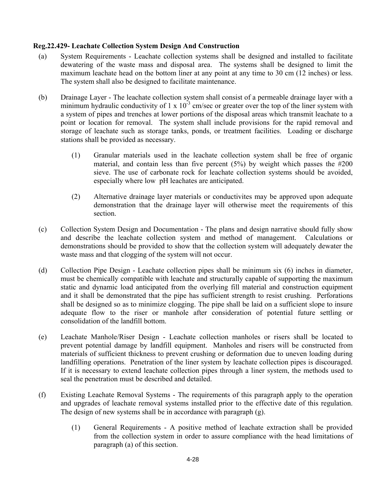### **Reg.22.429- Leachate Collection System Design And Construction**

- (a) System Requirements Leachate collection systems shall be designed and installed to facilitate dewatering of the waste mass and disposal area. The systems shall be designed to limit the maximum leachate head on the bottom liner at any point at any time to 30 cm (12 inches) or less. The system shall also be designed to facilitate maintenance.
- (b) Drainage Layer The leachate collection system shall consist of a permeable drainage layer with a minimum hydraulic conductivity of 1 x  $10^{-3}$  cm/sec or greater over the top of the liner system with a system of pipes and trenches at lower portions of the disposal areas which transmit leachate to a point or location for removal. The system shall include provisions for the rapid removal and storage of leachate such as storage tanks, ponds, or treatment facilities. Loading or discharge stations shall be provided as necessary.
	- (1) Granular materials used in the leachate collection system shall be free of organic material, and contain less than five percent  $(5%)$  by weight which passes the  $#200$ sieve. The use of carbonate rock for leachate collection systems should be avoided, especially where low pH leachates are anticipated.
	- (2) Alternative drainage layer materials or conductivites may be approved upon adequate demonstration that the drainage layer will otherwise meet the requirements of this section.
- (c) Collection System Design and Documentation The plans and design narrative should fully show and describe the leachate collection system and method of management. Calculations or demonstrations should be provided to show that the collection system will adequately dewater the waste mass and that clogging of the system will not occur.
- (d) Collection Pipe Design Leachate collection pipes shall be minimum six (6) inches in diameter, must be chemically compatible with leachate and structurally capable of supporting the maximum static and dynamic load anticipated from the overlying fill material and construction equipment and it shall be demonstrated that the pipe has sufficient strength to resist crushing. Perforations shall be designed so as to minimize clogging. The pipe shall be laid on a sufficient slope to insure adequate flow to the riser or manhole after consideration of potential future settling or consolidation of the landfill bottom.
- (e) Leachate Manhole/Riser Design Leachate collection manholes or risers shall be located to prevent potential damage by landfill equipment. Manholes and risers will be constructed from materials of sufficient thickness to prevent crushing or deformation due to uneven loading during landfilling operations. Penetration of the liner system by leachate collection pipes is discouraged. If it is necessary to extend leachate collection pipes through a liner system, the methods used to seal the penetration must be described and detailed.
- (f) Existing Leachate Removal Systems The requirements of this paragraph apply to the operation and upgrades of leachate removal systems installed prior to the effective date of this regulation. The design of new systems shall be in accordance with paragraph (g).
	- (1) General Requirements A positive method of leachate extraction shall be provided from the collection system in order to assure compliance with the head limitations of paragraph (a) of this section.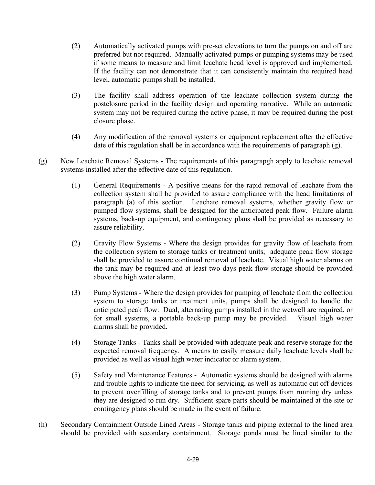- (2) Automatically activated pumps with pre-set elevations to turn the pumps on and off are preferred but not required. Manually activated pumps or pumping systems may be used if some means to measure and limit leachate head level is approved and implemented. If the facility can not demonstrate that it can consistently maintain the required head level, automatic pumps shall be installed.
- (3) The facility shall address operation of the leachate collection system during the postclosure period in the facility design and operating narrative. While an automatic system may not be required during the active phase, it may be required during the post closure phase.
- (4) Any modification of the removal systems or equipment replacement after the effective date of this regulation shall be in accordance with the requirements of paragraph (g).
- (g) New Leachate Removal Systems The requirements of this paragrapgh apply to leachate removal systems installed after the effective date of this regulation.
	- (1) General Requirements A positive means for the rapid removal of leachate from the collection system shall be provided to assure compliance with the head limitations of paragraph (a) of this section. Leachate removal systems, whether gravity flow or pumped flow systems, shall be designed for the anticipated peak flow. Failure alarm systems, back-up equipment, and contingency plans shall be provided as necessary to assure reliability.
	- (2) Gravity Flow Systems Where the design provides for gravity flow of leachate from the collection system to storage tanks or treatment units, adequate peak flow storage shall be provided to assure continual removal of leachate. Visual high water alarms on the tank may be required and at least two days peak flow storage should be provided above the high water alarm.
	- (3) Pump Systems Where the design provides for pumping of leachate from the collection system to storage tanks or treatment units, pumps shall be designed to handle the anticipated peak flow. Dual, alternating pumps installed in the wetwell are required, or for small systems, a portable back-up pump may be provided. Visual high water alarms shall be provided.
	- (4) Storage Tanks Tanks shall be provided with adequate peak and reserve storage for the expected removal frequency. A means to easily measure daily leachate levels shall be provided as well as visual high water indicator or alarm system.
	- (5) Safety and Maintenance Features Automatic systems should be designed with alarms and trouble lights to indicate the need for servicing, as well as automatic cut off devices to prevent overfilling of storage tanks and to prevent pumps from running dry unless they are designed to run dry. Sufficient spare parts should be maintained at the site or contingency plans should be made in the event of failure.
- (h) Secondary Containment Outside Lined Areas Storage tanks and piping external to the lined area should be provided with secondary containment. Storage ponds must be lined similar to the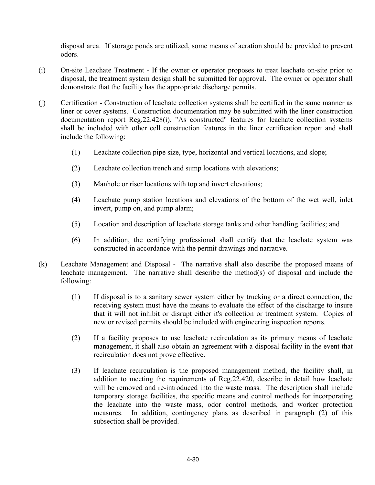disposal area. If storage ponds are utilized, some means of aeration should be provided to prevent odors.

- (i) On-site Leachate Treatment If the owner or operator proposes to treat leachate on-site prior to disposal, the treatment system design shall be submitted for approval. The owner or operator shall demonstrate that the facility has the appropriate discharge permits.
- (j) Certification Construction of leachate collection systems shall be certified in the same manner as liner or cover systems. Construction documentation may be submitted with the liner construction documentation report Reg.22.428(i). "As constructed" features for leachate collection systems shall be included with other cell construction features in the liner certification report and shall include the following:
	- (1) Leachate collection pipe size, type, horizontal and vertical locations, and slope;
	- (2) Leachate collection trench and sump locations with elevations;
	- (3) Manhole or riser locations with top and invert elevations;
	- (4) Leachate pump station locations and elevations of the bottom of the wet well, inlet invert, pump on, and pump alarm;
	- (5) Location and description of leachate storage tanks and other handling facilities; and
	- (6) In addition, the certifying professional shall certify that the leachate system was constructed in accordance with the permit drawings and narrative.
- (k) Leachate Management and Disposal The narrative shall also describe the proposed means of leachate management. The narrative shall describe the method(s) of disposal and include the following:
	- (1) If disposal is to a sanitary sewer system either by trucking or a direct connection, the receiving system must have the means to evaluate the effect of the discharge to insure that it will not inhibit or disrupt either it's collection or treatment system. Copies of new or revised permits should be included with engineering inspection reports.
	- (2) If a facility proposes to use leachate recirculation as its primary means of leachate management, it shall also obtain an agreement with a disposal facility in the event that recirculation does not prove effective.
	- (3) If leachate recirculation is the proposed management method, the facility shall, in addition to meeting the requirements of Reg.22.420, describe in detail how leachate will be removed and re-introduced into the waste mass. The description shall include temporary storage facilities, the specific means and control methods for incorporating the leachate into the waste mass, odor control methods, and worker protection measures. In addition, contingency plans as described in paragraph (2) of this subsection shall be provided.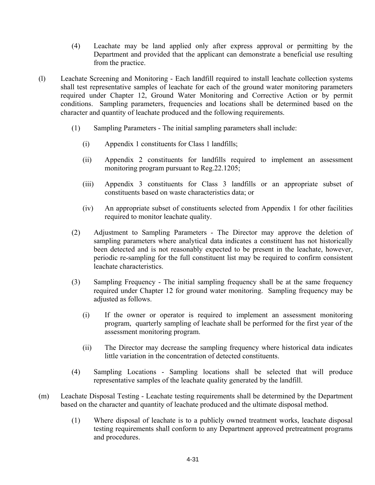- (4) Leachate may be land applied only after express approval or permitting by the Department and provided that the applicant can demonstrate a beneficial use resulting from the practice.
- (l) Leachate Screening and Monitoring Each landfill required to install leachate collection systems shall test representative samples of leachate for each of the ground water monitoring parameters required under Chapter 12, Ground Water Monitoring and Corrective Action or by permit conditions. Sampling parameters, frequencies and locations shall be determined based on the character and quantity of leachate produced and the following requirements.
	- (1) Sampling Parameters The initial sampling parameters shall include:
		- (i) Appendix 1 constituents for Class 1 landfills;
		- (ii) Appendix 2 constituents for landfills required to implement an assessment monitoring program pursuant to Reg.22.1205;
		- (iii) Appendix 3 constituents for Class 3 landfills or an appropriate subset of constituents based on waste characteristics data; or
		- (iv) An appropriate subset of constituents selected from Appendix 1 for other facilities required to monitor leachate quality.
	- (2) Adjustment to Sampling Parameters The Director may approve the deletion of sampling parameters where analytical data indicates a constituent has not historically been detected and is not reasonably expected to be present in the leachate, however, periodic re-sampling for the full constituent list may be required to confirm consistent leachate characteristics.
	- (3) Sampling Frequency The initial sampling frequency shall be at the same frequency required under Chapter 12 for ground water monitoring. Sampling frequency may be adjusted as follows.
		- (i) If the owner or operator is required to implement an assessment monitoring program, quarterly sampling of leachate shall be performed for the first year of the assessment monitoring program.
		- (ii) The Director may decrease the sampling frequency where historical data indicates little variation in the concentration of detected constituents.
	- (4) Sampling Locations Sampling locations shall be selected that will produce representative samples of the leachate quality generated by the landfill.
- (m) Leachate Disposal Testing Leachate testing requirements shall be determined by the Department based on the character and quantity of leachate produced and the ultimate disposal method.
	- (1) Where disposal of leachate is to a publicly owned treatment works, leachate disposal testing requirements shall conform to any Department approved pretreatment programs and procedures.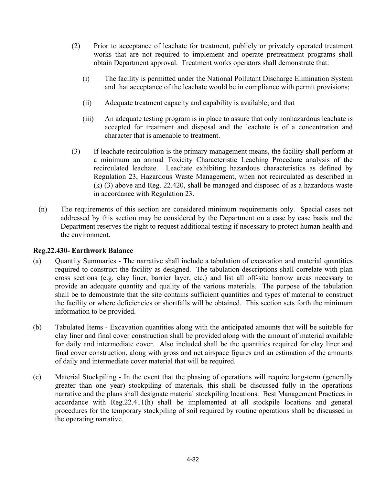- (2) Prior to acceptance of leachate for treatment, publicly or privately operated treatment works that are not required to implement and operate pretreatment programs shall obtain Department approval. Treatment works operators shall demonstrate that:
	- (i) The facility is permitted under the National Pollutant Discharge Elimination System and that acceptance of the leachate would be in compliance with permit provisions;
	- (ii) Adequate treatment capacity and capability is available; and that
	- (iii) An adequate testing program is in place to assure that only nonhazardous leachate is accepted for treatment and disposal and the leachate is of a concentration and character that is amenable to treatment.
- (3) If leachate recirculation is the primary management means, the facility shall perform at a minimum an annual Toxicity Characteristic Leaching Procedure analysis of the recirculated leachate. Leachate exhibiting hazardous characteristics as defined by Regulation 23, Hazardous Waste Management, when not recirculated as described in (k) (3) above and Reg. 22.420, shall be managed and disposed of as a hazardous waste in accordance with Regulation 23.
- (n) The requirements of this section are considered minimum requirements only. Special cases not addressed by this section may be considered by the Department on a case by case basis and the Department reserves the right to request additional testing if necessary to protect human health and the environment.

# **Reg.22.430- Earthwork Balance**

- (a) Quantity Summaries The narrative shall include a tabulation of excavation and material quantities required to construct the facility as designed. The tabulation descriptions shall correlate with plan cross sections (e.g. clay liner, barrier layer, etc.) and list all off-site borrow areas necessary to provide an adequate quantity and quality of the various materials. The purpose of the tabulation shall be to demonstrate that the site contains sufficient quantities and types of material to construct the facility or where deficiencies or shortfalls will be obtained. This section sets forth the minimum information to be provided.
- (b) Tabulated Items Excavation quantities along with the anticipated amounts that will be suitable for clay liner and final cover construction shall be provided along with the amount of material available for daily and intermediate cover. Also included shall be the quantities required for clay liner and final cover construction, along with gross and net airspace figures and an estimation of the amounts of daily and intermediate cover material that will be required.
- (c) Material Stockpiling In the event that the phasing of operations will require long-term (generally greater than one year) stockpiling of materials, this shall be discussed fully in the operations narrative and the plans shall designate material stockpiling locations. Best Management Practices in accordance with Reg.22.411(h) shall be implemented at all stockpile locations and general procedures for the temporary stockpiling of soil required by routine operations shall be discussed in the operating narrative.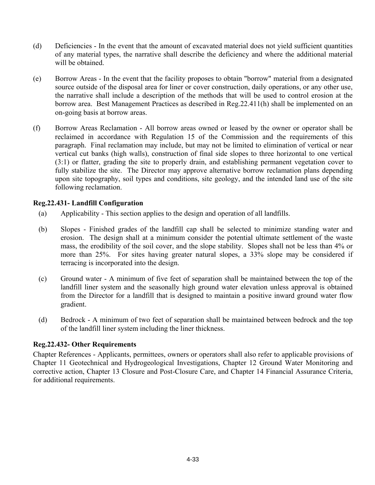- (d) Deficiencies In the event that the amount of excavated material does not yield sufficient quantities of any material types, the narrative shall describe the deficiency and where the additional material will be obtained.
- (e) Borrow Areas In the event that the facility proposes to obtain "borrow" material from a designated source outside of the disposal area for liner or cover construction, daily operations, or any other use, the narrative shall include a description of the methods that will be used to control erosion at the borrow area. Best Management Practices as described in Reg.22.411(h) shall be implemented on an on-going basis at borrow areas.
- (f) Borrow Areas Reclamation All borrow areas owned or leased by the owner or operator shall be reclaimed in accordance with Regulation 15 of the Commission and the requirements of this paragraph. Final reclamation may include, but may not be limited to elimination of vertical or near vertical cut banks (high walls), construction of final side slopes to three horizontal to one vertical (3:1) or flatter, grading the site to properly drain, and establishing permanent vegetation cover to fully stabilize the site. The Director may approve alternative borrow reclamation plans depending upon site topography, soil types and conditions, site geology, and the intended land use of the site following reclamation.

# **Reg.22.431- Landfill Configuration**

- (a) Applicability This section applies to the design and operation of all landfills.
- (b) Slopes Finished grades of the landfill cap shall be selected to minimize standing water and erosion. The design shall at a minimum consider the potential ultimate settlement of the waste mass, the erodibility of the soil cover, and the slope stability. Slopes shall not be less than 4% or more than 25%. For sites having greater natural slopes, a 33% slope may be considered if terracing is incorporated into the design.
- (c) Ground water A minimum of five feet of separation shall be maintained between the top of the landfill liner system and the seasonally high ground water elevation unless approval is obtained from the Director for a landfill that is designed to maintain a positive inward ground water flow gradient.
- (d) Bedrock A minimum of two feet of separation shall be maintained between bedrock and the top of the landfill liner system including the liner thickness.

# **Reg.22.432- Other Requirements**

Chapter References - Applicants, permittees, owners or operators shall also refer to applicable provisions of Chapter 11 Geotechnical and Hydrogeological Investigations, Chapter 12 Ground Water Monitoring and corrective action, Chapter 13 Closure and Post-Closure Care, and Chapter 14 Financial Assurance Criteria, for additional requirements.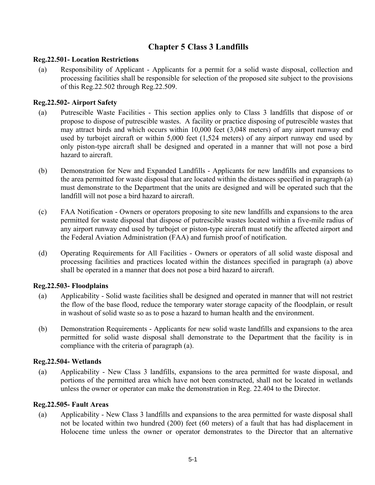# **Chapter 5 Class 3 Landfills**

### **Reg.22.501- Location Restrictions**

(a) Responsibility of Applicant - Applicants for a permit for a solid waste disposal, collection and processing facilities shall be responsible for selection of the proposed site subject to the provisions of this Reg.22.502 through Reg.22.509.

### **Reg.22.502- Airport Safety**

- (a) Putrescible Waste Facilities This section applies only to Class 3 landfills that dispose of or propose to dispose of putrescible wastes. A facility or practice disposing of putrescible wastes that may attract birds and which occurs within 10,000 feet (3,048 meters) of any airport runway end used by turbojet aircraft or within 5,000 feet (1,524 meters) of any airport runway end used by only piston-type aircraft shall be designed and operated in a manner that will not pose a bird hazard to aircraft.
- (b) Demonstration for New and Expanded Landfills Applicants for new landfills and expansions to the area permitted for waste disposal that are located within the distances specified in paragraph (a) must demonstrate to the Department that the units are designed and will be operated such that the landfill will not pose a bird hazard to aircraft.
- (c) FAA Notification Owners or operators proposing to site new landfills and expansions to the area permitted for waste disposal that dispose of putrescible wastes located within a five-mile radius of any airport runway end used by turbojet or piston-type aircraft must notify the affected airport and the Federal Aviation Administration (FAA) and furnish proof of notification.
- (d) Operating Requirements for All Facilities Owners or operators of all solid waste disposal and processing facilities and practices located within the distances specified in paragraph (a) above shall be operated in a manner that does not pose a bird hazard to aircraft.

### **Reg.22.503- Floodplains**

- (a) Applicability Solid waste facilities shall be designed and operated in manner that will not restrict the flow of the base flood, reduce the temporary water storage capacity of the floodplain, or result in washout of solid waste so as to pose a hazard to human health and the environment.
- (b) Demonstration Requirements Applicants for new solid waste landfills and expansions to the area permitted for solid waste disposal shall demonstrate to the Department that the facility is in compliance with the criteria of paragraph (a).

#### **Reg.22.504- Wetlands**

(a) Applicability - New Class 3 landfills, expansions to the area permitted for waste disposal, and portions of the permitted area which have not been constructed, shall not be located in wetlands unless the owner or operator can make the demonstration in Reg. 22.404 to the Director.

#### **Reg.22.505- Fault Areas**

(a) Applicability - New Class 3 landfills and expansions to the area permitted for waste disposal shall not be located within two hundred (200) feet (60 meters) of a fault that has had displacement in Holocene time unless the owner or operator demonstrates to the Director that an alternative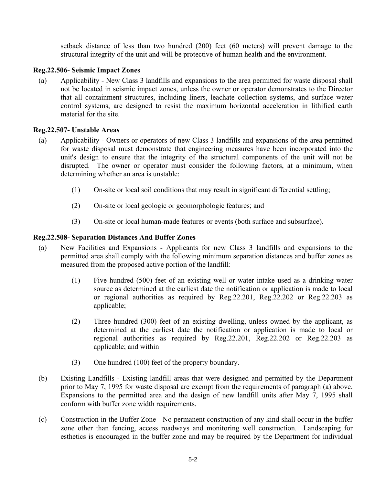setback distance of less than two hundred (200) feet (60 meters) will prevent damage to the structural integrity of the unit and will be protective of human health and the environment.

# **Reg.22.506- Seismic Impact Zones**

(a) Applicability - New Class 3 landfills and expansions to the area permitted for waste disposal shall not be located in seismic impact zones, unless the owner or operator demonstrates to the Director that all containment structures, including liners, leachate collection systems, and surface water control systems, are designed to resist the maximum horizontal acceleration in lithified earth material for the site.

# **Reg.22.507- Unstable Areas**

- (a) Applicability Owners or operators of new Class 3 landfills and expansions of the area permitted for waste disposal must demonstrate that engineering measures have been incorporated into the unit's design to ensure that the integrity of the structural components of the unit will not be disrupted. The owner or operator must consider the following factors, at a minimum, when determining whether an area is unstable:
	- (1) On-site or local soil conditions that may result in significant differential settling;
	- (2) On-site or local geologic or geomorphologic features; and
	- (3) On-site or local human-made features or events (both surface and subsurface).

# **Reg.22.508- Separation Distances And Buffer Zones**

- (a) New Facilities and Expansions Applicants for new Class 3 landfills and expansions to the permitted area shall comply with the following minimum separation distances and buffer zones as measured from the proposed active portion of the landfill:
	- (1) Five hundred (500) feet of an existing well or water intake used as a drinking water source as determined at the earliest date the notification or application is made to local or regional authorities as required by Reg.22.201, Reg.22.202 or Reg.22.203 as applicable;
	- (2) Three hundred (300) feet of an existing dwelling, unless owned by the applicant, as determined at the earliest date the notification or application is made to local or regional authorities as required by Reg.22.201, Reg.22.202 or Reg.22.203 as applicable; and within
	- (3) One hundred (100) feet of the property boundary.
- (b) Existing Landfills Existing landfill areas that were designed and permitted by the Department prior to May 7, 1995 for waste disposal are exempt from the requirements of paragraph (a) above. Expansions to the permitted area and the design of new landfill units after May 7, 1995 shall conform with buffer zone width requirements.
- (c) Construction in the Buffer Zone No permanent construction of any kind shall occur in the buffer zone other than fencing, access roadways and monitoring well construction. Landscaping for esthetics is encouraged in the buffer zone and may be required by the Department for individual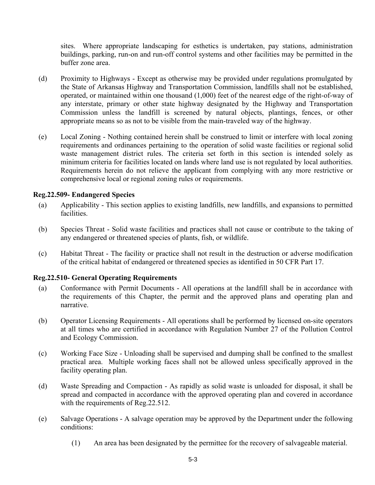sites. Where appropriate landscaping for esthetics is undertaken, pay stations, administration buildings, parking, run-on and run-off control systems and other facilities may be permitted in the buffer zone area.

- (d) Proximity to Highways Except as otherwise may be provided under regulations promulgated by the State of Arkansas Highway and Transportation Commission, landfills shall not be established, operated, or maintained within one thousand (1,000) feet of the nearest edge of the right-of-way of any interstate, primary or other state highway designated by the Highway and Transportation Commission unless the landfill is screened by natural objects, plantings, fences, or other appropriate means so as not to be visible from the main-traveled way of the highway.
- (e) Local Zoning Nothing contained herein shall be construed to limit or interfere with local zoning requirements and ordinances pertaining to the operation of solid waste facilities or regional solid waste management district rules. The criteria set forth in this section is intended solely as minimum criteria for facilities located on lands where land use is not regulated by local authorities. Requirements herein do not relieve the applicant from complying with any more restrictive or comprehensive local or regional zoning rules or requirements.

### **Reg.22.509- Endangered Species**

- (a) Applicability This section applies to existing landfills, new landfills, and expansions to permitted facilities.
- (b) Species Threat Solid waste facilities and practices shall not cause or contribute to the taking of any endangered or threatened species of plants, fish, or wildlife.
- (c) Habitat Threat The facility or practice shall not result in the destruction or adverse modification of the critical habitat of endangered or threatened species as identified in 50 CFR Part 17.

#### **Reg.22.510- General Operating Requirements**

- (a) Conformance with Permit Documents All operations at the landfill shall be in accordance with the requirements of this Chapter, the permit and the approved plans and operating plan and narrative.
- (b) Operator Licensing Requirements All operations shall be performed by licensed on-site operators at all times who are certified in accordance with Regulation Number 27 of the Pollution Control and Ecology Commission.
- (c) Working Face Size Unloading shall be supervised and dumping shall be confined to the smallest practical area. Multiple working faces shall not be allowed unless specifically approved in the facility operating plan.
- (d) Waste Spreading and Compaction As rapidly as solid waste is unloaded for disposal, it shall be spread and compacted in accordance with the approved operating plan and covered in accordance with the requirements of Reg. 22.512.
- (e) Salvage Operations A salvage operation may be approved by the Department under the following conditions:
	- (1) An area has been designated by the permittee for the recovery of salvageable material.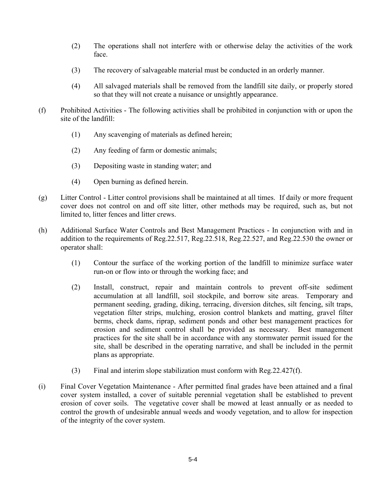- (2) The operations shall not interfere with or otherwise delay the activities of the work face.
- (3) The recovery of salvageable material must be conducted in an orderly manner.
- (4) All salvaged materials shall be removed from the landfill site daily, or properly stored so that they will not create a nuisance or unsightly appearance.
- (f) Prohibited Activities The following activities shall be prohibited in conjunction with or upon the site of the landfill:
	- (1) Any scavenging of materials as defined herein;
	- (2) Any feeding of farm or domestic animals;
	- (3) Depositing waste in standing water; and
	- (4) Open burning as defined herein.
- (g) Litter Control Litter control provisions shall be maintained at all times. If daily or more frequent cover does not control on and off site litter, other methods may be required, such as, but not limited to, litter fences and litter crews.
- (h) Additional Surface Water Controls and Best Management Practices In conjunction with and in addition to the requirements of Reg.22.517, Reg.22.518, Reg.22.527, and Reg.22.530 the owner or operator shall:
	- (1) Contour the surface of the working portion of the landfill to minimize surface water run-on or flow into or through the working face; and
	- (2) Install, construct, repair and maintain controls to prevent off-site sediment accumulation at all landfill, soil stockpile, and borrow site areas. Temporary and permanent seeding, grading, diking, terracing, diversion ditches, silt fencing, silt traps, vegetation filter strips, mulching, erosion control blankets and matting, gravel filter berms, check dams, riprap, sediment ponds and other best management practices for erosion and sediment control shall be provided as necessary. Best management practices for the site shall be in accordance with any stormwater permit issued for the site, shall be described in the operating narrative, and shall be included in the permit plans as appropriate.
	- (3) Final and interim slope stabilization must conform with Reg.22.427(f).
- (i) Final Cover Vegetation Maintenance After permitted final grades have been attained and a final cover system installed, a cover of suitable perennial vegetation shall be established to prevent erosion of cover soils. The vegetative cover shall be mowed at least annually or as needed to control the growth of undesirable annual weeds and woody vegetation, and to allow for inspection of the integrity of the cover system.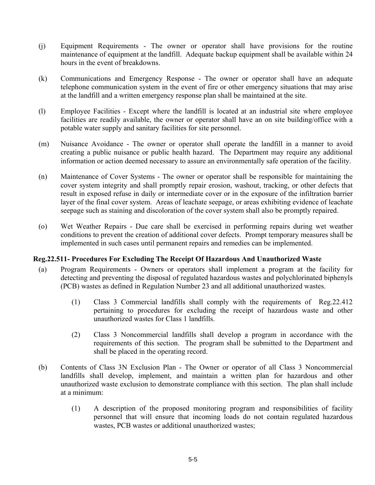- (j) Equipment Requirements The owner or operator shall have provisions for the routine maintenance of equipment at the landfill. Adequate backup equipment shall be available within 24 hours in the event of breakdowns.
- (k) Communications and Emergency Response The owner or operator shall have an adequate telephone communication system in the event of fire or other emergency situations that may arise at the landfill and a written emergency response plan shall be maintained at the site.
- (l) Employee Facilities Except where the landfill is located at an industrial site where employee facilities are readily available, the owner or operator shall have an on site building/office with a potable water supply and sanitary facilities for site personnel.
- (m) Nuisance Avoidance The owner or operator shall operate the landfill in a manner to avoid creating a public nuisance or public health hazard. The Department may require any additional information or action deemed necessary to assure an environmentally safe operation of the facility.
- (n) Maintenance of Cover Systems The owner or operator shall be responsible for maintaining the cover system integrity and shall promptly repair erosion, washout, tracking, or other defects that result in exposed refuse in daily or intermediate cover or in the exposure of the infiltration barrier layer of the final cover system. Areas of leachate seepage, or areas exhibiting evidence of leachate seepage such as staining and discoloration of the cover system shall also be promptly repaired.
- (o) Wet Weather Repairs Due care shall be exercised in performing repairs during wet weather conditions to prevent the creation of additional cover defects. Prompt temporary measures shall be implemented in such cases until permanent repairs and remedies can be implemented.

# **Reg.22.511- Procedures For Excluding The Receipt Of Hazardous And Unauthorized Waste**

- (a) Program Requirements Owners or operators shall implement a program at the facility for detecting and preventing the disposal of regulated hazardous wastes and polychlorinated biphenyls (PCB) wastes as defined in Regulation Number 23 and all additional unauthorized wastes.
	- (1) Class 3 Commercial landfills shall comply with the requirements of Reg.22.412 pertaining to procedures for excluding the receipt of hazardous waste and other unauthorized wastes for Class 1 landfills.
	- (2) Class 3 Noncommercial landfills shall develop a program in accordance with the requirements of this section. The program shall be submitted to the Department and shall be placed in the operating record.
- (b) Contents of Class 3N Exclusion Plan The Owner or operator of all Class 3 Noncommercial landfills shall develop, implement, and maintain a written plan for hazardous and other unauthorized waste exclusion to demonstrate compliance with this section. The plan shall include at a minimum:
	- (1) A description of the proposed monitoring program and responsibilities of facility personnel that will ensure that incoming loads do not contain regulated hazardous wastes, PCB wastes or additional unauthorized wastes;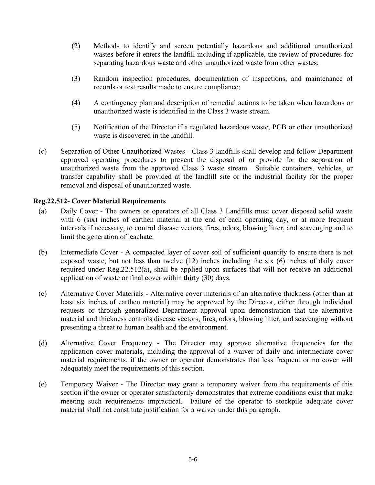- (2) Methods to identify and screen potentially hazardous and additional unauthorized wastes before it enters the landfill including if applicable, the review of procedures for separating hazardous waste and other unauthorized waste from other wastes;
- (3) Random inspection procedures, documentation of inspections, and maintenance of records or test results made to ensure compliance;
- (4) A contingency plan and description of remedial actions to be taken when hazardous or unauthorized waste is identified in the Class 3 waste stream.
- (5) Notification of the Director if a regulated hazardous waste, PCB or other unauthorized waste is discovered in the landfill.
- (c) Separation of Other Unauthorized Wastes Class 3 landfills shall develop and follow Department approved operating procedures to prevent the disposal of or provide for the separation of unauthorized waste from the approved Class 3 waste stream. Suitable containers, vehicles, or transfer capability shall be provided at the landfill site or the industrial facility for the proper removal and disposal of unauthorized waste.

# **Reg.22.512- Cover Material Requirements**

- (a) Daily Cover The owners or operators of all Class 3 Landfills must cover disposed solid waste with 6 (six) inches of earthen material at the end of each operating day, or at more frequent intervals if necessary, to control disease vectors, fires, odors, blowing litter, and scavenging and to limit the generation of leachate.
- (b) Intermediate Cover A compacted layer of cover soil of sufficient quantity to ensure there is not exposed waste, but not less than twelve (12) inches including the six (6) inches of daily cover required under Reg.22.512(a), shall be applied upon surfaces that will not receive an additional application of waste or final cover within thirty (30) days.
- (c) Alternative Cover Materials Alternative cover materials of an alternative thickness (other than at least six inches of earthen material) may be approved by the Director, either through individual requests or through generalized Department approval upon demonstration that the alternative material and thickness controls disease vectors, fires, odors, blowing litter, and scavenging without presenting a threat to human health and the environment.
- (d) Alternative Cover Frequency The Director may approve alternative frequencies for the application cover materials, including the approval of a waiver of daily and intermediate cover material requirements, if the owner or operator demonstrates that less frequent or no cover will adequately meet the requirements of this section.
- (e) Temporary Waiver The Director may grant a temporary waiver from the requirements of this section if the owner or operator satisfactorily demonstrates that extreme conditions exist that make meeting such requirements impractical. Failure of the operator to stockpile adequate cover material shall not constitute justification for a waiver under this paragraph.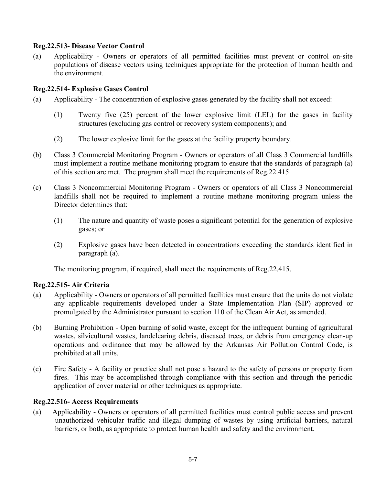### **Reg.22.513- Disease Vector Control**

(a) Applicability - Owners or operators of all permitted facilities must prevent or control on-site populations of disease vectors using techniques appropriate for the protection of human health and the environment.

### **Reg.22.514- Explosive Gases Control**

- (a) Applicability The concentration of explosive gases generated by the facility shall not exceed:
	- (1) Twenty five (25) percent of the lower explosive limit (LEL) for the gases in facility structures (excluding gas control or recovery system components); and
	- (2) The lower explosive limit for the gases at the facility property boundary.
- (b) Class 3 Commercial Monitoring Program Owners or operators of all Class 3 Commercial landfills must implement a routine methane monitoring program to ensure that the standards of paragraph (a) of this section are met. The program shall meet the requirements of Reg.22.415
- (c) Class 3 Noncommercial Monitoring Program Owners or operators of all Class 3 Noncommercial landfills shall not be required to implement a routine methane monitoring program unless the Director determines that:
	- (1) The nature and quantity of waste poses a significant potential for the generation of explosive gases; or
	- (2) Explosive gases have been detected in concentrations exceeding the standards identified in paragraph (a).

The monitoring program, if required, shall meet the requirements of Reg.22.415.

#### **Reg.22.515- Air Criteria**

- (a) Applicability Owners or operators of all permitted facilities must ensure that the units do not violate any applicable requirements developed under a State Implementation Plan (SIP) approved or promulgated by the Administrator pursuant to section 110 of the Clean Air Act, as amended.
- (b) Burning Prohibition Open burning of solid waste, except for the infrequent burning of agricultural wastes, silvicultural wastes, landclearing debris, diseased trees, or debris from emergency clean-up operations and ordinance that may be allowed by the Arkansas Air Pollution Control Code, is prohibited at all units.
- (c) Fire Safety A facility or practice shall not pose a hazard to the safety of persons or property from fires. This may be accomplished through compliance with this section and through the periodic application of cover material or other techniques as appropriate.

# **Reg.22.516- Access Requirements**

(a) Applicability - Owners or operators of all permitted facilities must control public access and prevent unauthorized vehicular traffic and illegal dumping of wastes by using artificial barriers, natural barriers, or both, as appropriate to protect human health and safety and the environment.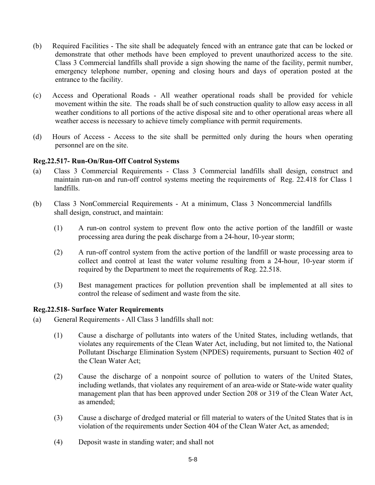- (b) Required Facilities The site shall be adequately fenced with an entrance gate that can be locked or demonstrate that other methods have been employed to prevent unauthorized access to the site. Class 3 Commercial landfills shall provide a sign showing the name of the facility, permit number, emergency telephone number, opening and closing hours and days of operation posted at the entrance to the facility.
- (c) Access and Operational Roads All weather operational roads shall be provided for vehicle movement within the site. The roads shall be of such construction quality to allow easy access in all weather conditions to all portions of the active disposal site and to other operational areas where all weather access is necessary to achieve timely compliance with permit requirements.
- (d) Hours of Access Access to the site shall be permitted only during the hours when operating personnel are on the site.

### **Reg.22.517- Run-On/Run-Off Control Systems**

- (a) Class 3 Commercial Requirements Class 3 Commercial landfills shall design, construct and maintain run-on and run-off control systems meeting the requirements of Reg. 22.418 for Class 1 landfills.
- (b) Class 3 NonCommercial Requirements At a minimum, Class 3 Noncommercial landfills shall design, construct, and maintain:
	- (1) A run-on control system to prevent flow onto the active portion of the landfill or waste processing area during the peak discharge from a 24-hour, 10-year storm;
	- (2) A run-off control system from the active portion of the landfill or waste processing area to collect and control at least the water volume resulting from a 24-hour, 10-year storm if required by the Department to meet the requirements of Reg. 22.518.
	- (3) Best management practices for pollution prevention shall be implemented at all sites to control the release of sediment and waste from the site.

#### **Reg.22.518- Surface Water Requirements**

- (a) General Requirements All Class 3 landfills shall not:
	- (1) Cause a discharge of pollutants into waters of the United States, including wetlands, that violates any requirements of the Clean Water Act, including, but not limited to, the National Pollutant Discharge Elimination System (NPDES) requirements, pursuant to Section 402 of the Clean Water Act;
	- (2) Cause the discharge of a nonpoint source of pollution to waters of the United States, including wetlands, that violates any requirement of an area-wide or State-wide water quality management plan that has been approved under Section 208 or 319 of the Clean Water Act, as amended;
	- (3) Cause a discharge of dredged material or fill material to waters of the United States that is in violation of the requirements under Section 404 of the Clean Water Act, as amended;
	- (4) Deposit waste in standing water; and shall not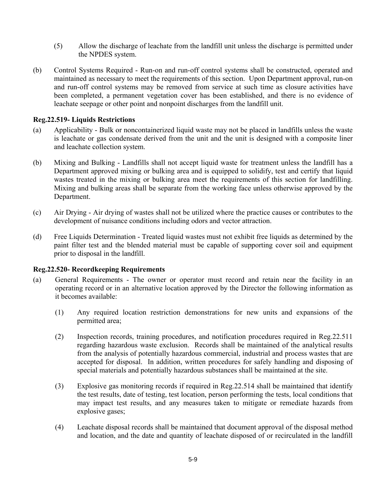- (5) Allow the discharge of leachate from the landfill unit unless the discharge is permitted under the NPDES system.
- (b) Control Systems Required Run-on and run-off control systems shall be constructed, operated and maintained as necessary to meet the requirements of this section. Upon Department approval, run-on and run-off control systems may be removed from service at such time as closure activities have been completed, a permanent vegetation cover has been established, and there is no evidence of leachate seepage or other point and nonpoint discharges from the landfill unit.

### **Reg.22.519- Liquids Restrictions**

- (a) Applicability Bulk or noncontainerized liquid waste may not be placed in landfills unless the waste is leachate or gas condensate derived from the unit and the unit is designed with a composite liner and leachate collection system.
- (b) Mixing and Bulking Landfills shall not accept liquid waste for treatment unless the landfill has a Department approved mixing or bulking area and is equipped to solidify, test and certify that liquid wastes treated in the mixing or bulking area meet the requirements of this section for landfilling. Mixing and bulking areas shall be separate from the working face unless otherwise approved by the Department.
- (c) Air Drying Air drying of wastes shall not be utilized where the practice causes or contributes to the development of nuisance conditions including odors and vector attraction.
- (d) Free Liquids Determination Treated liquid wastes must not exhibit free liquids as determined by the paint filter test and the blended material must be capable of supporting cover soil and equipment prior to disposal in the landfill.

#### **Reg.22.520- Recordkeeping Requirements**

- (a) General Requirements The owner or operator must record and retain near the facility in an operating record or in an alternative location approved by the Director the following information as it becomes available:
	- (1) Any required location restriction demonstrations for new units and expansions of the permitted area;
	- (2) Inspection records, training procedures, and notification procedures required in Reg.22.511 regarding hazardous waste exclusion. Records shall be maintained of the analytical results from the analysis of potentially hazardous commercial, industrial and process wastes that are accepted for disposal. In addition, written procedures for safely handling and disposing of special materials and potentially hazardous substances shall be maintained at the site.
	- (3) Explosive gas monitoring records if required in Reg.22.514 shall be maintained that identify the test results, date of testing, test location, person performing the tests, local conditions that may impact test results, and any measures taken to mitigate or remediate hazards from explosive gases;
	- (4) Leachate disposal records shall be maintained that document approval of the disposal method and location, and the date and quantity of leachate disposed of or recirculated in the landfill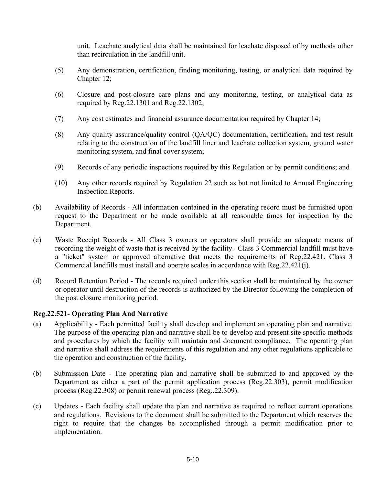unit. Leachate analytical data shall be maintained for leachate disposed of by methods other than recirculation in the landfill unit.

- (5) Any demonstration, certification, finding monitoring, testing, or analytical data required by Chapter 12;
- (6) Closure and post-closure care plans and any monitoring, testing, or analytical data as required by Reg.22.1301 and Reg.22.1302;
- (7) Any cost estimates and financial assurance documentation required by Chapter 14;
- (8) Any quality assurance/quality control (QA/QC) documentation, certification, and test result relating to the construction of the landfill liner and leachate collection system, ground water monitoring system, and final cover system;
- (9) Records of any periodic inspections required by this Regulation or by permit conditions; and
- (10) Any other records required by Regulation 22 such as but not limited to Annual Engineering Inspection Reports.
- (b) Availability of Records All information contained in the operating record must be furnished upon request to the Department or be made available at all reasonable times for inspection by the Department.
- (c) Waste Receipt Records All Class 3 owners or operators shall provide an adequate means of recording the weight of waste that is received by the facility. Class 3 Commercial landfill must have a "ticket" system or approved alternative that meets the requirements of Reg.22.421. Class 3 Commercial landfills must install and operate scales in accordance with Reg.22.421(j).
- (d) Record Retention Period The records required under this section shall be maintained by the owner or operator until destruction of the records is authorized by the Director following the completion of the post closure monitoring period.

#### **Reg.22.521- Operating Plan And Narrative**

- (a) Applicability Each permitted facility shall develop and implement an operating plan and narrative. The purpose of the operating plan and narrative shall be to develop and present site specific methods and procedures by which the facility will maintain and document compliance. The operating plan and narrative shall address the requirements of this regulation and any other regulations applicable to the operation and construction of the facility.
- (b) Submission Date The operating plan and narrative shall be submitted to and approved by the Department as either a part of the permit application process (Reg.22.303), permit modification process (Reg.22.308) or permit renewal process (Reg..22.309).
- (c) Updates Each facility shall update the plan and narrative as required to reflect current operations and regulations. Revisions to the document shall be submitted to the Department which reserves the right to require that the changes be accomplished through a permit modification prior to implementation.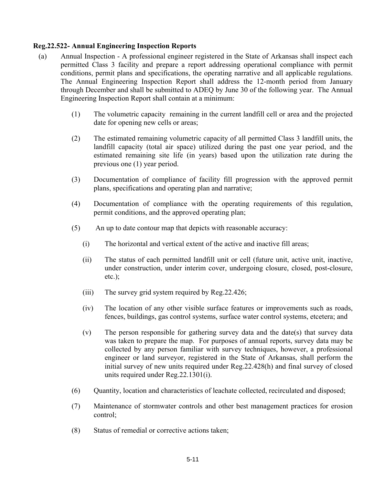### **Reg.22.522- Annual Engineering Inspection Reports**

- (a) Annual Inspection A professional engineer registered in the State of Arkansas shall inspect each permitted Class 3 facility and prepare a report addressing operational compliance with permit conditions, permit plans and specifications, the operating narrative and all applicable regulations. The Annual Engineering Inspection Report shall address the 12-month period from January through December and shall be submitted to ADEQ by June 30 of the following year. The Annual Engineering Inspection Report shall contain at a minimum:
	- (1) The volumetric capacity remaining in the current landfill cell or area and the projected date for opening new cells or areas;
	- (2) The estimated remaining volumetric capacity of all permitted Class 3 landfill units, the landfill capacity (total air space) utilized during the past one year period, and the estimated remaining site life (in years) based upon the utilization rate during the previous one (1) year period.
	- (3) Documentation of compliance of facility fill progression with the approved permit plans, specifications and operating plan and narrative;
	- (4) Documentation of compliance with the operating requirements of this regulation, permit conditions, and the approved operating plan;
	- (5) An up to date contour map that depicts with reasonable accuracy:
		- (i) The horizontal and vertical extent of the active and inactive fill areas;
		- (ii) The status of each permitted landfill unit or cell (future unit, active unit, inactive, under construction, under interim cover, undergoing closure, closed, post-closure, etc.);
		- (iii) The survey grid system required by Reg.22.426;
		- (iv) The location of any other visible surface features or improvements such as roads, fences, buildings, gas control systems, surface water control systems, etcetera; and
		- (v) The person responsible for gathering survey data and the date(s) that survey data was taken to prepare the map. For purposes of annual reports, survey data may be collected by any person familiar with survey techniques, however, a professional engineer or land surveyor, registered in the State of Arkansas, shall perform the initial survey of new units required under Reg.22.428(h) and final survey of closed units required under Reg.22.1301(i).
	- (6) Quantity, location and characteristics of leachate collected, recirculated and disposed;
	- (7) Maintenance of stormwater controls and other best management practices for erosion control;
	- (8) Status of remedial or corrective actions taken;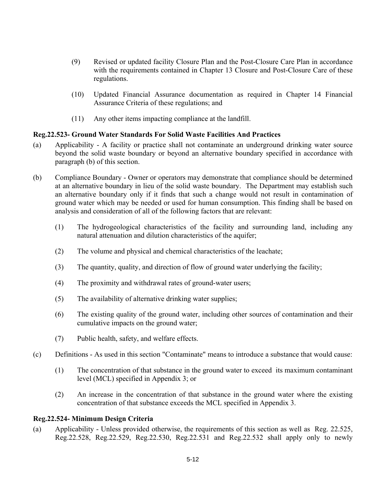- (9) Revised or updated facility Closure Plan and the Post-Closure Care Plan in accordance with the requirements contained in Chapter 13 Closure and Post-Closure Care of these regulations.
- (10) Updated Financial Assurance documentation as required in Chapter 14 Financial Assurance Criteria of these regulations; and
- (11) Any other items impacting compliance at the landfill.

### **Reg.22.523- Ground Water Standards For Solid Waste Facilities And Practices**

- (a) Applicability A facility or practice shall not contaminate an underground drinking water source beyond the solid waste boundary or beyond an alternative boundary specified in accordance with paragraph (b) of this section.
- (b) Compliance Boundary Owner or operators may demonstrate that compliance should be determined at an alternative boundary in lieu of the solid waste boundary. The Department may establish such an alternative boundary only if it finds that such a change would not result in contamination of ground water which may be needed or used for human consumption. This finding shall be based on analysis and consideration of all of the following factors that are relevant:
	- (1) The hydrogeological characteristics of the facility and surrounding land, including any natural attenuation and dilution characteristics of the aquifer;
	- (2) The volume and physical and chemical characteristics of the leachate;
	- (3) The quantity, quality, and direction of flow of ground water underlying the facility;
	- (4) The proximity and withdrawal rates of ground-water users;
	- (5) The availability of alternative drinking water supplies;
	- (6) The existing quality of the ground water, including other sources of contamination and their cumulative impacts on the ground water;
	- (7) Public health, safety, and welfare effects.
- (c) Definitions As used in this section "Contaminate" means to introduce a substance that would cause:
	- (1) The concentration of that substance in the ground water to exceed its maximum contaminant level (MCL) specified in Appendix 3; or
	- (2) An increase in the concentration of that substance in the ground water where the existing concentration of that substance exceeds the MCL specified in Appendix 3.

#### **Reg.22.524- Minimum Design Criteria**

(a) Applicability - Unless provided otherwise, the requirements of this section as well as Reg. 22.525, Reg.22.528, Reg.22.529, Reg.22.530, Reg.22.531 and Reg.22.532 shall apply only to newly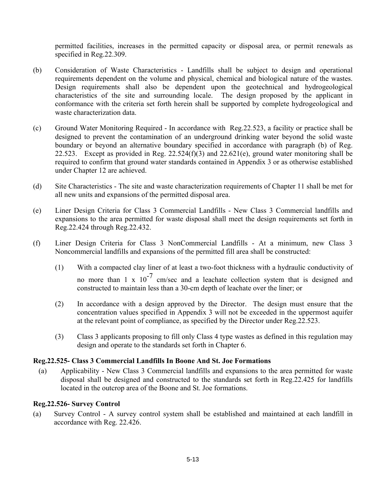permitted facilities, increases in the permitted capacity or disposal area, or permit renewals as specified in Reg.22.309.

- (b) Consideration of Waste Characteristics Landfills shall be subject to design and operational requirements dependent on the volume and physical, chemical and biological nature of the wastes. Design requirements shall also be dependent upon the geotechnical and hydrogeological characteristics of the site and surrounding locale. The design proposed by the applicant in conformance with the criteria set forth herein shall be supported by complete hydrogeological and waste characterization data.
- (c) Ground Water Monitoring Required In accordance with Reg.22.523, a facility or practice shall be designed to prevent the contamination of an underground drinking water beyond the solid waste boundary or beyond an alternative boundary specified in accordance with paragraph (b) of Reg. 22.523. Except as provided in Reg. 22.524(f)(3) and 22.621(e), ground water monitoring shall be required to confirm that ground water standards contained in Appendix 3 or as otherwise established under Chapter 12 are achieved.
- (d) Site Characteristics The site and waste characterization requirements of Chapter 11 shall be met for all new units and expansions of the permitted disposal area.
- (e) Liner Design Criteria for Class 3 Commercial Landfills New Class 3 Commercial landfills and expansions to the area permitted for waste disposal shall meet the design requirements set forth in Reg.22.424 through Reg.22.432.
- (f) Liner Design Criteria for Class 3 NonCommercial Landfills At a minimum, new Class 3 Noncommercial landfills and expansions of the permitted fill area shall be constructed:
	- (1) With a compacted clay liner of at least a two-foot thickness with a hydraulic conductivity of no more than 1 x  $10^{-7}$  cm/sec and a leachate collection system that is designed and constructed to maintain less than a 30-cm depth of leachate over the liner; or
	- (2) In accordance with a design approved by the Director. The design must ensure that the concentration values specified in Appendix 3 will not be exceeded in the uppermost aquifer at the relevant point of compliance, as specified by the Director under Reg.22.523.
	- (3) Class 3 applicants proposing to fill only Class 4 type wastes as defined in this regulation may design and operate to the standards set forth in Chapter 6.

#### **Reg.22.525- Class 3 Commercial Landfills In Boone And St. Joe Formations**

(a) Applicability - New Class 3 Commercial landfills and expansions to the area permitted for waste disposal shall be designed and constructed to the standards set forth in Reg.22.425 for landfills located in the outcrop area of the Boone and St. Joe formations.

#### **Reg.22.526- Survey Control**

(a) Survey Control - A survey control system shall be established and maintained at each landfill in accordance with Reg. 22.426.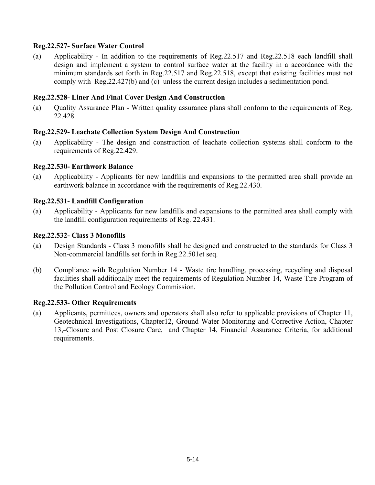### **Reg.22.527- Surface Water Control**

(a) Applicability - In addition to the requirements of Reg.22.517 and Reg.22.518 each landfill shall design and implement a system to control surface water at the facility in a accordance with the minimum standards set forth in Reg.22.517 and Reg.22.518, except that existing facilities must not comply with Reg.22.427(b) and (c) unless the current design includes a sedimentation pond.

#### **Reg.22.528- Liner And Final Cover Design And Construction**

(a) Quality Assurance Plan - Written quality assurance plans shall conform to the requirements of Reg. 22.428.

#### **Reg.22.529- Leachate Collection System Design And Construction**

(a) Applicability - The design and construction of leachate collection systems shall conform to the requirements of Reg.22.429.

#### **Reg.22.530- Earthwork Balance**

(a) Applicability - Applicants for new landfills and expansions to the permitted area shall provide an earthwork balance in accordance with the requirements of Reg.22.430.

#### **Reg.22.531- Landfill Configuration**

(a) Applicability - Applicants for new landfills and expansions to the permitted area shall comply with the landfill configuration requirements of Reg. 22.431.

#### **Reg.22.532- Class 3 Monofills**

- (a) Design Standards Class 3 monofills shall be designed and constructed to the standards for Class 3 Non-commercial landfills set forth in Reg.22.501et seq.
- (b) Compliance with Regulation Number 14 Waste tire handling, processing, recycling and disposal facilities shall additionally meet the requirements of Regulation Number 14, Waste Tire Program of the Pollution Control and Ecology Commission.

#### **Reg.22.533- Other Requirements**

(a) Applicants, permittees, owners and operators shall also refer to applicable provisions of Chapter 11, Geotechnical Investigations, Chapter12, Ground Water Monitoring and Corrective Action, Chapter 13, Closure and Post Closure Care, and Chapter 14, Financial Assurance Criteria, for additional requirements.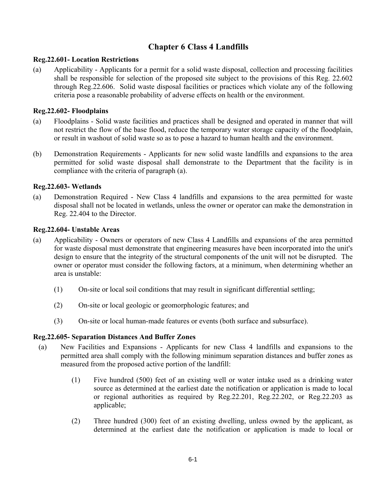# **Chapter 6 Class 4 Landfills**

### **Reg.22.601- Location Restrictions**

(a) Applicability - Applicants for a permit for a solid waste disposal, collection and processing facilities shall be responsible for selection of the proposed site subject to the provisions of this Reg. 22.602 through Reg.22.606. Solid waste disposal facilities or practices which violate any of the following criteria pose a reasonable probability of adverse effects on health or the environment.

### **Reg.22.602- Floodplains**

- (a) Floodplains Solid waste facilities and practices shall be designed and operated in manner that will not restrict the flow of the base flood, reduce the temporary water storage capacity of the floodplain, or result in washout of solid waste so as to pose a hazard to human health and the environment.
- (b) Demonstration Requirements Applicants for new solid waste landfills and expansions to the area permitted for solid waste disposal shall demonstrate to the Department that the facility is in compliance with the criteria of paragraph (a).

### **Reg.22.603- Wetlands**

(a) Demonstration Required - New Class 4 landfills and expansions to the area permitted for waste disposal shall not be located in wetlands, unless the owner or operator can make the demonstration in Reg. 22.404 to the Director.

### **Reg.22.604- Unstable Areas**

- (a) Applicability Owners or operators of new Class 4 Landfills and expansions of the area permitted for waste disposal must demonstrate that engineering measures have been incorporated into the unit's design to ensure that the integrity of the structural components of the unit will not be disrupted. The owner or operator must consider the following factors, at a minimum, when determining whether an area is unstable:
	- (1) On-site or local soil conditions that may result in significant differential settling;
	- (2) On-site or local geologic or geomorphologic features; and
	- (3) On-site or local human-made features or events (both surface and subsurface).

#### **Reg.22.605- Separation Distances And Buffer Zones**

- (a) New Facilities and Expansions Applicants for new Class 4 landfills and expansions to the permitted area shall comply with the following minimum separation distances and buffer zones as measured from the proposed active portion of the landfill:
	- (1) Five hundred (500) feet of an existing well or water intake used as a drinking water source as determined at the earliest date the notification or application is made to local or regional authorities as required by Reg.22.201, Reg.22.202, or Reg.22.203 as applicable;
	- (2) Three hundred (300) feet of an existing dwelling, unless owned by the applicant, as determined at the earliest date the notification or application is made to local or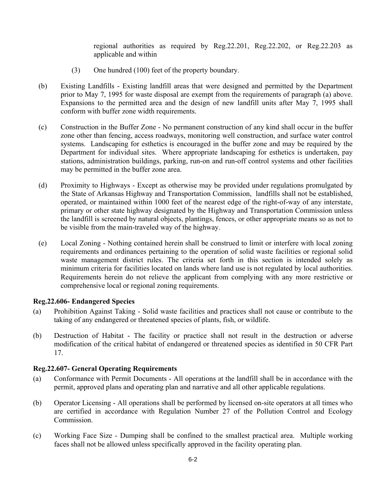regional authorities as required by Reg.22.201, Reg.22.202, or Reg.22.203 as applicable and within

- (3) One hundred (100) feet of the property boundary.
- (b) Existing Landfills Existing landfill areas that were designed and permitted by the Department prior to May 7, 1995 for waste disposal are exempt from the requirements of paragraph (a) above. Expansions to the permitted area and the design of new landfill units after May 7, 1995 shall conform with buffer zone width requirements.
- (c) Construction in the Buffer Zone No permanent construction of any kind shall occur in the buffer zone other than fencing, access roadways, monitoring well construction, and surface water control systems. Landscaping for esthetics is encouraged in the buffer zone and may be required by the Department for individual sites. Where appropriate landscaping for esthetics is undertaken, pay stations, administration buildings, parking, run-on and run-off control systems and other facilities may be permitted in the buffer zone area.
- (d) Proximity to Highways Except as otherwise may be provided under regulations promulgated by the State of Arkansas Highway and Transportation Commission, landfills shall not be established, operated, or maintained within 1000 feet of the nearest edge of the right-of-way of any interstate, primary or other state highway designated by the Highway and Transportation Commission unless the landfill is screened by natural objects, plantings, fences, or other appropriate means so as not to be visible from the main-traveled way of the highway.
- (e) Local Zoning Nothing contained herein shall be construed to limit or interfere with local zoning requirements and ordinances pertaining to the operation of solid waste facilities or regional solid waste management district rules. The criteria set forth in this section is intended solely as minimum criteria for facilities located on lands where land use is not regulated by local authorities. Requirements herein do not relieve the applicant from complying with any more restrictive or comprehensive local or regional zoning requirements.

# **Reg.22.606- Endangered Species**

- (a) Prohibition Against Taking Solid waste facilities and practices shall not cause or contribute to the taking of any endangered or threatened species of plants, fish, or wildlife.
- (b) Destruction of Habitat The facility or practice shall not result in the destruction or adverse modification of the critical habitat of endangered or threatened species as identified in 50 CFR Part 17.

# **Reg.22.607- General Operating Requirements**

- (a) Conformance with Permit Documents All operations at the landfill shall be in accordance with the permit, approved plans and operating plan and narrative and all other applicable regulations.
- (b) Operator Licensing All operations shall be performed by licensed on-site operators at all times who are certified in accordance with Regulation Number 27 of the Pollution Control and Ecology Commission.
- (c) Working Face Size Dumping shall be confined to the smallest practical area. Multiple working faces shall not be allowed unless specifically approved in the facility operating plan.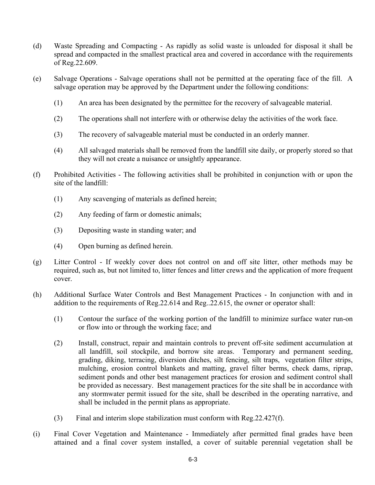- (d) Waste Spreading and Compacting As rapidly as solid waste is unloaded for disposal it shall be spread and compacted in the smallest practical area and covered in accordance with the requirements of Reg.22.609.
- (e) Salvage Operations Salvage operations shall not be permitted at the operating face of the fill. A salvage operation may be approved by the Department under the following conditions:
	- (1) An area has been designated by the permittee for the recovery of salvageable material.
	- (2) The operations shall not interfere with or otherwise delay the activities of the work face.
	- (3) The recovery of salvageable material must be conducted in an orderly manner.
	- (4) All salvaged materials shall be removed from the landfill site daily, or properly stored so that they will not create a nuisance or unsightly appearance.
- (f) Prohibited Activities The following activities shall be prohibited in conjunction with or upon the site of the landfill:
	- (1) Any scavenging of materials as defined herein;
	- (2) Any feeding of farm or domestic animals;
	- (3) Depositing waste in standing water; and
	- (4) Open burning as defined herein.
- (g) Litter Control If weekly cover does not control on and off site litter, other methods may be required, such as, but not limited to, litter fences and litter crews and the application of more frequent cover.
- (h) Additional Surface Water Controls and Best Management Practices In conjunction with and in addition to the requirements of Reg.22.614 and Reg..22.615, the owner or operator shall:
	- (1) Contour the surface of the working portion of the landfill to minimize surface water run-on or flow into or through the working face; and
	- (2) Install, construct, repair and maintain controls to prevent off-site sediment accumulation at all landfill, soil stockpile, and borrow site areas. Temporary and permanent seeding, grading, diking, terracing, diversion ditches, silt fencing, silt traps, vegetation filter strips, mulching, erosion control blankets and matting, gravel filter berms, check dams, riprap, sediment ponds and other best management practices for erosion and sediment control shall be provided as necessary. Best management practices for the site shall be in accordance with any stormwater permit issued for the site, shall be described in the operating narrative, and shall be included in the permit plans as appropriate.
	- (3) Final and interim slope stabilization must conform with Reg.22.427(f).
- (i) Final Cover Vegetation and Maintenance Immediately after permitted final grades have been attained and a final cover system installed, a cover of suitable perennial vegetation shall be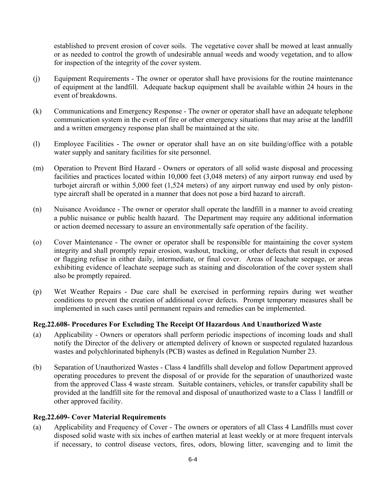established to prevent erosion of cover soils. The vegetative cover shall be mowed at least annually or as needed to control the growth of undesirable annual weeds and woody vegetation, and to allow for inspection of the integrity of the cover system.

- (j) Equipment Requirements The owner or operator shall have provisions for the routine maintenance of equipment at the landfill. Adequate backup equipment shall be available within 24 hours in the event of breakdowns.
- (k) Communications and Emergency Response The owner or operator shall have an adequate telephone communication system in the event of fire or other emergency situations that may arise at the landfill and a written emergency response plan shall be maintained at the site.
- (l) Employee Facilities The owner or operator shall have an on site building/office with a potable water supply and sanitary facilities for site personnel.
- (m) Operation to Prevent Bird Hazard Owners or operators of all solid waste disposal and processing facilities and practices located within 10,000 feet (3,048 meters) of any airport runway end used by turbojet aircraft or within 5,000 feet (1,524 meters) of any airport runway end used by only pistontype aircraft shall be operated in a manner that does not pose a bird hazard to aircraft.
- (n) Nuisance Avoidance The owner or operator shall operate the landfill in a manner to avoid creating a public nuisance or public health hazard. The Department may require any additional information or action deemed necessary to assure an environmentally safe operation of the facility.
- (o) Cover Maintenance The owner or operator shall be responsible for maintaining the cover system integrity and shall promptly repair erosion, washout, tracking, or other defects that result in exposed or flagging refuse in either daily, intermediate, or final cover. Areas of leachate seepage, or areas exhibiting evidence of leachate seepage such as staining and discoloration of the cover system shall also be promptly repaired.
- (p) Wet Weather Repairs Due care shall be exercised in performing repairs during wet weather conditions to prevent the creation of additional cover defects. Prompt temporary measures shall be implemented in such cases until permanent repairs and remedies can be implemented.

# **Reg.22.608- Procedures For Excluding The Receipt Of Hazardous And Unauthorized Waste**

- (a) Applicability Owners or operators shall perform periodic inspections of incoming loads and shall notify the Director of the delivery or attempted delivery of known or suspected regulated hazardous wastes and polychlorinated biphenyls (PCB) wastes as defined in Regulation Number 23.
- (b) Separation of Unauthorized Wastes Class 4 landfills shall develop and follow Department approved operating procedures to prevent the disposal of or provide for the separation of unauthorized waste from the approved Class 4 waste stream. Suitable containers, vehicles, or transfer capability shall be provided at the landfill site for the removal and disposal of unauthorized waste to a Class 1 landfill or other approved facility.

#### **Reg.22.609- Cover Material Requirements**

(a) Applicability and Frequency of Cover - The owners or operators of all Class 4 Landfills must cover disposed solid waste with six inches of earthen material at least weekly or at more frequent intervals if necessary, to control disease vectors, fires, odors, blowing litter, scavenging and to limit the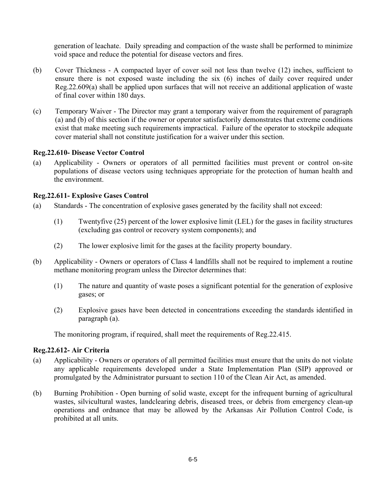generation of leachate. Daily spreading and compaction of the waste shall be performed to minimize void space and reduce the potential for disease vectors and fires.

- (b) Cover Thickness A compacted layer of cover soil not less than twelve (12) inches, sufficient to ensure there is not exposed waste including the six (6) inches of daily cover required under Reg.22.609(a) shall be applied upon surfaces that will not receive an additional application of waste of final cover within 180 days.
- (c) Temporary Waiver The Director may grant a temporary waiver from the requirement of paragraph (a) and (b) of this section if the owner or operator satisfactorily demonstrates that extreme conditions exist that make meeting such requirements impractical. Failure of the operator to stockpile adequate cover material shall not constitute justification for a waiver under this section.

### **Reg.22.610- Disease Vector Control**

(a) Applicability - Owners or operators of all permitted facilities must prevent or control on-site populations of disease vectors using techniques appropriate for the protection of human health and the environment.

### **Reg.22.611- Explosive Gases Control**

- (a) Standards The concentration of explosive gases generated by the facility shall not exceed:
	- (1) Twentyfive (25) percent of the lower explosive limit (LEL) for the gases in facility structures (excluding gas control or recovery system components); and
	- (2) The lower explosive limit for the gases at the facility property boundary.
- (b) Applicability Owners or operators of Class 4 landfills shall not be required to implement a routine methane monitoring program unless the Director determines that:
	- (1) The nature and quantity of waste poses a significant potential for the generation of explosive gases; or
	- (2) Explosive gases have been detected in concentrations exceeding the standards identified in paragraph (a).

The monitoring program, if required, shall meet the requirements of Reg.22.415.

#### **Reg.22.612- Air Criteria**

- (a) Applicability Owners or operators of all permitted facilities must ensure that the units do not violate any applicable requirements developed under a State Implementation Plan (SIP) approved or promulgated by the Administrator pursuant to section 110 of the Clean Air Act, as amended.
- (b) Burning Prohibition Open burning of solid waste, except for the infrequent burning of agricultural wastes, silvicultural wastes, landclearing debris, diseased trees, or debris from emergency clean-up operations and ordnance that may be allowed by the Arkansas Air Pollution Control Code, is prohibited at all units.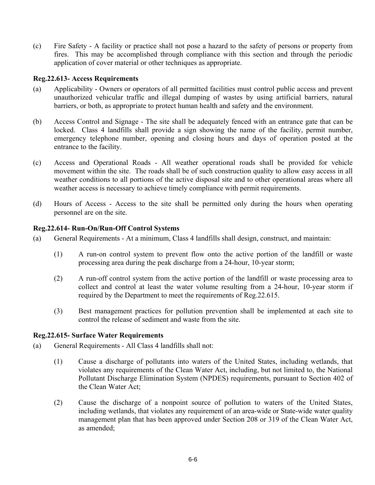(c) Fire Safety - A facility or practice shall not pose a hazard to the safety of persons or property from fires. This may be accomplished through compliance with this section and through the periodic application of cover material or other techniques as appropriate.

### **Reg.22.613- Access Requirements**

- (a) Applicability Owners or operators of all permitted facilities must control public access and prevent unauthorized vehicular traffic and illegal dumping of wastes by using artificial barriers, natural barriers, or both, as appropriate to protect human health and safety and the environment.
- (b) Access Control and Signage The site shall be adequately fenced with an entrance gate that can be locked. Class 4 landfills shall provide a sign showing the name of the facility, permit number, emergency telephone number, opening and closing hours and days of operation posted at the entrance to the facility.
- (c) Access and Operational Roads All weather operational roads shall be provided for vehicle movement within the site. The roads shall be of such construction quality to allow easy access in all weather conditions to all portions of the active disposal site and to other operational areas where all weather access is necessary to achieve timely compliance with permit requirements.
- (d) Hours of Access Access to the site shall be permitted only during the hours when operating personnel are on the site.

### **Reg.22.614- Run-On/Run-Off Control Systems**

- (a) General Requirements At a minimum, Class 4 landfills shall design, construct, and maintain:
	- (1) A run-on control system to prevent flow onto the active portion of the landfill or waste processing area during the peak discharge from a 24-hour, 10-year storm;
	- (2) A run-off control system from the active portion of the landfill or waste processing area to collect and control at least the water volume resulting from a 24-hour, 10-year storm if required by the Department to meet the requirements of Reg.22.615.
	- (3) Best management practices for pollution prevention shall be implemented at each site to control the release of sediment and waste from the site.

#### **Reg.22.615- Surface Water Requirements**

- (a) General Requirements All Class 4 landfills shall not:
	- (1) Cause a discharge of pollutants into waters of the United States, including wetlands, that violates any requirements of the Clean Water Act, including, but not limited to, the National Pollutant Discharge Elimination System (NPDES) requirements, pursuant to Section 402 of the Clean Water Act;
	- (2) Cause the discharge of a nonpoint source of pollution to waters of the United States, including wetlands, that violates any requirement of an area-wide or State-wide water quality management plan that has been approved under Section 208 or 319 of the Clean Water Act, as amended;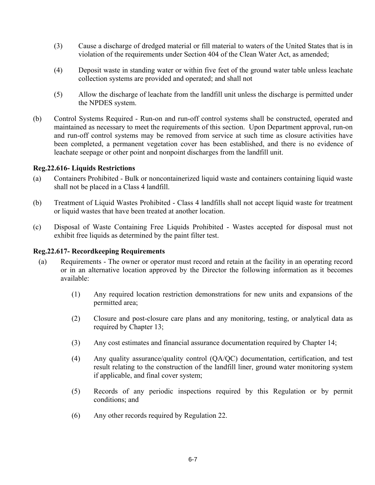- (3) Cause a discharge of dredged material or fill material to waters of the United States that is in violation of the requirements under Section 404 of the Clean Water Act, as amended;
- (4) Deposit waste in standing water or within five feet of the ground water table unless leachate collection systems are provided and operated; and shall not
- (5) Allow the discharge of leachate from the landfill unit unless the discharge is permitted under the NPDES system.
- (b) Control Systems Required Run-on and run-off control systems shall be constructed, operated and maintained as necessary to meet the requirements of this section. Upon Department approval, run-on and run-off control systems may be removed from service at such time as closure activities have been completed, a permanent vegetation cover has been established, and there is no evidence of leachate seepage or other point and nonpoint discharges from the landfill unit.

### **Reg.22.616- Liquids Restrictions**

- (a) Containers Prohibited Bulk or noncontainerized liquid waste and containers containing liquid waste shall not be placed in a Class 4 landfill.
- (b) Treatment of Liquid Wastes Prohibited Class 4 landfills shall not accept liquid waste for treatment or liquid wastes that have been treated at another location.
- (c) Disposal of Waste Containing Free Liquids Prohibited Wastes accepted for disposal must not exhibit free liquids as determined by the paint filter test.

#### **Reg.22.617- Recordkeeping Requirements**

- (a) Requirements The owner or operator must record and retain at the facility in an operating record or in an alternative location approved by the Director the following information as it becomes available:
	- (1) Any required location restriction demonstrations for new units and expansions of the permitted area;
	- (2) Closure and post-closure care plans and any monitoring, testing, or analytical data as required by Chapter 13;
	- (3) Any cost estimates and financial assurance documentation required by Chapter 14;
	- (4) Any quality assurance/quality control (QA/QC) documentation, certification, and test result relating to the construction of the landfill liner, ground water monitoring system if applicable, and final cover system;
	- (5) Records of any periodic inspections required by this Regulation or by permit conditions; and
	- (6) Any other records required by Regulation 22.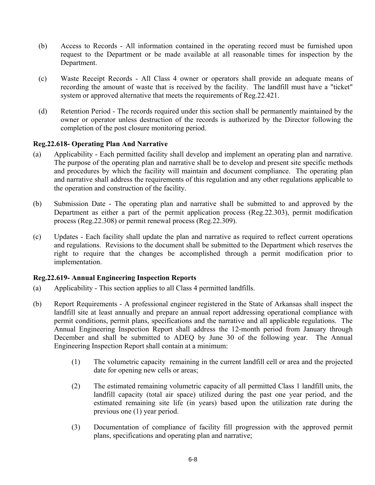- (b) Access to Records All information contained in the operating record must be furnished upon request to the Department or be made available at all reasonable times for inspection by the Department.
- (c) Waste Receipt Records All Class 4 owner or operators shall provide an adequate means of recording the amount of waste that is received by the facility. The landfill must have a "ticket" system or approved alternative that meets the requirements of Reg.22.421.
- (d) Retention Period The records required under this section shall be permanently maintained by the owner or operator unless destruction of the records is authorized by the Director following the completion of the post closure monitoring period.

# **Reg.22.618- Operating Plan And Narrative**

- (a) Applicability Each permitted facility shall develop and implement an operating plan and narrative. The purpose of the operating plan and narrative shall be to develop and present site specific methods and procedures by which the facility will maintain and document compliance. The operating plan and narrative shall address the requirements of this regulation and any other regulations applicable to the operation and construction of the facility.
- (b) Submission Date The operating plan and narrative shall be submitted to and approved by the Department as either a part of the permit application process (Reg.22.303), permit modification process (Reg.22.308) or permit renewal process (Reg.22.309).
- (c) Updates Each facility shall update the plan and narrative as required to reflect current operations and regulations. Revisions to the document shall be submitted to the Department which reserves the right to require that the changes be accomplished through a permit modification prior to implementation.

# **Reg.22.619- Annual Engineering Inspection Reports**

- (a) Applicability This section applies to all Class 4 permitted landfills.
- (b) Report Requirements A professional engineer registered in the State of Arkansas shall inspect the landfill site at least annually and prepare an annual report addressing operational compliance with permit conditions, permit plans, specifications and the narrative and all applicable regulations. The Annual Engineering Inspection Report shall address the 12-month period from January through December and shall be submitted to ADEQ by June 30 of the following year. The Annual Engineering Inspection Report shall contain at a minimum:
	- (1) The volumetric capacity remaining in the current landfill cell or area and the projected date for opening new cells or areas;
	- (2) The estimated remaining volumetric capacity of all permitted Class 1 landfill units, the landfill capacity (total air space) utilized during the past one year period, and the estimated remaining site life (in years) based upon the utilization rate during the previous one (1) year period.
	- (3) Documentation of compliance of facility fill progression with the approved permit plans, specifications and operating plan and narrative;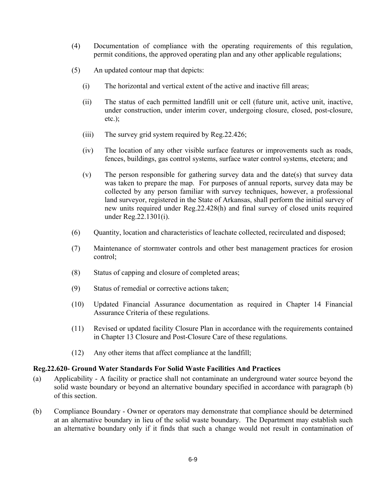- (4) Documentation of compliance with the operating requirements of this regulation, permit conditions, the approved operating plan and any other applicable regulations;
- (5) An updated contour map that depicts:
	- (i) The horizontal and vertical extent of the active and inactive fill areas;
	- (ii) The status of each permitted landfill unit or cell (future unit, active unit, inactive, under construction, under interim cover, undergoing closure, closed, post-closure,  $etc.$ );
	- (iii) The survey grid system required by Reg.22.426;
	- (iv) The location of any other visible surface features or improvements such as roads, fences, buildings, gas control systems, surface water control systems, etcetera; and
	- (v) The person responsible for gathering survey data and the date(s) that survey data was taken to prepare the map. For purposes of annual reports, survey data may be collected by any person familiar with survey techniques, however, a professional land surveyor, registered in the State of Arkansas, shall perform the initial survey of new units required under Reg.22.428(h) and final survey of closed units required under Reg.22.1301(i).
- (6) Quantity, location and characteristics of leachate collected, recirculated and disposed;
- (7) Maintenance of stormwater controls and other best management practices for erosion control;
- (8) Status of capping and closure of completed areas;
- (9) Status of remedial or corrective actions taken;
- (10) Updated Financial Assurance documentation as required in Chapter 14 Financial Assurance Criteria of these regulations.
- (11) Revised or updated facility Closure Plan in accordance with the requirements contained in Chapter 13 Closure and Post-Closure Care of these regulations.
- (12) Any other items that affect compliance at the landfill;

# **Reg.22.620- Ground Water Standards For Solid Waste Facilities And Practices**

- (a) Applicability A facility or practice shall not contaminate an underground water source beyond the solid waste boundary or beyond an alternative boundary specified in accordance with paragraph (b) of this section.
- (b) Compliance Boundary Owner or operators may demonstrate that compliance should be determined at an alternative boundary in lieu of the solid waste boundary. The Department may establish such an alternative boundary only if it finds that such a change would not result in contamination of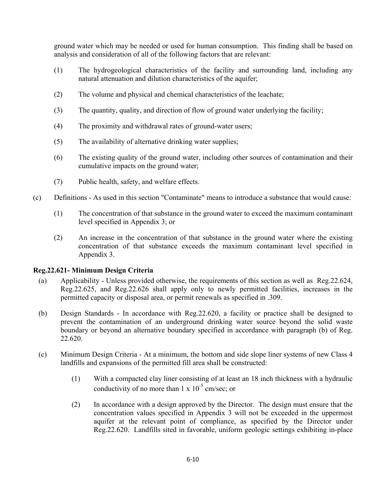ground water which may be needed or used for human consumption. This finding shall be based on analysis and consideration of all of the following factors that are relevant:

- (1) The hydrogeological characteristics of the facility and surrounding land, including any natural attenuation and dilution characteristics of the aquifer;
- (2) The volume and physical and chemical characteristics of the leachate;
- (3) The quantity, quality, and direction of flow of ground water underlying the facility;
- (4) The proximity and withdrawal rates of ground-water users;
- (5) The availability of alternative drinking water supplies;
- (6) The existing quality of the ground water, including other sources of contamination and their cumulative impacts on the ground water;
- (7) Public health, safety, and welfare effects.
- (c) Definitions As used in this section "Contaminate" means to introduce a substance that would cause:
	- (1) The concentration of that substance in the ground water to exceed the maximum contaminant level specified in Appendix 3; or
	- (2) An increase in the concentration of that substance in the ground water where the existing concentration of that substance exceeds the maximum contaminant level specified in Appendix 3.

# **Reg.22.621- Minimum Design Criteria**

- (a) Applicability Unless provided otherwise, the requirements of this section as well as Reg.22.624, Reg.22.625, and Reg.22.626 shall apply only to newly permitted facilities, increases in the permitted capacity or disposal area, or permit renewals as specified in .309.
- (b) Design Standards In accordance with Reg.22.620, a facility or practice shall be designed to prevent the contamination of an underground drinking water source beyond the solid waste boundary or beyond an alternative boundary specified in accordance with paragraph (b) of Reg. 22.620.
- (c) Minimum Design Criteria At a minimum, the bottom and side slope liner systems of new Class 4 landfills and expansions of the permitted fill area shall be constructed:
	- (1) With a compacted clay liner consisting of at least an 18 inch thickness with a hydraulic conductivity of no more than  $1 \times 10^{-5}$  cm/sec; or
	- (2) In accordance with a design approved by the Director. The design must ensure that the concentration values specified in Appendix 3 will not be exceeded in the uppermost aquifer at the relevant point of compliance, as specified by the Director under Reg.22.620. Landfills sited in favorable, uniform geologic settings exhibiting in-place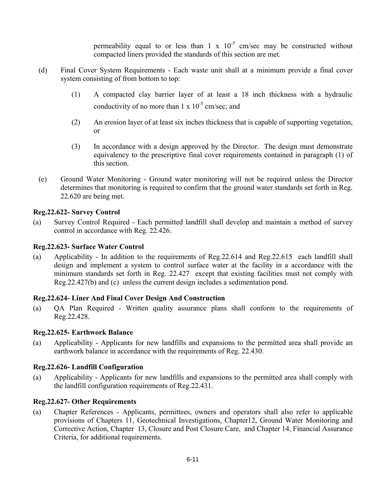permeability equal to or less than  $1 \times 10^{-5}$  cm/sec may be constructed without compacted liners provided the standards of this section are met.

- (d) Final Cover System Requirements Each waste unit shall at a minimum provide a final cover system consisting of from bottom to top:
	- (1) A compacted clay barrier layer of at least a 18 inch thickness with a hydraulic conductivity of no more than  $1 \times 10^{-5}$  cm/sec; and
	- (2) An erosion layer of at least six inches thickness that is capable of supporting vegetation, or
	- (3) In accordance with a design approved by the Director. The design must demonstrate equivalency to the prescriptive final cover requirements contained in paragraph (1) of this section.
- (e) Ground Water Monitoring Ground water monitoring will not be required unless the Director determines that monitoring is required to confirm that the ground water standards set forth in Reg. 22.620 are being met.

### **Reg.22.622- Survey Control**

(a) Survey Control Required - Each permitted landfill shall develop and maintain a method of survey control in accordance with Reg. 22.426.

### **Reg.22.623- Surface Water Control**

(a) Applicability - In addition to the requirements of Reg.22.614 and Reg.22.615 each landfill shall design and implement a system to control surface water at the facility in a accordance with the minimum standards set forth in Reg. 22.427 except that existing facilities must not comply with Reg.22.427(b) and (c) unless the current design includes a sedimentation pond.

# **Reg.22.624- Liner And Final Cover Design And Construction**

(a) QA Plan Required - Written quality assurance plans shall conform to the requirements of Reg.22.428.

#### **Reg.22.625- Earthwork Balance**

(a) Applicability - Applicants for new landfills and expansions to the permitted area shall provide an earthwork balance in accordance with the requirements of Reg. 22.430.

# **Reg.22.626- Landfill Configuration**

(a) Applicability - Applicants for new landfills and expansions to the permitted area shall comply with the landfill configuration requirements of Reg.22.431.

# **Reg.22.627- Other Requirements**

(a) Chapter References - Applicants, permittees, owners and operators shall also refer to applicable provisions of Chapters 11, Geotechnical Investigations, Chapter12, Ground Water Monitoring and Corrective Action, Chapter 13, Closure and Post Closure Care, and Chapter 14, Financial Assurance Criteria, for additional requirements.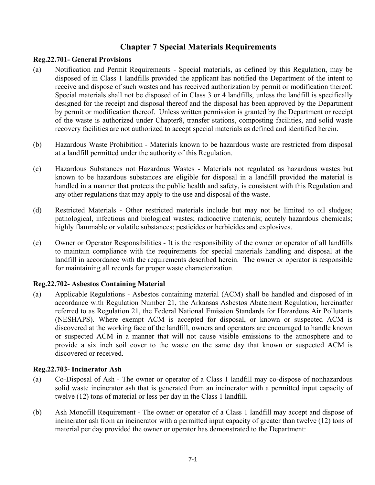# **Chapter 7 Special Materials Requirements**

### **Reg.22.701- General Provisions**

- (a) Notification and Permit Requirements Special materials, as defined by this Regulation, may be disposed of in Class 1 landfills provided the applicant has notified the Department of the intent to receive and dispose of such wastes and has received authorization by permit or modification thereof. Special materials shall not be disposed of in Class 3 or 4 landfills, unless the landfill is specifically designed for the receipt and disposal thereof and the disposal has been approved by the Department by permit or modification thereof. Unless written permission is granted by the Department or receipt of the waste is authorized under Chapter8, transfer stations, composting facilities, and solid waste recovery facilities are not authorized to accept special materials as defined and identified herein.
- (b) Hazardous Waste Prohibition Materials known to be hazardous waste are restricted from disposal at a landfill permitted under the authority of this Regulation.
- (c) Hazardous Substances not Hazardous Wastes Materials not regulated as hazardous wastes but known to be hazardous substances are eligible for disposal in a landfill provided the material is handled in a manner that protects the public health and safety, is consistent with this Regulation and any other regulations that may apply to the use and disposal of the waste.
- (d) Restricted Materials Other restricted materials include but may not be limited to oil sludges; pathological, infectious and biological wastes; radioactive materials; acutely hazardous chemicals; highly flammable or volatile substances; pesticides or herbicides and explosives.
- (e) Owner or Operator Responsibilities It is the responsibility of the owner or operator of all landfills to maintain compliance with the requirements for special materials handling and disposal at the landfill in accordance with the requirements described herein. The owner or operator is responsible for maintaining all records for proper waste characterization.

# **Reg.22.702- Asbestos Containing Material**

(a) Applicable Regulations - Asbestos containing material (ACM) shall be handled and disposed of in accordance with Regulation Number 21, the Arkansas Asbestos Abatement Regulation, hereinafter referred to as Regulation 21, the Federal National Emission Standards for Hazardous Air Pollutants (NESHAPS). Where exempt ACM is accepted for disposal, or known or suspected ACM is discovered at the working face of the landfill, owners and operators are encouraged to handle known or suspected ACM in a manner that will not cause visible emissions to the atmosphere and to provide a six inch soil cover to the waste on the same day that known or suspected ACM is discovered or received.

#### **Reg.22.703- Incinerator Ash**

- (a) Co-Disposal of Ash The owner or operator of a Class 1 landfill may co-dispose of nonhazardous solid waste incinerator ash that is generated from an incinerator with a permitted input capacity of twelve (12) tons of material or less per day in the Class 1 landfill.
- (b) Ash Monofill Requirement The owner or operator of a Class 1 landfill may accept and dispose of incinerator ash from an incinerator with a permitted input capacity of greater than twelve (12) tons of material per day provided the owner or operator has demonstrated to the Department: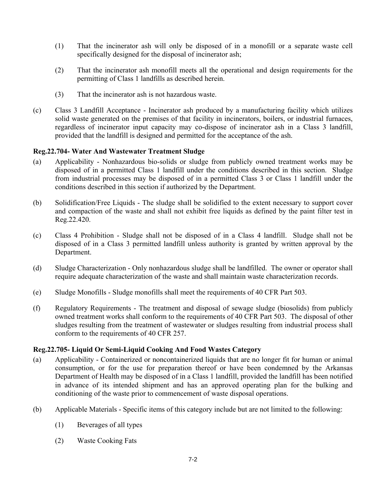- (1) That the incinerator ash will only be disposed of in a monofill or a separate waste cell specifically designed for the disposal of incinerator ash;
- (2) That the incinerator ash monofill meets all the operational and design requirements for the permitting of Class 1 landfills as described herein.
- (3) That the incinerator ash is not hazardous waste.
- (c) Class 3 Landfill Acceptance Incinerator ash produced by a manufacturing facility which utilizes solid waste generated on the premises of that facility in incinerators, boilers, or industrial furnaces, regardless of incinerator input capacity may co-dispose of incinerator ash in a Class 3 landfill, provided that the landfill is designed and permitted for the acceptance of the ash.

### **Reg.22.704- Water And Wastewater Treatment Sludge**

- (a) Applicability Nonhazardous bio-solids or sludge from publicly owned treatment works may be disposed of in a permitted Class 1 landfill under the conditions described in this section. Sludge from industrial processes may be disposed of in a permitted Class 3 or Class 1 landfill under the conditions described in this section if authorized by the Department.
- (b) Solidification/Free Liquids The sludge shall be solidified to the extent necessary to support cover and compaction of the waste and shall not exhibit free liquids as defined by the paint filter test in Reg.22.420.
- (c) Class 4 Prohibition Sludge shall not be disposed of in a Class 4 landfill. Sludge shall not be disposed of in a Class 3 permitted landfill unless authority is granted by written approval by the Department.
- (d) Sludge Characterization Only nonhazardous sludge shall be landfilled. The owner or operator shall require adequate characterization of the waste and shall maintain waste characterization records.
- (e) Sludge Monofills Sludge monofills shall meet the requirements of 40 CFR Part 503.
- (f) Regulatory Requirements The treatment and disposal of sewage sludge (biosolids) from publicly owned treatment works shall conform to the requirements of 40 CFR Part 503. The disposal of other sludges resulting from the treatment of wastewater or sludges resulting from industrial process shall conform to the requirements of 40 CFR 257.

#### **Reg.22.705- Liquid Or Semi-Liquid Cooking And Food Wastes Category**

- (a) Applicability Containerized or noncontainerized liquids that are no longer fit for human or animal consumption, or for the use for preparation thereof or have been condemned by the Arkansas Department of Health may be disposed of in a Class 1 landfill, provided the landfill has been notified in advance of its intended shipment and has an approved operating plan for the bulking and conditioning of the waste prior to commencement of waste disposal operations.
- (b) Applicable Materials Specific items of this category include but are not limited to the following:
	- (1) Beverages of all types
	- (2) Waste Cooking Fats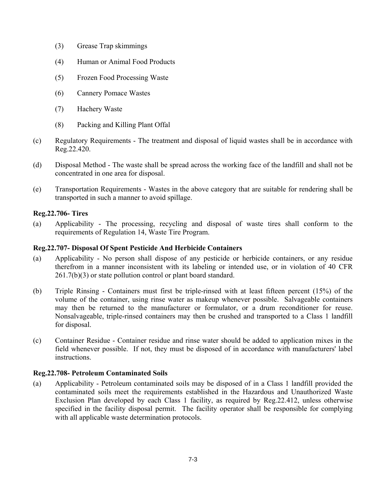- (3) Grease Trap skimmings
- (4) Human or Animal Food Products
- (5) Frozen Food Processing Waste
- (6) Cannery Pomace Wastes
- (7) Hachery Waste
- (8) Packing and Killing Plant Offal
- (c) Regulatory Requirements The treatment and disposal of liquid wastes shall be in accordance with Reg.22.420.
- (d) Disposal Method The waste shall be spread across the working face of the landfill and shall not be concentrated in one area for disposal.
- (e) Transportation Requirements Wastes in the above category that are suitable for rendering shall be transported in such a manner to avoid spillage.

# **Reg.22.706- Tires**

(a) Applicability - The processing, recycling and disposal of waste tires shall conform to the requirements of Regulation 14, Waste Tire Program.

# **Reg.22.707- Disposal Of Spent Pesticide And Herbicide Containers**

- (a) Applicability No person shall dispose of any pesticide or herbicide containers, or any residue therefrom in a manner inconsistent with its labeling or intended use, or in violation of 40 CFR 261.7(b)(3) or state pollution control or plant board standard.
- (b) Triple Rinsing Containers must first be triple-rinsed with at least fifteen percent (15%) of the volume of the container, using rinse water as makeup whenever possible. Salvageable containers may then be returned to the manufacturer or formulator, or a drum reconditioner for reuse. Nonsalvageable, triple-rinsed containers may then be crushed and transported to a Class 1 landfill for disposal.
- (c) Container Residue Container residue and rinse water should be added to application mixes in the field whenever possible. If not, they must be disposed of in accordance with manufacturers' label instructions.

# **Reg.22.708- Petroleum Contaminated Soils**

(a) Applicability - Petroleum contaminated soils may be disposed of in a Class 1 landfill provided the contaminated soils meet the requirements established in the Hazardous and Unauthorized Waste Exclusion Plan developed by each Class 1 facility, as required by Reg.22.412, unless otherwise specified in the facility disposal permit. The facility operator shall be responsible for complying with all applicable waste determination protocols.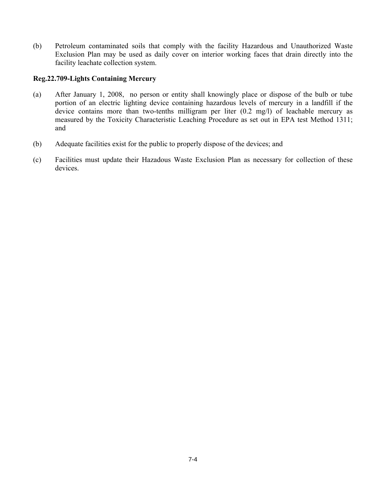(b) Petroleum contaminated soils that comply with the facility Hazardous and Unauthorized Waste Exclusion Plan may be used as daily cover on interior working faces that drain directly into the facility leachate collection system.

### **Reg.22.709-Lights Containing Mercury**

- (a) After January 1, 2008, no person or entity shall knowingly place or dispose of the bulb or tube portion of an electric lighting device containing hazardous levels of mercury in a landfill if the device contains more than two-tenths milligram per liter (0.2 mg/l) of leachable mercury as measured by the Toxicity Characteristic Leaching Procedure as set out in EPA test Method 1311; and
- (b) Adequate facilities exist for the public to properly dispose of the devices; and
- (c) Facilities must update their Hazadous Waste Exclusion Plan as necessary for collection of these devices.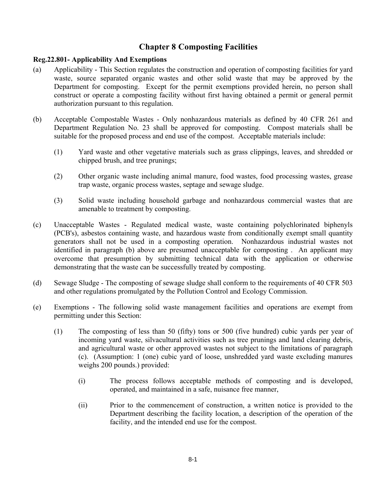# **Chapter 8 Composting Facilities**

### **Reg.22.801- Applicability And Exemptions**

- (a) Applicability This Section regulates the construction and operation of composting facilities for yard waste, source separated organic wastes and other solid waste that may be approved by the Department for composting. Except for the permit exemptions provided herein, no person shall construct or operate a composting facility without first having obtained a permit or general permit authorization pursuant to this regulation.
- (b) Acceptable Compostable Wastes Only nonhazardous materials as defined by 40 CFR 261 and Department Regulation No. 23 shall be approved for composting. Compost materials shall be suitable for the proposed process and end use of the compost. Acceptable materials include:
	- (1) Yard waste and other vegetative materials such as grass clippings, leaves, and shredded or chipped brush, and tree prunings;
	- (2) Other organic waste including animal manure, food wastes, food processing wastes, grease trap waste, organic process wastes, septage and sewage sludge.
	- (3) Solid waste including household garbage and nonhazardous commercial wastes that are amenable to treatment by composting.
- (c) Unacceptable Wastes Regulated medical waste, waste containing polychlorinated biphenyls (PCB's), asbestos containing waste, and hazardous waste from conditionally exempt small quantity generators shall not be used in a composting operation. Nonhazardous industrial wastes not identified in paragraph (b) above are presumed unacceptable for composting . An applicant may overcome that presumption by submitting technical data with the application or otherwise demonstrating that the waste can be successfully treated by composting.
- (d) Sewage Sludge The composting of sewage sludge shall conform to the requirements of 40 CFR 503 and other regulations promulgated by the Pollution Control and Ecology Commission.
- (e) Exemptions The following solid waste management facilities and operations are exempt from permitting under this Section:
	- (1) The composting of less than 50 (fifty) tons or 500 (five hundred) cubic yards per year of incoming yard waste, silvacultural activities such as tree prunings and land clearing debris, and agricultural waste or other approved wastes not subject to the limitations of paragraph (c). (Assumption: 1 (one) cubic yard of loose, unshredded yard waste excluding manures weighs 200 pounds.) provided:
		- (i) The process follows acceptable methods of composting and is developed, operated, and maintained in a safe, nuisance free manner,
		- (ii) Prior to the commencement of construction, a written notice is provided to the Department describing the facility location, a description of the operation of the facility, and the intended end use for the compost.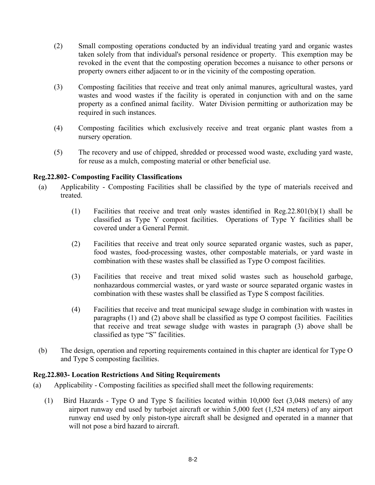- (2) Small composting operations conducted by an individual treating yard and organic wastes taken solely from that individual's personal residence or property. This exemption may be revoked in the event that the composting operation becomes a nuisance to other persons or property owners either adjacent to or in the vicinity of the composting operation.
- (3) Composting facilities that receive and treat only animal manures, agricultural wastes, yard wastes and wood wastes if the facility is operated in conjunction with and on the same property as a confined animal facility. Water Division permitting or authorization may be required in such instances.
- (4) Composting facilities which exclusively receive and treat organic plant wastes from a nursery operation.
- (5) The recovery and use of chipped, shredded or processed wood waste, excluding yard waste, for reuse as a mulch, composting material or other beneficial use.

# **Reg.22.802- Composting Facility Classifications**

- (a) Applicability Composting Facilities shall be classified by the type of materials received and treated.
	- (1) Facilities that receive and treat only wastes identified in Reg.22.801(b)(1) shall be classified as Type Y compost facilities. Operations of Type Y facilities shall be covered under a General Permit.
	- (2) Facilities that receive and treat only source separated organic wastes, such as paper, food wastes, food-processing wastes, other compostable materials, or yard waste in combination with these wastes shall be classified as Type O compost facilities.
	- (3) Facilities that receive and treat mixed solid wastes such as household garbage, nonhazardous commercial wastes, or yard waste or source separated organic wastes in combination with these wastes shall be classified as Type S compost facilities.
	- (4) Facilities that receive and treat municipal sewage sludge in combination with wastes in paragraphs (1) and (2) above shall be classified as type O compost facilities. Facilities that receive and treat sewage sludge with wastes in paragraph (3) above shall be classified as type "S" facilities.
- (b) The design, operation and reporting requirements contained in this chapter are identical for Type O and Type S composting facilities.

# **Reg.22.803- Location Restrictions And Siting Requirements**

- (a) Applicability Composting facilities as specified shall meet the following requirements:
	- (1) Bird Hazards Type O and Type S facilities located within 10,000 feet (3,048 meters) of any airport runway end used by turbojet aircraft or within 5,000 feet (1,524 meters) of any airport runway end used by only piston-type aircraft shall be designed and operated in a manner that will not pose a bird hazard to aircraft.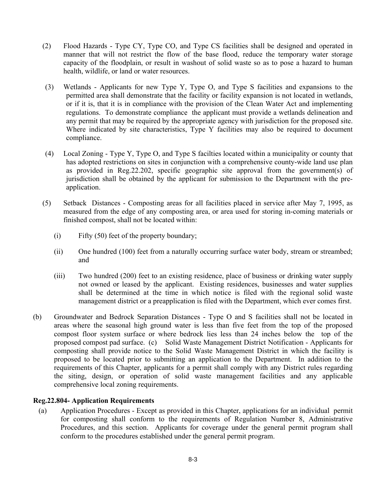- (2) Flood Hazards Type CY, Type CO, and Type CS facilities shall be designed and operated in manner that will not restrict the flow of the base flood, reduce the temporary water storage capacity of the floodplain, or result in washout of solid waste so as to pose a hazard to human health, wildlife, or land or water resources.
- (3) Wetlands Applicants for new Type Y, Type O, and Type S facilities and expansions to the permitted area shall demonstrate that the facility or facility expansion is not located in wetlands, or if it is, that it is in compliance with the provision of the Clean Water Act and implementing regulations. To demonstrate compliance the applicant must provide a wetlands delineation and any permit that may be required by the appropriate agency with jurisdiction for the proposed site. Where indicated by site characteristics, Type Y facilities may also be required to document compliance.
- (4) Local Zoning Type Y, Type O, and Type S facilties located within a municipality or county that has adopted restrictions on sites in conjunction with a comprehensive county-wide land use plan as provided in Reg.22.202, specific geographic site approval from the government(s) of jurisdiction shall be obtained by the applicant for submission to the Department with the preapplication.
- (5) Setback Distances Composting areas for all facilities placed in service after May 7, 1995, as measured from the edge of any composting area, or area used for storing in-coming materials or finished compost, shall not be located within:
	- (i) Fifty (50) feet of the property boundary;
	- (ii) One hundred (100) feet from a naturally occurring surface water body, stream or streambed; and
	- (iii) Two hundred (200) feet to an existing residence, place of business or drinking water supply not owned or leased by the applicant. Existing residences, businesses and water supplies shall be determined at the time in which notice is filed with the regional solid waste management district or a preapplication is filed with the Department, which ever comes first.
- (b) Groundwater and Bedrock Separation Distances Type O and S facilities shall not be located in areas where the seasonal high ground water is less than five feet from the top of the proposed compost floor system surface or where bedrock lies less than 24 inches below the top of the proposed compost pad surface. (c) Solid Waste Management District Notification - Applicants for composting shall provide notice to the Solid Waste Management District in which the facility is proposed to be located prior to submitting an application to the Department. In addition to the requirements of this Chapter, applicants for a permit shall comply with any District rules regarding the siting, design, or operation of solid waste management facilities and any applicable comprehensive local zoning requirements.

# **Reg.22.804- Application Requirements**

(a) Application Procedures - Except as provided in this Chapter, applications for an individual permit for composting shall conform to the requirements of Regulation Number 8, Administrative Procedures, and this section. Applicants for coverage under the general permit program shall conform to the procedures established under the general permit program.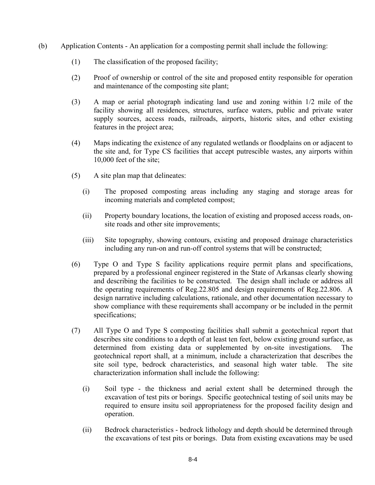- (b) Application Contents An application for a composting permit shall include the following:
	- (1) The classification of the proposed facility;
	- (2) Proof of ownership or control of the site and proposed entity responsible for operation and maintenance of the composting site plant;
	- (3) A map or aerial photograph indicating land use and zoning within 1/2 mile of the facility showing all residences, structures, surface waters, public and private water supply sources, access roads, railroads, airports, historic sites, and other existing features in the project area;
	- (4) Maps indicating the existence of any regulated wetlands or floodplains on or adjacent to the site and, for Type CS facilities that accept putrescible wastes, any airports within 10,000 feet of the site;
	- (5) A site plan map that delineates:
		- (i) The proposed composting areas including any staging and storage areas for incoming materials and completed compost;
		- (ii) Property boundary locations, the location of existing and proposed access roads, onsite roads and other site improvements;
		- (iii) Site topography, showing contours, existing and proposed drainage characteristics including any run-on and run-off control systems that will be constructed;
	- (6) Type O and Type S facility applications require permit plans and specifications, prepared by a professional engineer registered in the State of Arkansas clearly showing and describing the facilities to be constructed. The design shall include or address all the operating requirements of Reg.22.805 and design requirements of Reg.22.806. A design narrative including calculations, rationale, and other documentation necessary to show compliance with these requirements shall accompany or be included in the permit specifications;
	- (7) All Type O and Type S composting facilities shall submit a geotechnical report that describes site conditions to a depth of at least ten feet, below existing ground surface, as determined from existing data or supplemented by on-site investigations. The geotechnical report shall, at a minimum, include a characterization that describes the site soil type, bedrock characteristics, and seasonal high water table. The site characterization information shall include the following:
		- (i) Soil type the thickness and aerial extent shall be determined through the excavation of test pits or borings. Specific geotechnical testing of soil units may be required to ensure insitu soil appropriateness for the proposed facility design and operation.
		- (ii) Bedrock characteristics bedrock lithology and depth should be determined through the excavations of test pits or borings. Data from existing excavations may be used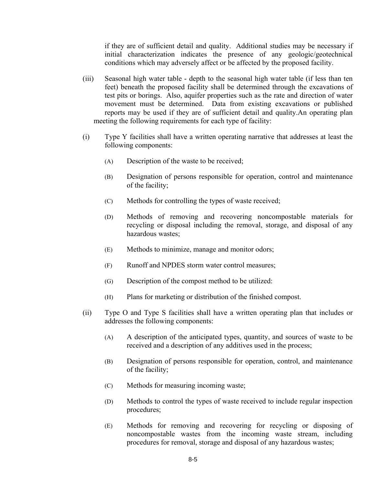if they are of sufficient detail and quality. Additional studies may be necessary if initial characterization indicates the presence of any geologic/geotechnical conditions which may adversely affect or be affected by the proposed facility.

- (iii) Seasonal high water table depth to the seasonal high water table (if less than ten feet) beneath the proposed facility shall be determined through the excavations of test pits or borings. Also, aquifer properties such as the rate and direction of water movement must be determined. Data from existing excavations or published reports may be used if they are of sufficient detail and quality.An operating plan meeting the following requirements for each type of facility:
- (i) Type Y facilities shall have a written operating narrative that addresses at least the following components:
	- (A) Description of the waste to be received;
	- (B) Designation of persons responsible for operation, control and maintenance of the facility;
	- (C) Methods for controlling the types of waste received;
	- (D) Methods of removing and recovering noncompostable materials for recycling or disposal including the removal, storage, and disposal of any hazardous wastes;
	- (E) Methods to minimize, manage and monitor odors;
	- (F) Runoff and NPDES storm water control measures;
	- (G) Description of the compost method to be utilized:
	- (H) Plans for marketing or distribution of the finished compost.
- (ii) Type O and Type S facilities shall have a written operating plan that includes or addresses the following components:
	- (A) A description of the anticipated types, quantity, and sources of waste to be received and a description of any additives used in the process;
	- (B) Designation of persons responsible for operation, control, and maintenance of the facility;
	- (C) Methods for measuring incoming waste;
	- (D) Methods to control the types of waste received to include regular inspection procedures;
	- (E) Methods for removing and recovering for recycling or disposing of noncompostable wastes from the incoming waste stream, including procedures for removal, storage and disposal of any hazardous wastes;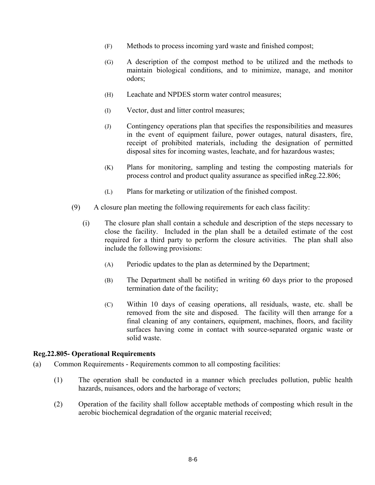- (F) Methods to process incoming yard waste and finished compost;
- (G) A description of the compost method to be utilized and the methods to maintain biological conditions, and to minimize, manage, and monitor odors;
- (H) Leachate and NPDES storm water control measures;
- (I) Vector, dust and litter control measures;
- (J) Contingency operations plan that specifies the responsibilities and measures in the event of equipment failure, power outages, natural disasters, fire, receipt of prohibited materials, including the designation of permitted disposal sites for incoming wastes, leachate, and for hazardous wastes;
- (K) Plans for monitoring, sampling and testing the composting materials for process control and product quality assurance as specified inReg.22.806;
- (L) Plans for marketing or utilization of the finished compost.
- (9) A closure plan meeting the following requirements for each class facility:
	- (i) The closure plan shall contain a schedule and description of the steps necessary to close the facility. Included in the plan shall be a detailed estimate of the cost required for a third party to perform the closure activities. The plan shall also include the following provisions:
		- (A) Periodic updates to the plan as determined by the Department;
		- (B) The Department shall be notified in writing 60 days prior to the proposed termination date of the facility;
		- (C) Within 10 days of ceasing operations, all residuals, waste, etc. shall be removed from the site and disposed. The facility will then arrange for a final cleaning of any containers, equipment, machines, floors, and facility surfaces having come in contact with source-separated organic waste or solid waste.

#### **Reg.22.805- Operational Requirements**

- (a) Common Requirements Requirements common to all composting facilities:
	- (1) The operation shall be conducted in a manner which precludes pollution, public health hazards, nuisances, odors and the harborage of vectors;
	- (2) Operation of the facility shall follow acceptable methods of composting which result in the aerobic biochemical degradation of the organic material received;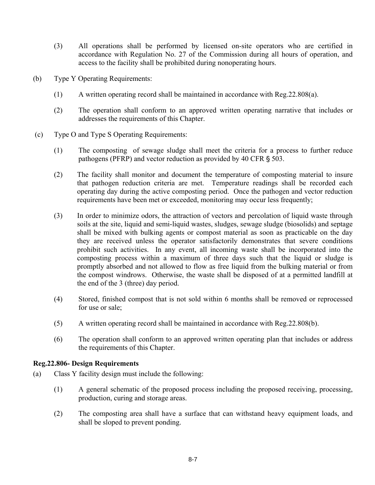- (3) All operations shall be performed by licensed on-site operators who are certified in accordance with Regulation No. 27 of the Commission during all hours of operation, and access to the facility shall be prohibited during nonoperating hours.
- (b) Type Y Operating Requirements:
	- (1) A written operating record shall be maintained in accordance with Reg.22.808(a).
	- (2) The operation shall conform to an approved written operating narrative that includes or addresses the requirements of this Chapter.
- (c) Type O and Type S Operating Requirements:
	- (1) The composting of sewage sludge shall meet the criteria for a process to further reduce pathogens (PFRP) and vector reduction as provided by 40 CFR § 503.
	- (2) The facility shall monitor and document the temperature of composting material to insure that pathogen reduction criteria are met. Temperature readings shall be recorded each operating day during the active composting period. Once the pathogen and vector reduction requirements have been met or exceeded, monitoring may occur less frequently;
	- (3) In order to minimize odors, the attraction of vectors and percolation of liquid waste through soils at the site, liquid and semi-liquid wastes, sludges, sewage sludge (biosolids) and septage shall be mixed with bulking agents or compost material as soon as practicable on the day they are received unless the operator satisfactorily demonstrates that severe conditions prohibit such activities. In any event, all incoming waste shall be incorporated into the composting process within a maximum of three days such that the liquid or sludge is promptly absorbed and not allowed to flow as free liquid from the bulking material or from the compost windrows. Otherwise, the waste shall be disposed of at a permitted landfill at the end of the 3 (three) day period.
	- (4) Stored, finished compost that is not sold within 6 months shall be removed or reprocessed for use or sale;
	- (5) A written operating record shall be maintained in accordance with Reg.22.808(b).
	- (6) The operation shall conform to an approved written operating plan that includes or address the requirements of this Chapter.

#### **Reg.22.806- Design Requirements**

- (a) Class Y facility design must include the following:
	- (1) A general schematic of the proposed process including the proposed receiving, processing, production, curing and storage areas.
	- (2) The composting area shall have a surface that can withstand heavy equipment loads, and shall be sloped to prevent ponding.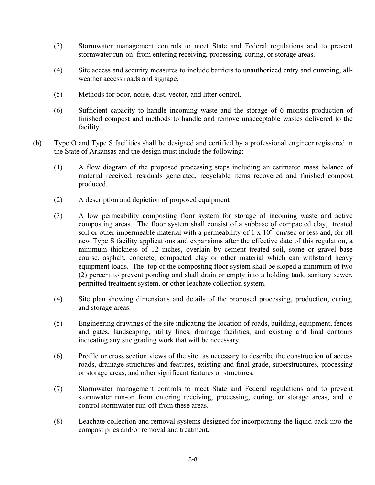- (3) Stormwater management controls to meet State and Federal regulations and to prevent stormwater run-on from entering receiving, processing, curing, or storage areas.
- (4) Site access and security measures to include barriers to unauthorized entry and dumping, allweather access roads and signage.
- (5) Methods for odor, noise, dust, vector, and litter control.
- (6) Sufficient capacity to handle incoming waste and the storage of 6 months production of finished compost and methods to handle and remove unacceptable wastes delivered to the facility.
- (b) Type O and Type S facilities shall be designed and certified by a professional engineer registered in the State of Arkansas and the design must include the following:
	- (1) A flow diagram of the proposed processing steps including an estimated mass balance of material received, residuals generated, recyclable items recovered and finished compost produced.
	- (2) A description and depiction of proposed equipment
	- (3) A low permeability composting floor system for storage of incoming waste and active composting areas. The floor system shall consist of a subbase of compacted clay, treated soil or other impermeable material with a permeability of 1 x  $10^{-7}$  cm/sec or less and, for all new Type S facility applications and expansions after the effective date of this regulation, a minimum thickness of 12 inches, overlain by cement treated soil, stone or gravel base course, asphalt, concrete, compacted clay or other material which can withstand heavy equipment loads. The top of the composting floor system shall be sloped a minimum of two (2) percent to prevent ponding and shall drain or empty into a holding tank, sanitary sewer, permitted treatment system, or other leachate collection system.
	- (4) Site plan showing dimensions and details of the proposed processing, production, curing, and storage areas.
	- (5) Engineering drawings of the site indicating the location of roads, building, equipment, fences and gates, landscaping, utility lines, drainage facilities, and existing and final contours indicating any site grading work that will be necessary.
	- (6) Profile or cross section views of the site as necessary to describe the construction of access roads, drainage structures and features, existing and final grade, superstructures, processing or storage areas, and other significant features or structures.
	- (7) Stormwater management controls to meet State and Federal regulations and to prevent stormwater run-on from entering receiving, processing, curing, or storage areas, and to control stormwater run-off from these areas.
	- (8) Leachate collection and removal systems designed for incorporating the liquid back into the compost piles and/or removal and treatment.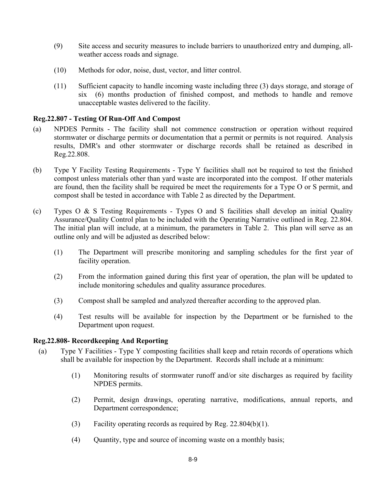- (9) Site access and security measures to include barriers to unauthorized entry and dumping, allweather access roads and signage.
- (10) Methods for odor, noise, dust, vector, and litter control.
- (11) Sufficient capacity to handle incoming waste including three (3) days storage, and storage of six (6) months production of finished compost, and methods to handle and remove unacceptable wastes delivered to the facility.

#### **Reg.22.807 - Testing Of Run-Off And Compost**

- (a) NPDES Permits The facility shall not commence construction or operation without required stormwater or discharge permits or documentation that a permit or permits is not required. Analysis results, DMR's and other stormwater or discharge records shall be retained as described in Reg.22.808.
- (b) Type Y Facility Testing Requirements Type Y facilities shall not be required to test the finished compost unless materials other than yard waste are incorporated into the compost. If other materials are found, then the facility shall be required be meet the requirements for a Type O or S permit, and compost shall be tested in accordance with Table 2 as directed by the Department.
- (c) Types O & S Testing Requirements Types O and S facilities shall develop an initial Quality Assurance/Quality Control plan to be included with the Operating Narrative outlined in Reg. 22.804. The initial plan will include, at a minimum, the parameters in Table 2. This plan will serve as an outline only and will be adjusted as described below:
	- (1) The Department will prescribe monitoring and sampling schedules for the first year of facility operation.
	- (2) From the information gained during this first year of operation, the plan will be updated to include monitoring schedules and quality assurance procedures.
	- (3) Compost shall be sampled and analyzed thereafter according to the approved plan.
	- (4) Test results will be available for inspection by the Department or be furnished to the Department upon request.

#### **Reg.22.808- Recordkeeping And Reporting**

- (a) Type Y Facilities Type Y composting facilities shall keep and retain records of operations which shall be available for inspection by the Department. Records shall include at a minimum:
	- (1) Monitoring results of stormwater runoff and/or site discharges as required by facility NPDES permits.
	- (2) Permit, design drawings, operating narrative, modifications, annual reports, and Department correspondence;
	- (3) Facility operating records as required by Reg. 22.804(b)(1).
	- (4) Quantity, type and source of incoming waste on a monthly basis;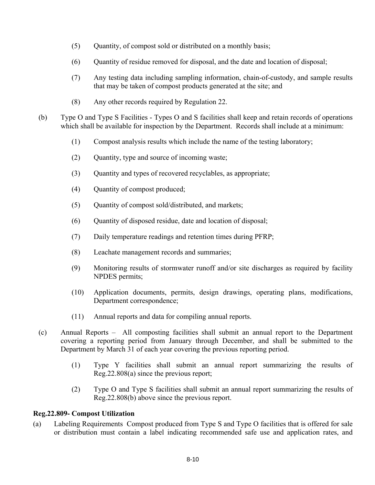- (5) Quantity, of compost sold or distributed on a monthly basis;
- (6) Quantity of residue removed for disposal, and the date and location of disposal;
- (7) Any testing data including sampling information, chain-of-custody, and sample results that may be taken of compost products generated at the site; and
- (8) Any other records required by Regulation 22.
- (b) Type O and Type S Facilities Types O and S facilities shall keep and retain records of operations which shall be available for inspection by the Department. Records shall include at a minimum:
	- (1) Compost analysis results which include the name of the testing laboratory;
	- (2) Quantity, type and source of incoming waste;
	- (3) Quantity and types of recovered recyclables, as appropriate;
	- (4) Quantity of compost produced;
	- (5) Quantity of compost sold/distributed, and markets;
	- (6) Quantity of disposed residue, date and location of disposal;
	- (7) Daily temperature readings and retention times during PFRP;
	- (8) Leachate management records and summaries;
	- (9) Monitoring results of stormwater runoff and/or site discharges as required by facility NPDES permits;
	- (10) Application documents, permits, design drawings, operating plans, modifications, Department correspondence;
	- (11) Annual reports and data for compiling annual reports.
- (c) Annual Reports All composting facilities shall submit an annual report to the Department covering a reporting period from January through December, and shall be submitted to the Department by March 31 of each year covering the previous reporting period.
	- (1) Type Y facilities shall submit an annual report summarizing the results of Reg.22.808(a) since the previous report;
	- (2) Type O and Type S facilities shall submit an annual report summarizing the results of Reg.22.808(b) above since the previous report.

## **Reg.22.809- Compost Utilization**

(a) Labeling Requirements Compost produced from Type S and Type O facilities that is offered for sale or distribution must contain a label indicating recommended safe use and application rates, and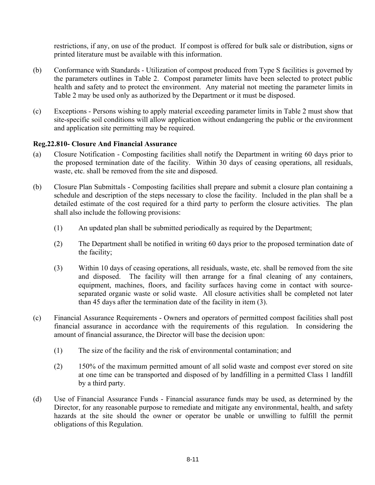restrictions, if any, on use of the product. If compost is offered for bulk sale or distribution, signs or printed literature must be available with this information.

- (b) Conformance with Standards Utilization of compost produced from Type S facilities is governed by the parameters outlines in Table 2. Compost parameter limits have been selected to protect public health and safety and to protect the environment. Any material not meeting the parameter limits in Table 2 may be used only as authorized by the Department or it must be disposed.
- (c) Exceptions Persons wishing to apply material exceeding parameter limits in Table 2 must show that site-specific soil conditions will allow application without endangering the public or the environment and application site permitting may be required.

## **Reg.22.810- Closure And Financial Assurance**

- (a) Closure Notification Composting facilities shall notify the Department in writing 60 days prior to the proposed termination date of the facility. Within 30 days of ceasing operations, all residuals, waste, etc. shall be removed from the site and disposed.
- (b) Closure Plan Submittals Composting facilities shall prepare and submit a closure plan containing a schedule and description of the steps necessary to close the facility. Included in the plan shall be a detailed estimate of the cost required for a third party to perform the closure activities. The plan shall also include the following provisions:
	- (1) An updated plan shall be submitted periodically as required by the Department;
	- (2) The Department shall be notified in writing 60 days prior to the proposed termination date of the facility;
	- (3) Within 10 days of ceasing operations, all residuals, waste, etc. shall be removed from the site and disposed. The facility will then arrange for a final cleaning of any containers, equipment, machines, floors, and facility surfaces having come in contact with sourceseparated organic waste or solid waste. All closure activities shall be completed not later than 45 days after the termination date of the facility in item (3).
- (c) Financial Assurance Requirements Owners and operators of permitted compost facilities shall post financial assurance in accordance with the requirements of this regulation. In considering the amount of financial assurance, the Director will base the decision upon:
	- (1) The size of the facility and the risk of environmental contamination; and
	- (2) 150% of the maximum permitted amount of all solid waste and compost ever stored on site at one time can be transported and disposed of by landfilling in a permitted Class 1 landfill by a third party.
- (d) Use of Financial Assurance Funds Financial assurance funds may be used, as determined by the Director, for any reasonable purpose to remediate and mitigate any environmental, health, and safety hazards at the site should the owner or operator be unable or unwilling to fulfill the permit obligations of this Regulation.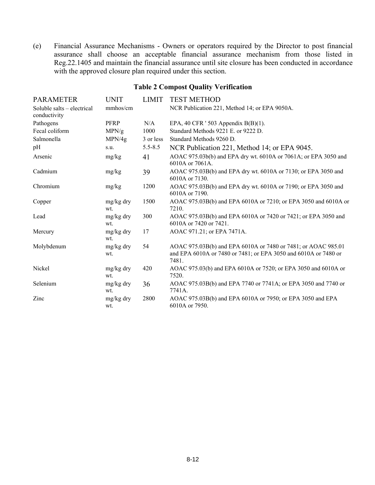(e) Financial Assurance Mechanisms - Owners or operators required by the Director to post financial assurance shall choose an acceptable financial assurance mechanism from those listed in Reg.22.1405 and maintain the financial assurance until site closure has been conducted in accordance with the approved closure plan required under this section.

| <b>PARAMETER</b>                           | <b>UNIT</b>        | <b>LIMIT</b> | <b>TEST METHOD</b>                                                                                                                        |
|--------------------------------------------|--------------------|--------------|-------------------------------------------------------------------------------------------------------------------------------------------|
| Soluble salts – electrical<br>conductivity | mmhos/cm           |              | NCR Publication 221, Method 14; or EPA 9050A.                                                                                             |
| Pathogens                                  | PFRP               | N/A          | EPA, 40 CFR ' 503 Appendix $B(B)(1)$ .                                                                                                    |
| Fecal coliform                             | MPN/g              | 1000         | Standard Methods 9221 E. or 9222 D.                                                                                                       |
| Salmonella                                 | MPN/4g             | 3 or less    | Standard Methods 9260 D.                                                                                                                  |
| pH                                         | s.u.               | $5.5 - 8.5$  | NCR Publication 221, Method 14; or EPA 9045.                                                                                              |
| Arsenic                                    | mg/kg              | 41           | AOAC 975.03b(b) and EPA dry wt. 6010A or 7061A; or EPA 3050 and<br>6010A or 7061A.                                                        |
| Cadmium                                    | mg/kg              | 39           | AOAC 975.03B(b) and EPA dry wt. 6010A or 7130; or EPA 3050 and<br>6010A or 7130.                                                          |
| Chromium                                   | mg/kg              | 1200         | AOAC 975.03B(b) and EPA dry wt. 6010A or 7190; or EPA 3050 and<br>6010A or 7190.                                                          |
| Copper                                     | $mg/kg$ dry<br>wt. | 1500         | AOAC 975.03B(b) and EPA 6010A or 7210; or EPA 3050 and 6010A or<br>7210.                                                                  |
| Lead                                       | $mg/kg$ dry<br>wt. | 300          | AOAC 975.03B(b) and EPA 6010A or 7420 or 7421; or EPA 3050 and<br>6010A or 7420 or 7421.                                                  |
| Mercury                                    | mg/kg dry<br>wt.   | 17           | AOAC 971.21; or EPA 7471A.                                                                                                                |
| Molybdenum                                 | $mg/kg$ dry<br>wt. | 54           | AOAC 975.03B(b) and EPA 6010A or 7480 or 7481; or AOAC 985.01<br>and EPA 6010A or 7480 or 7481; or EPA 3050 and 6010A or 7480 or<br>7481. |
| Nickel                                     | $mg/kg$ dry<br>wt. | 420          | AOAC 975.03(b) and EPA 6010A or 7520; or EPA 3050 and 6010A or<br>7520.                                                                   |
| Selenium                                   | $mg/kg$ dry<br>wt. | 36           | AOAC 975.03B(b) and EPA 7740 or 7741A; or EPA 3050 and 7740 or<br>7741A.                                                                  |
| Zinc                                       | $mg/kg$ dry<br>wt. | 2800         | AOAC 975.03B(b) and EPA 6010A or 7950; or EPA 3050 and EPA<br>6010A or 7950.                                                              |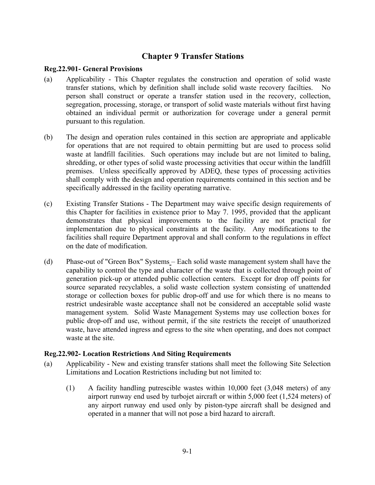# **Chapter 9 Transfer Stations**

#### **Reg.22.901- General Provisions**

- (a) Applicability This Chapter regulates the construction and operation of solid waste transfer stations, which by definition shall include solid waste recovery facilties. No person shall construct or operate a transfer station used in the recovery, collection, segregation, processing, storage, or transport of solid waste materials without first having obtained an individual permit or authorization for coverage under a general permit pursuant to this regulation.
- (b) The design and operation rules contained in this section are appropriate and applicable for operations that are not required to obtain permitting but are used to process solid waste at landfill facilities. Such operations may include but are not limited to baling, shredding, or other types of solid waste processing activities that occur within the landfill premises. Unless specifically approved by ADEQ, these types of processing activities shall comply with the design and operation requirements contained in this section and be specifically addressed in the facility operating narrative.
- (c) Existing Transfer Stations The Department may waive specific design requirements of this Chapter for facilities in existence prior to May 7. 1995, provided that the applicant demonstrates that physical improvements to the facility are not practical for implementation due to physical constraints at the facility. Any modifications to the facilities shall require Department approval and shall conform to the regulations in effect on the date of modification.
- (d) Phase-out of "Green Box" Systems Each solid waste management system shall have the capability to control the type and character of the waste that is collected through point of generation pick-up or attended public collection centers. Except for drop off points for source separated recyclables, a solid waste collection system consisting of unattended storage or collection boxes for public drop-off and use for which there is no means to restrict undesirable waste acceptance shall not be considered an acceptable solid waste management system. Solid Waste Management Systems may use collection boxes for public drop-off and use, without permit, if the site restricts the receipt of unauthorized waste, have attended ingress and egress to the site when operating, and does not compact waste at the site.

## **Reg.22.902- Location Restrictions And Siting Requirements**

- (a) Applicability New and existing transfer stations shall meet the following Site Selection Limitations and Location Restrictions including but not limited to:
	- (1) A facility handling putrescible wastes within 10,000 feet (3,048 meters) of any airport runway end used by turbojet aircraft or within 5,000 feet (1,524 meters) of any airport runway end used only by piston-type aircraft shall be designed and operated in a manner that will not pose a bird hazard to aircraft.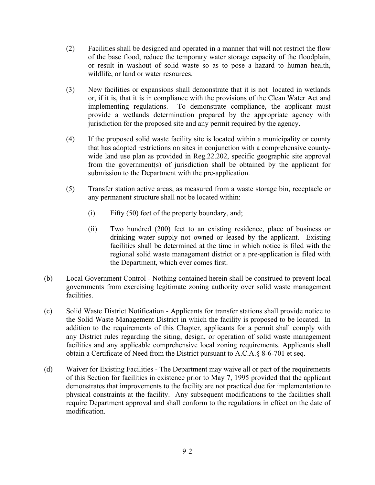- (2) Facilities shall be designed and operated in a manner that will not restrict the flow of the base flood, reduce the temporary water storage capacity of the floodplain, or result in washout of solid waste so as to pose a hazard to human health, wildlife, or land or water resources.
- (3) New facilities or expansions shall demonstrate that it is not located in wetlands or, if it is, that it is in compliance with the provisions of the Clean Water Act and implementing regulations. To demonstrate compliance, the applicant must provide a wetlands determination prepared by the appropriate agency with jurisdiction for the proposed site and any permit required by the agency.
- (4) If the proposed solid waste facility site is located within a municipality or county that has adopted restrictions on sites in conjunction with a comprehensive countywide land use plan as provided in Reg.22.202, specific geographic site approval from the government(s) of jurisdiction shall be obtained by the applicant for submission to the Department with the pre-application.
- (5) Transfer station active areas, as measured from a waste storage bin, receptacle or any permanent structure shall not be located within:
	- (i) Fifty (50) feet of the property boundary, and;
	- (ii) Two hundred (200) feet to an existing residence, place of business or drinking water supply not owned or leased by the applicant. Existing facilities shall be determined at the time in which notice is filed with the regional solid waste management district or a pre-application is filed with the Department, which ever comes first.
- (b) Local Government Control Nothing contained herein shall be construed to prevent local governments from exercising legitimate zoning authority over solid waste management facilities.
- (c) Solid Waste District Notification Applicants for transfer stations shall provide notice to the Solid Waste Management District in which the facility is proposed to be located. In addition to the requirements of this Chapter, applicants for a permit shall comply with any District rules regarding the siting, design, or operation of solid waste management facilities and any applicable comprehensive local zoning requirements. Applicants shall obtain a Certificate of Need from the District pursuant to A.C.A.§ 8-6-701 et seq.
- (d) Waiver for Existing Facilities The Department may waive all or part of the requirements of this Section for facilities in existence prior to May 7, 1995 provided that the applicant demonstrates that improvements to the facility are not practical due for implementation to physical constraints at the facility. Any subsequent modifications to the facilities shall require Department approval and shall conform to the regulations in effect on the date of modification.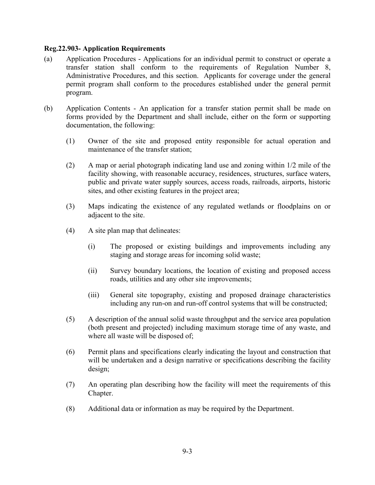#### **Reg.22.903- Application Requirements**

- (a) Application Procedures Applications for an individual permit to construct or operate a transfer station shall conform to the requirements of Regulation Number 8, Administrative Procedures, and this section. Applicants for coverage under the general permit program shall conform to the procedures established under the general permit program.
- (b) Application Contents An application for a transfer station permit shall be made on forms provided by the Department and shall include, either on the form or supporting documentation, the following:
	- (1) Owner of the site and proposed entity responsible for actual operation and maintenance of the transfer station;
	- (2) A map or aerial photograph indicating land use and zoning within 1/2 mile of the facility showing, with reasonable accuracy, residences, structures, surface waters, public and private water supply sources, access roads, railroads, airports, historic sites, and other existing features in the project area;
	- (3) Maps indicating the existence of any regulated wetlands or floodplains on or adjacent to the site.
	- (4) A site plan map that delineates:
		- (i) The proposed or existing buildings and improvements including any staging and storage areas for incoming solid waste;
		- (ii) Survey boundary locations, the location of existing and proposed access roads, utilities and any other site improvements;
		- (iii) General site topography, existing and proposed drainage characteristics including any run-on and run-off control systems that will be constructed;
	- (5) A description of the annual solid waste throughput and the service area population (both present and projected) including maximum storage time of any waste, and where all waste will be disposed of;
	- (6) Permit plans and specifications clearly indicating the layout and construction that will be undertaken and a design narrative or specifications describing the facility design;
	- (7) An operating plan describing how the facility will meet the requirements of this Chapter.
	- (8) Additional data or information as may be required by the Department.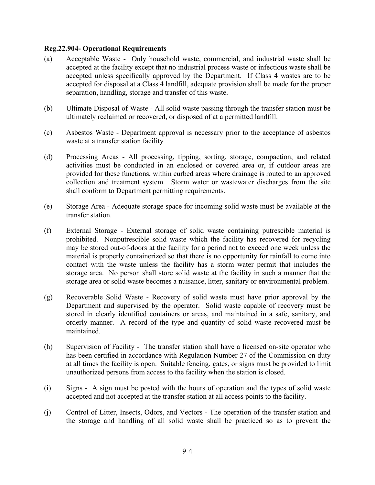#### **Reg.22.904- Operational Requirements**

- (a) Acceptable Waste Only household waste, commercial, and industrial waste shall be accepted at the facility except that no industrial process waste or infectious waste shall be accepted unless specifically approved by the Department. If Class 4 wastes are to be accepted for disposal at a Class 4 landfill, adequate provision shall be made for the proper separation, handling, storage and transfer of this waste.
- (b) Ultimate Disposal of Waste All solid waste passing through the transfer station must be ultimately reclaimed or recovered, or disposed of at a permitted landfill.
- (c) Asbestos Waste Department approval is necessary prior to the acceptance of asbestos waste at a transfer station facility
- (d) Processing Areas All processing, tipping, sorting, storage, compaction, and related activities must be conducted in an enclosed or covered area or, if outdoor areas are provided for these functions, within curbed areas where drainage is routed to an approved collection and treatment system. Storm water or wastewater discharges from the site shall conform to Department permitting requirements.
- (e) Storage Area Adequate storage space for incoming solid waste must be available at the transfer station.
- (f) External Storage External storage of solid waste containing putrescible material is prohibited. Nonputrescible solid waste which the facility has recovered for recycling may be stored out-of-doors at the facility for a period not to exceed one week unless the material is properly containerized so that there is no opportunity for rainfall to come into contact with the waste unless the facility has a storm water permit that includes the storage area. No person shall store solid waste at the facility in such a manner that the storage area or solid waste becomes a nuisance, litter, sanitary or environmental problem.
- (g) Recoverable Solid Waste Recovery of solid waste must have prior approval by the Department and supervised by the operator. Solid waste capable of recovery must be stored in clearly identified containers or areas, and maintained in a safe, sanitary, and orderly manner. A record of the type and quantity of solid waste recovered must be maintained.
- (h) Supervision of Facility The transfer station shall have a licensed on-site operator who has been certified in accordance with Regulation Number 27 of the Commission on duty at all times the facility is open. Suitable fencing, gates, or signs must be provided to limit unauthorized persons from access to the facility when the station is closed.
- (i) Signs A sign must be posted with the hours of operation and the types of solid waste accepted and not accepted at the transfer station at all access points to the facility.
- (j) Control of Litter, Insects, Odors, and Vectors The operation of the transfer station and the storage and handling of all solid waste shall be practiced so as to prevent the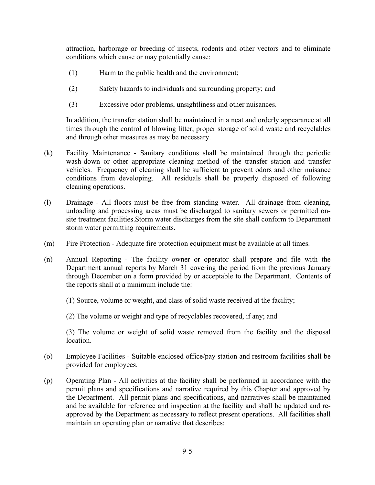attraction, harborage or breeding of insects, rodents and other vectors and to eliminate conditions which cause or may potentially cause:

- (1) Harm to the public health and the environment;
- (2) Safety hazards to individuals and surrounding property; and
- (3) Excessive odor problems, unsightliness and other nuisances.

In addition, the transfer station shall be maintained in a neat and orderly appearance at all times through the control of blowing litter, proper storage of solid waste and recyclables and through other measures as may be necessary.

- (k) Facility Maintenance Sanitary conditions shall be maintained through the periodic wash-down or other appropriate cleaning method of the transfer station and transfer vehicles. Frequency of cleaning shall be sufficient to prevent odors and other nuisance conditions from developing. All residuals shall be properly disposed of following cleaning operations.
- (l) Drainage All floors must be free from standing water. All drainage from cleaning, unloading and processing areas must be discharged to sanitary sewers or permitted onsite treatment facilities.Storm water discharges from the site shall conform to Department storm water permitting requirements.
- (m) Fire Protection Adequate fire protection equipment must be available at all times.
- (n) Annual Reporting The facility owner or operator shall prepare and file with the Department annual reports by March 31 covering the period from the previous January through December on a form provided by or acceptable to the Department. Contents of the reports shall at a minimum include the:
	- (1) Source, volume or weight, and class of solid waste received at the facility;
	- (2) The volume or weight and type of recyclables recovered, if any; and

(3) The volume or weight of solid waste removed from the facility and the disposal location.

- (o) Employee Facilities Suitable enclosed office/pay station and restroom facilities shall be provided for employees.
- (p) Operating Plan All activities at the facility shall be performed in accordance with the permit plans and specifications and narrative required by this Chapter and approved by the Department. All permit plans and specifications, and narratives shall be maintained and be available for reference and inspection at the facility and shall be updated and reapproved by the Department as necessary to reflect present operations. All facilities shall maintain an operating plan or narrative that describes: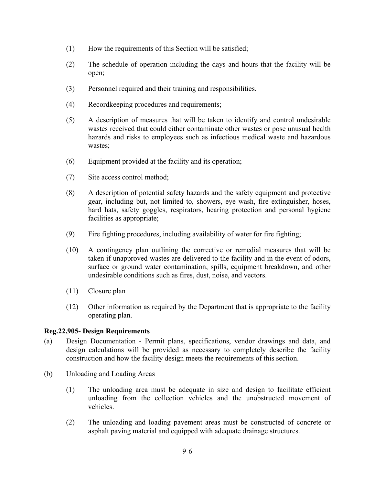- (1) How the requirements of this Section will be satisfied;
- (2) The schedule of operation including the days and hours that the facility will be open;
- (3) Personnel required and their training and responsibilities.
- (4) Recordkeeping procedures and requirements;
- (5) A description of measures that will be taken to identify and control undesirable wastes received that could either contaminate other wastes or pose unusual health hazards and risks to employees such as infectious medical waste and hazardous wastes;
- (6) Equipment provided at the facility and its operation;
- (7) Site access control method;
- (8) A description of potential safety hazards and the safety equipment and protective gear, including but, not limited to, showers, eye wash, fire extinguisher, hoses, hard hats, safety goggles, respirators, hearing protection and personal hygiene facilities as appropriate;
- (9) Fire fighting procedures, including availability of water for fire fighting;
- (10) A contingency plan outlining the corrective or remedial measures that will be taken if unapproved wastes are delivered to the facility and in the event of odors, surface or ground water contamination, spills, equipment breakdown, and other undesirable conditions such as fires, dust, noise, and vectors.
- (11) Closure plan
- (12) Other information as required by the Department that is appropriate to the facility operating plan.

## **Reg.22.905- Design Requirements**

- (a) Design Documentation Permit plans, specifications, vendor drawings and data, and design calculations will be provided as necessary to completely describe the facility construction and how the facility design meets the requirements of this section.
- (b) Unloading and Loading Areas
	- (1) The unloading area must be adequate in size and design to facilitate efficient unloading from the collection vehicles and the unobstructed movement of vehicles.
	- (2) The unloading and loading pavement areas must be constructed of concrete or asphalt paving material and equipped with adequate drainage structures.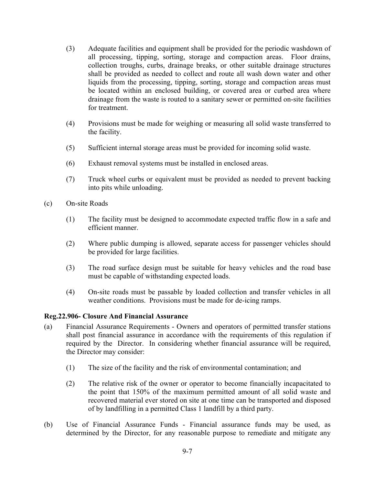- (3) Adequate facilities and equipment shall be provided for the periodic washdown of all processing, tipping, sorting, storage and compaction areas. Floor drains, collection troughs, curbs, drainage breaks, or other suitable drainage structures shall be provided as needed to collect and route all wash down water and other liquids from the processing, tipping, sorting, storage and compaction areas must be located within an enclosed building, or covered area or curbed area where drainage from the waste is routed to a sanitary sewer or permitted on-site facilities for treatment.
- (4) Provisions must be made for weighing or measuring all solid waste transferred to the facility.
- (5) Sufficient internal storage areas must be provided for incoming solid waste.
- (6) Exhaust removal systems must be installed in enclosed areas.
- (7) Truck wheel curbs or equivalent must be provided as needed to prevent backing into pits while unloading.
- (c) On-site Roads
	- (1) The facility must be designed to accommodate expected traffic flow in a safe and efficient manner.
	- (2) Where public dumping is allowed, separate access for passenger vehicles should be provided for large facilities.
	- (3) The road surface design must be suitable for heavy vehicles and the road base must be capable of withstanding expected loads.
	- (4) On-site roads must be passable by loaded collection and transfer vehicles in all weather conditions. Provisions must be made for de-icing ramps.

#### **Reg.22.906- Closure And Financial Assurance**

- (a) Financial Assurance Requirements Owners and operators of permitted transfer stations shall post financial assurance in accordance with the requirements of this regulation if required by the Director. In considering whether financial assurance will be required, the Director may consider:
	- (1) The size of the facility and the risk of environmental contamination; and
	- (2) The relative risk of the owner or operator to become financially incapacitated to the point that 150% of the maximum permitted amount of all solid waste and recovered material ever stored on site at one time can be transported and disposed of by landfilling in a permitted Class 1 landfill by a third party.
- (b) Use of Financial Assurance Funds Financial assurance funds may be used, as determined by the Director, for any reasonable purpose to remediate and mitigate any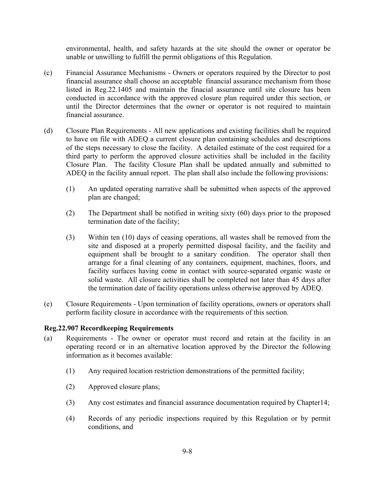environmental, health, and safety hazards at the site should the owner or operator be unable or unwilling to fulfill the permit obligations of this Regulation.

- (c) Financial Assurance Mechanisms Owners or operators required by the Director to post financial assurance shall choose an acceptable financial assurance mechanism from those listed in Reg.22.1405 and maintain the finacial assurance until site closure has been conducted in accordance with the approved closure plan required under this section, or until the Director determines that the owner or operator is not required to maintain financial assurance.
- (d) Closure Plan Requirements All new applications and existing facilities shall be required to have on file with ADEQ a current closure plan containing schedules and descriptions of the steps necessary to close the facility. A detailed estimate of the cost required for a third party to perform the approved closure activities shall be included in the facility Closure Plan. The facility Closure Plan shall be updated annually and submitted to ADEQ in the facility annual report. The plan shall also include the following provisions:
	- (1) An updated operating narrative shall be submitted when aspects of the approved plan are changed;
	- (2) The Department shall be notified in writing sixty (60) days prior to the proposed termination date of the facility;
	- (3) Within ten (10) days of ceasing operations, all wastes shall be removed from the site and disposed at a properly permitted disposal facility, and the facility and equipment shall be brought to a sanitary condition. The operator shall then arrange for a final cleaning of any containers, equipment, machines, floors, and facility surfaces having come in contact with source-separated organic waste or solid waste. All closure activities shall be completed not later than 45 days after the termination date of facility operations unless otherwise approved by ADEQ.
- (e) Closure Requirements Upon termination of facility operations, owners or operators shall perform facility closure in accordance with the requirements of this section.

## **Reg.22.907 Recordkeeping Requirements**

- (a) Requirements The owner or operator must record and retain at the facility in an operating record or in an alternative location approved by the Director the following information as it becomes available:
	- (1) Any required location restriction demonstrations of the permitted facility;
	- (2) Approved closure plans;
	- (3) Any cost estimates and financial assurance documentation required by Chapter14;
	- (4) Records of any periodic inspections required by this Regulation or by permit conditions, and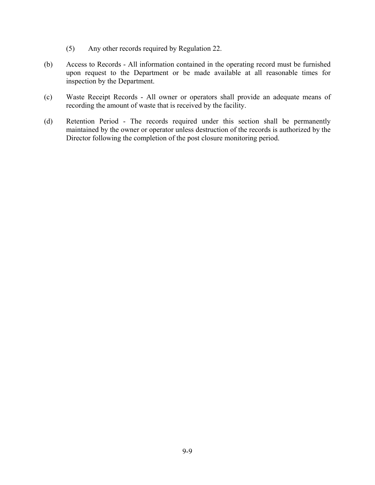- (5) Any other records required by Regulation 22.
- (b) Access to Records All information contained in the operating record must be furnished upon request to the Department or be made available at all reasonable times for inspection by the Department.
- (c) Waste Receipt Records All owner or operators shall provide an adequate means of recording the amount of waste that is received by the facility.
- (d) Retention Period The records required under this section shall be permanently maintained by the owner or operator unless destruction of the records is authorized by the Director following the completion of the post closure monitoring period.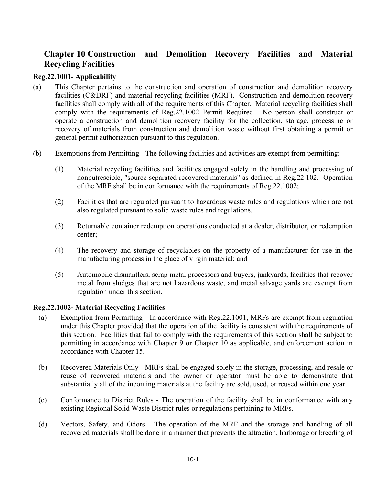# **Chapter 10 Construction and Demolition Recovery Facilities and Material Recycling Facilities**

## **Reg.22.1001- Applicability**

- (a) This Chapter pertains to the construction and operation of construction and demolition recovery facilities (C&DRF) and material recycling facilities (MRF). Construction and demolition recovery facilities shall comply with all of the requirements of this Chapter. Material recycling facilities shall comply with the requirements of Reg.22.1002 Permit Required - No person shall construct or operate a construction and demolition recovery facility for the collection, storage, processing or recovery of materials from construction and demolition waste without first obtaining a permit or general permit authorization pursuant to this regulation.
- (b) Exemptions from Permitting The following facilities and activities are exempt from permitting:
	- (1) Material recycling facilities and facilities engaged solely in the handling and processing of nonputrescible, "source separated recovered materials" as defined in Reg.22.102. Operation of the MRF shall be in conformance with the requirements of Reg.22.1002;
	- (2) Facilities that are regulated pursuant to hazardous waste rules and regulations which are not also regulated pursuant to solid waste rules and regulations.
	- (3) Returnable container redemption operations conducted at a dealer, distributor, or redemption center;
	- (4) The recovery and storage of recyclables on the property of a manufacturer for use in the manufacturing process in the place of virgin material; and
	- (5) Automobile dismantlers, scrap metal processors and buyers, junkyards, facilities that recover metal from sludges that are not hazardous waste, and metal salvage yards are exempt from regulation under this section.

#### **Reg.22.1002- Material Recycling Facilities**

- (a) Exemption from Permitting In accordance with Reg.22.1001, MRFs are exempt from regulation under this Chapter provided that the operation of the facility is consistent with the requirements of this section. Facilities that fail to comply with the requirements of this section shall be subject to permitting in accordance with Chapter 9 or Chapter 10 as applicable, and enforcement action in accordance with Chapter 15.
- (b) Recovered Materials Only MRFs shall be engaged solely in the storage, processing, and resale or reuse of recovered materials and the owner or operator must be able to demonstrate that substantially all of the incoming materials at the facility are sold, used, or reused within one year.
- (c) Conformance to District Rules The operation of the facility shall be in conformance with any existing Regional Solid Waste District rules or regulations pertaining to MRFs.
- (d) Vectors, Safety, and Odors The operation of the MRF and the storage and handling of all recovered materials shall be done in a manner that prevents the attraction, harborage or breeding of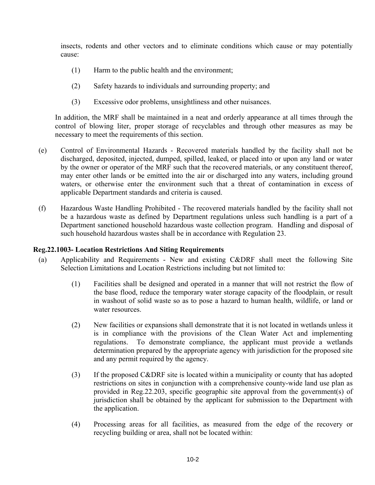insects, rodents and other vectors and to eliminate conditions which cause or may potentially cause:

- (1) Harm to the public health and the environment;
- (2) Safety hazards to individuals and surrounding property; and
- (3) Excessive odor problems, unsightliness and other nuisances.

In addition, the MRF shall be maintained in a neat and orderly appearance at all times through the control of blowing liter, proper storage of recyclables and through other measures as may be necessary to meet the requirements of this section.

- (e) Control of Environmental Hazards Recovered materials handled by the facility shall not be discharged, deposited, injected, dumped, spilled, leaked, or placed into or upon any land or water by the owner or operator of the MRF such that the recovered materials, or any constituent thereof, may enter other lands or be emitted into the air or discharged into any waters, including ground waters, or otherwise enter the environment such that a threat of contamination in excess of applicable Department standards and criteria is caused.
- (f) Hazardous Waste Handling Prohibited The recovered materials handled by the facility shall not be a hazardous waste as defined by Department regulations unless such handling is a part of a Department sanctioned household hazardous waste collection program. Handling and disposal of such household hazardous wastes shall be in accordance with Regulation 23.

## **Reg.22.1003- Location Restrictions And Siting Requirements**

- (a) Applicability and Requirements New and existing C&DRF shall meet the following Site Selection Limitations and Location Restrictions including but not limited to:
	- (1) Facilities shall be designed and operated in a manner that will not restrict the flow of the base flood, reduce the temporary water storage capacity of the floodplain, or result in washout of solid waste so as to pose a hazard to human health, wildlife, or land or water resources.
	- (2) New facilities or expansions shall demonstrate that it is not located in wetlands unless it is in compliance with the provisions of the Clean Water Act and implementing regulations. To demonstrate compliance, the applicant must provide a wetlands determination prepared by the appropriate agency with jurisdiction for the proposed site and any permit required by the agency.
	- (3) If the proposed C&DRF site is located within a municipality or county that has adopted restrictions on sites in conjunction with a comprehensive county-wide land use plan as provided in Reg.22.203, specific geographic site approval from the government(s) of jurisdiction shall be obtained by the applicant for submission to the Department with the application.
	- (4) Processing areas for all facilities, as measured from the edge of the recovery or recycling building or area, shall not be located within: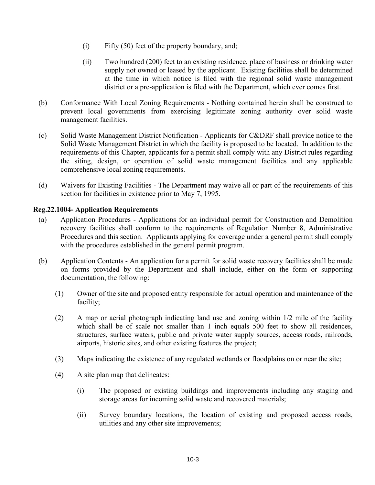- (i) Fifty (50) feet of the property boundary, and;
- (ii) Two hundred (200) feet to an existing residence, place of business or drinking water supply not owned or leased by the applicant. Existing facilities shall be determined at the time in which notice is filed with the regional solid waste management district or a pre-application is filed with the Department, which ever comes first.
- (b) Conformance With Local Zoning Requirements Nothing contained herein shall be construed to prevent local governments from exercising legitimate zoning authority over solid waste management facilities.
- (c) Solid Waste Management District Notification Applicants for C&DRF shall provide notice to the Solid Waste Management District in which the facility is proposed to be located. In addition to the requirements of this Chapter, applicants for a permit shall comply with any District rules regarding the siting, design, or operation of solid waste management facilities and any applicable comprehensive local zoning requirements.
- (d) Waivers for Existing Facilities The Department may waive all or part of the requirements of this section for facilities in existence prior to May 7, 1995.

## **Reg.22.1004- Application Requirements**

- (a) Application Procedures Applications for an individual permit for Construction and Demolition recovery facilities shall conform to the requirements of Regulation Number 8, Administrative Procedures and this section. Applicants applying for coverage under a general permit shall comply with the procedures established in the general permit program.
- (b) Application Contents An application for a permit for solid waste recovery facilities shall be made on forms provided by the Department and shall include, either on the form or supporting documentation, the following:
	- (1) Owner of the site and proposed entity responsible for actual operation and maintenance of the facility;
	- (2) A map or aerial photograph indicating land use and zoning within 1/2 mile of the facility which shall be of scale not smaller than 1 inch equals 500 feet to show all residences, structures, surface waters, public and private water supply sources, access roads, railroads, airports, historic sites, and other existing features the project;
	- (3) Maps indicating the existence of any regulated wetlands or floodplains on or near the site;
	- (4) A site plan map that delineates:
		- (i) The proposed or existing buildings and improvements including any staging and storage areas for incoming solid waste and recovered materials;
		- (ii) Survey boundary locations, the location of existing and proposed access roads, utilities and any other site improvements;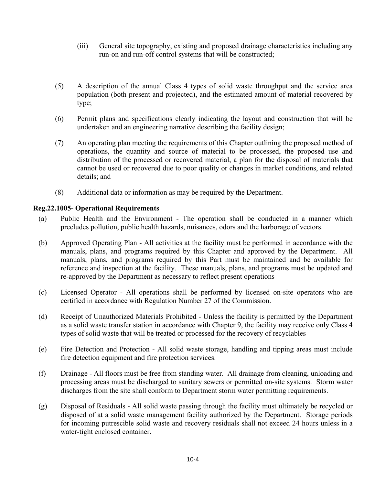- (iii) General site topography, existing and proposed drainage characteristics including any run-on and run-off control systems that will be constructed;
- (5) A description of the annual Class 4 types of solid waste throughput and the service area population (both present and projected), and the estimated amount of material recovered by type;
- (6) Permit plans and specifications clearly indicating the layout and construction that will be undertaken and an engineering narrative describing the facility design;
- (7) An operating plan meeting the requirements of this Chapter outlining the proposed method of operations, the quantity and source of material to be processed, the proposed use and distribution of the processed or recovered material, a plan for the disposal of materials that cannot be used or recovered due to poor quality or changes in market conditions, and related details; and
- (8) Additional data or information as may be required by the Department.

# **Reg.22.1005- Operational Requirements**

- (a) Public Health and the Environment The operation shall be conducted in a manner which precludes pollution, public health hazards, nuisances, odors and the harborage of vectors.
- (b) Approved Operating Plan All activities at the facility must be performed in accordance with the manuals, plans, and programs required by this Chapter and approved by the Department. All manuals, plans, and programs required by this Part must be maintained and be available for reference and inspection at the facility. These manuals, plans, and programs must be updated and re-approved by the Department as necessary to reflect present operations
- (c) Licensed Operator All operations shall be performed by licensed on-site operators who are certified in accordance with Regulation Number 27 of the Commission.
- (d) Receipt of Unauthorized Materials Prohibited Unless the facility is permitted by the Department as a solid waste transfer station in accordance with Chapter 9, the facility may receive only Class 4 types of solid waste that will be treated or processed for the recovery of recyclables
- (e) Fire Detection and Protection All solid waste storage, handling and tipping areas must include fire detection equipment and fire protection services.
- (f) Drainage All floors must be free from standing water. All drainage from cleaning, unloading and processing areas must be discharged to sanitary sewers or permitted on-site systems. Storm water discharges from the site shall conform to Department storm water permitting requirements.
- (g) Disposal of Residuals All solid waste passing through the facility must ultimately be recycled or disposed of at a solid waste management facility authorized by the Department. Storage periods for incoming putrescible solid waste and recovery residuals shall not exceed 24 hours unless in a water-tight enclosed container.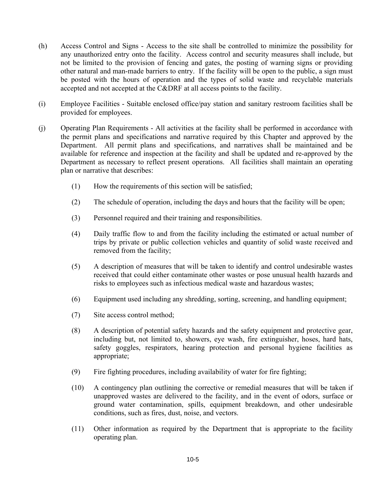- (h) Access Control and Signs Access to the site shall be controlled to minimize the possibility for any unauthorized entry onto the facility. Access control and security measures shall include, but not be limited to the provision of fencing and gates, the posting of warning signs or providing other natural and man-made barriers to entry. If the facility will be open to the public, a sign must be posted with the hours of operation and the types of solid waste and recyclable materials accepted and not accepted at the C&DRF at all access points to the facility.
- (i) Employee Facilities Suitable enclosed office/pay station and sanitary restroom facilities shall be provided for employees.
- (j) Operating Plan Requirements All activities at the facility shall be performed in accordance with the permit plans and specifications and narrative required by this Chapter and approved by the Department. All permit plans and specifications, and narratives shall be maintained and be available for reference and inspection at the facility and shall be updated and re-approved by the Department as necessary to reflect present operations. All facilities shall maintain an operating plan or narrative that describes:
	- (1) How the requirements of this section will be satisfied;
	- (2) The schedule of operation, including the days and hours that the facility will be open;
	- (3) Personnel required and their training and responsibilities.
	- (4) Daily traffic flow to and from the facility including the estimated or actual number of trips by private or public collection vehicles and quantity of solid waste received and removed from the facility;
	- (5) A description of measures that will be taken to identify and control undesirable wastes received that could either contaminate other wastes or pose unusual health hazards and risks to employees such as infectious medical waste and hazardous wastes;
	- (6) Equipment used including any shredding, sorting, screening, and handling equipment;
	- (7) Site access control method;
	- (8) A description of potential safety hazards and the safety equipment and protective gear, including but, not limited to, showers, eye wash, fire extinguisher, hoses, hard hats, safety goggles, respirators, hearing protection and personal hygiene facilities as appropriate;
	- (9) Fire fighting procedures, including availability of water for fire fighting;
	- (10) A contingency plan outlining the corrective or remedial measures that will be taken if unapproved wastes are delivered to the facility, and in the event of odors, surface or ground water contamination, spills, equipment breakdown, and other undesirable conditions, such as fires, dust, noise, and vectors.
	- (11) Other information as required by the Department that is appropriate to the facility operating plan.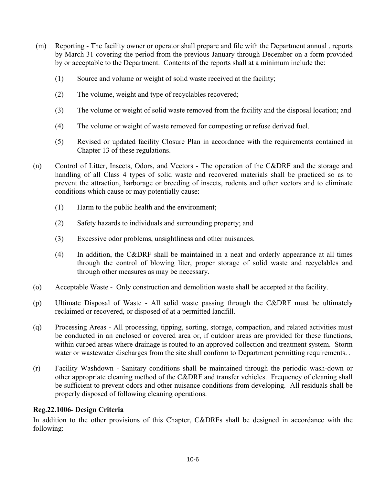- (m) Reporting The facility owner or operator shall prepare and file with the Department annual . reports by March 31 covering the period from the previous January through December on a form provided by or acceptable to the Department. Contents of the reports shall at a minimum include the:
	- (1) Source and volume or weight of solid waste received at the facility;
	- (2) The volume, weight and type of recyclables recovered;
	- (3) The volume or weight of solid waste removed from the facility and the disposal location; and
	- (4) The volume or weight of waste removed for composting or refuse derived fuel.
	- (5) Revised or updated facility Closure Plan in accordance with the requirements contained in Chapter 13 of these regulations.
- (n) Control of Litter, Insects, Odors, and Vectors The operation of the C&DRF and the storage and handling of all Class 4 types of solid waste and recovered materials shall be practiced so as to prevent the attraction, harborage or breeding of insects, rodents and other vectors and to eliminate conditions which cause or may potentially cause:
	- (1) Harm to the public health and the environment;
	- (2) Safety hazards to individuals and surrounding property; and
	- (3) Excessive odor problems, unsightliness and other nuisances.
	- (4) In addition, the C&DRF shall be maintained in a neat and orderly appearance at all times through the control of blowing liter, proper storage of solid waste and recyclables and through other measures as may be necessary.
- (o) Acceptable Waste Only construction and demolition waste shall be accepted at the facility.
- (p) Ultimate Disposal of Waste All solid waste passing through the C&DRF must be ultimately reclaimed or recovered, or disposed of at a permitted landfill.
- (q) Processing Areas All processing, tipping, sorting, storage, compaction, and related activities must be conducted in an enclosed or covered area or, if outdoor areas are provided for these functions, within curbed areas where drainage is routed to an approved collection and treatment system. Storm water or wastewater discharges from the site shall conform to Department permitting requirements. .
- (r) Facility Washdown Sanitary conditions shall be maintained through the periodic wash-down or other appropriate cleaning method of the C&DRF and transfer vehicles. Frequency of cleaning shall be sufficient to prevent odors and other nuisance conditions from developing. All residuals shall be properly disposed of following cleaning operations.

## **Reg.22.1006- Design Criteria**

In addition to the other provisions of this Chapter, C&DRFs shall be designed in accordance with the following: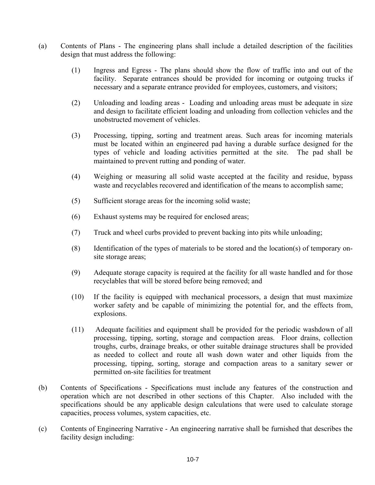- (a) Contents of Plans The engineering plans shall include a detailed description of the facilities design that must address the following:
	- (1) Ingress and Egress The plans should show the flow of traffic into and out of the facility. Separate entrances should be provided for incoming or outgoing trucks if necessary and a separate entrance provided for employees, customers, and visitors;
	- (2) Unloading and loading areas Loading and unloading areas must be adequate in size and design to facilitate efficient loading and unloading from collection vehicles and the unobstructed movement of vehicles.
	- (3) Processing, tipping, sorting and treatment areas. Such areas for incoming materials must be located within an engineered pad having a durable surface designed for the types of vehicle and loading activities permitted at the site. The pad shall be maintained to prevent rutting and ponding of water.
	- (4) Weighing or measuring all solid waste accepted at the facility and residue, bypass waste and recyclables recovered and identification of the means to accomplish same;
	- (5) Sufficient storage areas for the incoming solid waste;
	- (6) Exhaust systems may be required for enclosed areas;
	- (7) Truck and wheel curbs provided to prevent backing into pits while unloading;
	- (8) Identification of the types of materials to be stored and the location(s) of temporary onsite storage areas;
	- (9) Adequate storage capacity is required at the facility for all waste handled and for those recyclables that will be stored before being removed; and
	- (10) If the facility is equipped with mechanical processors, a design that must maximize worker safety and be capable of minimizing the potential for, and the effects from, explosions.
	- (11) Adequate facilities and equipment shall be provided for the periodic washdown of all processing, tipping, sorting, storage and compaction areas. Floor drains, collection troughs, curbs, drainage breaks, or other suitable drainage structures shall be provided as needed to collect and route all wash down water and other liquids from the processing, tipping, sorting, storage and compaction areas to a sanitary sewer or permitted on-site facilities for treatment
- (b) Contents of Specifications Specifications must include any features of the construction and operation which are not described in other sections of this Chapter. Also included with the specifications should be any applicable design calculations that were used to calculate storage capacities, process volumes, system capacities, etc.
- (c) Contents of Engineering Narrative An engineering narrative shall be furnished that describes the facility design including: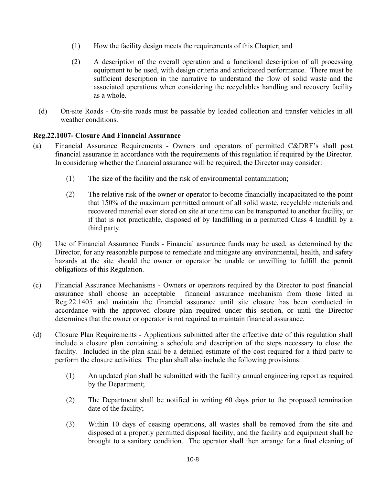- (1) How the facility design meets the requirements of this Chapter; and
- (2) A description of the overall operation and a functional description of all processing equipment to be used, with design criteria and anticipated performance. There must be sufficient description in the narrative to understand the flow of solid waste and the associated operations when considering the recyclables handling and recovery facility as a whole.
- (d) On-site Roads On-site roads must be passable by loaded collection and transfer vehicles in all weather conditions.

# **Reg.22.1007- Closure And Financial Assurance**

- (a) Financial Assurance Requirements Owners and operators of permitted C&DRF's shall post financial assurance in accordance with the requirements of this regulation if required by the Director. In considering whether the financial assurance will be required, the Director may consider:
	- (1) The size of the facility and the risk of environmental contamination;
	- (2) The relative risk of the owner or operator to become financially incapacitated to the point that 150% of the maximum permitted amount of all solid waste, recyclable materials and recovered material ever stored on site at one time can be transported to another facility, or if that is not practicable, disposed of by landfilling in a permitted Class 4 landfill by a third party.
- (b) Use of Financial Assurance Funds Financial assurance funds may be used, as determined by the Director, for any reasonable purpose to remediate and mitigate any environmental, health, and safety hazards at the site should the owner or operator be unable or unwilling to fulfill the permit obligations of this Regulation.
- (c) Financial Assurance Mechanisms Owners or operators required by the Director to post financial assurance shall choose an acceptable financial assurance mechanism from those listed in Reg.22.1405 and maintain the financial assurance until site closure has been conducted in accordance with the approved closure plan required under this section, or until the Director determines that the owner or operator is not required to maintain financial assurance.
- (d) Closure Plan Requirements Applications submitted after the effective date of this regulation shall include a closure plan containing a schedule and description of the steps necessary to close the facility. Included in the plan shall be a detailed estimate of the cost required for a third party to perform the closure activities. The plan shall also include the following provisions:
	- (1) An updated plan shall be submitted with the facility annual engineering report as required by the Department;
	- (2) The Department shall be notified in writing 60 days prior to the proposed termination date of the facility;
	- (3) Within 10 days of ceasing operations, all wastes shall be removed from the site and disposed at a properly permitted disposal facility, and the facility and equipment shall be brought to a sanitary condition. The operator shall then arrange for a final cleaning of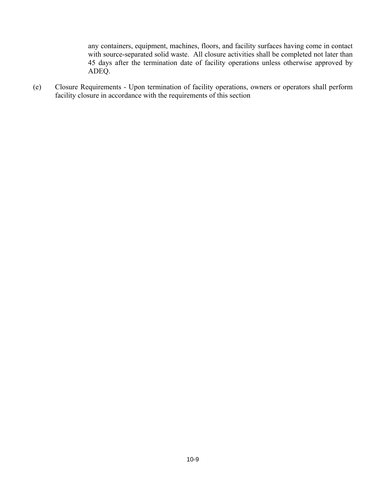any containers, equipment, machines, floors, and facility surfaces having come in contact with source-separated solid waste. All closure activities shall be completed not later than 45 days after the termination date of facility operations unless otherwise approved by ADEQ.

(e) Closure Requirements - Upon termination of facility operations, owners or operators shall perform facility closure in accordance with the requirements of this section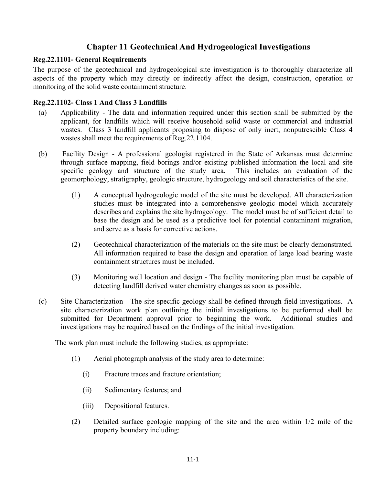# **Chapter 11 Geotechnical And Hydrogeological Investigations**

#### **Reg.22.1101- General Requirements**

The purpose of the geotechnical and hydrogeological site investigation is to thoroughly characterize all aspects of the property which may directly or indirectly affect the design, construction, operation or monitoring of the solid waste containment structure.

#### **Reg.22.1102- Class 1 And Class 3 Landfills**

- (a) Applicability The data and information required under this section shall be submitted by the applicant, for landfills which will receive household solid waste or commercial and industrial wastes. Class 3 landfill applicants proposing to dispose of only inert, nonputrescible Class 4 wastes shall meet the requirements of Reg.22.1104.
- (b) Facility Design A professional geologist registered in the State of Arkansas must determine through surface mapping, field borings and/or existing published information the local and site specific geology and structure of the study area. This includes an evaluation of the geomorphology, stratigraphy, geologic structure, hydrogeology and soil characteristics of the site.
	- (1) A conceptual hydrogeologic model of the site must be developed. All characterization studies must be integrated into a comprehensive geologic model which accurately describes and explains the site hydrogeology. The model must be of sufficient detail to base the design and be used as a predictive tool for potential contaminant migration, and serve as a basis for corrective actions.
	- (2) Geotechnical characterization of the materials on the site must be clearly demonstrated. All information required to base the design and operation of large load bearing waste containment structures must be included.
	- (3) Monitoring well location and design The facility monitoring plan must be capable of detecting landfill derived water chemistry changes as soon as possible.
- (c) Site Characterization The site specific geology shall be defined through field investigations. A site characterization work plan outlining the initial investigations to be performed shall be submitted for Department approval prior to beginning the work. Additional studies and investigations may be required based on the findings of the initial investigation.

The work plan must include the following studies, as appropriate:

- (1) Aerial photograph analysis of the study area to determine:
	- (i) Fracture traces and fracture orientation;
	- (ii) Sedimentary features; and
	- (iii) Depositional features.
- (2) Detailed surface geologic mapping of the site and the area within 1/2 mile of the property boundary including: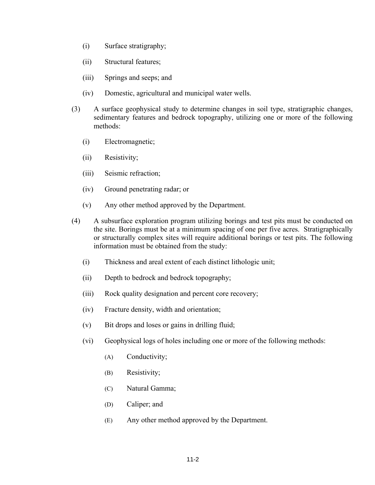- (i) Surface stratigraphy;
- (ii) Structural features;
- (iii) Springs and seeps; and
- (iv) Domestic, agricultural and municipal water wells.
- (3) A surface geophysical study to determine changes in soil type, stratigraphic changes, sedimentary features and bedrock topography, utilizing one or more of the following methods:
	- (i) Electromagnetic;
	- (ii) Resistivity;
	- (iii) Seismic refraction;
	- (iv) Ground penetrating radar; or
	- (v) Any other method approved by the Department.
- (4) A subsurface exploration program utilizing borings and test pits must be conducted on the site. Borings must be at a minimum spacing of one per five acres. Stratigraphically or structurally complex sites will require additional borings or test pits. The following information must be obtained from the study:
	- (i) Thickness and areal extent of each distinct lithologic unit;
	- (ii) Depth to bedrock and bedrock topography;
	- (iii) Rock quality designation and percent core recovery;
	- (iv) Fracture density, width and orientation;
	- (v) Bit drops and loses or gains in drilling fluid;
	- (vi) Geophysical logs of holes including one or more of the following methods:
		- (A) Conductivity;
		- (B) Resistivity;
		- (C) Natural Gamma;
		- (D) Caliper; and
		- (E) Any other method approved by the Department.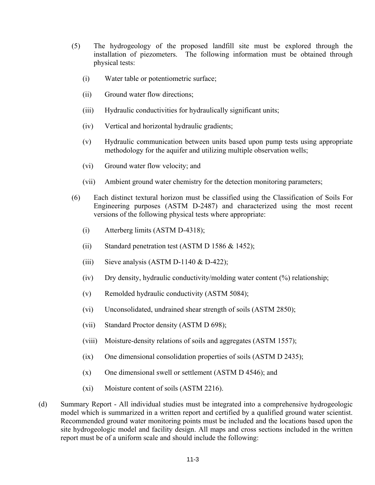- (5) The hydrogeology of the proposed landfill site must be explored through the installation of piezometers. The following information must be obtained through physical tests:
	- (i) Water table or potentiometric surface;
	- (ii) Ground water flow directions;
	- (iii) Hydraulic conductivities for hydraulically significant units;
	- (iv) Vertical and horizontal hydraulic gradients;
	- (v) Hydraulic communication between units based upon pump tests using appropriate methodology for the aquifer and utilizing multiple observation wells;
	- (vi) Ground water flow velocity; and
	- (vii) Ambient ground water chemistry for the detection monitoring parameters;
- (6) Each distinct textural horizon must be classified using the Classification of Soils For Engineering purposes (ASTM D-2487) and characterized using the most recent versions of the following physical tests where appropriate:
	- (i) Atterberg limits (ASTM D-4318);
	- (ii) Standard penetration test (ASTM D 1586  $&$  1452);
	- (iii) Sieve analysis (ASTM D-1140  $&$  D-422);
	- (iv) Dry density, hydraulic conductivity/molding water content  $(\%)$  relationship;
	- (v) Remolded hydraulic conductivity (ASTM 5084);
	- (vi) Unconsolidated, undrained shear strength of soils (ASTM 2850);
	- (vii) Standard Proctor density (ASTM D 698);
	- (viii) Moisture-density relations of soils and aggregates (ASTM 1557);
	- (ix) One dimensional consolidation properties of soils (ASTM D 2435);
	- (x) One dimensional swell or settlement (ASTM D 4546); and
	- (xi) Moisture content of soils (ASTM 2216).
- (d) Summary Report All individual studies must be integrated into a comprehensive hydrogeologic model which is summarized in a written report and certified by a qualified ground water scientist. Recommended ground water monitoring points must be included and the locations based upon the site hydrogeologic model and facility design. All maps and cross sections included in the written report must be of a uniform scale and should include the following: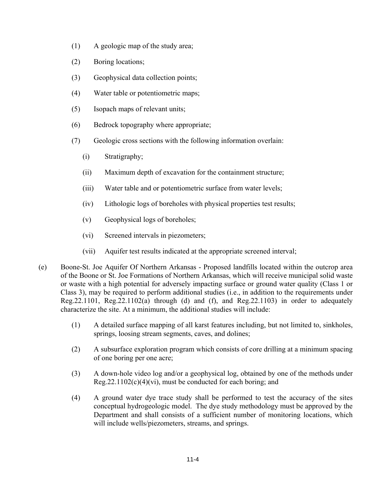- (1) A geologic map of the study area;
- (2) Boring locations;
- (3) Geophysical data collection points;
- (4) Water table or potentiometric maps;
- (5) Isopach maps of relevant units;
- (6) Bedrock topography where appropriate;
- (7) Geologic cross sections with the following information overlain:
	- (i) Stratigraphy;
	- (ii) Maximum depth of excavation for the containment structure;
	- (iii) Water table and or potentiometric surface from water levels;
	- (iv) Lithologic logs of boreholes with physical properties test results;
	- (v) Geophysical logs of boreholes;
	- (vi) Screened intervals in piezometers;
	- (vii) Aquifer test results indicated at the appropriate screened interval;
- (e) Boone-St. Joe Aquifer Of Northern Arkansas Proposed landfills located within the outcrop area of the Boone or St. Joe Formations of Northern Arkansas, which will receive municipal solid waste or waste with a high potential for adversely impacting surface or ground water quality (Class 1 or Class 3), may be required to perform additional studies (i.e., in addition to the requirements under Reg.22.1101, Reg.22.1102(a) through (d) and (f), and Reg.22.1103) in order to adequately characterize the site. At a minimum, the additional studies will include:
	- (1) A detailed surface mapping of all karst features including, but not limited to, sinkholes, springs, loosing stream segments, caves, and dolines;
	- (2) A subsurface exploration program which consists of core drilling at a minimum spacing of one boring per one acre;
	- (3) A down-hole video log and/or a geophysical log, obtained by one of the methods under  $Reg.22.1102(c)(4)(vi)$ , must be conducted for each boring; and
	- (4) A ground water dye trace study shall be performed to test the accuracy of the sites conceptual hydrogeologic model. The dye study methodology must be approved by the Department and shall consists of a sufficient number of monitoring locations, which will include wells/piezometers, streams, and springs.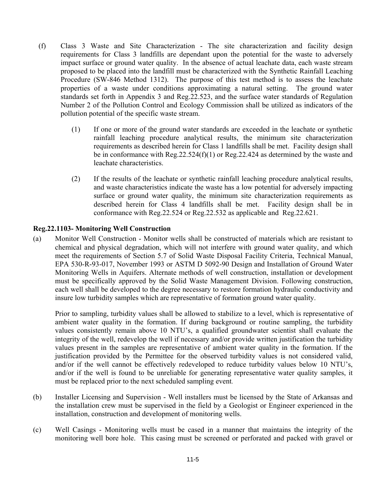- (f) Class 3 Waste and Site Characterization The site characterization and facility design requirements for Class 3 landfills are dependant upon the potential for the waste to adversely impact surface or ground water quality. In the absence of actual leachate data, each waste stream proposed to be placed into the landfill must be characterized with the Synthetic Rainfall Leaching Procedure (SW-846 Method 1312). The purpose of this test method is to assess the leachate properties of a waste under conditions approximating a natural setting. The ground water standards set forth in Appendix 3 and Reg.22.523, and the surface water standards of Regulation Number 2 of the Pollution Control and Ecology Commission shall be utilized as indicators of the pollution potential of the specific waste stream.
	- (1) If one or more of the ground water standards are exceeded in the leachate or synthetic rainfall leaching procedure analytical results, the minimum site characterization requirements as described herein for Class 1 landfills shall be met. Facility design shall be in conformance with Reg.22.524(f)(1) or Reg.22.424 as determined by the waste and leachate characteristics.
	- (2) If the results of the leachate or synthetic rainfall leaching procedure analytical results, and waste characteristics indicate the waste has a low potential for adversely impacting surface or ground water quality, the minimum site characterization requirements as described herein for Class 4 landfills shall be met. Facility design shall be in conformance with Reg.22.524 or Reg.22.532 as applicable and Reg.22.621.

# **Reg.22.1103- Monitoring Well Construction**

(a) Monitor Well Construction - Monitor wells shall be constructed of materials which are resistant to chemical and physical degradation, which will not interfere with ground water quality, and which meet the requirements of Section 5.7 of Solid Waste Disposal Facility Criteria, Technical Manual, EPA 530-R-93-017, November 1993 or ASTM D 5092-90 Design and Installation of Ground Water Monitoring Wells in Aquifers. Alternate methods of well construction, installation or development must be specifically approved by the Solid Waste Management Division. Following construction, each well shall be developed to the degree necessary to restore formation hydraulic conductivity and insure low turbidity samples which are representative of formation ground water quality.

Prior to sampling, turbidity values shall be allowed to stabilize to a level, which is representative of ambient water quality in the formation. If during background or routine sampling, the turbidity values consistently remain above 10 NTU's, a qualified groundwater scientist shall evaluate the integrity of the well, redevelop the well if necessary and/or provide written justification the turbidity values present in the samples are representative of ambient water quality in the formation. If the justification provided by the Permittee for the observed turbidity values is not considered valid, and/or if the well cannot be effectively redeveloped to reduce turbidity values below 10 NTU's, and/or if the well is found to be unreliable for generating representative water quality samples, it must be replaced prior to the next scheduled sampling event.

- (b) Installer Licensing and Supervision Well installers must be licensed by the State of Arkansas and the installation crew must be supervised in the field by a Geologist or Engineer experienced in the installation, construction and development of monitoring wells.
- (c) Well Casings Monitoring wells must be cased in a manner that maintains the integrity of the monitoring well bore hole. This casing must be screened or perforated and packed with gravel or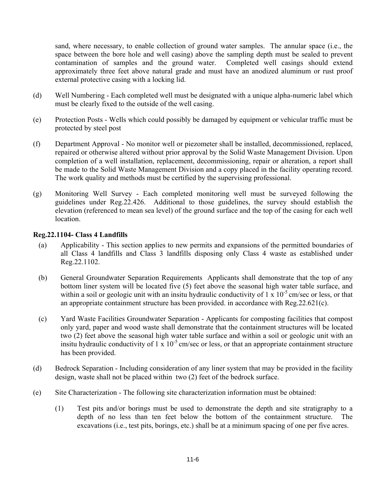sand, where necessary, to enable collection of ground water samples. The annular space (i.e., the space between the bore hole and well casing) above the sampling depth must be sealed to prevent contamination of samples and the ground water. Completed well casings should extend approximately three feet above natural grade and must have an anodized aluminum or rust proof external protective casing with a locking lid.

- (d) Well Numbering Each completed well must be designated with a unique alpha-numeric label which must be clearly fixed to the outside of the well casing.
- (e) Protection Posts Wells which could possibly be damaged by equipment or vehicular traffic must be protected by steel post
- (f) Department Approval No monitor well or piezometer shall be installed, decommissioned, replaced, repaired or otherwise altered without prior approval by the Solid Waste Management Division. Upon completion of a well installation, replacement, decommissioning, repair or alteration, a report shall be made to the Solid Waste Management Division and a copy placed in the facility operating record. The work quality and methods must be certified by the supervising professional.
- (g) Monitoring Well Survey Each completed monitoring well must be surveyed following the guidelines under Reg.22.426. Additional to those guidelines, the survey should establish the elevation (referenced to mean sea level) of the ground surface and the top of the casing for each well location.

## **Reg.22.1104- Class 4 Landfills**

- (a) Applicability This section applies to new permits and expansions of the permitted boundaries of all Class 4 landfills and Class 3 landfills disposing only Class 4 waste as established under Reg.22.1102.
- (b) General Groundwater Separation Requirements Applicants shall demonstrate that the top of any bottom liner system will be located five (5) feet above the seasonal high water table surface, and within a soil or geologic unit with an insitu hydraulic conductivity of  $1 \times 10^{-5}$  cm/sec or less, or that an appropriate containment structure has been provided. in accordance with Reg.22.621(c).
- (c) Yard Waste Facilities Groundwater Separation Applicants for composting facilities that compost only yard, paper and wood waste shall demonstrate that the containment structures will be located two (2) feet above the seasonal high water table surface and within a soil or geologic unit with an insitu hydraulic conductivity of  $1 \times 10^{-5}$  cm/sec or less, or that an appropriate containment structure has been provided.
- (d) Bedrock Separation Including consideration of any liner system that may be provided in the facility design, waste shall not be placed within two (2) feet of the bedrock surface.
- (e) Site Characterization The following site characterization information must be obtained:
	- (1) Test pits and/or borings must be used to demonstrate the depth and site stratigraphy to a depth of no less than ten feet below the bottom of the containment structure. The excavations (i.e., test pits, borings, etc.) shall be at a minimum spacing of one per five acres.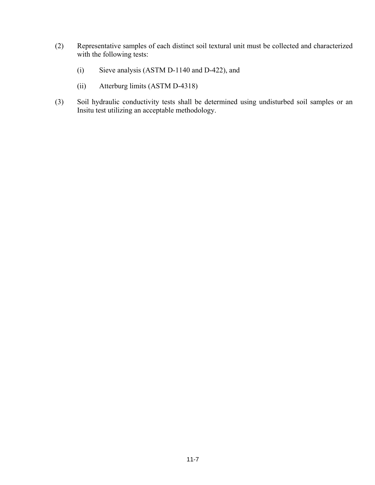- (2) Representative samples of each distinct soil textural unit must be collected and characterized with the following tests:
	- (i) Sieve analysis (ASTM D-1140 and D-422), and
	- (ii) Atterburg limits (ASTM D-4318)
- (3) Soil hydraulic conductivity tests shall be determined using undisturbed soil samples or an Insitu test utilizing an acceptable methodology.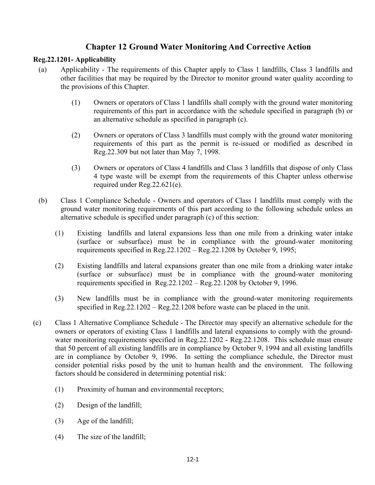# **Chapter 12 Ground Water Monitoring And Corrective Action**

#### **Reg.22.1201- Applicability**

- (a) Applicability The requirements of this Chapter apply to Class 1 landfills, Class 3 landfills and other facilities that may be required by the Director to monitor ground water quality according to the provisions of this Chapter.
	- (1) Owners or operators of Class 1 landfills shall comply with the ground water monitoring requirements of this part in accordance with the schedule specified in paragraph (b) or an alternative schedule as specified in paragraph (c).
	- (2) Owners or operators of Class 3 landfills must comply with the ground water monitoring requirements of this part as the permit is re-issued or modified as described in Reg.22.309 but not later than May 7, 1998.
	- (3) Owners or operators of Class 4 landfills and Class 3 landfills that dispose of only Class 4 type waste will be exempt from the requirements of this Chapter unless otherwise required under Reg.22.621(e).
- (b) Class 1 Compliance Schedule Owners and operators of Class 1 landfills must comply with the ground water monitoring requirements of this part according to the following schedule unless an alternative schedule is specified under paragraph (c) of this section:
	- (1) Existing landfills and lateral expansions less than one mile from a drinking water intake (surface or subsurface) must be in compliance with the ground-water monitoring requirements specified in Reg.  $22.1202 -$ Reg.  $22.1208$  by October 9, 1995;
	- (2) Existing landfills and lateral expansions greater than one mile from a drinking water intake (surface or subsurface) must be in compliance with the ground-water monitoring requirements specified in Reg.22.1202 – Reg.22.1208 by October 9, 1996.
	- (3) New landfills must be in compliance with the ground-water monitoring requirements specified in Reg.22.1202 – Reg.22.1208 before waste can be placed in the unit.
- (c) Class 1 Alternative Compliance Schedule The Director may specify an alternative schedule for the owners or operators of existing Class 1 landfills and lateral expansions to comply with the groundwater monitoring requirements specified in Reg.22.1202 - Reg.22.1208. This schedule must ensure that 50 percent of all existing landfills are in compliance by October 9, 1994 and all existing landfills are in compliance by October 9, 1996. In setting the compliance schedule, the Director must consider potential risks posed by the unit to human health and the environment. The following factors should be considered in determining potential risk:
	- (1) Proximity of human and environmental receptors;
	- (2) Design of the landfill;
	- (3) Age of the landfill;
	- (4) The size of the landfill;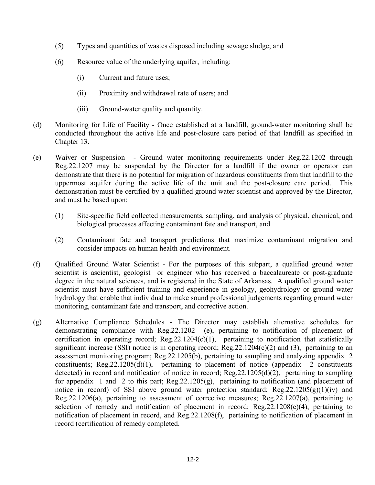- (5) Types and quantities of wastes disposed including sewage sludge; and
- (6) Resource value of the underlying aquifer, including:
	- (i) Current and future uses;
	- (ii) Proximity and withdrawal rate of users; and
	- (iii) Ground-water quality and quantity.
- (d) Monitoring for Life of Facility Once established at a landfill, ground-water monitoring shall be conducted throughout the active life and post-closure care period of that landfill as specified in Chapter 13.
- (e) Waiver or Suspension Ground water monitoring requirements under Reg.22.1202 through Reg.22.1207 may be suspended by the Director for a landfill if the owner or operator can demonstrate that there is no potential for migration of hazardous constituents from that landfill to the uppermost aquifer during the active life of the unit and the post-closure care period. This demonstration must be certified by a qualified ground water scientist and approved by the Director, and must be based upon:
	- (1) Site-specific field collected measurements, sampling, and analysis of physical, chemical, and biological processes affecting contaminant fate and transport, and
	- (2) Contaminant fate and transport predictions that maximize contaminant migration and consider impacts on human health and environment.
- (f) Qualified Ground Water Scientist For the purposes of this subpart, a qualified ground water scientist is ascientist, geologist or engineer who has received a baccalaureate or post-graduate degree in the natural sciences, and is registered in the State of Arkansas. A qualified ground water scientist must have sufficient training and experience in geology, geohydrology or ground water hydrology that enable that individual to make sound professional judgements regarding ground water monitoring, contaminant fate and transport, and corrective action.
- (g) Alternative Compliance Schedules The Director may establish alternative schedules for demonstrating compliance with Reg.22.1202 (e), pertaining to notification of placement of certification in operating record;  $Reg.22.1204(c)(1)$ , pertaining to notification that statistically significant increase (SSI) notice is in operating record; Reg.22.1204(c)(2) and (3), pertaining to an assessment monitoring program; Reg.22.1205(b), pertaining to sampling and analyzing appendix 2 constituents;  $\text{Reg.}22.1205(d)(1)$ , pertaining to placement of notice (appendix 2 constituents detected) in record and notification of notice in record; Reg.22.1205(d)(2), pertaining to sampling for appendix 1 and 2 to this part; Reg.22.1205(g), pertaining to notification (and placement of notice in record) of SSI above ground water protection standard; Reg.22.1205(g)(1)(iv) and Reg.22.1206(a), pertaining to assessment of corrective measures; Reg.22.1207(a), pertaining to selection of remedy and notification of placement in record;  $Reg.22.1208(c)(4)$ , pertaining to notification of placement in record, and Reg.22.1208(f), pertaining to notification of placement in record (certification of remedy completed.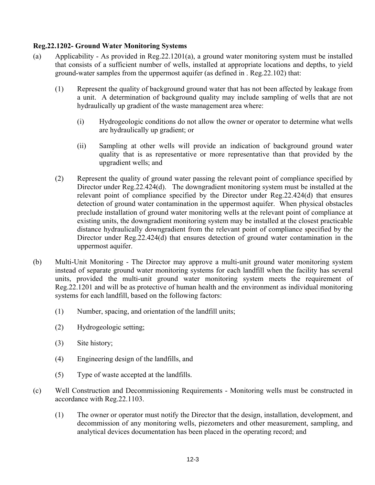## **Reg.22.1202- Ground Water Monitoring Systems**

- (a) Applicability As provided in Reg.22.1201(a), a ground water monitoring system must be installed that consists of a sufficient number of wells, installed at appropriate locations and depths, to yield ground-water samples from the uppermost aquifer (as defined in . Reg.22.102) that:
	- (1) Represent the quality of background ground water that has not been affected by leakage from a unit. A determination of background quality may include sampling of wells that are not hydraulically up gradient of the waste management area where:
		- (i) Hydrogeologic conditions do not allow the owner or operator to determine what wells are hydraulically up gradient; or
		- (ii) Sampling at other wells will provide an indication of background ground water quality that is as representative or more representative than that provided by the upgradient wells; and
	- (2) Represent the quality of ground water passing the relevant point of compliance specified by Director under Reg.22.424(d). The downgradient monitoring system must be installed at the relevant point of compliance specified by the Director under Reg.22.424(d) that ensures detection of ground water contamination in the uppermost aquifer. When physical obstacles preclude installation of ground water monitoring wells at the relevant point of compliance at existing units, the downgradient monitoring system may be installed at the closest practicable distance hydraulically downgradient from the relevant point of compliance specified by the Director under Reg.22.424(d) that ensures detection of ground water contamination in the uppermost aquifer.
- (b) Multi-Unit Monitoring The Director may approve a multi-unit ground water monitoring system instead of separate ground water monitoring systems for each landfill when the facility has several units, provided the multi-unit ground water monitoring system meets the requirement of Reg.22.1201 and will be as protective of human health and the environment as individual monitoring systems for each landfill, based on the following factors:
	- (1) Number, spacing, and orientation of the landfill units;
	- (2) Hydrogeologic setting;
	- (3) Site history;
	- (4) Engineering design of the landfills, and
	- (5) Type of waste accepted at the landfills.
- (c) Well Construction and Decommissioning Requirements Monitoring wells must be constructed in accordance with Reg.22.1103.
	- (1) The owner or operator must notify the Director that the design, installation, development, and decommission of any monitoring wells, piezometers and other measurement, sampling, and analytical devices documentation has been placed in the operating record; and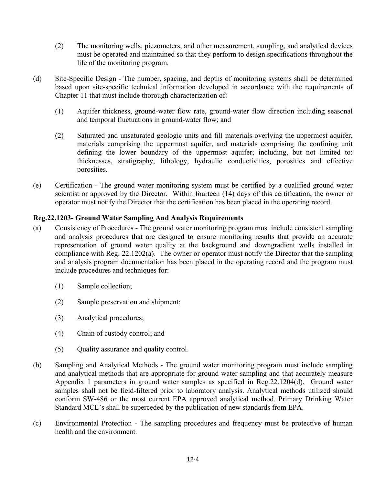- (2) The monitoring wells, piezometers, and other measurement, sampling, and analytical devices must be operated and maintained so that they perform to design specifications throughout the life of the monitoring program.
- (d) Site-Specific Design The number, spacing, and depths of monitoring systems shall be determined based upon site-specific technical information developed in accordance with the requirements of Chapter 11 that must include thorough characterization of:
	- (1) Aquifer thickness, ground-water flow rate, ground-water flow direction including seasonal and temporal fluctuations in ground-water flow; and
	- (2) Saturated and unsaturated geologic units and fill materials overlying the uppermost aquifer, materials comprising the uppermost aquifer, and materials comprising the confining unit defining the lower boundary of the uppermost aquifer; including, but not limited to: thicknesses, stratigraphy, lithology, hydraulic conductivities, porosities and effective porosities.
- (e) Certification The ground water monitoring system must be certified by a qualified ground water scientist or approved by the Director. Within fourteen (14) days of this certification, the owner or operator must notify the Director that the certification has been placed in the operating record.

## **Reg.22.1203- Ground Water Sampling And Analysis Requirements**

- (a) Consistency of Procedures The ground water monitoring program must include consistent sampling and analysis procedures that are designed to ensure monitoring results that provide an accurate representation of ground water quality at the background and downgradient wells installed in compliance with Reg. 22.1202(a). The owner or operator must notify the Director that the sampling and analysis program documentation has been placed in the operating record and the program must include procedures and techniques for:
	- (1) Sample collection;
	- (2) Sample preservation and shipment;
	- (3) Analytical procedures;
	- (4) Chain of custody control; and
	- (5) Quality assurance and quality control.
- (b) Sampling and Analytical Methods The ground water monitoring program must include sampling and analytical methods that are appropriate for ground water sampling and that accurately measure Appendix 1 parameters in ground water samples as specified in Reg.22.1204(d). Ground water samples shall not be field-filtered prior to laboratory analysis. Analytical methods utilized should conform SW-486 or the most current EPA approved analytical method. Primary Drinking Water Standard MCL's shall be superceded by the publication of new standards from EPA.
- (c) Environmental Protection The sampling procedures and frequency must be protective of human health and the environment.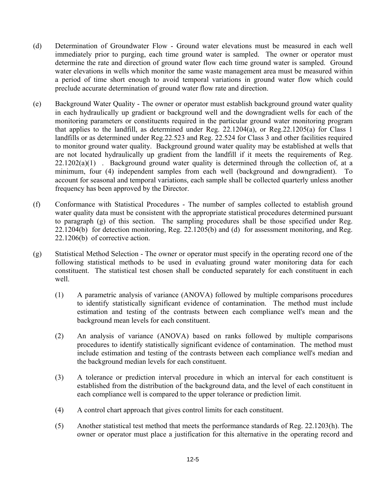- (d) Determination of Groundwater Flow Ground water elevations must be measured in each well immediately prior to purging, each time ground water is sampled. The owner or operator must determine the rate and direction of ground water flow each time ground water is sampled. Ground water elevations in wells which monitor the same waste management area must be measured within a period of time short enough to avoid temporal variations in ground water flow which could preclude accurate determination of ground water flow rate and direction.
- (e) Background Water Quality The owner or operator must establish background ground water quality in each hydraulically up gradient or background well and the downgradient wells for each of the monitoring parameters or constituents required in the particular ground water monitoring program that applies to the landfill, as determined under Reg. 22.1204(a), or Reg.22.1205(a) for Class 1 landfills or as determined under Reg.22.523 and Reg. 22.524 for Class 3 and other facilities required to monitor ground water quality. Background ground water quality may be established at wells that are not located hydraulically up gradient from the landfill if it meets the requirements of Reg.  $22.1202(a)(1)$ . Background ground water quality is determined through the collection of, at a minimum, four (4) independent samples from each well (background and downgradient). To account for seasonal and temporal variations, each sample shall be collected quarterly unless another frequency has been approved by the Director.
- (f) Conformance with Statistical Procedures The number of samples collected to establish ground water quality data must be consistent with the appropriate statistical procedures determined pursuant to paragraph (g) of this section. The sampling procedures shall be those specified under Reg. 22.1204(b) for detection monitoring, Reg. 22.1205(b) and (d) for assessment monitoring, and Reg. 22.1206(b) of corrective action.
- (g) Statistical Method Selection The owner or operator must specify in the operating record one of the following statistical methods to be used in evaluating ground water monitoring data for each constituent. The statistical test chosen shall be conducted separately for each constituent in each well.
	- (1) A parametric analysis of variance (ANOVA) followed by multiple comparisons procedures to identify statistically significant evidence of contamination. The method must include estimation and testing of the contrasts between each compliance well's mean and the background mean levels for each constituent.
	- (2) An analysis of variance (ANOVA) based on ranks followed by multiple comparisons procedures to identify statistically significant evidence of contamination. The method must include estimation and testing of the contrasts between each compliance well's median and the background median levels for each constituent.
	- (3) A tolerance or prediction interval procedure in which an interval for each constituent is established from the distribution of the background data, and the level of each constituent in each compliance well is compared to the upper tolerance or prediction limit.
	- (4) A control chart approach that gives control limits for each constituent.
	- (5) Another statistical test method that meets the performance standards of Reg. 22.1203(h). The owner or operator must place a justification for this alternative in the operating record and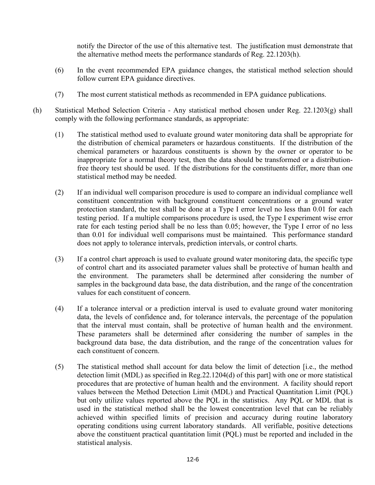notify the Director of the use of this alternative test. The justification must demonstrate that the alternative method meets the performance standards of Reg. 22.1203(h).

- (6) In the event recommended EPA guidance changes, the statistical method selection should follow current EPA guidance directives.
- (7) The most current statistical methods as recommended in EPA guidance publications.
- (h) Statistical Method Selection Criteria Any statistical method chosen under Reg. 22.1203(g) shall comply with the following performance standards, as appropriate:
	- (1) The statistical method used to evaluate ground water monitoring data shall be appropriate for the distribution of chemical parameters or hazardous constituents. If the distribution of the chemical parameters or hazardous constituents is shown by the owner or operator to be inappropriate for a normal theory test, then the data should be transformed or a distributionfree theory test should be used. If the distributions for the constituents differ, more than one statistical method may be needed.
	- (2) If an individual well comparison procedure is used to compare an individual compliance well constituent concentration with background constituent concentrations or a ground water protection standard, the test shall be done at a Type I error level no less than 0.01 for each testing period. If a multiple comparisons procedure is used, the Type I experiment wise error rate for each testing period shall be no less than 0.05; however, the Type I error of no less than 0.01 for individual well comparisons must be maintained. This performance standard does not apply to tolerance intervals, prediction intervals, or control charts.
	- (3) If a control chart approach is used to evaluate ground water monitoring data, the specific type of control chart and its associated parameter values shall be protective of human health and the environment. The parameters shall be determined after considering the number of samples in the background data base, the data distribution, and the range of the concentration values for each constituent of concern.
	- (4) If a tolerance interval or a prediction interval is used to evaluate ground water monitoring data, the levels of confidence and, for tolerance intervals, the percentage of the population that the interval must contain, shall be protective of human health and the environment. These parameters shall be determined after considering the number of samples in the background data base, the data distribution, and the range of the concentration values for each constituent of concern.
	- (5) The statistical method shall account for data below the limit of detection [i.e., the method detection limit (MDL) as specified in Reg.22.1204(d) of this part] with one or more statistical procedures that are protective of human health and the environment. A facility should report values between the Method Detection Limit (MDL) and Practical Quantitation Limit (PQL) but only utilize values reported above the PQL in the statistics. Any PQL or MDL that is used in the statistical method shall be the lowest concentration level that can be reliably achieved within specified limits of precision and accuracy during routine laboratory operating conditions using current laboratory standards. All verifiable, positive detections above the constituent practical quantitation limit (PQL) must be reported and included in the statistical analysis.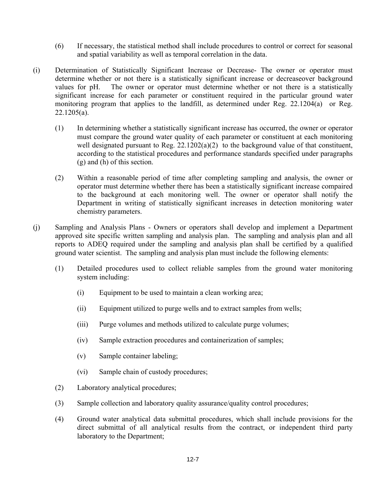- (6) If necessary, the statistical method shall include procedures to control or correct for seasonal and spatial variability as well as temporal correlation in the data.
- (i) Determination of Statistically Significant Increase or Decrease- The owner or operator must determine whether or not there is a statistically significant increase or decreaseover background values for pH. The owner or operator must determine whether or not there is a statistically significant increase for each parameter or constituent required in the particular ground water monitoring program that applies to the landfill, as determined under Reg. 22.1204(a) or Reg.  $22.1205(a)$ .
	- (1) In determining whether a statistically significant increase has occurred, the owner or operator must compare the ground water quality of each parameter or constituent at each monitoring well designated pursuant to Reg. 22.1202(a)(2) to the background value of that constituent, according to the statistical procedures and performance standards specified under paragraphs (g) and (h) of this section.
	- (2) Within a reasonable period of time after completing sampling and analysis, the owner or operator must determine whether there has been a statistically significant increase compaired to the background at each monitoring well. The owner or operator shall notify the Department in writing of statistically significant increases in detection monitoring water chemistry parameters.
- (j) Sampling and Analysis Plans Owners or operators shall develop and implement a Department approved site specific written sampling and analysis plan. The sampling and analysis plan and all reports to ADEQ required under the sampling and analysis plan shall be certified by a qualified ground water scientist. The sampling and analysis plan must include the following elements:
	- (1) Detailed procedures used to collect reliable samples from the ground water monitoring system including:
		- (i) Equipment to be used to maintain a clean working area;
		- (ii) Equipment utilized to purge wells and to extract samples from wells;
		- (iii) Purge volumes and methods utilized to calculate purge volumes;
		- (iv) Sample extraction procedures and containerization of samples;
		- (v) Sample container labeling;
		- (vi) Sample chain of custody procedures;
	- (2) Laboratory analytical procedures;
	- (3) Sample collection and laboratory quality assurance/quality control procedures;
	- (4) Ground water analytical data submittal procedures, which shall include provisions for the direct submittal of all analytical results from the contract, or independent third party laboratory to the Department;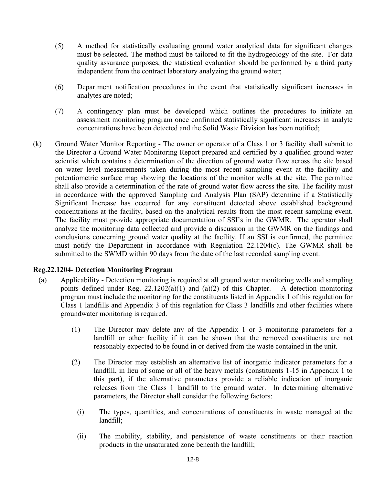- (5) A method for statistically evaluating ground water analytical data for significant changes must be selected. The method must be tailored to fit the hydrogeology of the site. For data quality assurance purposes, the statistical evaluation should be performed by a third party independent from the contract laboratory analyzing the ground water;
- (6) Department notification procedures in the event that statistically significant increases in analytes are noted;
- (7) A contingency plan must be developed which outlines the procedures to initiate an assessment monitoring program once confirmed statistically significant increases in analyte concentrations have been detected and the Solid Waste Division has been notified;
- (k) Ground Water Monitor Reporting The owner or operator of a Class 1 or 3 facility shall submit to the Director a Ground Water Monitoring Report prepared and certified by a qualified ground water scientist which contains a determination of the direction of ground water flow across the site based on water level measurements taken during the most recent sampling event at the facility and potentiometric surface map showing the locations of the monitor wells at the site. The permittee shall also provide a determination of the rate of ground water flow across the site. The facility must in accordance with the approved Sampling and Analysis Plan (SAP) determine if a Statistically Significant Increase has occurred for any constituent detected above established background concentrations at the facility, based on the analytical results from the most recent sampling event. The facility must provide appropriate documentation of SSI's in the GWMR. The operator shall analyze the monitoring data collected and provide a discussion in the GWMR on the findings and conclusions concerning ground water quality at the facility. If an SSI is confirmed, the permittee must notify the Department in accordance with Regulation 22.1204(c). The GWMR shall be submitted to the SWMD within 90 days from the date of the last recorded sampling event.

## **Reg.22.1204- Detection Monitoring Program**

- (a) Applicability Detection monitoring is required at all ground water monitoring wells and sampling points defined under Reg.  $22.1202(a)(1)$  and  $(a)(2)$  of this Chapter. A detection monitoring program must include the monitoring for the constituents listed in Appendix 1 of this regulation for Class 1 landfills and Appendix 3 of this regulation for Class 3 landfills and other facilities where groundwater monitoring is required.
	- (1) The Director may delete any of the Appendix 1 or 3 monitoring parameters for a landfill or other facility if it can be shown that the removed constituents are not reasonably expected to be found in or derived from the waste contained in the unit.
	- (2) The Director may establish an alternative list of inorganic indicator parameters for a landfill, in lieu of some or all of the heavy metals (constituents 1-15 in Appendix 1 to this part), if the alternative parameters provide a reliable indication of inorganic releases from the Class 1 landfill to the ground water. In determining alternative parameters, the Director shall consider the following factors:
		- (i) The types, quantities, and concentrations of constituents in waste managed at the landfill;
		- (ii) The mobility, stability, and persistence of waste constituents or their reaction products in the unsaturated zone beneath the landfill;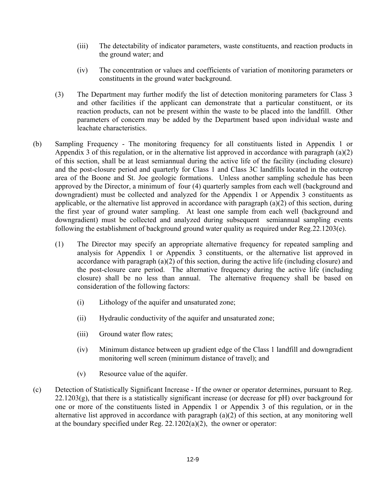- (iii) The detectability of indicator parameters, waste constituents, and reaction products in the ground water; and
- (iv) The concentration or values and coefficients of variation of monitoring parameters or constituents in the ground water background.
- (3) The Department may further modify the list of detection monitoring parameters for Class 3 and other facilities if the applicant can demonstrate that a particular constituent, or its reaction products, can not be present within the waste to be placed into the landfill. Other parameters of concern may be added by the Department based upon individual waste and leachate characteristics.
- (b) Sampling Frequency The monitoring frequency for all constituents listed in Appendix 1 or Appendix 3 of this regulation, or in the alternative list approved in accordance with paragraph (a)(2) of this section, shall be at least semiannual during the active life of the facility (including closure) and the post-closure period and quarterly for Class 1 and Class 3C landfills located in the outcrop area of the Boone and St. Joe geologic formations. Unless another sampling schedule has been approved by the Director, a minimum of four (4) quarterly samples from each well (background and downgradient) must be collected and analyzed for the Appendix 1 or Appendix 3 constituents as applicable, or the alternative list approved in accordance with paragraph (a)(2) of this section, during the first year of ground water sampling. At least one sample from each well (background and downgradient) must be collected and analyzed during subsequent semiannual sampling events following the establishment of background ground water quality as required under Reg.22.1203(e).
	- (1) The Director may specify an appropriate alternative frequency for repeated sampling and analysis for Appendix 1 or Appendix 3 constituents, or the alternative list approved in accordance with paragraph (a)(2) of this section, during the active life (including closure) and the post-closure care period. The alternative frequency during the active life (including closure) shall be no less than annual. The alternative frequency shall be based on consideration of the following factors:
		- (i) Lithology of the aquifer and unsaturated zone;
		- (ii) Hydraulic conductivity of the aquifer and unsaturated zone;
		- (iii) Ground water flow rates;
		- (iv) Minimum distance between up gradient edge of the Class 1 landfill and downgradient monitoring well screen (minimum distance of travel); and
		- (v) Resource value of the aquifer.
- (c) Detection of Statistically Significant Increase If the owner or operator determines, pursuant to Reg.  $22.1203(g)$ , that there is a statistically significant increase (or decrease for pH) over background for one or more of the constituents listed in Appendix 1 or Appendix 3 of this regulation, or in the alternative list approved in accordance with paragraph (a)(2) of this section, at any monitoring well at the boundary specified under Reg.  $22.1202(a)(2)$ , the owner or operator: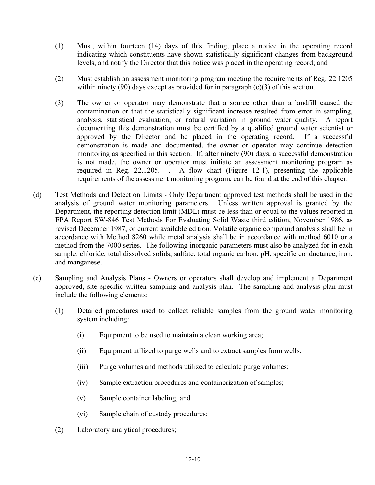- (1) Must, within fourteen (14) days of this finding, place a notice in the operating record indicating which constituents have shown statistically significant changes from background levels, and notify the Director that this notice was placed in the operating record; and
- (2) Must establish an assessment monitoring program meeting the requirements of Reg. 22.1205 within ninety (90) days except as provided for in paragraph (c)(3) of this section.
- (3) The owner or operator may demonstrate that a source other than a landfill caused the contamination or that the statistically significant increase resulted from error in sampling, analysis, statistical evaluation, or natural variation in ground water quality. A report documenting this demonstration must be certified by a qualified ground water scientist or approved by the Director and be placed in the operating record. If a successful demonstration is made and documented, the owner or operator may continue detection monitoring as specified in this section. If, after ninety (90) days, a successful demonstration is not made, the owner or operator must initiate an assessment monitoring program as required in Reg. 22.1205. . A flow chart (Figure 12-1), presenting the applicable requirements of the assessment monitoring program, can be found at the end of this chapter.
- (d) Test Methods and Detection Limits Only Department approved test methods shall be used in the analysis of ground water monitoring parameters. Unless written approval is granted by the Department, the reporting detection limit (MDL) must be less than or equal to the values reported in EPA Report SW-846 Test Methods For Evaluating Solid Waste third edition, November 1986, as revised December 1987, or current available edition. Volatile organic compound analysis shall be in accordance with Method 8260 while metal analysis shall be in accordance with method 6010 or a method from the 7000 series. The following inorganic parameters must also be analyzed for in each sample: chloride, total dissolved solids, sulfate, total organic carbon, pH, specific conductance, iron, and manganese.
- (e) Sampling and Analysis Plans Owners or operators shall develop and implement a Department approved, site specific written sampling and analysis plan. The sampling and analysis plan must include the following elements:
	- (1) Detailed procedures used to collect reliable samples from the ground water monitoring system including:
		- (i) Equipment to be used to maintain a clean working area;
		- (ii) Equipment utilized to purge wells and to extract samples from wells;
		- (iii) Purge volumes and methods utilized to calculate purge volumes;
		- (iv) Sample extraction procedures and containerization of samples;
		- (v) Sample container labeling; and
		- (vi) Sample chain of custody procedures;
	- (2) Laboratory analytical procedures;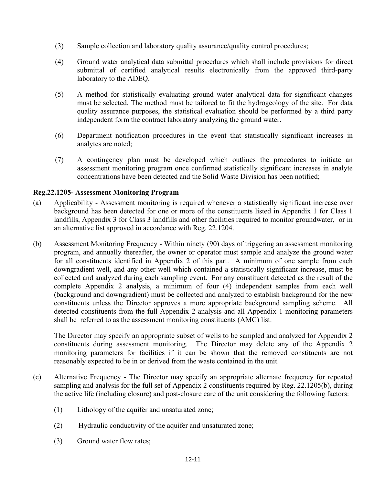- (3) Sample collection and laboratory quality assurance/quality control procedures;
- (4) Ground water analytical data submittal procedures which shall include provisions for direct submittal of certified analytical results electronically from the approved third-party laboratory to the ADEQ.
- (5) A method for statistically evaluating ground water analytical data for significant changes must be selected. The method must be tailored to fit the hydrogeology of the site. For data quality assurance purposes, the statistical evaluation should be performed by a third party independent form the contract laboratory analyzing the ground water.
- (6) Department notification procedures in the event that statistically significant increases in analytes are noted;
- (7) A contingency plan must be developed which outlines the procedures to initiate an assessment monitoring program once confirmed statistically significant increases in analyte concentrations have been detected and the Solid Waste Division has been notified;

## **Reg.22.1205- Assessment Monitoring Program**

- (a) Applicability Assessment monitoring is required whenever a statistically significant increase over background has been detected for one or more of the constituents listed in Appendix 1 for Class 1 landfills, Appendix 3 for Class 3 landfills and other facilities required to monitor groundwater, or in an alternative list approved in accordance with Reg. 22.1204.
- (b) Assessment Monitoring Frequency Within ninety (90) days of triggering an assessment monitoring program, and annually thereafter, the owner or operator must sample and analyze the ground water for all constituents identified in Appendix 2 of this part. A minimum of one sample from each downgradient well, and any other well which contained a statistically significant increase, must be collected and analyzed during each sampling event. For any constituent detected as the result of the complete Appendix 2 analysis, a minimum of four (4) independent samples from each well (background and downgradient) must be collected and analyzed to establish background for the new constituents unless the Director approves a more appropriate background sampling scheme. All detected constituents from the full Appendix 2 analysis and all Appendix 1 monitoring parameters shall be referred to as the assessment monitoring constituents (AMC) list.

The Director may specify an appropriate subset of wells to be sampled and analyzed for Appendix 2 constituents during assessment monitoring. The Director may delete any of the Appendix 2 monitoring parameters for facilities if it can be shown that the removed constituents are not reasonably expected to be in or derived from the waste contained in the unit.

- (c) Alternative Frequency The Director may specify an appropriate alternate frequency for repeated sampling and analysis for the full set of Appendix 2 constituents required by Reg. 22.1205(b), during the active life (including closure) and post-closure care of the unit considering the following factors:
	- (1) Lithology of the aquifer and unsaturated zone;
	- (2) Hydraulic conductivity of the aquifer and unsaturated zone;
	- (3) Ground water flow rates;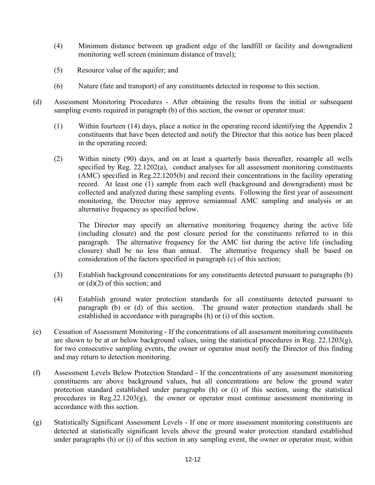- (4) Minimum distance between up gradient edge of the landfill or facility and downgradient monitoring well screen (minimum distance of travel);
- (5) Resource value of the aquifer; and
- (6) Nature (fate and transport) of any constituents detected in response to this section.
- (d) Assessment Monitoring Procedures After obtaining the results from the initial or subsequent sampling events required in paragraph (b) of this section, the owner or operator must:
	- (1) Within fourteen (14) days, place a notice in the operating record identifying the Appendix 2 constituents that have been detected and notify the Director that this notice has been placed in the operating record;
	- (2) Within ninety (90) days, and on at least a quarterly basis thereafter, resample all wells specified by Reg. 22.1202(a), conduct analyses for all assessment monitoring constituents (AMC) specified in Reg.22.1205(b) and record their concentrations in the facility operating record. At least one (1) sample from each well (background and downgradient) must be collected and analyzed during these sampling events. Following the first year of assessment monitoring, the Director may approve semiannual AMC sampling and analysis or an alternative frequency as specified below.

The Director may specify an alternative monitoring frequency during the active life (including closure) and the post closure period for the constituents referred to in this paragraph. The alternative frequency for the AMC list during the active life (including closure) shall be no less than annual. The alternative frequency shall be based on consideration of the factors specified in paragraph (c) of this section;

- (3) Establish background concentrations for any constituents detected pursuant to paragraphs (b) or (d)(2) of this section; and
- (4) Establish ground water protection standards for all constituents detected pursuant to paragraph (b) or (d) of this section. The ground water protection standards shall be established in accordance with paragraphs (h) or (i) of this section.
- (e) Cessation of Assessment Monitoring If the concentrations of all assessment monitoring constituents are shown to be at or below background values, using the statistical procedures in Reg. 22.1203(g), for two consecutive sampling events, the owner or operator must notify the Director of this finding and may return to detection monitoring.
- (f) Assessment Levels Below Protection Standard If the concentrations of any assessment monitoring constituents are above background values, but all concentrations are below the ground water protection standard established under paragraphs (h) or (i) of this section, using the statistical procedures in Reg.22.1203(g), the owner or operator must continue assessment monitoring in accordance with this section.
- (g) Statistically Significant Assessment Levels If one or more assessment monitoring constituents are detected at statistically significant levels above the ground water protection standard established under paragraphs (h) or (i) of this section in any sampling event, the owner or operator must, within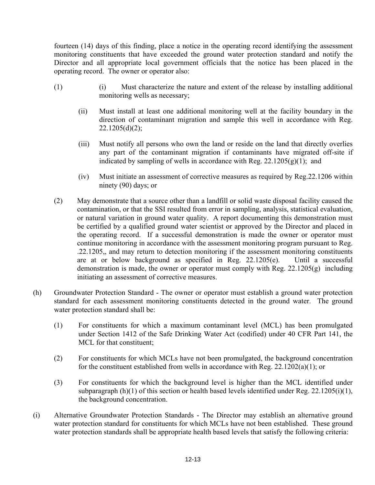fourteen (14) days of this finding, place a notice in the operating record identifying the assessment monitoring constituents that have exceeded the ground water protection standard and notify the Director and all appropriate local government officials that the notice has been placed in the operating record. The owner or operator also:

- (1) (i) Must characterize the nature and extent of the release by installing additional monitoring wells as necessary;
	- (ii) Must install at least one additional monitoring well at the facility boundary in the direction of contaminant migration and sample this well in accordance with Reg.  $22.1205(d)(2)$ ;
	- (iii) Must notify all persons who own the land or reside on the land that directly overlies any part of the contaminant migration if contaminants have migrated off-site if indicated by sampling of wells in accordance with Reg.  $22.1205(g)(1)$ ; and
	- (iv) Must initiate an assessment of corrective measures as required by Reg.22.1206 within ninety (90) days; or
- (2) May demonstrate that a source other than a landfill or solid waste disposal facility caused the contamination, or that the SSI resulted from error in sampling, analysis, statistical evaluation, or natural variation in ground water quality. A report documenting this demonstration must be certified by a qualified ground water scientist or approved by the Director and placed in the operating record. If a successful demonstration is made the owner or operator must continue monitoring in accordance with the assessment monitoring program pursuant to Reg. .22.1205,, and may return to detection monitoring if the assessment monitoring constituents are at or below background as specified in Reg. 22.1205(e). Until a successful demonstration is made, the owner or operator must comply with Reg. 22.1205(g) including initiating an assessment of corrective measures.
- (h) Groundwater Protection Standard The owner or operator must establish a ground water protection standard for each assessment monitoring constituents detected in the ground water. The ground water protection standard shall be:
	- (1) For constituents for which a maximum contaminant level (MCL) has been promulgated under Section 1412 of the Safe Drinking Water Act (codified) under 40 CFR Part 141, the MCL for that constituent;
	- (2) For constituents for which MCLs have not been promulgated, the background concentration for the constituent established from wells in accordance with Reg. 22.1202(a)(1); or
	- (3) For constituents for which the background level is higher than the MCL identified under subparagraph (h)(1) of this section or health based levels identified under Reg. 22.1205(i)(1), the background concentration.
- (i) Alternative Groundwater Protection Standards The Director may establish an alternative ground water protection standard for constituents for which MCLs have not been established. These ground water protection standards shall be appropriate health based levels that satisfy the following criteria: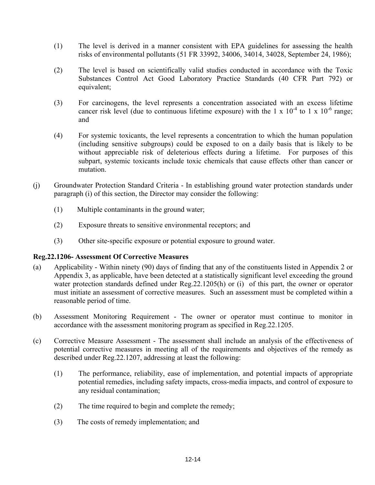- (1) The level is derived in a manner consistent with EPA guidelines for assessing the health risks of environmental pollutants (51 FR 33992, 34006, 34014, 34028, September 24, 1986);
- (2) The level is based on scientifically valid studies conducted in accordance with the Toxic Substances Control Act Good Laboratory Practice Standards (40 CFR Part 792) or equivalent;
- (3) For carcinogens, the level represents a concentration associated with an excess lifetime cancer risk level (due to continuous lifetime exposure) with the 1 x  $10^{-4}$  to 1 x  $10^{-6}$  range; and
- (4) For systemic toxicants, the level represents a concentration to which the human population (including sensitive subgroups) could be exposed to on a daily basis that is likely to be without appreciable risk of deleterious effects during a lifetime. For purposes of this subpart, systemic toxicants include toxic chemicals that cause effects other than cancer or mutation.
- (j) Groundwater Protection Standard Criteria In establishing ground water protection standards under paragraph (i) of this section, the Director may consider the following:
	- (1) Multiple contaminants in the ground water;
	- (2) Exposure threats to sensitive environmental receptors; and
	- (3) Other site-specific exposure or potential exposure to ground water.

## **Reg.22.1206- Assessment Of Corrective Measures**

- (a) Applicability Within ninety (90) days of finding that any of the constituents listed in Appendix 2 or Appendix 3, as applicable, have been detected at a statistically significant level exceeding the ground water protection standards defined under Reg. 22.1205(h) or (i) of this part, the owner or operator must initiate an assessment of corrective measures. Such an assessment must be completed within a reasonable period of time.
- (b) Assessment Monitoring Requirement The owner or operator must continue to monitor in accordance with the assessment monitoring program as specified in Reg.22.1205.
- (c) Corrective Measure Assessment The assessment shall include an analysis of the effectiveness of potential corrective measures in meeting all of the requirements and objectives of the remedy as described under Reg.22.1207, addressing at least the following:
	- (1) The performance, reliability, ease of implementation, and potential impacts of appropriate potential remedies, including safety impacts, cross-media impacts, and control of exposure to any residual contamination;
	- (2) The time required to begin and complete the remedy;
	- (3) The costs of remedy implementation; and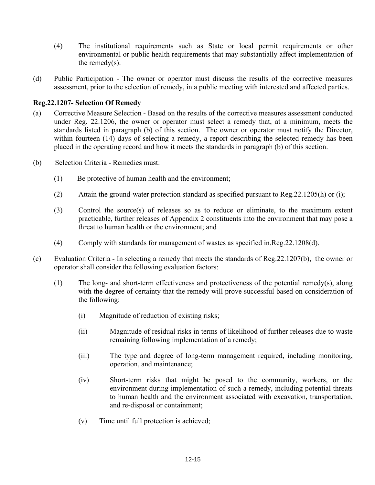- (4) The institutional requirements such as State or local permit requirements or other environmental or public health requirements that may substantially affect implementation of the remedy $(s)$ .
- (d) Public Participation The owner or operator must discuss the results of the corrective measures assessment, prior to the selection of remedy, in a public meeting with interested and affected parties.

## **Reg.22.1207- Selection Of Remedy**

- (a) Corrective Measure Selection Based on the results of the corrective measures assessment conducted under Reg. 22.1206, the owner or operator must select a remedy that, at a minimum, meets the standards listed in paragraph (b) of this section. The owner or operator must notify the Director, within fourteen (14) days of selecting a remedy, a report describing the selected remedy has been placed in the operating record and how it meets the standards in paragraph (b) of this section.
- (b) Selection Criteria Remedies must:
	- (1) Be protective of human health and the environment;
	- (2) Attain the ground-water protection standard as specified pursuant to Reg.22.1205(h) or (i);
	- (3) Control the source(s) of releases so as to reduce or eliminate, to the maximum extent practicable, further releases of Appendix 2 constituents into the environment that may pose a threat to human health or the environment; and
	- (4) Comply with standards for management of wastes as specified in.Reg.22.1208(d).
- (c) Evaluation Criteria In selecting a remedy that meets the standards of Reg.22.1207(b), the owner or operator shall consider the following evaluation factors:
	- (1) The long- and short-term effectiveness and protectiveness of the potential remedy(s), along with the degree of certainty that the remedy will prove successful based on consideration of the following:
		- (i) Magnitude of reduction of existing risks;
		- (ii) Magnitude of residual risks in terms of likelihood of further releases due to waste remaining following implementation of a remedy;
		- (iii) The type and degree of long-term management required, including monitoring, operation, and maintenance;
		- (iv) Short-term risks that might be posed to the community, workers, or the environment during implementation of such a remedy, including potential threats to human health and the environment associated with excavation, transportation, and re-disposal or containment;
		- (v) Time until full protection is achieved;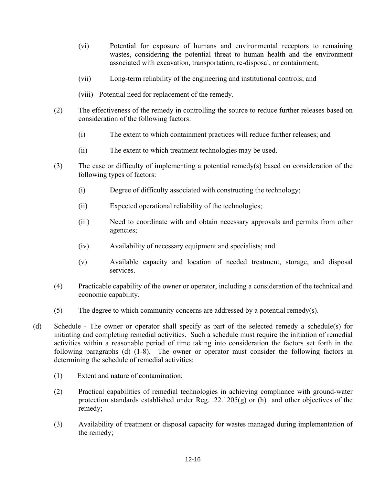- (vi) Potential for exposure of humans and environmental receptors to remaining wastes, considering the potential threat to human health and the environment associated with excavation, transportation, re-disposal, or containment;
- (vii) Long-term reliability of the engineering and institutional controls; and
- (viii) Potential need for replacement of the remedy.
- (2) The effectiveness of the remedy in controlling the source to reduce further releases based on consideration of the following factors:
	- (i) The extent to which containment practices will reduce further releases; and
	- (ii) The extent to which treatment technologies may be used.
- (3) The ease or difficulty of implementing a potential remedy(s) based on consideration of the following types of factors:
	- (i) Degree of difficulty associated with constructing the technology;
	- (ii) Expected operational reliability of the technologies;
	- (iii) Need to coordinate with and obtain necessary approvals and permits from other agencies;
	- (iv) Availability of necessary equipment and specialists; and
	- (v) Available capacity and location of needed treatment, storage, and disposal services.
- (4) Practicable capability of the owner or operator, including a consideration of the technical and economic capability.
- (5) The degree to which community concerns are addressed by a potential remedy(s).
- (d) Schedule The owner or operator shall specify as part of the selected remedy a schedule(s) for initiating and completing remedial activities. Such a schedule must require the initiation of remedial activities within a reasonable period of time taking into consideration the factors set forth in the following paragraphs (d) (1-8). The owner or operator must consider the following factors in determining the schedule of remedial activities:
	- (1) Extent and nature of contamination;
	- (2) Practical capabilities of remedial technologies in achieving compliance with ground-water protection standards established under Reg. .22.1205(g) or (h) and other objectives of the remedy;
	- (3) Availability of treatment or disposal capacity for wastes managed during implementation of the remedy;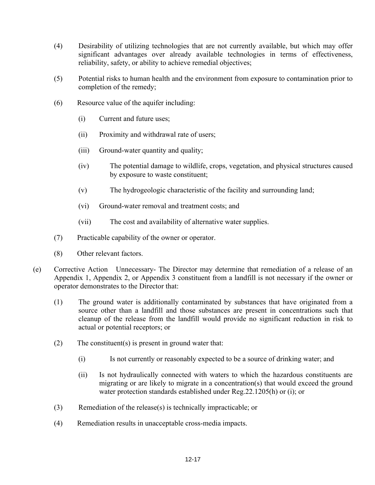- (4) Desirability of utilizing technologies that are not currently available, but which may offer significant advantages over already available technologies in terms of effectiveness, reliability, safety, or ability to achieve remedial objectives;
- (5) Potential risks to human health and the environment from exposure to contamination prior to completion of the remedy;
- (6) Resource value of the aquifer including:
	- (i) Current and future uses;
	- (ii) Proximity and withdrawal rate of users;
	- (iii) Ground-water quantity and quality;
	- (iv) The potential damage to wildlife, crops, vegetation, and physical structures caused by exposure to waste constituent;
	- (v) The hydrogeologic characteristic of the facility and surrounding land;
	- (vi) Ground-water removal and treatment costs; and
	- (vii) The cost and availability of alternative water supplies.
- (7) Practicable capability of the owner or operator.
- (8) Other relevant factors.
- (e) Corrective Action Unnecessary- The Director may determine that remediation of a release of an Appendix 1, Appendix 2, or Appendix 3 constituent from a landfill is not necessary if the owner or operator demonstrates to the Director that:
	- (1) The ground water is additionally contaminated by substances that have originated from a source other than a landfill and those substances are present in concentrations such that cleanup of the release from the landfill would provide no significant reduction in risk to actual or potential receptors; or
	- (2) The constituent(s) is present in ground water that:
		- (i) Is not currently or reasonably expected to be a source of drinking water; and
		- (ii) Is not hydraulically connected with waters to which the hazardous constituents are migrating or are likely to migrate in a concentration(s) that would exceed the ground water protection standards established under Reg.22.1205(h) or (i); or
	- (3) Remediation of the release(s) is technically impracticable; or
	- (4) Remediation results in unacceptable cross-media impacts.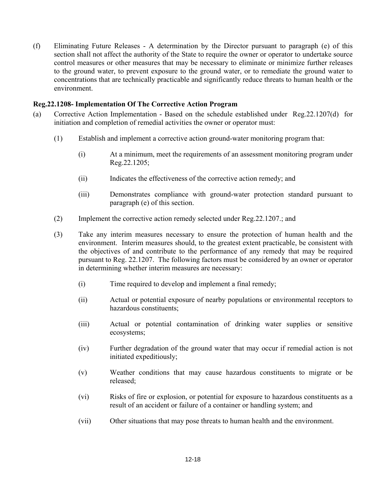(f) Eliminating Future Releases - A determination by the Director pursuant to paragraph (e) of this section shall not affect the authority of the State to require the owner or operator to undertake source control measures or other measures that may be necessary to eliminate or minimize further releases to the ground water, to prevent exposure to the ground water, or to remediate the ground water to concentrations that are technically practicable and significantly reduce threats to human health or the environment.

#### **Reg.22.1208- Implementation Of The Corrective Action Program**

- (a) Corrective Action Implementation Based on the schedule established under Reg.22.1207(d) for initiation and completion of remedial activities the owner or operator must:
	- (1) Establish and implement a corrective action ground-water monitoring program that:
		- (i) At a minimum, meet the requirements of an assessment monitoring program under Reg.22.1205;
		- (ii) Indicates the effectiveness of the corrective action remedy; and
		- (iii) Demonstrates compliance with ground-water protection standard pursuant to paragraph (e) of this section.
	- (2) Implement the corrective action remedy selected under Reg.22.1207.; and
	- (3) Take any interim measures necessary to ensure the protection of human health and the environment. Interim measures should, to the greatest extent practicable, be consistent with the objectives of and contribute to the performance of any remedy that may be required pursuant to Reg. 22.1207. The following factors must be considered by an owner or operator in determining whether interim measures are necessary:
		- (i) Time required to develop and implement a final remedy;
		- (ii) Actual or potential exposure of nearby populations or environmental receptors to hazardous constituents;
		- (iii) Actual or potential contamination of drinking water supplies or sensitive ecosystems;
		- (iv) Further degradation of the ground water that may occur if remedial action is not initiated expeditiously;
		- (v) Weather conditions that may cause hazardous constituents to migrate or be released;
		- (vi) Risks of fire or explosion, or potential for exposure to hazardous constituents as a result of an accident or failure of a container or handling system; and
		- (vii) Other situations that may pose threats to human health and the environment.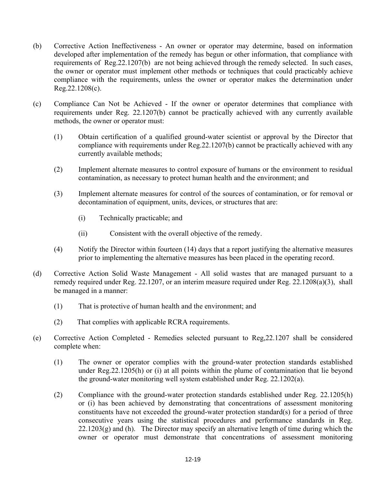- (b) Corrective Action Ineffectiveness An owner or operator may determine, based on information developed after implementation of the remedy has begun or other information, that compliance with requirements of Reg.22.1207(b) are not being achieved through the remedy selected. In such cases, the owner or operator must implement other methods or techniques that could practicably achieve compliance with the requirements, unless the owner or operator makes the determination under Reg.22.1208(c).
- (c) Compliance Can Not be Achieved If the owner or operator determines that compliance with requirements under Reg. 22.1207(b) cannot be practically achieved with any currently available methods, the owner or operator must:
	- (1) Obtain certification of a qualified ground-water scientist or approval by the Director that compliance with requirements under Reg.22.1207(b) cannot be practically achieved with any currently available methods;
	- (2) Implement alternate measures to control exposure of humans or the environment to residual contamination, as necessary to protect human health and the environment; and
	- (3) Implement alternate measures for control of the sources of contamination, or for removal or decontamination of equipment, units, devices, or structures that are:
		- (i) Technically practicable; and
		- (ii) Consistent with the overall objective of the remedy.
	- (4) Notify the Director within fourteen (14) days that a report justifying the alternative measures prior to implementing the alternative measures has been placed in the operating record.
- (d) Corrective Action Solid Waste Management All solid wastes that are managed pursuant to a remedy required under Reg. 22.1207, or an interim measure required under Reg. 22.1208(a)(3), shall be managed in a manner:
	- (1) That is protective of human health and the environment; and
	- (2) That complies with applicable RCRA requirements.
- (e) Corrective Action Completed Remedies selected pursuant to Reg,22.1207 shall be considered complete when:
	- (1) The owner or operator complies with the ground-water protection standards established under Reg.22.1205(h) or (i) at all points within the plume of contamination that lie beyond the ground-water monitoring well system established under Reg. 22.1202(a).
	- (2) Compliance with the ground-water protection standards established under Reg. 22.1205(h) or (i) has been achieved by demonstrating that concentrations of assessment monitoring constituents have not exceeded the ground-water protection standard(s) for a period of three consecutive years using the statistical procedures and performance standards in Reg.  $22.1203(g)$  and (h). The Director may specify an alternative length of time during which the owner or operator must demonstrate that concentrations of assessment monitoring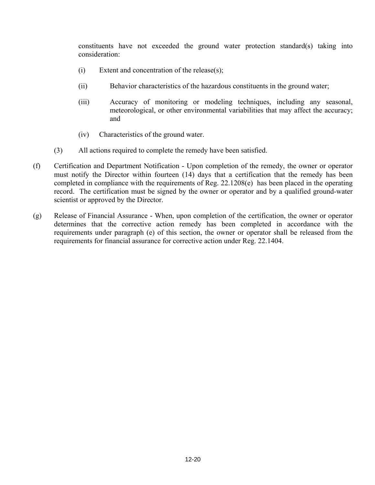constituents have not exceeded the ground water protection standard(s) taking into consideration:

- (i) Extent and concentration of the release(s);
- (ii) Behavior characteristics of the hazardous constituents in the ground water;
- (iii) Accuracy of monitoring or modeling techniques, including any seasonal, meteorological, or other environmental variabilities that may affect the accuracy; and
- (iv) Characteristics of the ground water.
- (3) All actions required to complete the remedy have been satisfied.
- (f) Certification and Department Notification Upon completion of the remedy, the owner or operator must notify the Director within fourteen (14) days that a certification that the remedy has been completed in compliance with the requirements of Reg. 22.1208(e) has been placed in the operating record. The certification must be signed by the owner or operator and by a qualified ground-water scientist or approved by the Director.
- (g) Release of Financial Assurance When, upon completion of the certification, the owner or operator determines that the corrective action remedy has been completed in accordance with the requirements under paragraph (e) of this section, the owner or operator shall be released from the requirements for financial assurance for corrective action under Reg. 22.1404.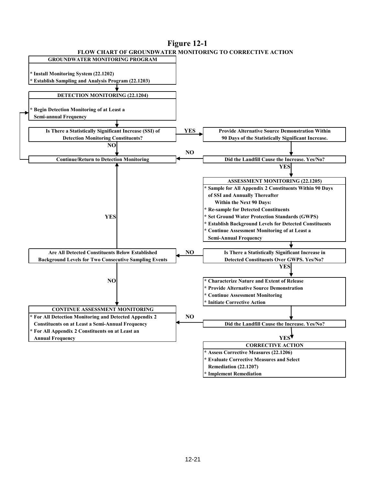

**Figure 12-1 FLOW CHART OF GROUNDWATER MONITORING TO CORRECTIVE ACTION**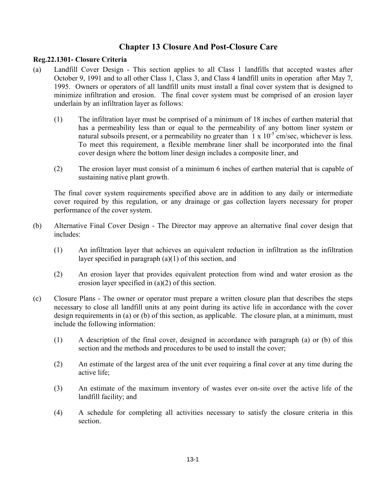## **Chapter 13 Closure And Post-Closure Care**

#### **Reg.22.1301- Closure Criteria**

- (a) Landfill Cover Design This section applies to all Class 1 landfills that accepted wastes after October 9, 1991 and to all other Class 1, Class 3, and Class 4 landfill units in operation after May 7, 1995. Owners or operators of all landfill units must install a final cover system that is designed to minimize infiltration and erosion. The final cover system must be comprised of an erosion layer underlain by an infiltration layer as follows:
	- (1) The infiltration layer must be comprised of a minimum of 18 inches of earthen material that has a permeability less than or equal to the permeability of any bottom liner system or natural subsoils present, or a permeability no greater than  $1 \times 10^{-5}$  cm/sec, whichever is less. To meet this requirement, a flexible membrane liner shall be incorporated into the final cover design where the bottom liner design includes a composite liner, and
	- (2) The erosion layer must consist of a minimum 6 inches of earthen material that is capable of sustaining native plant growth.

The final cover system requirements specified above are in addition to any daily or intermediate cover required by this regulation, or any drainage or gas collection layers necessary for proper performance of the cover system.

- (b) Alternative Final Cover Design The Director may approve an alternative final cover design that includes:
	- (1) An infiltration layer that achieves an equivalent reduction in infiltration as the infiltration layer specified in paragraph (a)(1) of this section, and
	- (2) An erosion layer that provides equivalent protection from wind and water erosion as the erosion layer specified in (a)(2) of this section.
- (c) Closure Plans The owner or operator must prepare a written closure plan that describes the steps necessary to close all landfill units at any point during its active life in accordance with the cover design requirements in (a) or (b) of this section, as applicable. The closure plan, at a minimum, must include the following information:
	- (1) A description of the final cover, designed in accordance with paragraph (a) or (b) of this section and the methods and procedures to be used to install the cover;
	- (2) An estimate of the largest area of the unit ever requiring a final cover at any time during the active life;
	- (3) An estimate of the maximum inventory of wastes ever on-site over the active life of the landfill facility; and
	- (4) A schedule for completing all activities necessary to satisfy the closure criteria in this section.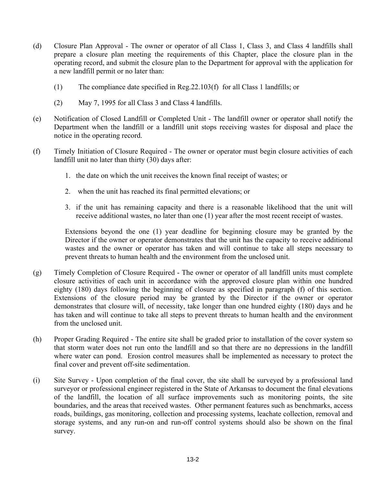- (d) Closure Plan Approval The owner or operator of all Class 1, Class 3, and Class 4 landfills shall prepare a closure plan meeting the requirements of this Chapter, place the closure plan in the operating record, and submit the closure plan to the Department for approval with the application for a new landfill permit or no later than:
	- (1) The compliance date specified in Reg.22.103(f) for all Class 1 landfills; or
	- (2) May 7, 1995 for all Class 3 and Class 4 landfills.
- (e) Notification of Closed Landfill or Completed Unit The landfill owner or operator shall notify the Department when the landfill or a landfill unit stops receiving wastes for disposal and place the notice in the operating record.
- (f) Timely Initiation of Closure Required The owner or operator must begin closure activities of each landfill unit no later than thirty (30) days after:
	- 1. the date on which the unit receives the known final receipt of wastes; or
	- 2. when the unit has reached its final permitted elevations; or
	- 3. if the unit has remaining capacity and there is a reasonable likelihood that the unit will receive additional wastes, no later than one (1) year after the most recent receipt of wastes.

Extensions beyond the one (1) year deadline for beginning closure may be granted by the Director if the owner or operator demonstrates that the unit has the capacity to receive additional wastes and the owner or operator has taken and will continue to take all steps necessary to prevent threats to human health and the environment from the unclosed unit.

- (g) Timely Completion of Closure Required The owner or operator of all landfill units must complete closure activities of each unit in accordance with the approved closure plan within one hundred eighty (180) days following the beginning of closure as specified in paragraph (f) of this section. Extensions of the closure period may be granted by the Director if the owner or operator demonstrates that closure will, of necessity, take longer than one hundred eighty (180) days and he has taken and will continue to take all steps to prevent threats to human health and the environment from the unclosed unit.
- (h) Proper Grading Required The entire site shall be graded prior to installation of the cover system so that storm water does not run onto the landfill and so that there are no depressions in the landfill where water can pond. Erosion control measures shall be implemented as necessary to protect the final cover and prevent off-site sedimentation.
- (i) Site Survey Upon completion of the final cover, the site shall be surveyed by a professional land surveyor or professional engineer registered in the State of Arkansas to document the final elevations of the landfill, the location of all surface improvements such as monitoring points, the site boundaries, and the areas that received wastes. Other permanent features such as benchmarks, access roads, buildings, gas monitoring, collection and processing systems, leachate collection, removal and storage systems, and any run-on and run-off control systems should also be shown on the final survey.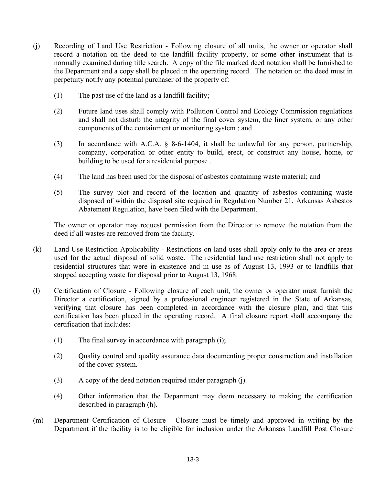- (j) Recording of Land Use Restriction Following closure of all units, the owner or operator shall record a notation on the deed to the landfill facility property, or some other instrument that is normally examined during title search. A copy of the file marked deed notation shall be furnished to the Department and a copy shall be placed in the operating record. The notation on the deed must in perpetuity notify any potential purchaser of the property of:
	- (1) The past use of the land as a landfill facility;
	- (2) Future land uses shall comply with Pollution Control and Ecology Commission regulations and shall not disturb the integrity of the final cover system, the liner system, or any other components of the containment or monitoring system ; and
	- (3) In accordance with A.C.A. § 8-6-1404, it shall be unlawful for any person, partnership, company, corporation or other entity to build, erect, or construct any house, home, or building to be used for a residential purpose .
	- (4) The land has been used for the disposal of asbestos containing waste material; and
	- (5) The survey plot and record of the location and quantity of asbestos containing waste disposed of within the disposal site required in Regulation Number 21, Arkansas Asbestos Abatement Regulation, have been filed with the Department.

The owner or operator may request permission from the Director to remove the notation from the deed if all wastes are removed from the facility.

- (k) Land Use Restriction Applicability Restrictions on land uses shall apply only to the area or areas used for the actual disposal of solid waste. The residential land use restriction shall not apply to residential structures that were in existence and in use as of August 13, 1993 or to landfills that stopped accepting waste for disposal prior to August 13, 1968.
- (l) Certification of Closure Following closure of each unit, the owner or operator must furnish the Director a certification, signed by a professional engineer registered in the State of Arkansas, verifying that closure has been completed in accordance with the closure plan, and that this certification has been placed in the operating record. A final closure report shall accompany the certification that includes:
	- (1) The final survey in accordance with paragraph (i);
	- (2) Quality control and quality assurance data documenting proper construction and installation of the cover system.
	- (3) A copy of the deed notation required under paragraph (j).
	- (4) Other information that the Department may deem necessary to making the certification described in paragraph (h).
- (m) Department Certification of Closure Closure must be timely and approved in writing by the Department if the facility is to be eligible for inclusion under the Arkansas Landfill Post Closure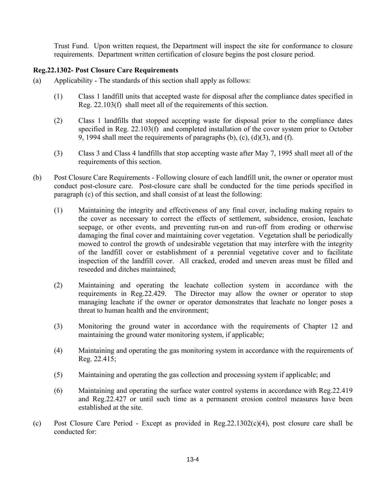Trust Fund. Upon written request, the Department will inspect the site for conformance to closure requirements. Department written certification of closure begins the post closure period.

### **Reg.22.1302- Post Closure Care Requirements**

- (a) Applicability The standards of this section shall apply as follows:
	- (1) Class 1 landfill units that accepted waste for disposal after the compliance dates specified in Reg. 22.103(f) shall meet all of the requirements of this section.
	- (2) Class 1 landfills that stopped accepting waste for disposal prior to the compliance dates specified in Reg. 22.103(f) and completed installation of the cover system prior to October 9, 1994 shall meet the requirements of paragraphs  $(b)$ ,  $(c)$ ,  $(d)(3)$ , and  $(f)$ .
	- (3) Class 3 and Class 4 landfills that stop accepting waste after May 7, 1995 shall meet all of the requirements of this section.
- (b) Post Closure Care Requirements Following closure of each landfill unit, the owner or operator must conduct post-closure care. Post-closure care shall be conducted for the time periods specified in paragraph (c) of this section, and shall consist of at least the following:
	- (1) Maintaining the integrity and effectiveness of any final cover, including making repairs to the cover as necessary to correct the effects of settlement, subsidence, erosion, leachate seepage, or other events, and preventing run-on and run-off from eroding or otherwise damaging the final cover and maintaining cover vegetation. Vegetation shall be periodically mowed to control the growth of undesirable vegetation that may interfere with the integrity of the landfill cover or establishment of a perennial vegetative cover and to facilitate inspection of the landfill cover. All cracked, eroded and uneven areas must be filled and reseeded and ditches maintained;
	- (2) Maintaining and operating the leachate collection system in accordance with the requirements in Reg.22.429. The Director may allow the owner or operator to stop managing leachate if the owner or operator demonstrates that leachate no longer poses a threat to human health and the environment;
	- (3) Monitoring the ground water in accordance with the requirements of Chapter 12 and maintaining the ground water monitoring system, if applicable;
	- (4) Maintaining and operating the gas monitoring system in accordance with the requirements of Reg. 22.415;
	- (5) Maintaining and operating the gas collection and processing system if applicable; and
	- (6) Maintaining and operating the surface water control systems in accordance with Reg.22.419 and Reg.22.427 or until such time as a permanent erosion control measures have been established at the site.
- (c) Post Closure Care Period Except as provided in Reg.22.1302(c)(4), post closure care shall be conducted for: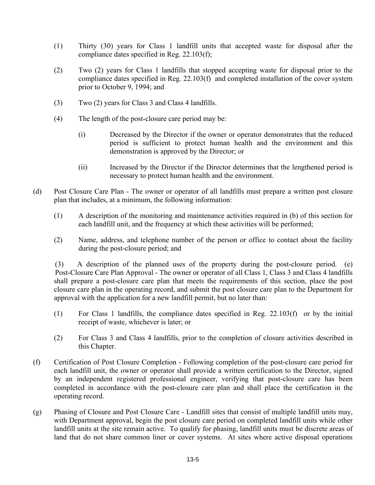- (1) Thirty (30) years for Class 1 landfill units that accepted waste for disposal after the compliance dates specified in Reg. 22.103(f);
- (2) Two (2) years for Class 1 landfills that stopped accepting waste for disposal prior to the compliance dates specified in Reg. 22.103(f) and completed installation of the cover system prior to October 9, 1994; and
- (3) Two (2) years for Class 3 and Class 4 landfills.
- (4) The length of the post-closure care period may be:
	- (i) Decreased by the Director if the owner or operator demonstrates that the reduced period is sufficient to protect human health and the environment and this demonstration is approved by the Director; or
	- (ii) Increased by the Director if the Director determines that the lengthened period is necessary to protect human health and the environment.
- (d) Post Closure Care Plan The owner or operator of all landfills must prepare a written post closure plan that includes, at a minimum, the following information:
	- (1) A description of the monitoring and maintenance activities required in (b) of this section for each landfill unit, and the frequency at which these activities will be performed;
	- (2) Name, address, and telephone number of the person or office to contact about the facility during the post-closure period; and

(3) A description of the planned uses of the property during the post-closure period. (e) Post-Closure Care Plan Approval - The owner or operator of all Class 1, Class 3 and Class 4 landfills shall prepare a post-closure care plan that meets the requirements of this section, place the post closure care plan in the operating record, and submit the post closure care plan to the Department for approval with the application for a new landfill permit, but no later than:

- (1) For Class 1 landfills, the compliance dates specified in Reg. 22.103(f) or by the initial receipt of waste, whichever is later; or
- (2) For Class 3 and Class 4 landfills, prior to the completion of closure activities described in this Chapter.
- (f) Certification of Post Closure Completion Following completion of the post-closure care period for each landfill unit, the owner or operator shall provide a written certification to the Director, signed by an independent registered professional engineer, verifying that post-closure care has been completed in accordance with the post-closure care plan and shall place the certification in the operating record.
- (g) Phasing of Closure and Post Closure Care Landfill sites that consist of multiple landfill units may, with Department approval, begin the post closure care period on completed landfill units while other landfill units at the site remain active. To qualify for phasing, landfill units must be discrete areas of land that do not share common liner or cover systems. At sites where active disposal operations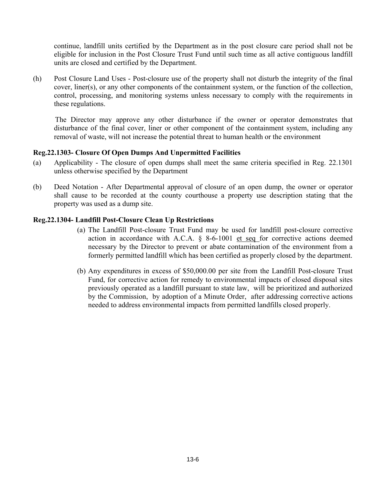continue, landfill units certified by the Department as in the post closure care period shall not be eligible for inclusion in the Post Closure Trust Fund until such time as all active contiguous landfill units are closed and certified by the Department.

(h) Post Closure Land Uses - Post-closure use of the property shall not disturb the integrity of the final cover, liner(s), or any other components of the containment system, or the function of the collection, control, processing, and monitoring systems unless necessary to comply with the requirements in these regulations.

The Director may approve any other disturbance if the owner or operator demonstrates that disturbance of the final cover, liner or other component of the containment system, including any removal of waste, will not increase the potential threat to human health or the environment

## **Reg.22.1303- Closure Of Open Dumps And Unpermitted Facilities**

- (a) Applicability The closure of open dumps shall meet the same criteria specified in Reg. 22.1301 unless otherwise specified by the Department
- (b) Deed Notation After Departmental approval of closure of an open dump, the owner or operator shall cause to be recorded at the county courthouse a property use description stating that the property was used as a dump site.

#### **Reg.22.1304- Landfill Post-Closure Clean Up Restrictions**

- (a) The Landfill Post-closure Trust Fund may be used for landfill post-closure corrective action in accordance with A.C.A. § 8-6-1001 et seq for corrective actions deemed necessary by the Director to prevent or abate contamination of the environment from a formerly permitted landfill which has been certified as properly closed by the department.
- (b) Any expenditures in excess of \$50,000.00 per site from the Landfill Post-closure Trust Fund, for corrective action for remedy to environmental impacts of closed disposal sites previously operated as a landfill pursuant to state law, will be prioritized and authorized by the Commission, by adoption of a Minute Order, after addressing corrective actions needed to address environmental impacts from permitted landfills closed properly.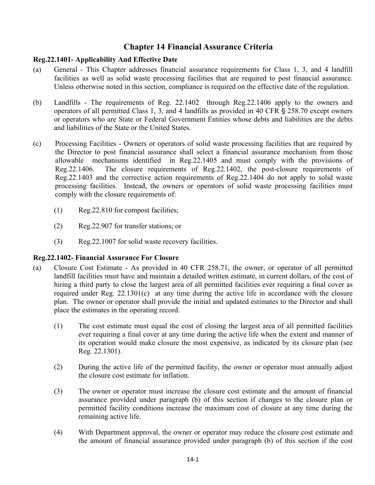# **Chapter 14 Financial Assurance Criteria**

## **Reg.22.1401- Applicability And Effective Date**

- (a) General This Chapter addresses financial assurance requirements for Class 1, 3, and 4 landfill facilities as well as solid waste processing facilities that are required to post financial assurance. Unless otherwise noted in this section, compliance is required on the effective date of the regulation.
- (b) Landfills The requirements of Reg. 22.1402 through Reg.22.1406 apply to the owners and operators of all permitted Class 1, 3, and 4 landfills as provided in 40 CFR  $\S$  258.70 except owners or operators who are State or Federal Government Entities whose debts and liabilities are the debts and liabilities of the State or the United States.
- (c) Processing Facilities Owners or operators of solid waste processing facilities that are required by the Director to post financial assurance shall select a financial assurance mechanism from those allowable mechanisms identified in Reg.22.1405 and must comply with the provisions of Reg.22.1406. The closure requirements of Reg.22.1402, the post-closure requirements of Reg.22.1403 and the corrective action requirements of Reg.22.1404 do not apply to solid waste processing facilities. Instead, the owners or operators of solid waste processing facilities must comply with the closure requirements of:
	- (1) Reg.22.810 for compost facilities;
	- (2) Reg.22.907 for transfer stations; or
	- (3) Reg.22.1007 for solid waste recovery facilities.

## **Reg.22.1402- Financial Assurance For Closure**

- (a) Closure Cost Estimate As provided in 40 CFR 258.71, the owner, or operator of all permitted landfill facilities must have and maintain a detailed written estimate, in current dollars, of the cost of hiring a third party to close the largest area of all permitted facilities ever requiring a final cover as required under Reg. 22.1301(c) at any time during the active life in accordance with the closure plan. The owner or operator shall provide the initial and updated estimates to the Director and shall place the estimates in the operating record.
	- (1) The cost estimate must equal the cost of closing the largest area of all permitted facilities ever requiring a final cover at any time during the active life when the extent and manner of its operation would make closure the most expensive, as indicated by its closure plan (see Reg. 22.1301).
	- (2) During the active life of the permitted facility, the owner or operator must annually adjust the closure cost estimate for inflation.
	- (3) The owner or operator must increase the closure cost estimate and the amount of financial assurance provided under paragraph (b) of this section if changes to the closure plan or permitted facility conditions increase the maximum cost of closure at any time during the remaining active life.
	- (4) With Department approval, the owner or operator may reduce the closure cost estimate and the amount of financial assurance provided under paragraph (b) of this section if the cost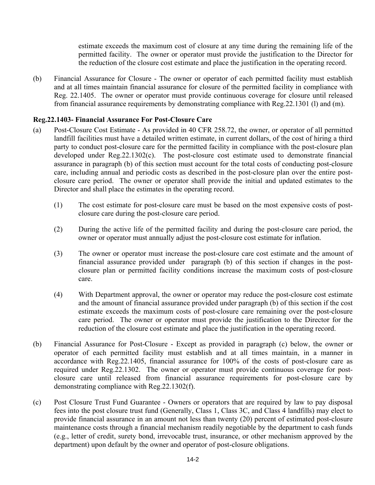estimate exceeds the maximum cost of closure at any time during the remaining life of the permitted facility. The owner or operator must provide the justification to the Director for the reduction of the closure cost estimate and place the justification in the operating record.

(b) Financial Assurance for Closure - The owner or operator of each permitted facility must establish and at all times maintain financial assurance for closure of the permitted facility in compliance with Reg. 22.1405. The owner or operator must provide continuous coverage for closure until released from financial assurance requirements by demonstrating compliance with Reg.22.1301 (l) and (m).

## **Reg.22.1403- Financial Assurance For Post-Closure Care**

- (a) Post-Closure Cost Estimate As provided in 40 CFR 258.72, the owner, or operator of all permitted landfill facilities must have a detailed written estimate, in current dollars, of the cost of hiring a third party to conduct post-closure care for the permitted facility in compliance with the post-closure plan developed under Reg.22.1302(c). The post-closure cost estimate used to demonstrate financial assurance in paragraph (b) of this section must account for the total costs of conducting post-closure care, including annual and periodic costs as described in the post-closure plan over the entire postclosure care period. The owner or operator shall provide the initial and updated estimates to the Director and shall place the estimates in the operating record.
	- (1) The cost estimate for post-closure care must be based on the most expensive costs of postclosure care during the post-closure care period.
	- (2) During the active life of the permitted facility and during the post-closure care period, the owner or operator must annually adjust the post-closure cost estimate for inflation.
	- (3) The owner or operator must increase the post-closure care cost estimate and the amount of financial assurance provided under paragraph (b) of this section if changes in the postclosure plan or permitted facility conditions increase the maximum costs of post-closure care.
	- (4) With Department approval, the owner or operator may reduce the post-closure cost estimate and the amount of financial assurance provided under paragraph (b) of this section if the cost estimate exceeds the maximum costs of post-closure care remaining over the post-closure care period. The owner or operator must provide the justification to the Director for the reduction of the closure cost estimate and place the justification in the operating record.
- (b) Financial Assurance for Post-Closure Except as provided in paragraph (c) below, the owner or operator of each permitted facility must establish and at all times maintain, in a manner in accordance with Reg.22.1405, financial assurance for 100% of the costs of post-closure care as required under Reg.22.1302. The owner or operator must provide continuous coverage for postclosure care until released from financial assurance requirements for post-closure care by demonstrating compliance with Reg.22.1302(f).
- (c) Post Closure Trust Fund Guarantee Owners or operators that are required by law to pay disposal fees into the post closure trust fund (Generally, Class 1, Class 3C, and Class 4 landfills) may elect to provide financial assurance in an amount not less than twenty (20) percent of estimated post-closure maintenance costs through a financial mechanism readily negotiable by the department to cash funds (e.g., letter of credit, surety bond, irrevocable trust, insurance, or other mechanism approved by the department) upon default by the owner and operator of post-closure obligations.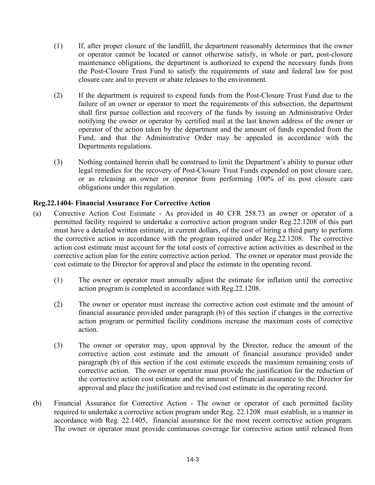- (1) If, after proper closure of the landfill, the department reasonably determines that the owner or operator cannot be located or cannot otherwise satisfy, in whole or part, post-closure maintenance obligations, the department is authorized to expend the necessary funds from the Post-Closure Trust Fund to satisfy the requirements of state and federal law for post closure care and to prevent or abate releases to the environment.
- (2) If the department is required to expend funds from the Post-Closure Trust Fund due to the failure of an owner or operator to meet the requirements of this subsection, the department shall first pursue collection and recovery of the funds by issuing an Administrative Order notifying the owner or operator by certified mail at the last known address of the owner or operator of the action taken by the department and the amount of funds expended from the Fund, and that the Administrative Order may be appealed in accordance with the Departments regulations.
- (3) Nothing contained herein shall be construed to limit the Department's ability to pursue other legal remedies for the recovery of Post-Closure Trust Funds expended on post closure care, or as releasing an owner or operator from performing 100% of its post closure care obligations under this regulation.

## **Reg.22.1404- Financial Assurance For Corrective Action**

- (a) Corrective Action Cost Estimate As provided in 40 CFR 258.73 an owner or operator of a permitted facility required to undertake a corrective action program under Reg.22.1208 of this part must have a detailed written estimate, in current dollars, of the cost of hiring a third party to perform the corrective action in accordance with the program required under Reg.22.1208. The corrective action cost estimate must account for the total costs of corrective action activities as described in the corrective action plan for the entire corrective action period. The owner or operator must provide the cost estimate to the Director for approval and place the estimate in the operating record.
	- (1) The owner or operator must annually adjust the estimate for inflation until the corrective action program is completed in accordance with Reg.22.1208.
	- (2) The owner or operator must increase the corrective action cost estimate and the amount of financial assurance provided under paragraph (b) of this section if changes in the corrective action program or permitted facility conditions increase the maximum costs of corrective action.
	- (3) The owner or operator may, upon approval by the Director, reduce the amount of the corrective action cost estimate and the amount of financial assurance provided under paragraph (b) of this section if the cost estimate exceeds the maximum remaining costs of corrective action. The owner or operator must provide the justification for the reduction of the corrective action cost estimate and the amount of financial assurance to the Director for approval and place the justification and revised cost estimate in the operating record.
- (b) Financial Assurance for Corrective Action The owner or operator of each permitted facility required to undertake a corrective action program under Reg. 22.1208 must establish, in a manner in accordance with Reg. 22.1405, financial assurance for the most recent corrective action program. The owner or operator must provide continuous coverage for corrective action until released from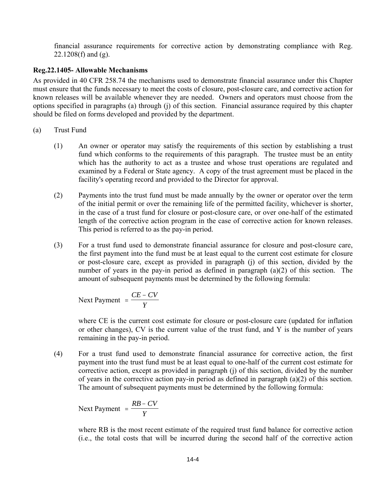financial assurance requirements for corrective action by demonstrating compliance with Reg. 22.1208(f) and (g).

### **Reg.22.1405- Allowable Mechanisms**

As provided in 40 CFR 258.74 the mechanisms used to demonstrate financial assurance under this Chapter must ensure that the funds necessary to meet the costs of closure, post-closure care, and corrective action for known releases will be available whenever they are needed. Owners and operators must choose from the options specified in paragraphs (a) through (j) of this section. Financial assurance required by this chapter should be filed on forms developed and provided by the department.

- (a) Trust Fund
	- (1) An owner or operator may satisfy the requirements of this section by establishing a trust fund which conforms to the requirements of this paragraph. The trustee must be an entity which has the authority to act as a trustee and whose trust operations are regulated and examined by a Federal or State agency. A copy of the trust agreement must be placed in the facility's operating record and provided to the Director for approval.
	- (2) Payments into the trust fund must be made annually by the owner or operator over the term of the initial permit or over the remaining life of the permitted facility, whichever is shorter, in the case of a trust fund for closure or post-closure care, or over one-half of the estimated length of the corrective action program in the case of corrective action for known releases. This period is referred to as the pay-in period.
	- (3) For a trust fund used to demonstrate financial assurance for closure and post-closure care, the first payment into the fund must be at least equal to the current cost estimate for closure or post-closure care, except as provided in paragraph (j) of this section, divided by the number of years in the pay-in period as defined in paragraph (a)(2) of this section. The amount of subsequent payments must be determined by the following formula:

Next Payment = 
$$
\frac{CE - CV}{Y}
$$

where CE is the current cost estimate for closure or post-closure care (updated for inflation or other changes), CV is the current value of the trust fund, and Y is the number of years remaining in the pay-in period.

(4) For a trust fund used to demonstrate financial assurance for corrective action, the first payment into the trust fund must be at least equal to one-half of the current cost estimate for corrective action, except as provided in paragraph (j) of this section, divided by the number of years in the corrective action pay-in period as defined in paragraph (a)(2) of this section. The amount of subsequent payments must be determined by the following formula:

Next Payment = 
$$
\frac{RB - CV}{Y}
$$

where RB is the most recent estimate of the required trust fund balance for corrective action (i.e., the total costs that will be incurred during the second half of the corrective action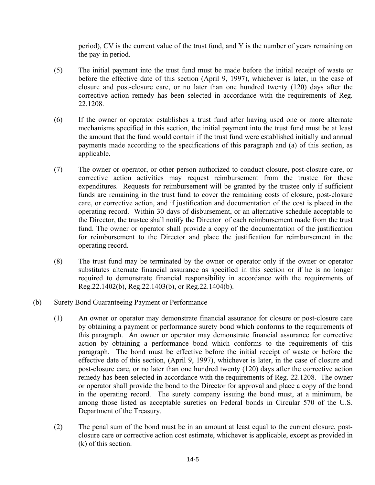period), CV is the current value of the trust fund, and Y is the number of years remaining on the pay-in period.

- (5) The initial payment into the trust fund must be made before the initial receipt of waste or before the effective date of this section (April 9, 1997), whichever is later, in the case of closure and post-closure care, or no later than one hundred twenty (120) days after the corrective action remedy has been selected in accordance with the requirements of Reg. 22.1208.
- (6) If the owner or operator establishes a trust fund after having used one or more alternate mechanisms specified in this section, the initial payment into the trust fund must be at least the amount that the fund would contain if the trust fund were established initially and annual payments made according to the specifications of this paragraph and (a) of this section, as applicable.
- (7) The owner or operator, or other person authorized to conduct closure, post-closure care, or corrective action activities may request reimbursement from the trustee for these expenditures. Requests for reimbursement will be granted by the trustee only if sufficient funds are remaining in the trust fund to cover the remaining costs of closure, post-closure care, or corrective action, and if justification and documentation of the cost is placed in the operating record. Within 30 days of disbursement, or an alternative schedule acceptable to the Director, the trustee shall notify the Director of each reimbursement made from the trust fund. The owner or operator shall provide a copy of the documentation of the justification for reimbursement to the Director and place the justification for reimbursement in the operating record.
- (8) The trust fund may be terminated by the owner or operator only if the owner or operator substitutes alternate financial assurance as specified in this section or if he is no longer required to demonstrate financial responsibility in accordance with the requirements of Reg.22.1402(b), Reg.22.1403(b), or Reg.22.1404(b).
- (b) Surety Bond Guaranteeing Payment or Performance
	- (1) An owner or operator may demonstrate financial assurance for closure or post-closure care by obtaining a payment or performance surety bond which conforms to the requirements of this paragraph. An owner or operator may demonstrate financial assurance for corrective action by obtaining a performance bond which conforms to the requirements of this paragraph. The bond must be effective before the initial receipt of waste or before the effective date of this section, (April 9, 1997), whichever is later, in the case of closure and post-closure care, or no later than one hundred twenty (120) days after the corrective action remedy has been selected in accordance with the requirements of Reg. 22.1208. The owner or operator shall provide the bond to the Director for approval and place a copy of the bond in the operating record. The surety company issuing the bond must, at a minimum, be among those listed as acceptable sureties on Federal bonds in Circular 570 of the U.S. Department of the Treasury.
	- (2) The penal sum of the bond must be in an amount at least equal to the current closure, postclosure care or corrective action cost estimate, whichever is applicable, except as provided in (k) of this section.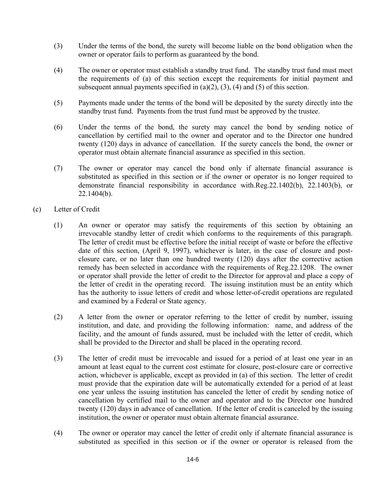- (3) Under the terms of the bond, the surety will become liable on the bond obligation when the owner or operator fails to perform as guaranteed by the bond.
- (4) The owner or operator must establish a standby trust fund. The standby trust fund must meet the requirements of (a) of this section except the requirements for initial payment and subsequent annual payments specified in  $(a)(2)$ ,  $(3)$ ,  $(4)$  and  $(5)$  of this section.
- (5) Payments made under the terms of the bond will be deposited by the surety directly into the standby trust fund. Payments from the trust fund must be approved by the trustee.
- (6) Under the terms of the bond, the surety may cancel the bond by sending notice of cancellation by certified mail to the owner and operator and to the Director one hundred twenty (120) days in advance of cancellation. If the surety cancels the bond, the owner or operator must obtain alternate financial assurance as specified in this section.
- (7) The owner or operator may cancel the bond only if alternate financial assurance is substituted as specified in this section or if the owner or operator is no longer required to demonstrate financial responsibility in accordance with.Reg.22.1402(b), 22.1403(b), or 22.1404(b).
- (c) Letter of Credit
	- (1) An owner or operator may satisfy the requirements of this section by obtaining an irrevocable standby letter of credit which conforms to the requirements of this paragraph. The letter of credit must be effective before the initial receipt of waste or before the effective date of this section, (April 9, 1997), whichever is later, in the case of closure and postclosure care, or no later than one hundred twenty (120) days after the corrective action remedy has been selected in accordance with the requirements of Reg.22.1208. The owner or operator shall provide the letter of credit to the Director for approval and place a copy of the letter of credit in the operating record. The issuing institution must be an entity which has the authority to issue letters of credit and whose letter-of-credit operations are regulated and examined by a Federal or State agency.
	- (2) A letter from the owner or operator referring to the letter of credit by number, issuing institution, and date, and providing the following information: name, and address of the facility, and the amount of funds assured, must be included with the letter of credit, which shall be provided to the Director and shall be placed in the operating record.
	- (3) The letter of credit must be irrevocable and issued for a period of at least one year in an amount at least equal to the current cost estimate for closure, post-closure care or corrective action, whichever is applicable, except as provided in (a) of this section. The letter of credit must provide that the expiration date will be automatically extended for a period of at least one year unless the issuing institution has canceled the letter of credit by sending notice of cancellation by certified mail to the owner and operator and to the Director one hundred twenty (120) days in advance of cancellation. If the letter of credit is canceled by the issuing institution, the owner or operator must obtain alternate financial assurance.
	- (4) The owner or operator may cancel the letter of credit only if alternate financial assurance is substituted as specified in this section or if the owner or operator is released from the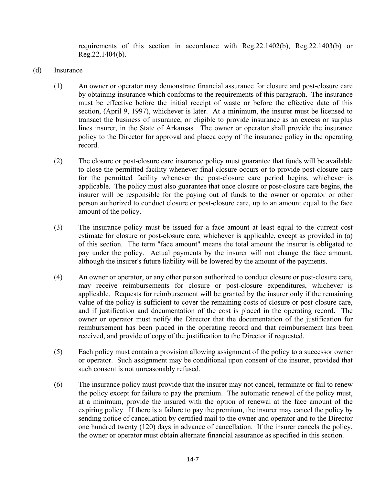requirements of this section in accordance with Reg.22.1402(b), Reg.22.1403(b) or Reg.22.1404(b).

- (d) Insurance
	- (1) An owner or operator may demonstrate financial assurance for closure and post-closure care by obtaining insurance which conforms to the requirements of this paragraph. The insurance must be effective before the initial receipt of waste or before the effective date of this section, (April 9, 1997), whichever is later. At a minimum, the insurer must be licensed to transact the business of insurance, or eligible to provide insurance as an excess or surplus lines insurer, in the State of Arkansas. The owner or operator shall provide the insurance policy to the Director for approval and placea copy of the insurance policy in the operating record.
	- (2) The closure or post-closure care insurance policy must guarantee that funds will be available to close the permitted facility whenever final closure occurs or to provide post-closure care for the permitted facility whenever the post-closure care period begins, whichever is applicable. The policy must also guarantee that once closure or post-closure care begins, the insurer will be responsible for the paying out of funds to the owner or operator or other person authorized to conduct closure or post-closure care, up to an amount equal to the face amount of the policy.
	- (3) The insurance policy must be issued for a face amount at least equal to the current cost estimate for closure or post-closure care, whichever is applicable, except as provided in (a) of this section. The term "face amount" means the total amount the insurer is obligated to pay under the policy. Actual payments by the insurer will not change the face amount, although the insurer's future liability will be lowered by the amount of the payments.
	- (4) An owner or operator, or any other person authorized to conduct closure or post-closure care, may receive reimbursements for closure or post-closure expenditures, whichever is applicable. Requests for reimbursement will be granted by the insurer only if the remaining value of the policy is sufficient to cover the remaining costs of closure or post-closure care, and if justification and documentation of the cost is placed in the operating record. The owner or operator must notify the Director that the documentation of the justification for reimbursement has been placed in the operating record and that reimbursement has been received, and provide of copy of the justification to the Director if requested.
	- (5) Each policy must contain a provision allowing assignment of the policy to a successor owner or operator. Such assignment may be conditional upon consent of the insurer, provided that such consent is not unreasonably refused.
	- (6) The insurance policy must provide that the insurer may not cancel, terminate or fail to renew the policy except for failure to pay the premium. The automatic renewal of the policy must, at a minimum, provide the insured with the option of renewal at the face amount of the expiring policy. If there is a failure to pay the premium, the insurer may cancel the policy by sending notice of cancellation by certified mail to the owner and operator and to the Director one hundred twenty (120) days in advance of cancellation. If the insurer cancels the policy, the owner or operator must obtain alternate financial assurance as specified in this section.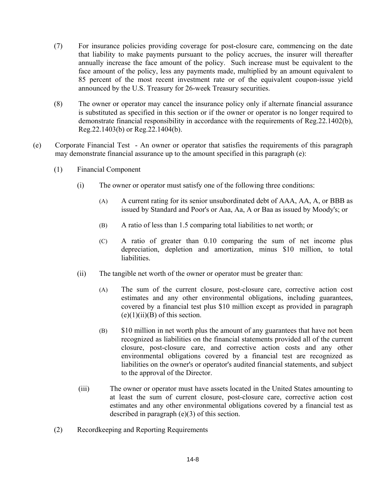- (7) For insurance policies providing coverage for post-closure care, commencing on the date that liability to make payments pursuant to the policy accrues, the insurer will thereafter annually increase the face amount of the policy. Such increase must be equivalent to the face amount of the policy, less any payments made, multiplied by an amount equivalent to 85 percent of the most recent investment rate or of the equivalent coupon-issue yield announced by the U.S. Treasury for 26-week Treasury securities.
- (8) The owner or operator may cancel the insurance policy only if alternate financial assurance is substituted as specified in this section or if the owner or operator is no longer required to demonstrate financial responsibility in accordance with the requirements of Reg.22.1402(b), Reg.22.1403(b) or Reg.22.1404(b).
- (e) Corporate Financial Test An owner or operator that satisfies the requirements of this paragraph may demonstrate financial assurance up to the amount specified in this paragraph (e):
	- (1) Financial Component
		- (i) The owner or operator must satisfy one of the following three conditions:
			- (A) A current rating for its senior unsubordinated debt of AAA, AA, A, or BBB as issued by Standard and Poor's or Aaa, Aa, A or Baa as issued by Moody's; or
			- (B) A ratio of less than 1.5 comparing total liabilities to net worth; or
			- (C) A ratio of greater than 0.10 comparing the sum of net income plus depreciation, depletion and amortization, minus \$10 million, to total liabilities.
		- (ii) The tangible net worth of the owner or operator must be greater than:
			- (A) The sum of the current closure, post-closure care, corrective action cost estimates and any other environmental obligations, including guarantees, covered by a financial test plus \$10 million except as provided in paragraph  $(e)(1)(ii)(B)$  of this section.
			- (B) \$10 million in net worth plus the amount of any guarantees that have not been recognized as liabilities on the financial statements provided all of the current closure, post-closure care, and corrective action costs and any other environmental obligations covered by a financial test are recognized as liabilities on the owner's or operator's audited financial statements, and subject to the approval of the Director.
		- (iii) The owner or operator must have assets located in the United States amounting to at least the sum of current closure, post-closure care, corrective action cost estimates and any other environmental obligations covered by a financial test as described in paragraph (e)(3) of this section.
	- (2) Recordkeeping and Reporting Requirements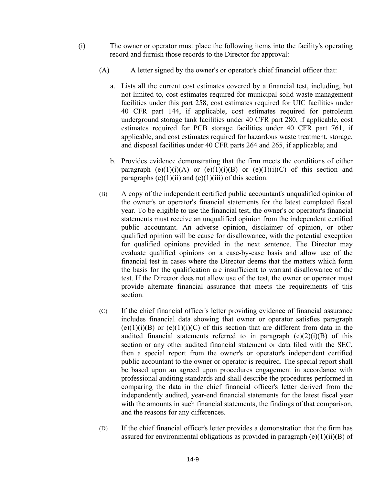- (i) The owner or operator must place the following items into the facility's operating record and furnish those records to the Director for approval:
	- (A) A letter signed by the owner's or operator's chief financial officer that:
		- a. Lists all the current cost estimates covered by a financial test, including, but not limited to, cost estimates required for municipal solid waste management facilities under this part 258, cost estimates required for UIC facilities under 40 CFR part 144, if applicable, cost estimates required for petroleum underground storage tank facilities under 40 CFR part 280, if applicable, cost estimates required for PCB storage facilities under 40 CFR part 761, if applicable, and cost estimates required for hazardous waste treatment, storage, and disposal facilities under 40 CFR parts 264 and 265, if applicable; and
		- b. Provides evidence demonstrating that the firm meets the conditions of either paragraph  $(e)(1)(i)(A)$  or  $(e)(1)(i)(B)$  or  $(e)(1)(i)(C)$  of this section and paragraphs  $(e)(1)(ii)$  and  $(e)(1)(iii)$  of this section.
	- (B) A copy of the independent certified public accountant's unqualified opinion of the owner's or operator's financial statements for the latest completed fiscal year. To be eligible to use the financial test, the owner's or operator's financial statements must receive an unqualified opinion from the independent certified public accountant. An adverse opinion, disclaimer of opinion, or other qualified opinion will be cause for disallowance, with the potential exception for qualified opinions provided in the next sentence. The Director may evaluate qualified opinions on a case-by-case basis and allow use of the financial test in cases where the Director deems that the matters which form the basis for the qualification are insufficient to warrant disallowance of the test. If the Director does not allow use of the test, the owner or operator must provide alternate financial assurance that meets the requirements of this section.
	- (C) If the chief financial officer's letter providing evidence of financial assurance includes financial data showing that owner or operator satisfies paragraph  $(e)(1)(i)(B)$  or  $(e)(1)(i)(C)$  of this section that are different from data in the audited financial statements referred to in paragraph  $(e)(2)(i)(B)$  of this section or any other audited financial statement or data filed with the SEC, then a special report from the owner's or operator's independent certified public accountant to the owner or operator is required. The special report shall be based upon an agreed upon procedures engagement in accordance with professional auditing standards and shall describe the procedures performed in comparing the data in the chief financial officer's letter derived from the independently audited, year-end financial statements for the latest fiscal year with the amounts in such financial statements, the findings of that comparison, and the reasons for any differences.
	- (D) If the chief financial officer's letter provides a demonstration that the firm has assured for environmental obligations as provided in paragraph  $(e)(1)(ii)(B)$  of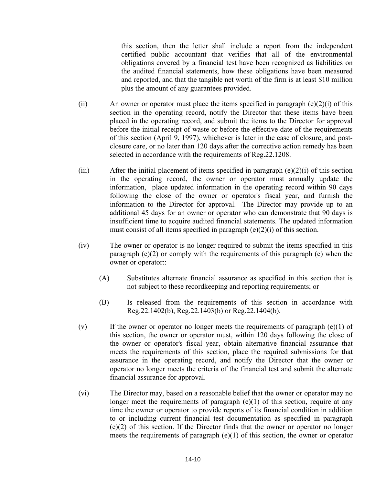this section, then the letter shall include a report from the independent certified public accountant that verifies that all of the environmental obligations covered by a financial test have been recognized as liabilities on the audited financial statements, how these obligations have been measured and reported, and that the tangible net worth of the firm is at least \$10 million plus the amount of any guarantees provided.

- (ii) An owner or operator must place the items specified in paragraph  $(e)(2)(i)$  of this section in the operating record, notify the Director that these items have been placed in the operating record, and submit the items to the Director for approval before the initial receipt of waste or before the effective date of the requirements of this section (April 9, 1997), whichever is later in the case of closure, and postclosure care, or no later than 120 days after the corrective action remedy has been selected in accordance with the requirements of Reg.22.1208.
- (iii) After the initial placement of items specified in paragraph  $(e)(2)(i)$  of this section in the operating record, the owner or operator must annually update the information, place updated information in the operating record within 90 days following the close of the owner or operator's fiscal year, and furnish the information to the Director for approval. The Director may provide up to an additional 45 days for an owner or operator who can demonstrate that 90 days is insufficient time to acquire audited financial statements. The updated information must consist of all items specified in paragraph (e)(2)(i) of this section.
- (iv) The owner or operator is no longer required to submit the items specified in this paragraph (e)(2) or comply with the requirements of this paragraph (e) when the owner or operator::
	- (A) Substitutes alternate financial assurance as specified in this section that is not subject to these recordkeeping and reporting requirements; or
	- (B) Is released from the requirements of this section in accordance with Reg.22.1402(b), Reg.22.1403(b) or Reg.22.1404(b).
- (v) If the owner or operator no longer meets the requirements of paragraph  $(e)(1)$  of this section, the owner or operator must, within 120 days following the close of the owner or operator's fiscal year, obtain alternative financial assurance that meets the requirements of this section, place the required submissions for that assurance in the operating record, and notify the Director that the owner or operator no longer meets the criteria of the financial test and submit the alternate financial assurance for approval.
- (vi) The Director may, based on a reasonable belief that the owner or operator may no longer meet the requirements of paragraph  $(e)(1)$  of this section, require at any time the owner or operator to provide reports of its financial condition in addition to or including current financial test documentation as specified in paragraph (e)(2) of this section. If the Director finds that the owner or operator no longer meets the requirements of paragraph  $(e)(1)$  of this section, the owner or operator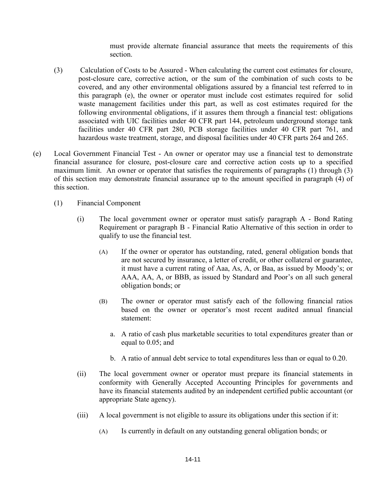must provide alternate financial assurance that meets the requirements of this section.

- (3) Calculation of Costs to be Assured When calculating the current cost estimates for closure, post-closure care, corrective action, or the sum of the combination of such costs to be covered, and any other environmental obligations assured by a financial test referred to in this paragraph (e), the owner or operator must include cost estimates required for solid waste management facilities under this part, as well as cost estimates required for the following environmental obligations, if it assures them through a financial test: obligations associated with UIC facilities under 40 CFR part 144, petroleum underground storage tank facilities under 40 CFR part 280, PCB storage facilities under 40 CFR part 761, and hazardous waste treatment, storage, and disposal facilities under 40 CFR parts 264 and 265.
- (e) Local Government Financial Test An owner or operator may use a financial test to demonstrate financial assurance for closure, post-closure care and corrective action costs up to a specified maximum limit. An owner or operator that satisfies the requirements of paragraphs (1) through (3) of this section may demonstrate financial assurance up to the amount specified in paragraph (4) of this section.
	- (1) Financial Component
		- (i) The local government owner or operator must satisfy paragraph A Bond Rating Requirement or paragraph B - Financial Ratio Alternative of this section in order to qualify to use the financial test.
			- (A) If the owner or operator has outstanding, rated, general obligation bonds that are not secured by insurance, a letter of credit, or other collateral or guarantee, it must have a current rating of Aaa, As, A, or Baa, as issued by Moody's; or AAA, AA, A, or BBB, as issued by Standard and Poor's on all such general obligation bonds; or
			- (B) The owner or operator must satisfy each of the following financial ratios based on the owner or operator's most recent audited annual financial statement:
				- a. A ratio of cash plus marketable securities to total expenditures greater than or equal to 0.05; and
				- b. A ratio of annual debt service to total expenditures less than or equal to 0.20.
		- (ii) The local government owner or operator must prepare its financial statements in conformity with Generally Accepted Accounting Principles for governments and have its financial statements audited by an independent certified public accountant (or appropriate State agency).
		- (iii) A local government is not eligible to assure its obligations under this section if it:
			- (A) Is currently in default on any outstanding general obligation bonds; or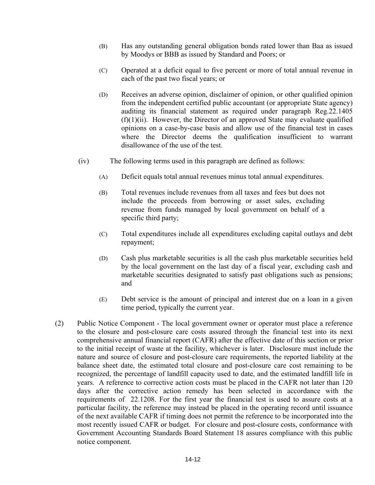- (B) Has any outstanding general obligation bonds rated lower than Baa as issued by Moodys or BBB as issued by Standard and Poors; or
- (C) Operated at a deficit equal to five percent or more of total annual revenue in each of the past two fiscal years; or
- (D) Receives an adverse opinion, disclaimer of opinion, or other qualified opinion from the independent certified public accountant (or appropriate State agency) auditing its financial statement as required under paragraph Reg.22.1405  $(f)(1)(ii)$ . However, the Director of an approved State may evaluate qualified opinions on a case-by-case basis and allow use of the financial test in cases where the Director deems the qualification insufficient to warrant disallowance of the use of the test.
- (iv) The following terms used in this paragraph are defined as follows:
	- (A) Deficit equals total annual revenues minus total annual expenditures.
	- (B) Total revenues include revenues from all taxes and fees but does not include the proceeds from borrowing or asset sales, excluding revenue from funds managed by local government on behalf of a specific third party;
	- (C) Total expenditures include all expenditures excluding capital outlays and debt repayment;
	- (D) Cash plus marketable securities is all the cash plus marketable securities held by the local government on the last day of a fiscal year, excluding cash and marketable securities designated to satisfy past obligations such as pensions; and
	- (E) Debt service is the amount of principal and interest due on a loan in a given time period, typically the current year.
- (2) Public Notice Component The local government owner or operator must place a reference to the closure and post-closure care costs assured through the financial test into its next comprehensive annual financial report (CAFR) after the effective date of this section or prior to the initial receipt of waste at the facility, whichever is later. Disclosure must include the nature and source of closure and post-closure care requirements, the reported liability at the balance sheet date, the estimated total closure and post-closure care cost remaining to be recognized, the percentage of landfill capacity used to date, and the estimated landfill life in years. A reference to corrective action costs must be placed in the CAFR not later than 120 days after the corrective action remedy has been selected in accordance with the requirements of 22.1208. For the first year the financial test is used to assure costs at a particular facility, the reference may instead be placed in the operating record until issuance of the next available CAFR if timing does not permit the reference to be incorporated into the most recently issued CAFR or budget. For closure and post-closure costs, conformance with Government Accounting Standards Board Statement 18 assures compliance with this public notice component.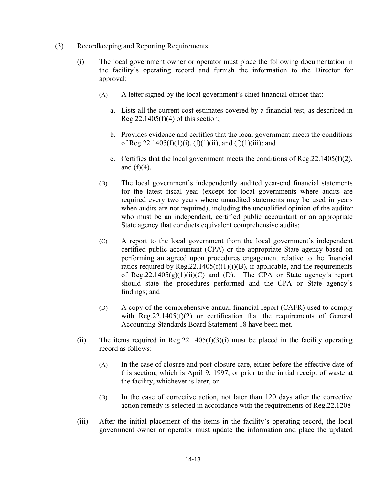- (3) Recordkeeping and Reporting Requirements
	- (i) The local government owner or operator must place the following documentation in the facility's operating record and furnish the information to the Director for approval:
		- (A) A letter signed by the local government's chief financial officer that:
			- a. Lists all the current cost estimates covered by a financial test, as described in Reg.  $22.1405(f)(4)$  of this section;
			- b. Provides evidence and certifies that the local government meets the conditions of Reg.  $22.1405(f)(1)(i)$ ,  $(f)(1)(ii)$ , and  $(f)(1)(iii)$ ; and
			- c. Certifies that the local government meets the conditions of Reg.  $22.1405(f)(2)$ , and  $(f)(4)$ .
		- (B) The local government's independently audited year-end financial statements for the latest fiscal year (except for local governments where audits are required every two years where unaudited statements may be used in years when audits are not required), including the unqualified opinion of the auditor who must be an independent, certified public accountant or an appropriate State agency that conducts equivalent comprehensive audits;
		- (C) A report to the local government from the local government's independent certified public accountant (CPA) or the appropriate State agency based on performing an agreed upon procedures engagement relative to the financial ratios required by Reg.  $22.1405(f)(1)(i)(B)$ , if applicable, and the requirements of Reg.  $22.1405(g)(1)(ii)(C)$  and (D). The CPA or State agency's report should state the procedures performed and the CPA or State agency's findings; and
		- (D) A copy of the comprehensive annual financial report (CAFR) used to comply with  $\text{Reg.}22.1405(f)(2)$  or certification that the requirements of General Accounting Standards Board Statement 18 have been met.
	- (ii) The items required in Reg.  $22.1405(f)(3)(i)$  must be placed in the facility operating record as follows:
		- (A) In the case of closure and post-closure care, either before the effective date of this section, which is April 9, 1997, or prior to the initial receipt of waste at the facility, whichever is later, or
		- (B) In the case of corrective action, not later than 120 days after the corrective action remedy is selected in accordance with the requirements of Reg.22.1208
	- (iii) After the initial placement of the items in the facility's operating record, the local government owner or operator must update the information and place the updated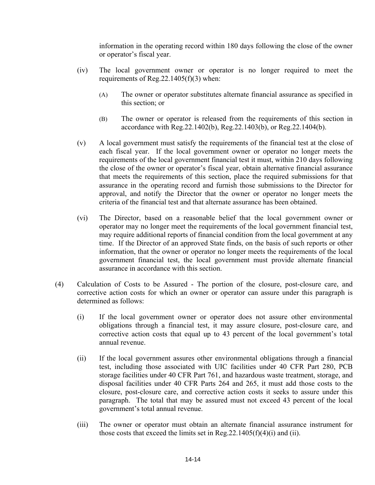information in the operating record within 180 days following the close of the owner or operator's fiscal year.

- (iv) The local government owner or operator is no longer required to meet the requirements of Reg.22.1405(f)(3) when:
	- (A) The owner or operator substitutes alternate financial assurance as specified in this section; or
	- (B) The owner or operator is released from the requirements of this section in accordance with Reg.22.1402(b), Reg.22.1403(b), or Reg.22.1404(b).
- (v) A local government must satisfy the requirements of the financial test at the close of each fiscal year. If the local government owner or operator no longer meets the requirements of the local government financial test it must, within 210 days following the close of the owner or operator's fiscal year, obtain alternative financial assurance that meets the requirements of this section, place the required submissions for that assurance in the operating record and furnish those submissions to the Director for approval, and notify the Director that the owner or operator no longer meets the criteria of the financial test and that alternate assurance has been obtained.
- (vi) The Director, based on a reasonable belief that the local government owner or operator may no longer meet the requirements of the local government financial test, may require additional reports of financial condition from the local government at any time. If the Director of an approved State finds, on the basis of such reports or other information, that the owner or operator no longer meets the requirements of the local government financial test, the local government must provide alternate financial assurance in accordance with this section.
- (4) Calculation of Costs to be Assured The portion of the closure, post-closure care, and corrective action costs for which an owner or operator can assure under this paragraph is determined as follows:
	- (i) If the local government owner or operator does not assure other environmental obligations through a financial test, it may assure closure, post-closure care, and corrective action costs that equal up to 43 percent of the local government's total annual revenue.
	- (ii) If the local government assures other environmental obligations through a financial test, including those associated with UIC facilities under 40 CFR Part 280, PCB storage facilities under 40 CFR Part 761, and hazardous waste treatment, storage, and disposal facilities under 40 CFR Parts 264 and 265, it must add those costs to the closure, post-closure care, and corrective action costs it seeks to assure under this paragraph. The total that may be assured must not exceed 43 percent of the local government's total annual revenue.
	- (iii) The owner or operator must obtain an alternate financial assurance instrument for those costs that exceed the limits set in  $Reg.22.1405(f)(4)(i)$  and (ii).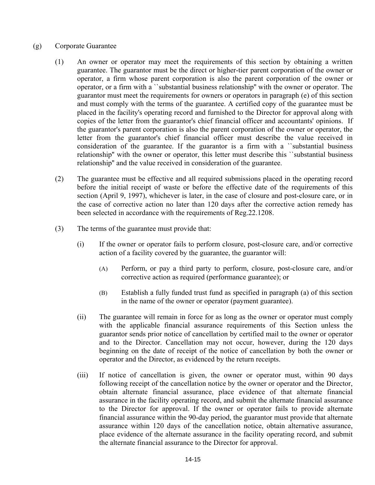#### (g) Corporate Guarantee

- (1) An owner or operator may meet the requirements of this section by obtaining a written guarantee. The guarantor must be the direct or higher-tier parent corporation of the owner or operator, a firm whose parent corporation is also the parent corporation of the owner or operator, or a firm with a ``substantial business relationship'' with the owner or operator. The guarantor must meet the requirements for owners or operators in paragraph (e) of this section and must comply with the terms of the guarantee. A certified copy of the guarantee must be placed in the facility's operating record and furnished to the Director for approval along with copies of the letter from the guarantor's chief financial officer and accountants' opinions. If the guarantor's parent corporation is also the parent corporation of the owner or operator, the letter from the guarantor's chief financial officer must describe the value received in consideration of the guarantee. If the guarantor is a firm with a ``substantial business relationship'' with the owner or operator, this letter must describe this ``substantial business relationship'' and the value received in consideration of the guarantee.
- (2) The guarantee must be effective and all required submissions placed in the operating record before the initial receipt of waste or before the effective date of the requirements of this section (April 9, 1997), whichever is later, in the case of closure and post-closure care, or in the case of corrective action no later than 120 days after the corrective action remedy has been selected in accordance with the requirements of Reg.22.1208.
- (3) The terms of the guarantee must provide that:
	- (i) If the owner or operator fails to perform closure, post-closure care, and/or corrective action of a facility covered by the guarantee, the guarantor will:
		- (A) Perform, or pay a third party to perform, closure, post-closure care, and/or corrective action as required (performance guarantee); or
		- (B) Establish a fully funded trust fund as specified in paragraph (a) of this section in the name of the owner or operator (payment guarantee).
	- (ii) The guarantee will remain in force for as long as the owner or operator must comply with the applicable financial assurance requirements of this Section unless the guarantor sends prior notice of cancellation by certified mail to the owner or operator and to the Director. Cancellation may not occur, however, during the 120 days beginning on the date of receipt of the notice of cancellation by both the owner or operator and the Director, as evidenced by the return receipts.
	- (iii) If notice of cancellation is given, the owner or operator must, within 90 days following receipt of the cancellation notice by the owner or operator and the Director, obtain alternate financial assurance, place evidence of that alternate financial assurance in the facility operating record, and submit the alternate financial assurance to the Director for approval. If the owner or operator fails to provide alternate financial assurance within the 90-day period, the guarantor must provide that alternate assurance within 120 days of the cancellation notice, obtain alternative assurance, place evidence of the alternate assurance in the facility operating record, and submit the alternate financial assurance to the Director for approval.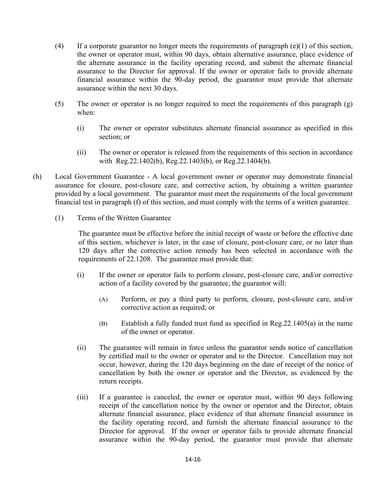- (4) If a corporate guarantor no longer meets the requirements of paragraph  $(e)(1)$  of this section, the owner or operator must, within 90 days, obtain alternative assurance, place evidence of the alternate assurance in the facility operating record, and submit the alternate financial assurance to the Director for approval. If the owner or operator fails to provide alternate financial assurance within the 90-day period, the guarantor must provide that alternate assurance within the next 30 days.
- (5) The owner or operator is no longer required to meet the requirements of this paragraph (g) when:
	- (i) The owner or operator substitutes alternate financial assurance as specified in this section; or
	- (ii) The owner or operator is released from the requirements of this section in accordance with Reg.22.1402(b), Reg.22.1403(b), or Reg.22.1404(b).
- (h) Local Government Guarantee A local government owner or operator may demonstrate financial assurance for closure, post-closure care, and corrective action, by obtaining a written guarantee provided by a local government. The guarantor must meet the requirements of the local government financial test in paragraph (f) of this section, and must comply with the terms of a written guarantee.
	- (1) Terms of the Written Guarantee

The guarantee must be effective before the initial receipt of waste or before the effective date of this section, whichever is later, in the case of closure, post-closure care, or no later than 120 days after the corrective action remedy has been selected in accordance with the requirements of 22.1208. The guarantee must provide that:

- (i) If the owner or operator fails to perform closure, post-closure care, and/or corrective action of a facility covered by the guarantee, the guarantor will:
	- (A) Perform, or pay a third party to perform, closure, post-closure care, and/or corrective action as required; or
	- (B) Establish a fully funded trust fund as specified in Reg.22.1405(a) in the name of the owner or operator.
- (ii) The guarantee will remain in force unless the guarantor sends notice of cancellation by certified mail to the owner or operator and to the Director. Cancellation may not occur, however, during the 120 days beginning on the date of receipt of the notice of cancellation by both the owner or operator and the Director, as evidenced by the return receipts.
- (iii) If a guarantee is canceled, the owner or operator must, within 90 days following receipt of the cancellation notice by the owner or operator and the Director, obtain alternate financial assurance, place evidence of that alternate financial assurance in the facility operating record, and furnish the alternate financial assurance to the Director for approval. If the owner or operator fails to provide alternate financial assurance within the 90-day period, the guarantor must provide that alternate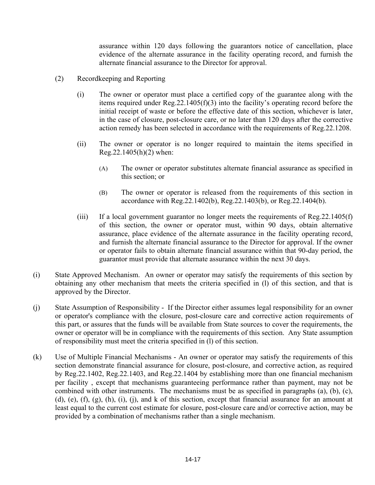assurance within 120 days following the guarantors notice of cancellation, place evidence of the alternate assurance in the facility operating record, and furnish the alternate financial assurance to the Director for approval.

- (2) Recordkeeping and Reporting
	- (i) The owner or operator must place a certified copy of the guarantee along with the items required under Reg.22.1405(f)(3) into the facility's operating record before the initial receipt of waste or before the effective date of this section, whichever is later, in the case of closure, post-closure care, or no later than 120 days after the corrective action remedy has been selected in accordance with the requirements of Reg.22.1208.
	- (ii) The owner or operator is no longer required to maintain the items specified in Reg.22.1405(h)(2) when:
		- (A) The owner or operator substitutes alternate financial assurance as specified in this section; or
		- (B) The owner or operator is released from the requirements of this section in accordance with Reg.22.1402(b), Reg.22.1403(b), or Reg.22.1404(b).
	- (iii) If a local government guarantor no longer meets the requirements of Reg.22.1405(f) of this section, the owner or operator must, within 90 days, obtain alternative assurance, place evidence of the alternate assurance in the facility operating record, and furnish the alternate financial assurance to the Director for approval. If the owner or operator fails to obtain alternate financial assurance within that 90-day period, the guarantor must provide that alternate assurance within the next 30 days.
- (i) State Approved Mechanism. An owner or operator may satisfy the requirements of this section by obtaining any other mechanism that meets the criteria specified in (l) of this section, and that is approved by the Director.
- (j) State Assumption of Responsibility If the Director either assumes legal responsibility for an owner or operator's compliance with the closure, post-closure care and corrective action requirements of this part, or assures that the funds will be available from State sources to cover the requirements, the owner or operator will be in compliance with the requirements of this section. Any State assumption of responsibility must meet the criteria specified in (l) of this section.
- (k) Use of Multiple Financial Mechanisms An owner or operator may satisfy the requirements of this section demonstrate financial assurance for closure, post-closure, and corrective action, as required by Reg.22.1402, Reg.22.1403, and Reg.22.1404 by establishing more than one financial mechanism per facility , except that mechanisms guaranteeing performance rather than payment, may not be combined with other instruments. The mechanisms must be as specified in paragraphs (a), (b), (c), (d), (e), (f), (g), (h), (i), (j), and k of this section, except that financial assurance for an amount at least equal to the current cost estimate for closure, post-closure care and/or corrective action, may be provided by a combination of mechanisms rather than a single mechanism.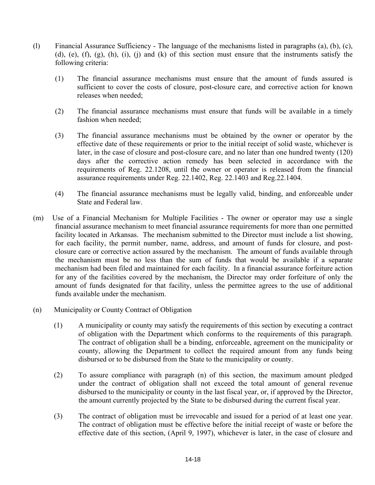- (l) Financial Assurance Sufficiency The language of the mechanisms listed in paragraphs (a), (b), (c), (d), (e), (f), (g), (h), (i), (j) and (k) of this section must ensure that the instruments satisfy the following criteria:
	- (1) The financial assurance mechanisms must ensure that the amount of funds assured is sufficient to cover the costs of closure, post-closure care, and corrective action for known releases when needed;
	- (2) The financial assurance mechanisms must ensure that funds will be available in a timely fashion when needed;
	- (3) The financial assurance mechanisms must be obtained by the owner or operator by the effective date of these requirements or prior to the initial receipt of solid waste, whichever is later, in the case of closure and post-closure care, and no later than one hundred twenty (120) days after the corrective action remedy has been selected in accordance with the requirements of Reg. 22.1208, until the owner or operator is released from the financial assurance requirements under Reg. 22.1402, Reg. 22.1403 and Reg.22.1404.
	- (4) The financial assurance mechanisms must be legally valid, binding, and enforceable under State and Federal law.
- (m) Use of a Financial Mechanism for Multiple Facilities The owner or operator may use a single financial assurance mechanism to meet financial assurance requirements for more than one permitted facility located in Arkansas. The mechanism submitted to the Director must include a list showing, for each facility, the permit number, name, address, and amount of funds for closure, and postclosure care or corrective action assured by the mechanism. The amount of funds available through the mechanism must be no less than the sum of funds that would be available if a separate mechanism had been filed and maintained for each facility. In a financial assurance forfeiture action for any of the facilities covered by the mechanism, the Director may order forfeiture of only the amount of funds designated for that facility, unless the permittee agrees to the use of additional funds available under the mechanism.
- (n) Municipality or County Contract of Obligation
	- (1) A municipality or county may satisfy the requirements of this section by executing a contract of obligation with the Department which conforms to the requirements of this paragraph. The contract of obligation shall be a binding, enforceable, agreement on the municipality or county, allowing the Department to collect the required amount from any funds being disbursed or to be disbursed from the State to the municipality or county.
	- (2) To assure compliance with paragraph (n) of this section, the maximum amount pledged under the contract of obligation shall not exceed the total amount of general revenue disbursed to the municipality or county in the last fiscal year, or, if approved by the Director, the amount currently projected by the State to be disbursed during the current fiscal year.
	- (3) The contract of obligation must be irrevocable and issued for a period of at least one year. The contract of obligation must be effective before the initial receipt of waste or before the effective date of this section, (April 9, 1997), whichever is later, in the case of closure and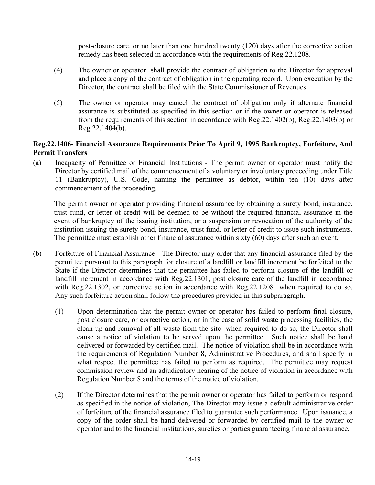post-closure care, or no later than one hundred twenty (120) days after the corrective action remedy has been selected in accordance with the requirements of Reg.22.1208.

- (4) The owner or operator shall provide the contract of obligation to the Director for approval and place a copy of the contract of obligation in the operating record. Upon execution by the Director, the contract shall be filed with the State Commissioner of Revenues.
- (5) The owner or operator may cancel the contract of obligation only if alternate financial assurance is substituted as specified in this section or if the owner or operator is released from the requirements of this section in accordance with Reg.22.1402(b), Reg.22.1403(b) or Reg.22.1404(b).

#### **Reg.22.1406- Financial Assurance Requirements Prior To April 9, 1995 Bankruptcy, Forfeiture, And Permit Transfers**

(a) Incapacity of Permittee or Financial Institutions - The permit owner or operator must notify the Director by certified mail of the commencement of a voluntary or involuntary proceeding under Title 11 (Bankruptcy), U.S. Code, naming the permittee as debtor, within ten (10) days after commencement of the proceeding.

The permit owner or operator providing financial assurance by obtaining a surety bond, insurance, trust fund, or letter of credit will be deemed to be without the required financial assurance in the event of bankruptcy of the issuing institution, or a suspension or revocation of the authority of the institution issuing the surety bond, insurance, trust fund, or letter of credit to issue such instruments. The permittee must establish other financial assurance within sixty (60) days after such an event.

- (b) Forfeiture of Financial Assurance The Director may order that any financial assurance filed by the permittee pursuant to this paragraph for closure of a landfill or landfill increment be forfeited to the State if the Director determines that the permittee has failed to perform closure of the landfill or landfill increment in accordance with Reg.22.1301, post closure care of the landfill in accordance with Reg. 22.1302, or corrective action in accordance with Reg. 22.1208 when required to do so. Any such forfeiture action shall follow the procedures provided in this subparagraph.
	- (1) Upon determination that the permit owner or operator has failed to perform final closure, post closure care, or corrective action, or in the case of solid waste processing facilities, the clean up and removal of all waste from the site when required to do so, the Director shall cause a notice of violation to be served upon the permittee. Such notice shall be hand delivered or forwarded by certified mail. The notice of violation shall be in accordance with the requirements of Regulation Number 8, Administrative Procedures, and shall specify in what respect the permittee has failed to perform as required. The permittee may request commission review and an adjudicatory hearing of the notice of violation in accordance with Regulation Number 8 and the terms of the notice of violation.
	- (2) If the Director determines that the permit owner or operator has failed to perform or respond as specified in the notice of violation, The Director may issue a default administrative order of forfeiture of the financial assurance filed to guarantee such performance. Upon issuance, a copy of the order shall be hand delivered or forwarded by certified mail to the owner or operator and to the financial institutions, sureties or parties guaranteeing financial assurance.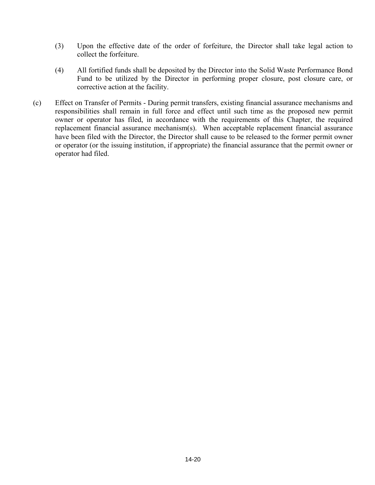- (3) Upon the effective date of the order of forfeiture, the Director shall take legal action to collect the forfeiture.
- (4) All fortified funds shall be deposited by the Director into the Solid Waste Performance Bond Fund to be utilized by the Director in performing proper closure, post closure care, or corrective action at the facility.
- (c) Effect on Transfer of Permits During permit transfers, existing financial assurance mechanisms and responsibilities shall remain in full force and effect until such time as the proposed new permit owner or operator has filed, in accordance with the requirements of this Chapter, the required replacement financial assurance mechanism(s). When acceptable replacement financial assurance have been filed with the Director, the Director shall cause to be released to the former permit owner or operator (or the issuing institution, if appropriate) the financial assurance that the permit owner or operator had filed.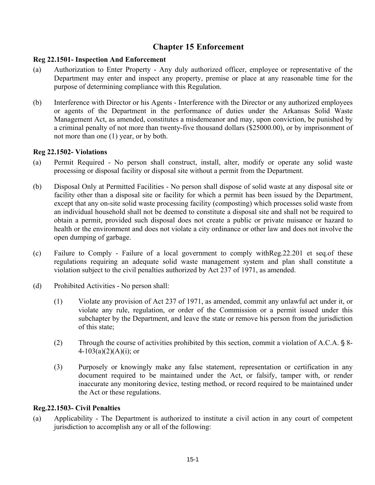# **Chapter 15 Enforcement**

#### **Reg 22.1501- Inspection And Enforcement**

- (a) Authorization to Enter Property Any duly authorized officer, employee or representative of the Department may enter and inspect any property, premise or place at any reasonable time for the purpose of determining compliance with this Regulation.
- (b) Interference with Director or his Agents Interference with the Director or any authorized employees or agents of the Department in the performance of duties under the Arkansas Solid Waste Management Act, as amended, constitutes a misdemeanor and may, upon conviction, be punished by a criminal penalty of not more than twenty-five thousand dollars (\$25000.00), or by imprisonment of not more than one (1) year, or by both.

#### **Reg 22.1502- Violations**

- (a) Permit Required No person shall construct, install, alter, modify or operate any solid waste processing or disposal facility or disposal site without a permit from the Department.
- (b) Disposal Only at Permitted Facilities No person shall dispose of solid waste at any disposal site or facility other than a disposal site or facility for which a permit has been issued by the Department, except that any on-site solid waste processing facility (composting) which processes solid waste from an individual household shall not be deemed to constitute a disposal site and shall not be required to obtain a permit, provided such disposal does not create a public or private nuisance or hazard to health or the environment and does not violate a city ordinance or other law and does not involve the open dumping of garbage.
- (c) Failure to Comply Failure of a local government to comply withReg.22.201 et seq.of these regulations requiring an adequate solid waste management system and plan shall constitute a violation subject to the civil penalties authorized by Act 237 of 1971, as amended.
- (d) Prohibited Activities No person shall:
	- (1) Violate any provision of Act 237 of 1971, as amended, commit any unlawful act under it, or violate any rule, regulation, or order of the Commission or a permit issued under this subchapter by the Department, and leave the state or remove his person from the jurisdiction of this state;
	- (2) Through the course of activities prohibited by this section, commit a violation of A.C.A.  $\S$  8- $4-103(a)(2)(A)(i)$ ; or
	- (3) Purposely or knowingly make any false statement, representation or certification in any document required to be maintained under the Act, or falsify, tamper with, or render inaccurate any monitoring device, testing method, or record required to be maintained under the Act or these regulations.

#### **Reg.22.1503- Civil Penalties**

(a) Applicability - The Department is authorized to institute a civil action in any court of competent jurisdiction to accomplish any or all of the following: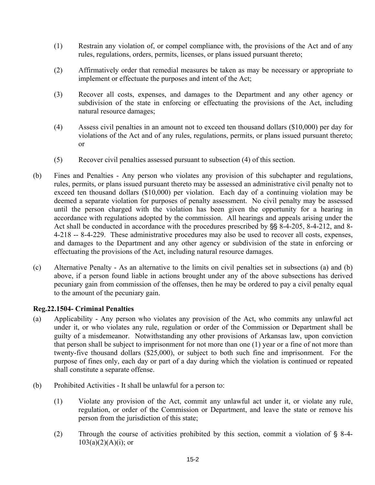- (1) Restrain any violation of, or compel compliance with, the provisions of the Act and of any rules, regulations, orders, permits, licenses, or plans issued pursuant thereto;
- (2) Affirmatively order that remedial measures be taken as may be necessary or appropriate to implement or effectuate the purposes and intent of the Act;
- (3) Recover all costs, expenses, and damages to the Department and any other agency or subdivision of the state in enforcing or effectuating the provisions of the Act, including natural resource damages;
- (4) Assess civil penalties in an amount not to exceed ten thousand dollars (\$10,000) per day for violations of the Act and of any rules, regulations, permits, or plans issued pursuant thereto; or
- (5) Recover civil penalties assessed pursuant to subsection (4) of this section.
- (b) Fines and Penalties Any person who violates any provision of this subchapter and regulations, rules, permits, or plans issued pursuant thereto may be assessed an administrative civil penalty not to exceed ten thousand dollars (\$10,000) per violation. Each day of a continuing violation may be deemed a separate violation for purposes of penalty assessment. No civil penalty may be assessed until the person charged with the violation has been given the opportunity for a hearing in accordance with regulations adopted by the commission. All hearings and appeals arising under the Act shall be conducted in accordance with the procedures prescribed by  $\S$  8-4-205, 8-4-212, and 8-4-218 -- 8-4-229. These administrative procedures may also be used to recover all costs, expenses, and damages to the Department and any other agency or subdivision of the state in enforcing or effectuating the provisions of the Act, including natural resource damages.
- (c) Alternative Penalty As an alternative to the limits on civil penalties set in subsections (a) and (b) above, if a person found liable in actions brought under any of the above subsections has derived pecuniary gain from commission of the offenses, then he may be ordered to pay a civil penalty equal to the amount of the pecuniary gain.

#### **Reg.22.1504- Criminal Penalties**

- (a) Applicability Any person who violates any provision of the Act, who commits any unlawful act under it, or who violates any rule, regulation or order of the Commission or Department shall be guilty of a misdemeanor. Notwithstanding any other provisions of Arkansas law, upon conviction that person shall be subject to imprisonment for not more than one (1) year or a fine of not more than twenty-five thousand dollars (\$25,000), or subject to both such fine and imprisonment. For the purpose of fines only, each day or part of a day during which the violation is continued or repeated shall constitute a separate offense.
- (b) Prohibited Activities It shall be unlawful for a person to:
	- (1) Violate any provision of the Act, commit any unlawful act under it, or violate any rule, regulation, or order of the Commission or Department, and leave the state or remove his person from the jurisdiction of this state;
	- (2) Through the course of activities prohibited by this section, commit a violation of  $\S$  8-4- $103(a)(2)(A)(i)$ ; or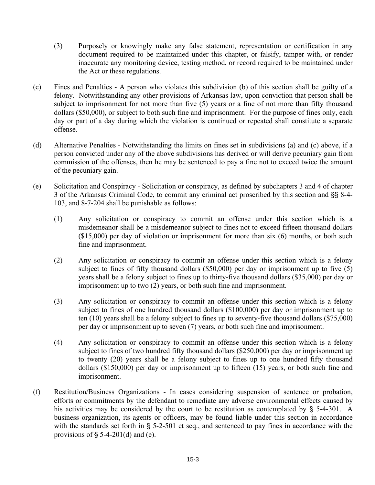- (3) Purposely or knowingly make any false statement, representation or certification in any document required to be maintained under this chapter, or falsify, tamper with, or render inaccurate any monitoring device, testing method, or record required to be maintained under the Act or these regulations.
- (c) Fines and Penalties A person who violates this subdivision (b) of this section shall be guilty of a felony. Notwithstanding any other provisions of Arkansas law, upon conviction that person shall be subject to imprisonment for not more than five (5) years or a fine of not more than fifty thousand dollars (\$50,000), or subject to both such fine and imprisonment. For the purpose of fines only, each day or part of a day during which the violation is continued or repeated shall constitute a separate offense.
- (d) Alternative Penalties Notwithstanding the limits on fines set in subdivisions (a) and (c) above, if a person convicted under any of the above subdivisions has derived or will derive pecuniary gain from commission of the offenses, then he may be sentenced to pay a fine not to exceed twice the amount of the pecuniary gain.
- (e) Solicitation and Conspiracy Solicitation or conspiracy, as defined by subchapters 3 and 4 of chapter 3 of the Arkansas Criminal Code, to commit any criminal act proscribed by this section and  $\S$ § 8-4-103, and 8-7-204 shall be punishable as follows:
	- (1) Any solicitation or conspiracy to commit an offense under this section which is a misdemeanor shall be a misdemeanor subject to fines not to exceed fifteen thousand dollars (\$15,000) per day of violation or imprisonment for more than six (6) months, or both such fine and imprisonment.
	- (2) Any solicitation or conspiracy to commit an offense under this section which is a felony subject to fines of fifty thousand dollars (\$50,000) per day or imprisonment up to five (5) years shall be a felony subject to fines up to thirty-five thousand dollars (\$35,000) per day or imprisonment up to two (2) years, or both such fine and imprisonment.
	- (3) Any solicitation or conspiracy to commit an offense under this section which is a felony subject to fines of one hundred thousand dollars (\$100,000) per day or imprisonment up to ten (10) years shall be a felony subject to fines up to seventy-five thousand dollars (\$75,000) per day or imprisonment up to seven (7) years, or both such fine and imprisonment.
	- (4) Any solicitation or conspiracy to commit an offense under this section which is a felony subject to fines of two hundred fifty thousand dollars (\$250,000) per day or imprisonment up to twenty (20) years shall be a felony subject to fines up to one hundred fifty thousand dollars (\$150,000) per day or imprisonment up to fifteen (15) years, or both such fine and imprisonment.
- (f) Restitution/Business Organizations In cases considering suspension of sentence or probation, efforts or commitments by the defendant to remediate any adverse environmental effects caused by his activities may be considered by the court to be restitution as contemplated by  $\S$  5-4-301. A business organization, its agents or officers, may be found liable under this section in accordance with the standards set forth in  $\S$  5-2-501 et seq., and sentenced to pay fines in accordance with the provisions of  $\S$  5-4-201(d) and (e).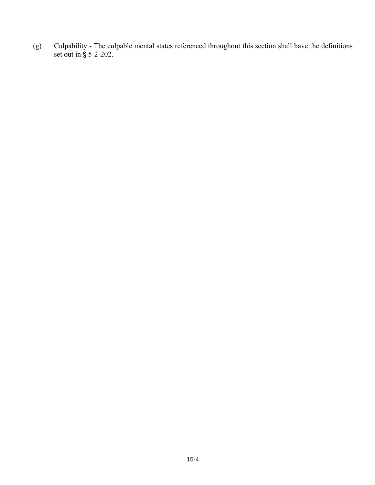(g) Culpability - The culpable mental states referenced throughout this section shall have the definitions set out in  $\S$  5-2-202.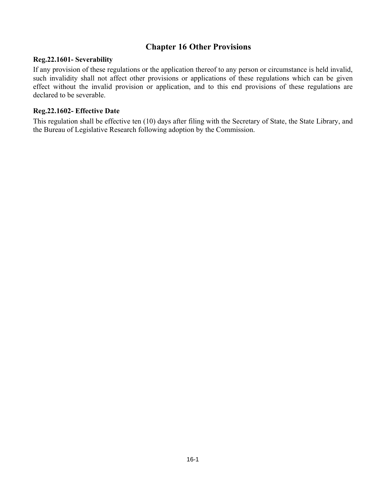# **Chapter 16 Other Provisions**

#### **Reg.22.1601- Severability**

If any provision of these regulations or the application thereof to any person or circumstance is held invalid, such invalidity shall not affect other provisions or applications of these regulations which can be given effect without the invalid provision or application, and to this end provisions of these regulations are declared to be severable.

#### **Reg.22.1602- Effective Date**

This regulation shall be effective ten (10) days after filing with the Secretary of State, the State Library, and the Bureau of Legislative Research following adoption by the Commission.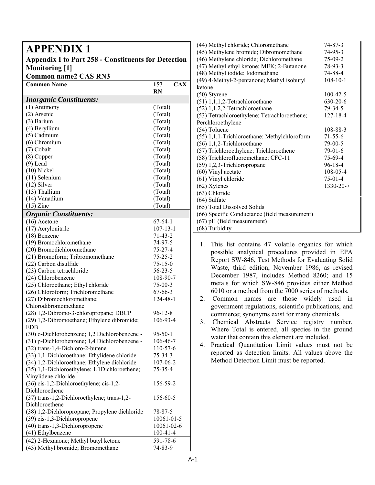| <b>APPENDIX 1</b>                                                         |                     |            |  |  |  |
|---------------------------------------------------------------------------|---------------------|------------|--|--|--|
| <b>Appendix I to Part 258 - Constituents for Detection</b>                |                     |            |  |  |  |
| <b>Monitoring [1]</b>                                                     |                     |            |  |  |  |
| <b>Common name2 CAS RN3</b>                                               |                     |            |  |  |  |
| <b>Common Name</b>                                                        | 157                 | <b>CAX</b> |  |  |  |
|                                                                           | RN                  |            |  |  |  |
| <b>Inorganic Constituents:</b>                                            |                     |            |  |  |  |
| (1) Antimony                                                              | (Total)             |            |  |  |  |
| (2) Arsenic                                                               | (Total)             |            |  |  |  |
| (3) Barium                                                                | (Total)             |            |  |  |  |
| (4) Beryllium                                                             | (Total)             |            |  |  |  |
| (5) Cadmium                                                               | (Total)             |            |  |  |  |
| (6) Chromium                                                              | (Total)             |            |  |  |  |
| (7) Cobalt                                                                | (Total)             |            |  |  |  |
| $(8)$ Copper                                                              | (Total)             |            |  |  |  |
| $(9)$ Lead                                                                | (Total)             |            |  |  |  |
| $(10)$ Nickel                                                             | (Total)             |            |  |  |  |
| (11) Selenium                                                             | (Total)             |            |  |  |  |
| $(12)$ Silver                                                             | (Total)             |            |  |  |  |
| (13) Thallium                                                             | (Total)             |            |  |  |  |
| (14) Vanadium                                                             | (Total)             |            |  |  |  |
| $(15)$ Zinc                                                               | (Total)             |            |  |  |  |
| <b>Organic Constituents:</b>                                              |                     |            |  |  |  |
| $(16)$ Acetone                                                            | $67-64-1$           |            |  |  |  |
| (17) Acrylonitrile                                                        | $107 - 13 - 1$      |            |  |  |  |
| $(18)$ Benzene                                                            | $71-43-2$           |            |  |  |  |
| (19) Bromochloromethane                                                   | 74-97-5             |            |  |  |  |
| (20) Bromodichloromethane                                                 | $75 - 27 - 4$       |            |  |  |  |
| (21) Bromoform; Tribromomethane                                           | $75 - 25 - 2$       |            |  |  |  |
| (22) Carbon disulfide                                                     | $75 - 15 - 0$       |            |  |  |  |
| (23) Carbon tetrachloride                                                 | $56 - 23 - 5$       |            |  |  |  |
| (24) Chlorobenzene                                                        | 108-90-7            |            |  |  |  |
| (25) Chloroethane; Ethyl chloride                                         | $75-00-3$           |            |  |  |  |
| (26) Chloroform; Trichloromethane                                         | 67-66-3             |            |  |  |  |
| (27) Dibromochloromethane;                                                | 124-48-1            |            |  |  |  |
| Chlorodibromomethane                                                      |                     |            |  |  |  |
| (28) 1,2-Dibromo-3-chloropropane; DBCP                                    | $96 - 12 - 8$       |            |  |  |  |
| (29) 1,2-Dibromoethane; Ethylene dibromide;                               | 106-93-4            |            |  |  |  |
| <b>EDB</b>                                                                |                     |            |  |  |  |
| (30) o-Dichlorobenzene; 1,2 Dichlorobenzene -                             | $95 - 50 - 1$       |            |  |  |  |
| (31) p-Dichlorobenzene; 1,4 Dichlorobenzene -                             | 106-46-7            |            |  |  |  |
| (32) trans-1,4-Dichloro-2-butene                                          | 110-57-6            |            |  |  |  |
| (33) 1,1-Dichloroethane; Ethylidene chloride                              | $75 - 34 - 3$       |            |  |  |  |
| (34) 1,2-Dichloroethane; Ethylene dichloride                              | 107-06-2            |            |  |  |  |
| (35) 1,1-Dichloroethylene; 1,1Dichloroethene;                             | $75 - 35 - 4$       |            |  |  |  |
| Vinylidene chloride -                                                     |                     |            |  |  |  |
| (36) cis-1,2-Dichloroethylene; cis-1,2-                                   | 156-59-2            |            |  |  |  |
| Dichloroethene                                                            |                     |            |  |  |  |
| (37) trans-1,2-Dichloroethylene; trans-1,2-                               | 156-60-5            |            |  |  |  |
| Dichloroethene                                                            |                     |            |  |  |  |
| (38) 1,2-Dichloropropane; Propylene dichloride                            | 78-87-5             |            |  |  |  |
| (39) cis-1,3-Dichloropropene                                              | 10061-01-5          |            |  |  |  |
| (40) trans-1,3-Dichloropropene                                            | 10061-02-6          |            |  |  |  |
| (41) Ethylbenzene                                                         | $100 - 41 - 4$      |            |  |  |  |
| (42) 2-Hexanone; Methyl butyl ketone<br>(43) Methyl bromide; Bromomethane | 591-78-6<br>74-83-9 |            |  |  |  |
|                                                                           |                     |            |  |  |  |

| (44) Methyl chloride; Chloromethane           | 74-87-3        |
|-----------------------------------------------|----------------|
| (45) Methylene bromide; Dibromomethane        | $74-95-3$      |
| (46) Methylene chloride; Dichloromethane      | 75-09-2        |
| (47) Methyl ethyl ketone; MEK; 2-Butanone     | 78-93-3        |
| (48) Methyl iodide; Iodomethane               | 74-88-4        |
| (49) 4-Methyl-2-pentanone; Methyl isobutyl    | $108 - 10 - 1$ |
| ketone                                        |                |
| $(50)$ Styrene                                | $100 - 42 - 5$ |
| $(51)$ 1,1,1,2-Tetrachloroethane              | 630-20-6       |
| $(52)$ 1,1,2,2-Tetrachloroethane              | 79-34-5        |
| (53) Tetrachloroethylene; Tetrachloroethene;  | 127-18-4       |
| Perchloroethylene                             |                |
| (54) Toluene                                  | 108-88-3       |
| (55) 1,1,1-Trichloroethane; Methylchloroform  | $71 - 55 - 6$  |
| $(56)$ 1,1,2-Trichloroethane                  | 79-00-5        |
| (57) Trichloroethylene; Trichloroethene       | $79-01-6$      |
| (58) Trichlorofluoromethane; CFC-11           | 75-69-4        |
| (59) 1,2,3-Trichloropropane                   | $96 - 18 - 4$  |
| $(60)$ Vinyl acetate                          | 108-05-4       |
| $(61)$ Vinyl chloride                         | $75-01-4$      |
| $(62)$ Xylenes                                | 1330-20-7      |
| (63) Chloride                                 |                |
| $(64)$ Sulfate                                |                |
| (65) Total Dissolved Solids                   |                |
| (66) Specific Conductance (field measurement) |                |
| (67) pH (field measurement)                   |                |
| (68) Turbidity                                |                |

- 1. This list contains 47 volatile organics for which possible analytical procedures provided in EPA Report SW-846, Test Methods for Evaluating Solid Waste, third edition, November 1986, as revised December 1987, includes Method 8260; and 15 metals for which SW-846 provides either Method 6010 or a method from the 7000 series of methods.
- 2. Common names are those widely used in government regulations, scientific publications, and commerce; synonyms exist for many chemicals.
- 3. Chemical Abstracts Service registry number. Where Total is entered, all species in the ground water that contain this element are included.
- 4. Practical Quantitation Limit values must not be reported as detection limits. All values above the Method Detection Limit must be reported.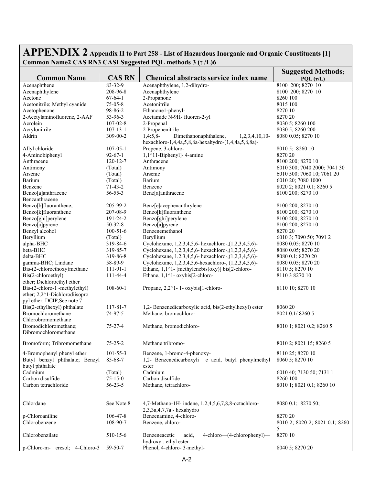| <b>Common Name</b>                          |                           |                                                                               | <b>Suggested Methods;</b>      |
|---------------------------------------------|---------------------------|-------------------------------------------------------------------------------|--------------------------------|
|                                             | <b>CAS RN</b>             | Chemical abstracts service index name                                         | PQL $(\tau/L)$                 |
| Acenaphthene                                | 83-32-9                   | Acenaphthylene, 1,2-dihydro-                                                  | 8100 200; 8270 10              |
| Acenaphthylene<br>Acetone                   | 208-96-8<br>$67 - 64 - 1$ | Acenaphthylene<br>2-Propanone                                                 | 8100 200; 8270 10<br>8260 100  |
| Acetonitrile; Methyl cyanide                | $75 - 05 - 8$             | Acetonitrile                                                                  | 8015 100                       |
| Acetophenone                                | 98-86-2                   | Ethanone1-phenyl-                                                             | 8270 10                        |
| 2-Acetylaminofluorene, 2-AAF                | 53-96-3                   | Acetamide N-9H- fluoren-2-yl                                                  | 8270 20                        |
| Acrolein                                    | $107 - 02 - 8$            | 2-Propenal                                                                    | 8030 5; 8260 100               |
| Acrylonitrile                               | $107 - 13 - 1$            | 2-Propenenitrile                                                              | 8030 5; 8260 200               |
| Aldrin                                      | 309-00-2                  | Dimethanonaphthalene,<br>$1,4:5,8-$<br>1,2,3,4,10,10                          | 8080 0.05; 8270 10             |
|                                             |                           | hexachloro-1,4,4a,5,8,8a-hexahydro-(1,4,4a,5,8,8a)-                           |                                |
| Allyl chloride                              | $107 - 05 - 1$            | Propene, 3-chloro-                                                            | 8010 5; 8260 10                |
| 4-Aminobiphenyl                             | $92 - 67 - 1$             | $1,1^{\wedge}11$ -Biphenyl]- 4-amine                                          | 8270 20                        |
| Anthracene                                  | $120 - 12 - 7$            | Anthracene                                                                    | 8100 200; 8270 10              |
| Antimony                                    | (Total)                   | Antimony                                                                      | 6010 300; 7040 2000; 7041 30   |
| Arsenic                                     | (Total)                   | Arsenic                                                                       | 6010 500; 7060 10; 7061 20     |
| Barium                                      | (Total)                   | Barium                                                                        | 6010 20; 7080 1000             |
| Benzene                                     | $71 - 43 - 2$             | Benzene                                                                       | 8020 2; 8021 0.1; 8260 5       |
| Benzo[a]anthracene<br>Benzanthracene        | $56 - 55 - 3$             | Benz[a]anthracene                                                             | 8100 200; 8270 10              |
| Benzo[b]fluoranthene;                       | 205-99-2                  | Benz[e]acephenanthrylene                                                      | 8100 200; 8270 10              |
| Benzo[k]fluoranthene                        | 207-08-9                  | Benzo[k]fluoranthene                                                          | 8100 200; 8270 10              |
| Benzo[ghi]perylene                          | 191-24-2                  | Benzo[ghi]perylene                                                            | 8100 200; 8270 10              |
| Benzo[a]pyrene                              | $50-32-8$                 | Benzo[a]pyrene                                                                | 8100 200; 8270 10              |
| Benzyl alcohol                              | $100 - 51 - 6$            | Benzenemethanol                                                               | 8270 20                        |
| Beryllium                                   | (Total)                   | Beryllium                                                                     | 6010 3; 7090 50; 7091 2        |
| alpha-BHC                                   | 319-84-6                  | Cyclohexane, 1,2,3,4,5,6- hexachloro-, (1,2,3,4,5,6)-                         | 8080 0.05; 8270 10             |
| beta-BHC                                    | 319-85-7                  | Cyclohexane, 1,2,3,4,5,6- hexachloro-, (1,2,3,4,5,6)-                         | 8080 0.05; 8270 20             |
| delta-BHC                                   | 319-86-8                  | Cyclohexane, 1,2,3,4,5,6- hexachloro-, (1,2,3,4,5,6)-                         | 8080 0.1; 8270 20              |
| gamma-BHC; Lindane                          | 58-89-9                   | Cyclohexane, 1,2,3,4,5,6-hexachloro-, (1,2,3,4,5,6)-                          | 8080 0.05; 8270 20             |
| Bis-(2-chloroethoxy)methane                 | $111 - 91 - 1$            | Ethane, $1,1^{\wedge}1$ - [methylenebis(oxy)] bis[2-chloro-                   | 8110 5; 8270 10                |
| Bis(2-chloroethyl)                          | 111-44-4                  | Ethane, 1,1^1- oxybis[2-chloro-                                               | 8110 3 8270 10                 |
| ether; Dichloroethyl ether                  |                           |                                                                               |                                |
| Bis-(2-chloro-1-methylethyl)                | 108-60-1                  | Propane, 2,2^1- 1- oxybis[1-chloro-                                           | 8110 10; 8270 10               |
| ether; 2,2^1-Dichlorodiisopro               |                           |                                                                               |                                |
| pyl ether; DCIP, See note 7                 |                           |                                                                               |                                |
| Bis(2-ethylhexyl) phthalate                 | 117-81-7                  | 1,2- Benzenedicarboxylic acid, bis(2-ethylhexyl) ester                        | 8060 20                        |
| Bromochloromethane                          | 74-97-5                   | Methane, bromochloro-                                                         | 8021 0.1/8260 5                |
| Chlorobromomethane<br>Bromodichloromethane; | $75 - 27 - 4$             | Methane, bromodichloro-                                                       |                                |
| Dibromochloromethane                        |                           |                                                                               | 8010 1; 8021 0.2; 8260 5       |
|                                             |                           |                                                                               |                                |
| Bromoform; Tribromomethane                  | $75 - 25 - 2$             | Methane tribromo-                                                             | 8010 2; 8021 15; 8260 5        |
| 4-Bromophenyl phenyl ether                  | $101 - 55 - 3$            | Benzene, 1-bromo-4-phenoxy-                                                   | 8110 25; 8270 10               |
| Butyl benzyl phthalate; Benzyl              | 85-68-7                   | 1,2- Benzenedicarboxyli c acid, butyl phenylmethyl                            | 8060 5; 8270 10                |
| butyl phthalate                             |                           | ester                                                                         |                                |
| Cadmium                                     | (Total)                   | Cadmium                                                                       | 6010 40; 7130 50; 7131 1       |
| Carbon disulfide                            | $75 - 15 - 0$             | Carbon disulfide                                                              | 8260 100                       |
| Carbon tetrachloride                        | $56 - 23 - 5$             | Methane, tetrachloro-                                                         | 8010 1; 8021 0.1; 8260 10      |
| Chlordane                                   | See Note 8                | 4,7-Methano-1H- indene, 1,2,4,5,6,7,8,8-octachloro-                           | 8080 0.1; 8270 50;             |
|                                             |                           | $2,3,3a,4,7,7a$ - hexahydro                                                   |                                |
| p-Chloroaniline                             | 106-47-8                  | Benzenamine, 4-chloro-                                                        | 8270 20                        |
| Chlorobenzene                               | 108-90-7                  | Benzene, chloro-                                                              | 8010 2; 8020 2; 8021 0.1; 8260 |
|                                             |                           |                                                                               | 5                              |
| Chlorobenzilate                             | 510-15-6                  | Benzeneacetic<br>4-chloro—(4-chlorophenyl)—<br>acid,<br>hydroxy-, ethyl ester | 8270 10                        |
| p-Chloro-m-cresol; 4-Chloro-3               | 59-50-7                   | Phenol, 4-chloro-3-methyl-                                                    | 8040 5; 8270 20                |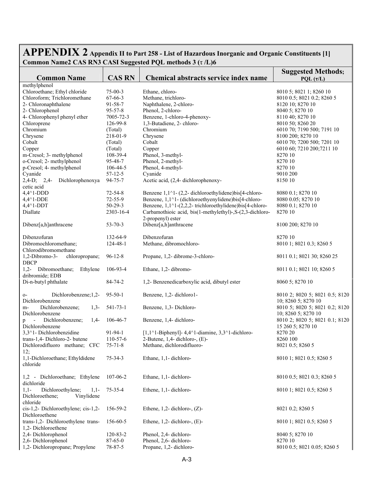| <b>Common Name</b>                                                                 | <b>CAS RN</b>      | Chemical abstracts service index name                                                | <b>Suggested Methods;</b><br>PQL $(\tau/L)$           |
|------------------------------------------------------------------------------------|--------------------|--------------------------------------------------------------------------------------|-------------------------------------------------------|
| methylphenol                                                                       |                    |                                                                                      |                                                       |
| Chloroethane; Ethyl chloride                                                       | $75 - 00 - 3$      | Ethane, chloro-                                                                      | 8010 5; 8021 1; 8260 10                               |
| Chloroform; Trichloromethane                                                       | 67-66-3            | Methane, trichloro-                                                                  | 8010 0.5; 8021 0.2; 8260 5                            |
| 2- Chloronaphthalene                                                               | 91-58-7            | Naphthalene, 2-chloro-                                                               | 8120 10; 8270 10                                      |
| 2- Chlorophenol                                                                    | $95 - 57 - 8$      | Phenol, 2-chloro-                                                                    | 8040 5; 8270 10                                       |
| 4- Chlorophenyl phenyl ether                                                       | 7005-72-3          | Benzene, 1-chloro-4-phenoxy-                                                         | 8110 40; 8270 10                                      |
| Chloroprene                                                                        | 126-99-8           | 1,3-Butadiene, 2- chloro-                                                            | 8010 50; 8260 20                                      |
| Chromium                                                                           | (Total)            | Chromium                                                                             | 6010 70; 7190 500; 7191 10                            |
| Chrysene                                                                           | 218-01-9           | Chrysene                                                                             | 8100 200; 8270 10                                     |
| Cobalt                                                                             | (Total)            | Cobalt                                                                               | 6010 70; 7200 500; 7201 10                            |
| Copper                                                                             | (Total)            | Copper                                                                               | 6010 60; 7210 200; 7211 10                            |
| m-Cresol; 3- methylphenol                                                          | 108-39-4           | Phenol, 3-methyl-                                                                    | 8270 10                                               |
| o-Cresol; 2- methylphenol                                                          | 95-48-7            | Phenol, 2-methyl-                                                                    | 8270 10                                               |
| p-Cresol; 4- methylphenol                                                          | 106-44-5           | Phenol, 4-methyl-                                                                    | 8270 10                                               |
|                                                                                    |                    |                                                                                      | 9010 200                                              |
| Cyanide                                                                            | $57 - 12 - 5$      | Cyanide<br>Acetic acid, (2,4- dichlorophenoxy-                                       |                                                       |
| $2,4-D$ ; $2,4$ -<br>Dichlorophenoxya                                              | 94-75-7            |                                                                                      | 8150 10                                               |
| cetic acid                                                                         |                    |                                                                                      |                                                       |
| $4,4^{\wedge}1$ -DDD                                                               | 72-54-8            | Benzene $1,1^1$ - (2,2- dichloroethylidene)bis[4-chloro-                             | 8080 0.1; 8270 10                                     |
| $4,4^{\wedge}1$ -DDE                                                               | 72-55-9            | Benzene, 1,1^1- (dichloroethyenylidene)bis[4-chloro-                                 | 8080 0.05; 8270 10                                    |
| $4,4^{\wedge}1$ -DDT                                                               | $50 - 29 - 3$      | Benzene, $1,1^{\wedge}1-(2,2,2)$ -trichloroethylidene)bis[4-chloro-                  | 8080 0.1; 8270 10                                     |
| Diallate                                                                           | 2303-16-4          | Carbamothioic acid, bis(1-methylethyl)-,S-(2,3-dichloro-<br>2-propenyl) ester        | 8270 10                                               |
| Dibenz[a,h]anthracene                                                              | $53 - 70 - 3$      | Dibenz[a,h]anthracene                                                                | 8100 200; 8270 10                                     |
| Dibenzofuran                                                                       | 132-64-9           | Dibenzofuran                                                                         | 8270 10                                               |
| Dibromochloromethane;<br>Chlorodibromomethane                                      | 124-48-1           | Methane, dibromochloro-                                                              | 8010 1; 8021 0.3; 8260 5                              |
| $1,2$ -Dibromo-3-<br>chloropropane;<br><b>DBCP</b>                                 | $96 - 12 - 8$      | Propane, 1,2- dibrome-3-chloro-                                                      | 8011 0.1; 8021 30; 8260 25                            |
| 1,2- Dibromoethane;<br>Ethylene<br>dribromide; EDB                                 | 106-93-4           | Ethane, 1,2- dibromo-                                                                | 8011 0.1; 8021 10; 8260 5                             |
| Di-n-butyl phthalate                                                               | 84-74-2            | 1,2- Benzenedicarboxylic acid, dibutyl ester                                         | 8060 5; 8270 10                                       |
| Dichlorobenzene; 1,2-<br>$O -$<br>Dichlorobenzene                                  | $95 - 50 - 1$      | Benzene, 1,2- dichloro1-                                                             | 8010 2; 8020 5; 8021 0.5; 8120<br>10; 8260 5; 8270 10 |
| Dichlorobenzene;<br>$1,3-$<br>m-<br>Dichlorobenzene                                | 541-73-1           | Benzene, 1,3- Dichloro-                                                              | 8010 5; 8020 5; 8021 0.2; 8120<br>10; 8260 5; 8270 10 |
| Dichlorobenzene;<br>$1,4-$<br>p                                                    | 106-46-7           | Benzene, 1,4- dichloro-                                                              | 8010 2; 8020 5; 8021 0.1; 8120                        |
| Dichlorobenzene                                                                    |                    |                                                                                      | 15 260 5; 8270 10                                     |
| 3,3^1- Dichlorobenzidine                                                           | $91 - 94 - 1$      | [ $1,1^{\wedge}1$ -Biphenyl]- 4,4 $^{\wedge}1$ -diamine, 3,3 $^{\wedge}1$ -dichloro- | 8270 20                                               |
| trans-1,4- Dichloro-2- butene                                                      | $110-57-6$         | 2-Butene, $1,4$ - dichloro-, $(E)$ -                                                 | 8260 100                                              |
| Dichlorodifluoro methane; CFC<br>12;                                               | $75 - 71 - 8$      | Methane, dichlorodifluoro-                                                           | 8021 0.5; 8260 5                                      |
| 1,1-Dichloroethane; Ethyldidene<br>chloride                                        | $75 - 34 - 3$      | Ethane, 1,1-dichloro-                                                                | 8010 1; 8021 0.5; 8260 5                              |
| 1,2 - Dichloroethane; Ethylene<br>dichloride                                       | 107-06-2           | Ethane, 1,1-dichloro-                                                                | 8010 0.5; 8021 0.3; 8260 5                            |
| Dichloroethylene;<br>$1,1-$<br>$1,1-$<br>Dichloroethene;<br>Vinylidene<br>chloride | 75-35-4            | Ethene, 1,1-dichloro-                                                                | 8010 1; 8021 0.5; 8260 5                              |
| cis-1,2- Dichloroethylene; cis-1,2-<br>Dichloroethene                              | 156-59-2           | Ethene, $1,2$ - dichloro-, $(Z)$ -                                                   | 8021 0.2; 8260 5                                      |
| trans-1,2- Dichloroethylene trans-                                                 | 156-60-5           | Ethene, $1,2$ - dichloro-, $(E)$ -                                                   | 8010 1; 8021 0.5; 8260 5                              |
| 1,2- Dichloroethene<br>2,4- Dichlorophenol                                         | 120-83-2           | Phenol, 2,4- dichloro-                                                               | 8040 5; 8270 10                                       |
| 2,6- Dichlorophenol<br>1,2- Dichloropropane; Propylene                             | 87-65-0<br>78-87-5 | Phenol, 2,6- dichloro-<br>Propane, 1,2- dichloro-                                    | 8270 10<br>8010 0.5; 8021 0.05; 8260 5                |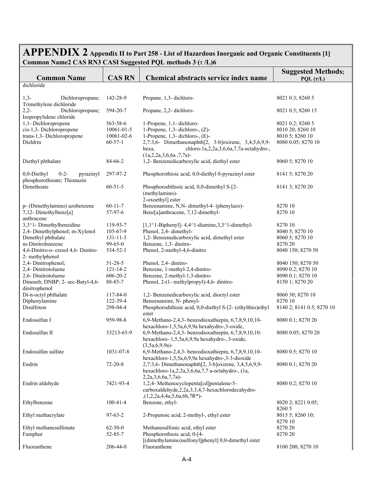| <b>Common Name</b>                                                   | <b>CAS RN</b>        | <b>Chemical abstracts service index name</b>                                                                                                 | <b>Suggested Methods;</b><br>PQL $(\tau/L)$ |
|----------------------------------------------------------------------|----------------------|----------------------------------------------------------------------------------------------------------------------------------------------|---------------------------------------------|
| dichloride                                                           |                      |                                                                                                                                              |                                             |
|                                                                      |                      |                                                                                                                                              |                                             |
| $1,3-$<br>Dichloropropane;<br>Trimethylene dichloride                | 142-28-9             | Propane, 1,3- dichloro-                                                                                                                      | 8021 0.3; 8260 5                            |
| $2,2-$<br>Dichloropropane;<br>Isopropylidene chloride                | 594-20-7             | Propane, 2,2- dichloro-                                                                                                                      | 8021 0.5; 8260 15                           |
| 1,1- Dichloropropene                                                 | 563-58-6             | 1-Propene, 1,1-dichloro-                                                                                                                     | 8021 0.2; 8260 5                            |
| cis-1,3- Dichloropropene                                             | 10061-01-5           | 1-Propene, $1,3$ - dichloro-, $(Z)$ -                                                                                                        | 8010 20; 8260 10                            |
| trans-1,3- Dichloropropene                                           | 10061-02-6           | 1-Propene, $1,3$ - dichloro-, $(E)$ -                                                                                                        | 8010 5; 8260 10                             |
| Dieldrin                                                             | $60 - 57 - 1$        | 2,7:3,6- Dimethanonaphth[2, 3-b]oxirene, 3,4,5,6,9,9-<br>chloro-1a,2,2a,3,6,6a,7,7a-octahydro-,<br>hexa,<br>$(1a, 2, 2a, 3, 6, 6a, 7, 7a)$ - | 8080 0.05; 8270 10                          |
| Diethyl phthalate                                                    | 84-66-2              | 1,2- Benzenedicarboxylic acid, diethyl ester                                                                                                 | 8060 5; 8270 10                             |
| 0,0-Diethyl<br>$0 - 2 -$<br>pyrazinyl<br>phosphorothioate; Thionazin | 297-97-2             | Phosphorothioic acid, 0,0-diethyl 0-pyrazinyl ester                                                                                          | 8141 5; 8270 20                             |
| Dimethoate                                                           | $60 - 51 - 5$        | Phosphorodithioic acid, 0,0-dimethyl S-[2-<br>(methylamino)-<br>2-oxoethyl] ester                                                            | 8141 3; 8270 20                             |
| p- (Dimethylamino) azobenzene                                        | $60 - 11 - 7$        | Benzenamine, N,N- dimethyl-4- (phenylazo)-                                                                                                   | 8270 10                                     |
| 7,12- Dimethylbenz[a]<br>anthracene                                  | 57-97-6              | Benz[a]anthracene, 7,12-dimethyl-                                                                                                            | 8270 10                                     |
| 3,3^1- Dimethylbenzidine                                             | 119-93-7             | [ $1,1^{\wedge}1$ -Biphenyl]- 4,4 $^{\wedge}1$ -diamine, 3,3 $^{\wedge}1$ -dimethyl-                                                         | 8270 10                                     |
| 2,4- Dimethylphenol; m-Xylenol                                       | 105-67-9             | Phenol, 2,4- dimethyl-                                                                                                                       | 8040 5; 8270 10                             |
| Dimethyl phthalate                                                   | $131 - 11 - 3$       | 1,2- Benzenedicarboxylic acid, dimethyl ester                                                                                                | 8060 5; 8270 10                             |
| m-Dinitrobenzene                                                     | $99 - 65 - 0$        | Benzene, 1,3- dinitro-                                                                                                                       | 8270 20                                     |
| 4,6-Dinitro-o- cresol 4,6- Dinitro-<br>2- methylphenol               | 534-52-1             | Phenol, 2-methyl-4,6-dinitro                                                                                                                 | 8040 150; 8270 50                           |
| 2,4- Dinitrophenol;                                                  | 51-28-5              | Phenol, 2,4- dinitro-                                                                                                                        | 8040 150; 8270 50                           |
| 2,4- Dinitrotoluene                                                  | $121 - 14 - 2$       | Benzene, 1-methyl-2,4-dinitro-                                                                                                               | 8090 0.2; 8270 10                           |
| 2,6- Dinitrotoluene                                                  | 606-20-2             | Benzene, 2-methyl-1,3-dinitro-                                                                                                               | 8090 0.1; 8270 10                           |
| Dinoseb; DNBP; 2- sec-Butyl-4,6-<br>dinitrophenol                    | 88-85-7              | Phenol, 2-(1- methylpropyl)-4,6- dinitro-                                                                                                    | 8150 1; 8270 20                             |
| Di-n-octyl phthalate                                                 | 117-84-0             | 1,2- Benzenedicarboxylic acid, dioctyl ester                                                                                                 | 8060 30; 8270 10                            |
| Diphenylamine<br>Disulfoton                                          | 122-39-4<br>298-04-4 | Benzenamine, N- phenyl-<br>Phosphorodithioic acid, 0,0-diethyl S-[2- (ethylthio)ethyl<br>ester                                               | 8270 10<br>8140 2; 8141 0.5; 8270 10        |
| Endosulfan I                                                         | 959-98-8             | 6,9-Methano-2,4,3- benzodioxathiepin, 6,7,8,9,10,10-<br>hexachloro-1,5,5a,6,9,9a hexahydro-,3-oxide,                                         | 8080 0.1; 8270 20                           |
| Endosulfan II                                                        | 33213-65-9           | 6,9-Methano-2,4,3- benzodioxathiepin, 6,7,8,9,10,10-<br>hexachloro-1,5,5a,6,9,9a hexahydro-, 3-oxide,<br>$(3,5a,6,9,9a)$ -                   | 8080 0.05; 8270 20                          |
| Endosulfan sulfate                                                   | 1031-07-8            | 6,9-Methano-2,4,3- benzodioxathiepin, 6,7,8,9,10,10-<br>hexachloro-1,5,5a,6,9,9a hexahydro-,3-3-dioxide                                      | 8080 0.5; 8270 10                           |
| Endrin                                                               | $72 - 20 - 8$        | 2,7:3,6- Dimethanonaphth[2, 3-b]oxirene, 3,4,5,6,9,9-<br>hexachloro-1a,2,2a,3,6,6a,7,7 a-octahydro-, (1a,<br>2, 2a, 3, 6, 6a, 7, 7a          | 8080 0.1; 8270 20                           |
| Endrin aldehyde                                                      | 7421-93-4            | 1,2,4- Methenocyclopenta[cd]pentalene-5-<br>carboxaldehyde, 2, 2a, 3, 3, 4, 7-hexachlorodecahydro-<br>$(1,2,2a,4,4a,5,6a,6b,7R^*)$ -         | 8080 0.2; 8270 10                           |
| Ethylbenzene                                                         | $100 - 41 - 4$       | Benzene, ethyl-                                                                                                                              | 8020 2; 8221 0.05;<br>8260 5                |
| Ethyl methacrylate                                                   | $97 - 63 - 2$        | 2-Propenoic acid, 2-methyl-, ethyl ester                                                                                                     | 8015 5; 8260 10;<br>8270 10                 |
| Ethyl methanesulfonate                                               | $62 - 50 - 0$        | Methanesulfonic acid, ethyl ester                                                                                                            | 8270 20                                     |
| Famphur                                                              | $52 - 85 - 7$        | Phosphorothioic acid, 0-[4-<br>[(dimethylamino)sulfonyl]phenyl] 0,0-dimethyl ester                                                           | 8270 20                                     |
| Fluoranthene                                                         | 206-44-0             | Fluoranthene                                                                                                                                 | 8100 200; 8270 10                           |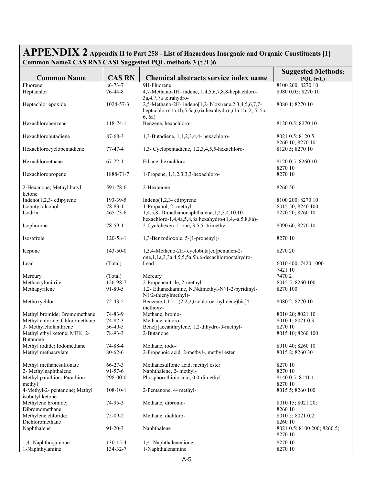| <b>Common Name</b>                               | <b>CAS RN</b>  | Chemical abstracts service index name                                                                                             | <b>Suggested Methods;</b><br>PQL $(\tau/L)$ |
|--------------------------------------------------|----------------|-----------------------------------------------------------------------------------------------------------------------------------|---------------------------------------------|
| Fluorene                                         | $86 - 73 - 7$  | 9H-Fluorene                                                                                                                       | 8100 200; 8270 10                           |
| Heptachlor                                       | 76-44-8        | 4,7-Methano-1H- indene, 1,4,5,6,7,8,8-heptachloro-<br>3a, 4, 7, 7a tetrahydro-                                                    | 8080 0.05; 8270 10                          |
| Heptachlor epoxide                               | 1024-57-3      | 2,5-Methano-2H- indeno[1,2- b]oxirene,2,3,4,5,6,7,7-<br>heptachloro-1a, 1b, 5, 5a, 6, 6a hexahydro-, (1a, 1b, 2, 5, 5a,<br>6, 6a) | 8080 1; 8270 10                             |
| Hexachlorobenzene                                | 118-74-1       | Benzene, hexachloro-                                                                                                              | 8120 0.5; 8270 10                           |
| Hexachlorobutadiene                              | 87-68-3        | 1,3-Butadiene, 1,1,2,3,4,4- hexachloro-                                                                                           | 8021 0.5; 8120 5;<br>8260 10; 8270 10       |
| Hexachlorocyclopentadiene                        | 77-47-4        | 1,3- Cyclopentadiene, 1,2,3,4,5,5-hexachloro-                                                                                     | 8120 5; 8270 10                             |
| Hexachloroethane                                 | $67 - 72 - 1$  | Ethane, hexachloro-                                                                                                               | 8120 0.5; 8260 10;<br>8270 10               |
| Hexachloropropene                                | 1888-71-7      | 1-Propene, $1, 1, 2, 3, 3, 3$ -hexachloro-                                                                                        | 8270 10                                     |
| 2-Hexanone; Methyl butyl<br>ketone               | 591-78-6       | 2-Hexanone                                                                                                                        | 8260 50                                     |
| Indeno $(1,2,3$ -cd)pyrene                       | 193-39-5       | Indeno $(1,2,3$ -cd)pyrene                                                                                                        | 8100 200; 8270 10                           |
| Isobutyl alcohol                                 | $78 - 83 - 1$  | 1-Propanol, 2- methyl-                                                                                                            | 8015 50; 8240 100                           |
| Isodrin                                          | 465-73-6       | 1,4,5,8- Dimethanonaphthalene, 1,2,3,4,10,10-<br>hexachloro-1,4,4a,5,8,8a hexahydro- $(1,4,4a,5,8,8a)$ -                          | 8270 20; 8260 10                            |
| Isophorone                                       | 78-59-1        | 2-Cyclohexen-1- one, 3,5,5- trimethyl-                                                                                            | 8090 60; 8270 10                            |
| Isosafrole                                       | 120-58-1       | 1,3-Benzodioxole, 5-(1-propenyl)-                                                                                                 | 8270 10                                     |
| Kepone                                           | 143-50-0       | 1,3,4-Metheno-2H- cyclobuta[cd]pentalen-2-<br>one, 1, 1a, 3, 3a, 4, 5, 5, 5a, 5b, 6-decachlorooctahydro-                          | 8270 20                                     |
| Lead                                             | (Total)        | Lead                                                                                                                              | 6010 400; 7420 1000<br>7421 10              |
| Mercury                                          | (Total)        | Mercury                                                                                                                           | 7470 2                                      |
| Methacrylonitrile                                | 126-98-7       | 2-Propenenitrile, 2-methyl-                                                                                                       | 8015 5; 8260 100                            |
| Methapyrilene                                    | 91-80-5        | 1,2- Ethanediamine, N.Ndimethyl-N^1-2-pyridinyl-<br>N1/2-thienylmethyl)-                                                          | 8270 100                                    |
| Methoxychlor                                     | $72 - 43 - 5$  | Benzene, $1, 1$ <sup><math>\wedge</math></sup> 1 - (2,2,2, trichloroet hylidene) bis[4-<br>methoxy-                               | 8080 2; 8270 10                             |
| Methyl bromide; Bromomethane                     | 74-83-9        | Methane, bromo-                                                                                                                   | 8010 20; 8021 10                            |
| Methyl chloride; Chloromethane                   | 74-87-3        | Methane, chloro-                                                                                                                  | 8010 1; 8021 0.3                            |
| 3- Methylcholanthrene                            | 56-49-5        | Benz[j]aceanthrylene, 1,2-dihydro-3-methyl-                                                                                       | 8270 10                                     |
| Methyl ethyl ketone; MEK; 2-<br><b>Butanone</b>  | 78-93-3        | 2-Butanone                                                                                                                        | 8015 10; 8260 100                           |
| Methyl iodide; Iodomethane                       | 74-88-4        | Methane, iodo-                                                                                                                    | 8010 40; 8260 10                            |
| Methyl methacrylate                              | $80 - 62 - 6$  | 2-Propenoic acid, 2-methyl-, methyl ester                                                                                         | 8015 2; 8260 30                             |
| Methyl methanesulfonate                          | $66 - 27 - 3$  | Methanesulfonic acid, methyl ester                                                                                                | 8270 10                                     |
| 2- Methylnaphthalene                             | 91-57-6        | Naphthalene, 2- methyl-                                                                                                           | 8270 10                                     |
| Methyl parathion; Parathion<br>methyl            | 298-00-0       | Phosphorothioic acid, 0,0-dimethyl                                                                                                | 8140 0.5; 8141 1;<br>8270 10                |
| 4-Methyl-2- pentanone; Methyl<br>isobutyl ketone | $108 - 10 - 1$ | 2-Pentanone, 4- methyl-                                                                                                           | 8015 5; 8260 100                            |
| Methylene bromide;<br>Dibromomethane             | 74-95-3        | Methane, dibromo-                                                                                                                 | 8010 15; 8021 20;<br>8260 10                |
| Methylene chloride;<br>Dichloromethane           | 75-09-2        | Methane, dichloro-                                                                                                                | 8010 5; 8021 0.2;<br>8260 10                |
| Naphthalene                                      | $91 - 20 - 3$  | Naphthalene                                                                                                                       | 8021 0.5; 8100 200; 8260 5;<br>8270 10      |
| 1,4- Naphthoquinone                              | 130-15-4       | 1,4- Naphthalenedione                                                                                                             | 8270 10                                     |
| 1-Naphthylamine                                  | 134-32-7       | 1-Naphthalenamine                                                                                                                 | 8270 10                                     |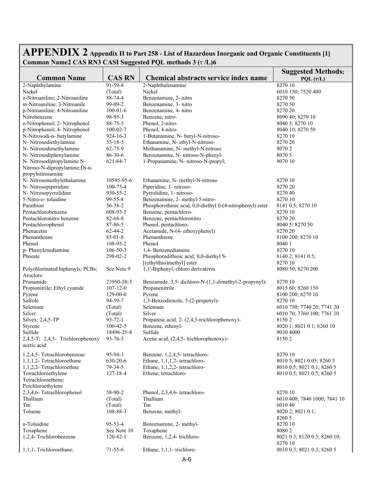| <b>Common Name</b>                             | <b>CAS RN</b>      | Chemical abstracts service index name                     | <b>Suggested Methods;</b><br>PQL $(\tau/L)$ |
|------------------------------------------------|--------------------|-----------------------------------------------------------|---------------------------------------------|
| 2-Naphthylamine                                | 91-59-8            | 2-Naphthalenamine                                         | 8270 10                                     |
| Nickel                                         | (Total)            | Nickel                                                    | 6010 150; 7520 400                          |
| o-Nitroaniline; 2-Nitroaniline                 | 88-74-4            | Benzenamine, 2- nitro                                     | 8270 50                                     |
| m-Nitroaniline; 3-Nitroanile                   | 99-09-2            | Benzenamine, 3- nitro                                     | 8270 50                                     |
| p-Nitroaniline; 4-Nitroaniline                 | $100 - 01 - 6$     | Benzenamine, 4- nitro                                     | 8270 20                                     |
| Nitrobenzene                                   | 98-95-3            | Benzene, nitro-                                           | 8090 40; 8270 10                            |
| o-Nitrophenol; 2- Nitrophenol                  | 88-75-5            | Phenol, 2-nitro-                                          | 8040 5; 8270 10                             |
| p-Nitrophenol; 4- Nitrophenol                  | $100 - 02 - 7$     | Phenol, 4-nitro-                                          | 8040 10; 8270 50                            |
| N-Nitrosodi-n- butylamine                      | 924-16-3           | 1-Butanamine, N- butyl-N-nitroso-                         | 8270 10                                     |
| N- Nitrosodiethylamine                         | $55 - 18 - 5$      | Ethanamine, N- ethyl-N-nitroso-                           | 8270 20                                     |
| N- Nitrosodimethylamine                        | $62 - 75 - 9$      | Methanamine, N- methyl-N-nitroso                          | 80702                                       |
| N- Nitrosodiphenylamine                        | 86-30-6            | Benzenamine, N- nitroso-N-phenyl-                         | 8070 5                                      |
| N- Nitrosodipropylamine N-                     | 621-64-7           | 1-Propanamine, N- nitroso-N-propyl;                       | 8070 10                                     |
| Nitroso-N-dipropylamine;Di-n-                  |                    |                                                           |                                             |
| propylnitrosamine                              |                    |                                                           |                                             |
| N- Nitrosomethylethalamine                     | 10595-95-6         | Ethanamine, N- methyl-N-nitroso                           | 8270 10                                     |
| N- Nitrosopiperidine                           | 100-75-4           | Piperidine, 1- nitroso-                                   | 8270 20                                     |
| N- Nitrosopyrrolidine                          | 930-55-2           | Pyrrolidine, 1- nitroso-                                  | 827040                                      |
| 5-Nitro-o-toluidine                            | 99-55-8            | Benzenamine, 2- methyl-5-nitro-                           | 8270 10                                     |
| Parathion                                      | 56-38-2            | Phosphorothioic acid, 0,0-diethyl 0-(4-nitrophenyl) ester | 8141 0.5; 8270 10                           |
| Pentachlorobenzene<br>Pentachloronitro benzene | 608-93-5           | Benzene, pentachloro-                                     | 8270 10<br>8270 20                          |
| Pentachlorophenol                              | 82-68-8<br>87-86-5 | Benzene, pentachloronitro<br>Phenol, pentachloro-         | 8040 5; 8270 50                             |
| Phenacetin                                     | $62 - 44 - 2$      | Acetamide, N-(4- ethoxyphenyl)                            | 8270 20                                     |
| Phenanthrene                                   | $85 - 01 - 8$      | Phenanthrene                                              | 8100 200; 8270 10                           |
| Phenol                                         | 108-95-2           | Phenol                                                    | 8040 1                                      |
| p- Phenylenediamine                            | $106 - 50 - 3$     | 1,4- Benzenediamine                                       | 8270 10                                     |
| Phorate                                        | 298-02-2           | Phosphorodithioic acid, 0,0-diethyl S-                    | 8140 2; 8141 0.5;                           |
|                                                |                    | [(ethylthio)methyl] ester                                 | 8270 10                                     |
| Polychlorinated biphenyls; PCBs;<br>Aroclors   | See Note 9         | 1,1'-Biphenyl, chloro derivatives                         | 8080 50; 8270 200                           |
| Pronamide                                      | 23950-58-5         | Benzamide, 3,5- dichloro-N-(1,1-dimethyl-2-propynyl)-     | 8270 10                                     |
| Propionitrile; Ethyl cyanide                   | $107 - 12 - 0$     | Propanenitrile                                            | 8015 60; 8260 150                           |
| Pyrene                                         | $129 - 00 - 0$     | Pyrene                                                    | 8100 200; 8270 10                           |
| Safrole                                        | 94-59-7            | 1,3-Benzodioxole, 5-(2-propenyl)-                         | 8270 10                                     |
| Selenium                                       | (Total)            | Selenium                                                  | 6010 750; 7740 20; 7741 20                  |
| Silver                                         | (Total)            | Silver                                                    | 6010 70; 7760 100; 7761 10                  |
| Silvex; 2,4,5-TP                               | $93 - 72 - 1$      | Propanoic acid, 2- (2,4,5-trichlorophenoxy)-              | 81502                                       |
| Styrene                                        | $100-42-5$         | Benzene, ethenyl-                                         | 8020 1; 8021 0.1; 8260 10                   |
| Sulfide                                        | 18496-25-8         | Sulfide                                                   | 9030 4000                                   |
| $2,4,5$ -T; $2,4,5$ - Trichlorophenoxy         | 93-76-5            | Acetic acid, (2,4,5- trichlorophenoxy)-                   | 81502                                       |
| acetic acid                                    |                    |                                                           |                                             |
| 1,2,4,5- Tetrachlorobenzene                    | 95-94-3            | Benzene, 1,2,4,5- tetrachloro-                            | 8270 10                                     |
| 1,1,1,2- Tetrachloroethane                     | 630-20-6           | Ethane, 1,1,1,2-tetrachloro-                              | 8010 5; 8021 0.05; 8260 5                   |
| 1,1,2,2- Tetrachloroethne                      | 79-34-5            | Ethane, 1,1,2,2-tetrachloro-                              | 8010 0.5; 8021 0.1; 8260 5                  |
| Tetrachloroethylene                            | 127-18-4           | Ethene, tetrachloro-                                      | 8010 0.5; 8021 0.5; 8260 5                  |
| Tetrachloroethene;                             |                    |                                                           |                                             |
| Perchloroethylene                              |                    |                                                           |                                             |
| 2,3,4,6- Tetrachlorophenol                     | 58-90-2            | Phenol, 2,3,4,6- tetrachloro-                             | 8270 10                                     |
| Thallium                                       | (Total)            | Thallium                                                  | 6010 400; 7840 1000; 7841 10                |
| Tin                                            | (Total)            | Tin                                                       | 601040                                      |
| Toluene                                        | 108-88-3           | Benzene, methyl-                                          | 8020 2; 8021 0.1;                           |
|                                                |                    |                                                           | 8260 5                                      |
| o-Toluidine                                    | $95 - 53 - 4$      | Benzenamine, 2- methyl-                                   | 8270 10                                     |
| Toxaphene                                      | See Note 10        | Toxaphene                                                 | 80802                                       |
| 1,2,4- Trichlorobenzene                        | $120 - 82 - 1$     | Benzene, 1,2,4- trichloro-                                | 8021 0.3; 8120 0.5; 8260 10;<br>8270 10     |
| 1,1,1- Trichloroethane;                        | $71 - 55 - 6$      | Ethane, 1,1,1-trichloro-                                  | 8010 0.3; 8021 0.3; 8260 5                  |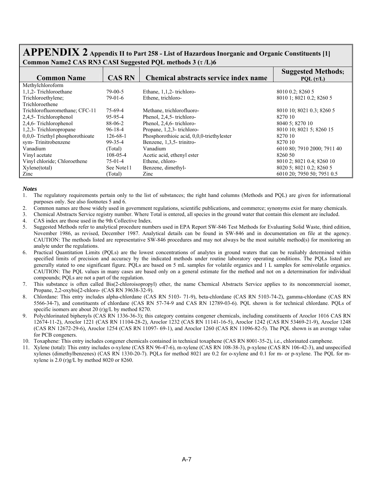|                                  |                |                                           | <b>Suggested Methods;</b>   |
|----------------------------------|----------------|-------------------------------------------|-----------------------------|
| <b>Common Name</b>               | <b>CAS RN</b>  | Chemical abstracts service index name     | POL $(\tau/L)$              |
| Methylchloroform                 |                |                                           |                             |
| 1,1,2-Trichloroethane            | $79-00-5$      | Ethane, $1,1,2$ - trichloro-              | 8010 0.2; 8260 5            |
| Trichloroethylene;               | $79-01-6$      | Ethene, trichloro-                        | 8010 1:8021 0.2:8260 5      |
| Trichloroethene                  |                |                                           |                             |
| Trichlorofluoromethane; CFC-11   | $75-69-4$      | Methane, trichlorofluoro-                 | 8010 10; 8021 0.3; 8260 5   |
| 2,4,5- Trichlorophenol           | 95-95-4        | Phenol, 2,4,5-trichloro-                  | 8270 10                     |
| 2,4,6-Trichlorophenol            | 88-06-2        | Phenol, 2,4,6-trichloro-                  | 8040 5:8270 10              |
| 1,2,3- Trichloropropane          | $96 - 18 - 4$  | Propane, 1,2,3-trichloro-                 | 8010 10; 8021 5; 8260 15    |
| 0,0,0- Triethyl phosphorothioate | $126 - 68 - 1$ | Phosphorothioic acid, 0,0,0-triethylester | 8270 10                     |
| sym-Trinitrobenzene              | $99 - 35 - 4$  | Benzene, 1,3,5-trinitro-                  | 8270 10                     |
| Vanadium                         | (Total)        | Vanadium                                  | 6010 80; 7910 2000; 7911 40 |
| Vinyl acetate                    | 108-05-4       | Acetic acid, ethenyl ester                | 8260.50                     |
| Vinyl chloride; Chloroethene     | $75-01-4$      | Ethene, chloro-                           | 8010 2; 8021 0.4; 8260 10   |
| Xylene(total)                    | See Note11     | Benzene, dimethyl-                        | 8020 5; 8021 0.2; 8260 5    |
| Zinc                             | (Total)        | Zinc                                      | 6010 20; 7950 50; 7951 0.5  |

#### *Notes*

- 1. The regulatory requirements pertain only to the list of substances; the right hand columns (Methods and PQL) are given for informational purposes only. See also footnotes 5 and 6.
- 2. Common names are those widely used in government regulations, scientific publications, and commerce; synonyms exist for many chemicals.
- 3. Chemical Abstracts Service registry number. Where Total is entered, all species in the ground water that contain this element are included.
- 4. CAS index are those used in the 9th Collective Index.
- 5. Suggested Methods refer to analytical procedure numbers used in EPA Report SW-846 Test Methods for Evaluating Solid Waste, third edition, November 1986, as revised, December 1987. Analytical details can be found in SW-846 and in documentation on file at the agency. CAUTION: The methods listed are representative SW-846 procedures and may not always be the most suitable method(s) for monitoring an analyte under the regulations.
- 6. Practical Quantitation Limits (PQLs) are the lowest concentrations of analytes in ground waters that can be realiably determined within specified limits of precision and accuracy by the indicated methods under routine laboratory operating conditions. The PQLs listed are generally stated to one significant figure. PQLs are based on 5 mL samples for volatile organics and 1 L samples for semivolatile organics. CAUTION: The PQL values in many cases are based only on a general estimate for the method and not on a determination for individual compounds; PQLs are not a part of the regulation.
- 7. This substance is often called Bis(2-chloroisopropyl) ether, the name Chemical Abstracts Service applies to its noncommercial isomer, Propane, 2,2-oxybis[2-chloro- (CAS RN 39638-32-9).
- 8. Chlordane: This entry includes alpha-chlordane (CAS RN 5103- 71-9), beta-chlordane (CAS RN 5103-74-2), gamma-chlordane (CAS RN 5566-34-7), and constituents of chlordane (CAS RN 57-74-9 and CAS RN 12789-03-6). PQL shown is for technical chlordane. PQLs of specific isomers are about 20 (r)g/L by method 8270.
- 9. Polychlorinated biphenyls (CAS RN 1336-36-3); this category contains congener chemicals, including constituents of Aroclor 1016 CAS RN 12674-11-2), Aroclor 1221 (CAS RN 11104-28-2), Aroclor 1232 (CAS RN 11141-16-5), Aroclor 1242 (CAS RN 53469-21-9), Aroclor 1248 (CAS RN 12672-29-6), Aroclor 1254 (CAS RN 11097- 69-1), and Aroclor 1260 (CAS RN 11096-82-5). The PQL shown is an average value for PCB congeners.
- 10. Toxaphene: This entry includes congener chemicals contained in technical toxaphene (CAS RN 8001-35-2), i.e., chlorinated camphene.
- 11. Xylene (total): This entry includes o-xylene (CAS RN 96-47-6), m-xylene (CAS RN 108-38-3), p-xylene (CAS RN 106-42-3), and unspecified xylenes (dimethylbenzenes) (CAS RN 1330-20-7). PQLs for method 8021 are 0.2 for o-xylene and 0.1 for m- or p-xylene. The PQL for mxylene is 2.0 (r)g/L by method 8020 or 8260.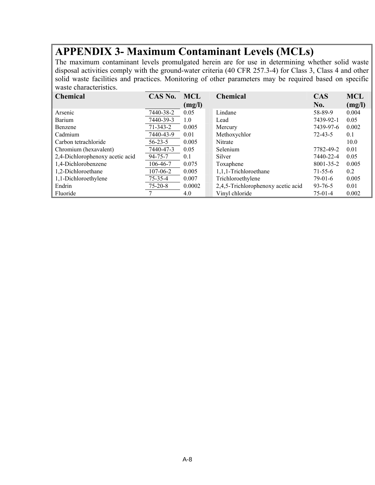# **APPENDIX 3- Maximum Contaminant Levels (MCLs)**

The maximum contaminant levels promulgated herein are for use in determining whether solid waste disposal activities comply with the ground-water criteria (40 CFR 257.3-4) for Class 3, Class 4 and other solid waste facilities and practices. Monitoring of other parameters may be required based on specific waste characteristics.

| <b>Chemical</b>                 | CAS No.        | <b>MCL</b> | <b>Chemical</b>                    | <b>CAS</b>      | <b>MCL</b> |
|---------------------------------|----------------|------------|------------------------------------|-----------------|------------|
|                                 |                | (mg/l)     |                                    | No.             | (mg/l)     |
| Arsenic                         | 7440-38-2      | 0.05       | Lindane                            | 58-89-9         | 0.004      |
| Barium                          | 7440-39-3      | 1.0        | Lead                               | 7439-92-1       | 0.05       |
| Benzene                         | $71 - 343 - 2$ | 0.005      | Mercury                            | 7439-97-6       | 0.002      |
| Cadmium                         | 7440-43-9      | 0.01       | Methoxychlor                       | $72 - 43 - 5$   | 0.1        |
| Carbon tetrachloride            | $56 - 23 - 5$  | 0.005      | Nitrate                            |                 | 10.0       |
| Chromium (hexavalent)           | 7440-47-3      | 0.05       | Selenium                           | 7782-49-2       | 0.01       |
| 2,4-Dichlorophenoxy acetic acid | $94 - 75 - 7$  | 0.1        | Silver                             | 7440-22-4       | 0.05       |
| 1,4-Dichlorobenzene             | 106-46-7       | 0.075      | Toxaphene                          | $8001 - 35 - 2$ | 0.005      |
| 1,2-Dichloroethane              | 107-06-2       | 0.005      | 1,1,1-Trichloroethane              | $71 - 55 - 6$   | 0.2        |
| 1,1-Dichloroethylene            | 75-35-4        | 0.007      | Trichloroethylene                  | 79-01-6         | 0.005      |
| Endrin                          | $75 - 20 - 8$  | 0.0002     | 2,4,5-Trichlorophenoxy acetic acid | $93 - 76 - 5$   | 0.01       |
| Fluoride                        |                | 4.0        | Vinyl chloride                     | $75-01-4$       | 0.002      |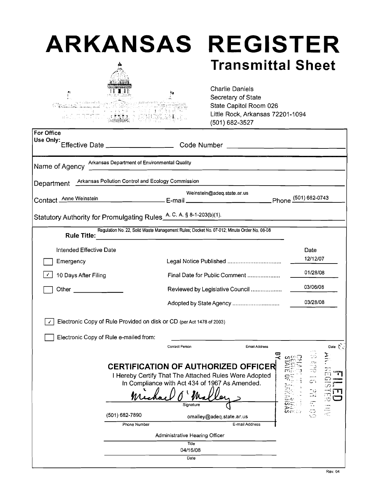| ARKANSAS                                                                                                         |                                | <b>REGISTER</b><br><b>Transmittal Sheet</b>                                                                                                                                                         |         |          |                   |
|------------------------------------------------------------------------------------------------------------------|--------------------------------|-----------------------------------------------------------------------------------------------------------------------------------------------------------------------------------------------------|---------|----------|-------------------|
|                                                                                                                  |                                | <b>Charlie Daniels</b><br>Secretary of State<br>State Capitol Room 026<br>Little Rock, Arkansas 72201-1094<br>(501) 682-3527                                                                        |         |          |                   |
| <b>For Office</b><br><b>Use Only:</b>                                                                            |                                |                                                                                                                                                                                                     |         |          |                   |
| Arkansas Department of Environmental Quality<br>Name of Agency                                                   |                                |                                                                                                                                                                                                     |         |          |                   |
| Arkansas Pollution Control and Ecology Commission<br>Department                                                  |                                |                                                                                                                                                                                                     |         |          |                   |
| Contact Anne Weinstein                                                                                           |                                | Weinstein@adeq.state.ar.us<br>—————————— E-mail _________________________________ Phone <sup>(501) 682-0743</sup>                                                                                   |         |          |                   |
| Statutory Authority for Promulgating Rules A.C. A. § 8-1-203(b)(1).                                              |                                |                                                                                                                                                                                                     |         |          |                   |
| Regulation No. 22, Solid Waste Management Rules; Docket No. 07-012; Minute Order No. 08-08<br><b>Rule Title:</b> |                                |                                                                                                                                                                                                     |         |          |                   |
| Intended Effective Date                                                                                          |                                |                                                                                                                                                                                                     |         | Date     |                   |
| Emergency                                                                                                        |                                | Legal Notice Published                                                                                                                                                                              |         | 12/12/07 |                   |
| 10 Days After Filing                                                                                             |                                | Final Date for Public Comment                                                                                                                                                                       |         | 01/28/08 |                   |
| Other                                                                                                            |                                | Reviewed by Legislative Council                                                                                                                                                                     |         | 03/06/08 |                   |
|                                                                                                                  |                                | Adopted by State Agency                                                                                                                                                                             |         | 03/28/08 |                   |
| Electronic Copy of Rule Provided on disk or CD (per Act 1478 of 2003)                                            |                                |                                                                                                                                                                                                     |         |          |                   |
| Electronic Copy of Rule e-mailed from:                                                                           |                                |                                                                                                                                                                                                     |         |          |                   |
|                                                                                                                  | Contact Person                 | Email Address                                                                                                                                                                                       |         |          | Date $\sum$       |
| (501) 682-7890<br>Phone Number                                                                                   | Signature                      | <b>CERTIFICATION OF AUTHORIZED OFFICER</b><br>I Hereby Certify That The Attached Rules Were Adopted<br>In Compliance with Act 434 of 1967 As Amended.<br>omalley@adeq.state.ar.us<br>E-mail Address | ഗ<br>ъ. | OD PT. C | I<br>I<br>i<br>El |
|                                                                                                                  | Administrative Hearing Officer |                                                                                                                                                                                                     |         |          |                   |
|                                                                                                                  | Title<br>04/16/08              |                                                                                                                                                                                                     |         |          |                   |
|                                                                                                                  | Date                           |                                                                                                                                                                                                     |         |          |                   |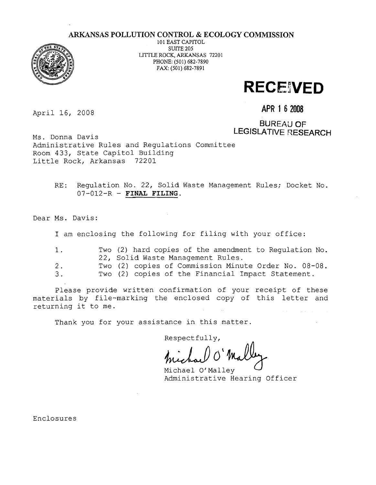#### **ARKANSAS POLLUTION CONTROL** & **ECOLOGY COMMISSION**



April 16, 2008

101 EAST CAPITOL SUITE 205 LITTLE ROCK, ARKANSAS 72201 PHONE: (501) 682-7890 FAX: (501) 682-7891

# **RECEIVED**

# **APR 1 6 2008**

BUREAU OF **LEGISLATIVE** RESEARCH

Ms. Donna Davis Administrative Rules and Regulations Committee Room 433, State Capitol Building Little Rock, Arkansas 72201

> RE: Regulation No. 22, Solid Waste Management Rules; Docket No. 07-012-R - **FINAL FILING.**

Dear Ms. Davis:

I am enclosing the following for filing with your office:

| ⊥ . |  |  |  |                                   | Two (2) hard copies of the amendment to Requlation No. |  |
|-----|--|--|--|-----------------------------------|--------------------------------------------------------|--|
|     |  |  |  | 22, Solid Waste Management Rules. |                                                        |  |

2. Two (2) copies of Commission Minute Order No. 08-08.

3. Two (2) copies of the Financial Impact Statement.

Please provide written confirmation of your receipt of these materials by file-marking the enclosed copy of this letter and returning it to me.

Thank you for your assistance in this matter.

Respectfully,

 $O'$  /m

Michael O'Malley Administrative Hearing Officer

Enclosures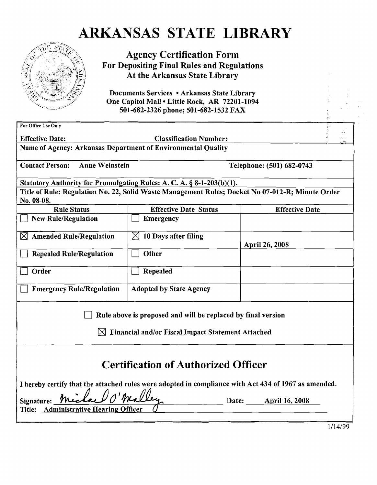# $\begin{array}{l}\n \textbf{ARKANSAS STATE LIBRARY}\n\textcolor{red}{\bf \textcolor{blue}{S}}\n\end{array}$   $\begin{array}{l}\n \textbf{S}}\n\textbf{S}}\n\begin{array}{l}\n \textbf{S}}\n\textbf{S}}\n\textbf{S}}\n\textbf{S}}\n\textbf{S}}\n\textbf{S}}\n\textbf{S}}\n\textbf{S}}\n\textbf{S}}\n\textbf{S}}\n\textbf{S}}\n\textbf{S}}\n\textbf{S}}\n\textbf{S}}\n\textbf{S}}\n\textbf{S}}\n\textbf{S}}\n\textbf{S}}$



For Depositing Final Rules and Regulations At the Arkansas State Library

Documents Services • Arkansas State Library<br>One Capitol Mall • Little Rock, AR 72201-1094  $501-682-2326$  phone;  $501-682-1532$  FAX

| For Office Use Only                                           |                                                                                                                                                    |                                |
|---------------------------------------------------------------|----------------------------------------------------------------------------------------------------------------------------------------------------|--------------------------------|
| <b>Effective Date:</b>                                        | <b>Classification Number:</b>                                                                                                                      |                                |
| Name of Agency: Arkansas Department of Environmental Quality  |                                                                                                                                                    |                                |
|                                                               |                                                                                                                                                    |                                |
| <b>Contact Person:</b><br><b>Anne Weinstein</b>               |                                                                                                                                                    | Telephone: (501) 682-0743      |
|                                                               | Statutory Authority for Promulgating Rules: A. C. A. § 8-1-203(b)(1).                                                                              |                                |
| No. 08-08.                                                    | Title of Rule: Regulation No. 22, Solid Waste Management Rules; Docket No 07-012-R; Minute Order                                                   |                                |
| <b>Rule Status</b>                                            | <b>Effective Date Status</b>                                                                                                                       | <b>Effective Date</b>          |
| <b>New Rule/Regulation</b>                                    | <b>Emergency</b>                                                                                                                                   |                                |
| <b>Amended Rule/Regulation</b><br>$\bowtie$                   | 10 Days after filing<br>$\bowtie$                                                                                                                  |                                |
|                                                               | Other                                                                                                                                              | <b>April 26, 2008</b>          |
| <b>Repealed Rule/Regulation</b>                               |                                                                                                                                                    |                                |
| Order                                                         | Repealed                                                                                                                                           |                                |
| <b>Emergency Rule/Regulation</b>                              | <b>Adopted by State Agency</b>                                                                                                                     |                                |
|                                                               | Rule above is proposed and will be replaced by final version<br>Financial and/or Fiscal Impact Statement Attached                                  |                                |
| Signature:<br><b>Administrative Hearing Officer</b><br>Title: | <b>Certification of Authorized Officer</b><br>I hereby certify that the attached rules were adopted in compliance with Act 434 of 1967 as amended. | Date:<br><b>April 16, 2008</b> |
|                                                               |                                                                                                                                                    |                                |

 $1/14/99$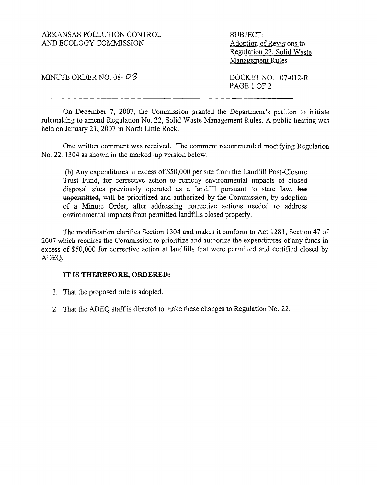| ARKANSAS POLLUTION CONTROL<br>AND ECOLOGY COMMISSION | SUBJECT:<br>Adoption of Revisions to<br>Regulation 22, Solid Waste<br>Management Rules |
|------------------------------------------------------|----------------------------------------------------------------------------------------|
| MINUTE ORDER NO. 08- $\mathcal{O}\mathcal{E}$        | DOCKET NO. 07-012-R<br>PAGE 1 OF 2                                                     |

On December 7, 2007, the Commission granted the Department's petition to initiate rulemaking to amend Regulation No. 22, Solid Waste Management Rules. A public hearing was held on January 21, 2007 in North Little Rock.

One written comment was received. The comment recommended modifying Regulation No. 22. 1304 as shown in the marked-up version below:

(b) Any expenditures in excess of \$50,000 per site from the Landfill Post-Closure Trust Fund, for corrective action to remedy environmental impacts of closed disposal sites previously operated as a landfill pursuant to state law, but unpermitted, will be prioritized and authorized by the Commission, by adoption of a Minute Order, after addressing corrective actions needed to address environmental impacts from permitted landfills closed properly.

The modification clarifies Section 1304 and makes it conform to Act 1281, Section 47 of 2007 which requires the Commission to prioritize and authorize the expenditures of any hnds in excess of \$50,000 for corrective action at landfills that were permitted and certified closed by ADEQ.

#### **IT IS THEREFORE, ORDERED:**

- 1. That the proposed rule is adopted.
- 2. That the ADEQ staff is directed to make these changes to Regulation No. 22.